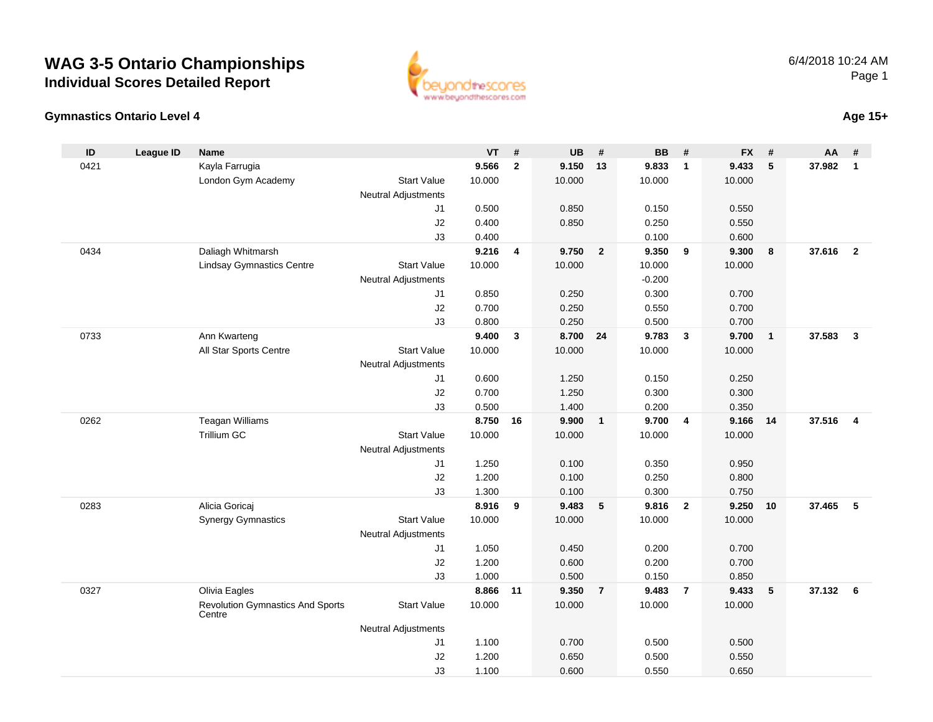

#### **Gymnastics Ontario Level 4Age 15+**

| ID   | <b>League ID</b> | <b>Name</b>                                       |                            | VT     | $\pmb{\#}$              | <b>UB</b> | #                       | <b>BB</b> | #                       | <b>FX</b> | #               | AA       | #                       |
|------|------------------|---------------------------------------------------|----------------------------|--------|-------------------------|-----------|-------------------------|-----------|-------------------------|-----------|-----------------|----------|-------------------------|
| 0421 |                  | Kayla Farrugia                                    |                            | 9.566  | $\mathbf{2}$            | 9.150     | 13                      | 9.833     | $\mathbf{1}$            | 9.433     | 5               | 37.982   | $\mathbf{1}$            |
|      |                  | London Gym Academy                                | <b>Start Value</b>         | 10.000 |                         | 10.000    |                         | 10.000    |                         | 10.000    |                 |          |                         |
|      |                  |                                                   | <b>Neutral Adjustments</b> |        |                         |           |                         |           |                         |           |                 |          |                         |
|      |                  |                                                   | J1                         | 0.500  |                         | 0.850     |                         | 0.150     |                         | 0.550     |                 |          |                         |
|      |                  |                                                   | J2                         | 0.400  |                         | 0.850     |                         | 0.250     |                         | 0.550     |                 |          |                         |
|      |                  |                                                   | J3                         | 0.400  |                         |           |                         | 0.100     |                         | 0.600     |                 |          |                         |
| 0434 |                  | Daliagh Whitmarsh                                 |                            | 9.216  | $\overline{\mathbf{4}}$ | 9.750     | $\overline{\mathbf{2}}$ | 9.350     | 9                       | 9.300     | 8               | 37.616 2 |                         |
|      |                  | <b>Lindsay Gymnastics Centre</b>                  | <b>Start Value</b>         | 10.000 |                         | 10.000    |                         | 10.000    |                         | 10.000    |                 |          |                         |
|      |                  |                                                   | <b>Neutral Adjustments</b> |        |                         |           |                         | $-0.200$  |                         |           |                 |          |                         |
|      |                  |                                                   | J1                         | 0.850  |                         | 0.250     |                         | 0.300     |                         | 0.700     |                 |          |                         |
|      |                  |                                                   | J2                         | 0.700  |                         | 0.250     |                         | 0.550     |                         | 0.700     |                 |          |                         |
|      |                  |                                                   | J3                         | 0.800  |                         | 0.250     |                         | 0.500     |                         | 0.700     |                 |          |                         |
| 0733 |                  | Ann Kwarteng                                      |                            | 9.400  | $\mathbf{3}$            | 8.700 24  |                         | 9.783     | $\overline{\mathbf{3}}$ | 9.700     | $\overline{1}$  | 37.583   | $\overline{\mathbf{3}}$ |
|      |                  | All Star Sports Centre                            | <b>Start Value</b>         | 10.000 |                         | 10.000    |                         | 10.000    |                         | 10.000    |                 |          |                         |
|      |                  |                                                   | <b>Neutral Adjustments</b> |        |                         |           |                         |           |                         |           |                 |          |                         |
|      |                  |                                                   | J1                         | 0.600  |                         | 1.250     |                         | 0.150     |                         | 0.250     |                 |          |                         |
|      |                  |                                                   | J2                         | 0.700  |                         | 1.250     |                         | 0.300     |                         | 0.300     |                 |          |                         |
|      |                  |                                                   | J3                         | 0.500  |                         | 1.400     |                         | 0.200     |                         | 0.350     |                 |          |                         |
| 0262 |                  | <b>Teagan Williams</b>                            |                            | 8.750  | 16                      | 9.900     | $\overline{\mathbf{1}}$ | 9.700     | $\overline{\mathbf{4}}$ | 9.166     | 14              | 37.516   | $\overline{4}$          |
|      |                  | <b>Trillium GC</b>                                | <b>Start Value</b>         | 10.000 |                         | 10.000    |                         | 10.000    |                         | 10.000    |                 |          |                         |
|      |                  |                                                   | <b>Neutral Adjustments</b> |        |                         |           |                         |           |                         |           |                 |          |                         |
|      |                  |                                                   | J1                         | 1.250  |                         | 0.100     |                         | 0.350     |                         | 0.950     |                 |          |                         |
|      |                  |                                                   | J2                         | 1.200  |                         | 0.100     |                         | 0.250     |                         | 0.800     |                 |          |                         |
|      |                  |                                                   | J3                         | 1.300  |                         | 0.100     |                         | 0.300     |                         | 0.750     |                 |          |                         |
| 0283 |                  | Alicia Goricaj                                    |                            | 8.916  | 9                       | 9.483     | $5\phantom{.0}$         | 9.816     | $\overline{\mathbf{2}}$ | 9.250     | 10              | 37.465   | 5                       |
|      |                  | <b>Synergy Gymnastics</b>                         | <b>Start Value</b>         | 10.000 |                         | 10.000    |                         | 10.000    |                         | 10.000    |                 |          |                         |
|      |                  |                                                   | <b>Neutral Adjustments</b> |        |                         |           |                         |           |                         |           |                 |          |                         |
|      |                  |                                                   | J <sub>1</sub>             | 1.050  |                         | 0.450     |                         | 0.200     |                         | 0.700     |                 |          |                         |
|      |                  |                                                   | J2                         | 1.200  |                         | 0.600     |                         | 0.200     |                         | 0.700     |                 |          |                         |
|      |                  |                                                   | J3                         | 1.000  |                         | 0.500     |                         | 0.150     |                         | 0.850     |                 |          |                         |
| 0327 |                  | Olivia Eagles                                     |                            | 8.866  | 11                      | 9.350     | $\overline{7}$          | 9.483     | $\overline{7}$          | 9.433     | $5\phantom{.0}$ | 37.132   | $6\phantom{.}6$         |
|      |                  | <b>Revolution Gymnastics And Sports</b><br>Centre | <b>Start Value</b>         | 10.000 |                         | 10.000    |                         | 10.000    |                         | 10.000    |                 |          |                         |
|      |                  |                                                   | <b>Neutral Adjustments</b> |        |                         |           |                         |           |                         |           |                 |          |                         |
|      |                  |                                                   | J1                         | 1.100  |                         | 0.700     |                         | 0.500     |                         | 0.500     |                 |          |                         |
|      |                  |                                                   | J2                         | 1.200  |                         | 0.650     |                         | 0.500     |                         | 0.550     |                 |          |                         |
|      |                  |                                                   | J3                         | 1.100  |                         | 0.600     |                         | 0.550     |                         | 0.650     |                 |          |                         |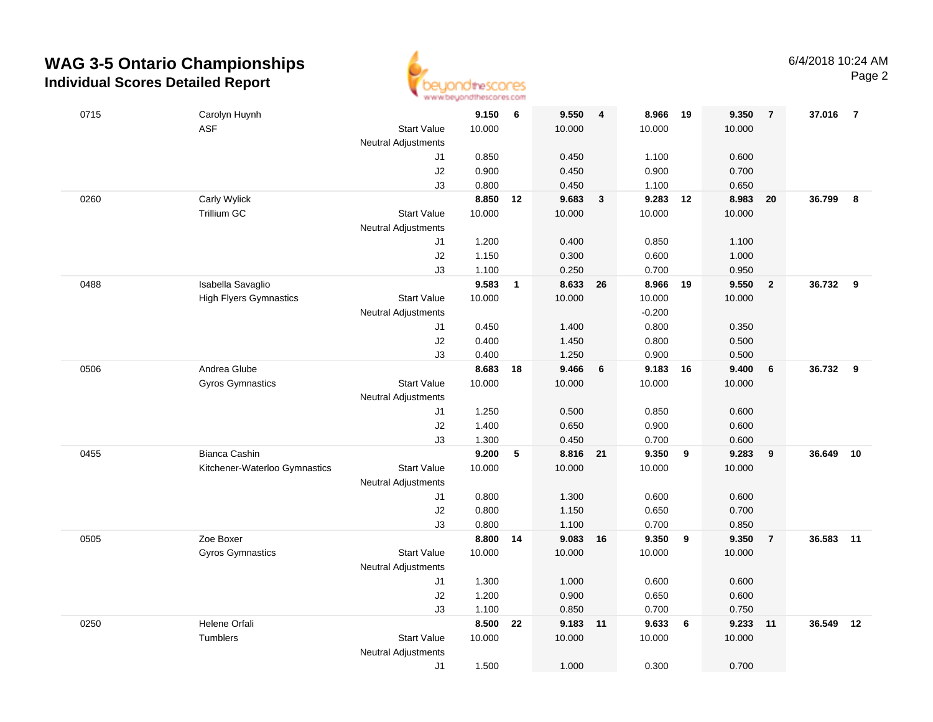

| 0715 | Carolyn Huynh                 |                            | 9.150  | 6            | 9.550    | 4                       | 8.966    | 19 | 9.350  | $\overline{7}$ | 37.016    | $\overline{7}$ |
|------|-------------------------------|----------------------------|--------|--------------|----------|-------------------------|----------|----|--------|----------------|-----------|----------------|
|      | <b>ASF</b>                    | <b>Start Value</b>         | 10.000 |              | 10.000   |                         | 10.000   |    | 10.000 |                |           |                |
|      |                               | <b>Neutral Adjustments</b> |        |              |          |                         |          |    |        |                |           |                |
|      |                               | J1                         | 0.850  |              | 0.450    |                         | 1.100    |    | 0.600  |                |           |                |
|      |                               | J2                         | 0.900  |              | 0.450    |                         | 0.900    |    | 0.700  |                |           |                |
|      |                               | J3                         | 0.800  |              | 0.450    |                         | 1.100    |    | 0.650  |                |           |                |
| 0260 | Carly Wylick                  |                            | 8.850  | 12           | 9.683    | $\overline{\mathbf{3}}$ | 9.283    | 12 | 8.983  | 20             | 36.799    | 8              |
|      | Trillium GC                   | <b>Start Value</b>         | 10.000 |              | 10.000   |                         | 10.000   |    | 10.000 |                |           |                |
|      |                               | <b>Neutral Adjustments</b> |        |              |          |                         |          |    |        |                |           |                |
|      |                               | J1                         | 1.200  |              | 0.400    |                         | 0.850    |    | 1.100  |                |           |                |
|      |                               | J2                         | 1.150  |              | 0.300    |                         | 0.600    |    | 1.000  |                |           |                |
|      |                               | J3                         | 1.100  |              | 0.250    |                         | 0.700    |    | 0.950  |                |           |                |
| 0488 | Isabella Savaglio             |                            | 9.583  | $\mathbf{1}$ | 8.633    | 26                      | 8.966    | 19 | 9.550  | $\overline{2}$ | 36.732    | 9              |
|      | <b>High Flyers Gymnastics</b> | <b>Start Value</b>         | 10.000 |              | 10.000   |                         | 10.000   |    | 10.000 |                |           |                |
|      |                               | <b>Neutral Adjustments</b> |        |              |          |                         | $-0.200$ |    |        |                |           |                |
|      |                               | J1                         | 0.450  |              | 1.400    |                         | 0.800    |    | 0.350  |                |           |                |
|      |                               | J2                         | 0.400  |              | 1.450    |                         | 0.800    |    | 0.500  |                |           |                |
|      |                               | J3                         | 0.400  |              | 1.250    |                         | 0.900    |    | 0.500  |                |           |                |
| 0506 | Andrea Glube                  |                            | 8.683  | 18           | 9.466    | 6                       | 9.183    | 16 | 9.400  | 6              | 36.732    | 9              |
|      | <b>Gyros Gymnastics</b>       | <b>Start Value</b>         | 10.000 |              | 10.000   |                         | 10.000   |    | 10.000 |                |           |                |
|      |                               | <b>Neutral Adjustments</b> |        |              |          |                         |          |    |        |                |           |                |
|      |                               | J1                         | 1.250  |              | 0.500    |                         | 0.850    |    | 0.600  |                |           |                |
|      |                               | J2                         | 1.400  |              | 0.650    |                         | 0.900    |    | 0.600  |                |           |                |
|      |                               | J3                         | 1.300  |              | 0.450    |                         | 0.700    |    | 0.600  |                |           |                |
| 0455 | Bianca Cashin                 |                            | 9.200  | 5            | 8.816 21 |                         | 9.350    | 9  | 9.283  | 9              | 36.649    | 10             |
|      | Kitchener-Waterloo Gymnastics | <b>Start Value</b>         | 10.000 |              | 10.000   |                         | 10.000   |    | 10.000 |                |           |                |
|      |                               | <b>Neutral Adjustments</b> |        |              |          |                         |          |    |        |                |           |                |
|      |                               | J1                         | 0.800  |              | 1.300    |                         | 0.600    |    | 0.600  |                |           |                |
|      |                               | J2                         | 0.800  |              | 1.150    |                         | 0.650    |    | 0.700  |                |           |                |
|      |                               | J3                         | 0.800  |              | 1.100    |                         | 0.700    |    | 0.850  |                |           |                |
| 0505 | Zoe Boxer                     |                            | 8.800  | 14           | 9.083 16 |                         | 9.350    | 9  | 9.350  | $\overline{7}$ | 36.583 11 |                |
|      | Gyros Gymnastics              | <b>Start Value</b>         | 10.000 |              | 10.000   |                         | 10.000   |    | 10.000 |                |           |                |
|      |                               | <b>Neutral Adjustments</b> |        |              |          |                         |          |    |        |                |           |                |
|      |                               | J1                         | 1.300  |              | 1.000    |                         | 0.600    |    | 0.600  |                |           |                |
|      |                               | J2                         | 1.200  |              | 0.900    |                         | 0.650    |    | 0.600  |                |           |                |
|      |                               | J3                         | 1.100  |              | 0.850    |                         | 0.700    |    | 0.750  |                |           |                |
| 0250 | Helene Orfali                 |                            | 8.500  | 22           | 9.183 11 |                         | 9.633    | 6  | 9.233  | 11             | 36.549    | 12             |
|      | Tumblers                      | <b>Start Value</b>         | 10.000 |              | 10.000   |                         | 10.000   |    | 10.000 |                |           |                |
|      |                               | <b>Neutral Adjustments</b> |        |              |          |                         |          |    |        |                |           |                |
|      |                               | J1                         | 1.500  |              | 1.000    |                         | 0.300    |    | 0.700  |                |           |                |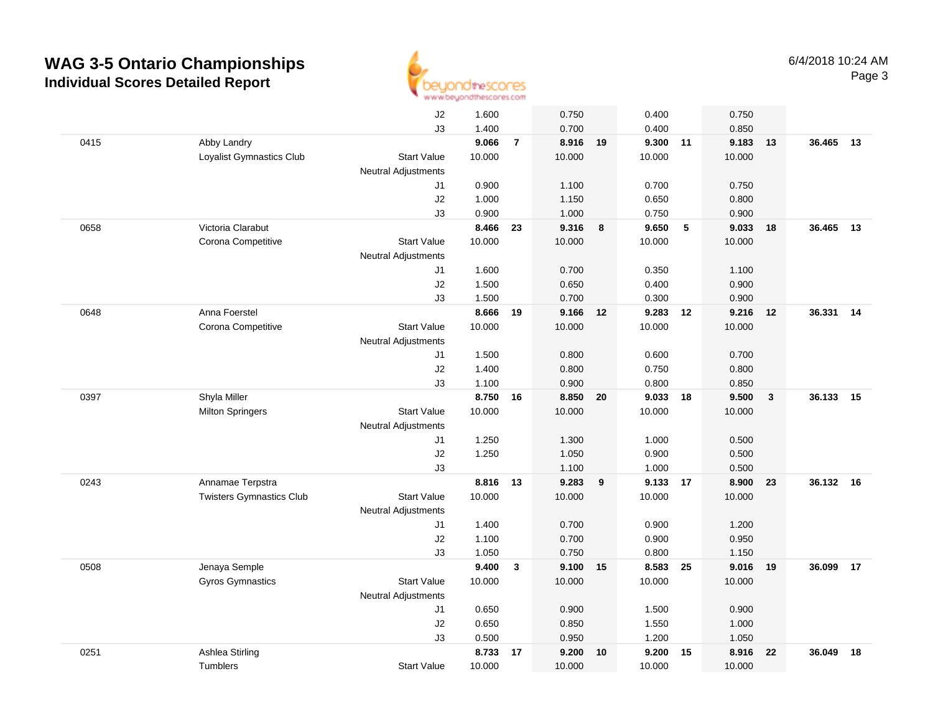

|      |                                 | J2                         | 1.600  |                | 0.750    |    | 0.400  |    | 0.750  |                         |        |    |
|------|---------------------------------|----------------------------|--------|----------------|----------|----|--------|----|--------|-------------------------|--------|----|
|      |                                 | J3                         | 1.400  |                | 0.700    |    | 0.400  |    | 0.850  |                         |        |    |
| 0415 | Abby Landry                     |                            | 9.066  | $\overline{7}$ | 8.916    | 19 | 9.300  | 11 | 9.183  | 13                      | 36.465 | 13 |
|      | Loyalist Gymnastics Club        | <b>Start Value</b>         | 10.000 |                | 10.000   |    | 10.000 |    | 10.000 |                         |        |    |
|      |                                 | <b>Neutral Adjustments</b> |        |                |          |    |        |    |        |                         |        |    |
|      |                                 | J1                         | 0.900  |                | 1.100    |    | 0.700  |    | 0.750  |                         |        |    |
|      |                                 | J2                         | 1.000  |                | 1.150    |    | 0.650  |    | 0.800  |                         |        |    |
|      |                                 | J3                         | 0.900  |                | 1.000    |    | 0.750  |    | 0.900  |                         |        |    |
| 0658 | Victoria Clarabut               |                            | 8.466  | 23             | 9.316    | 8  | 9.650  | 5  | 9.033  | 18                      | 36.465 | 13 |
|      | Corona Competitive              | <b>Start Value</b>         | 10.000 |                | 10.000   |    | 10.000 |    | 10.000 |                         |        |    |
|      |                                 | <b>Neutral Adjustments</b> |        |                |          |    |        |    |        |                         |        |    |
|      |                                 | J1                         | 1.600  |                | 0.700    |    | 0.350  |    | 1.100  |                         |        |    |
|      |                                 | J2                         | 1.500  |                | 0.650    |    | 0.400  |    | 0.900  |                         |        |    |
|      |                                 | J3                         | 1.500  |                | 0.700    |    | 0.300  |    | 0.900  |                         |        |    |
| 0648 | Anna Foerstel                   |                            | 8.666  | 19             | 9.166 12 |    | 9.283  | 12 | 9.216  | 12                      | 36.331 | 14 |
|      | Corona Competitive              | <b>Start Value</b>         | 10.000 |                | 10.000   |    | 10.000 |    | 10.000 |                         |        |    |
|      |                                 | <b>Neutral Adjustments</b> |        |                |          |    |        |    |        |                         |        |    |
|      |                                 | J1                         | 1.500  |                | 0.800    |    | 0.600  |    | 0.700  |                         |        |    |
|      |                                 | J2                         | 1.400  |                | 0.800    |    | 0.750  |    | 0.800  |                         |        |    |
|      |                                 | J3                         | 1.100  |                | 0.900    |    | 0.800  |    | 0.850  |                         |        |    |
| 0397 | Shyla Miller                    |                            | 8.750  | 16             | 8.850    | 20 | 9.033  | 18 | 9.500  | $\overline{\mathbf{3}}$ | 36.133 | 15 |
|      | <b>Milton Springers</b>         | <b>Start Value</b>         | 10.000 |                | 10.000   |    | 10.000 |    | 10.000 |                         |        |    |
|      |                                 | <b>Neutral Adjustments</b> |        |                |          |    |        |    |        |                         |        |    |
|      |                                 | J1                         | 1.250  |                | 1.300    |    | 1.000  |    | 0.500  |                         |        |    |
|      |                                 | J2                         | 1.250  |                | 1.050    |    | 0.900  |    | 0.500  |                         |        |    |
|      |                                 | J3                         |        |                | 1.100    |    | 1.000  |    | 0.500  |                         |        |    |
| 0243 | Annamae Terpstra                |                            | 8.816  | 13             | 9.283    | 9  | 9.133  | 17 | 8.900  | 23                      | 36.132 | 16 |
|      | <b>Twisters Gymnastics Club</b> | <b>Start Value</b>         | 10.000 |                | 10.000   |    | 10.000 |    | 10.000 |                         |        |    |
|      |                                 | <b>Neutral Adjustments</b> |        |                |          |    |        |    |        |                         |        |    |
|      |                                 | J1                         | 1.400  |                | 0.700    |    | 0.900  |    | 1.200  |                         |        |    |
|      |                                 | J2                         | 1.100  |                | 0.700    |    | 0.900  |    | 0.950  |                         |        |    |
|      |                                 | J3                         | 1.050  |                | 0.750    |    | 0.800  |    | 1.150  |                         |        |    |
| 0508 | Jenaya Semple                   |                            | 9.400  | $\mathbf{3}$   | 9.100 15 |    | 8.583  | 25 | 9.016  | 19                      | 36.099 | 17 |
|      | Gyros Gymnastics                | <b>Start Value</b>         | 10.000 |                | 10.000   |    | 10.000 |    | 10.000 |                         |        |    |
|      |                                 | <b>Neutral Adjustments</b> |        |                |          |    |        |    |        |                         |        |    |
|      |                                 | J1                         | 0.650  |                | 0.900    |    | 1.500  |    | 0.900  |                         |        |    |
|      |                                 | J2                         | 0.650  |                | 0.850    |    | 1.550  |    | 1.000  |                         |        |    |
|      |                                 | J3                         | 0.500  |                | 0.950    |    | 1.200  |    | 1.050  |                         |        |    |
| 0251 | Ashlea Stirling                 |                            | 8.733  | 17             | 9.200    | 10 | 9.200  | 15 | 8.916  | 22                      | 36.049 | 18 |
|      | Tumblers                        | <b>Start Value</b>         | 10.000 |                | 10.000   |    | 10.000 |    | 10.000 |                         |        |    |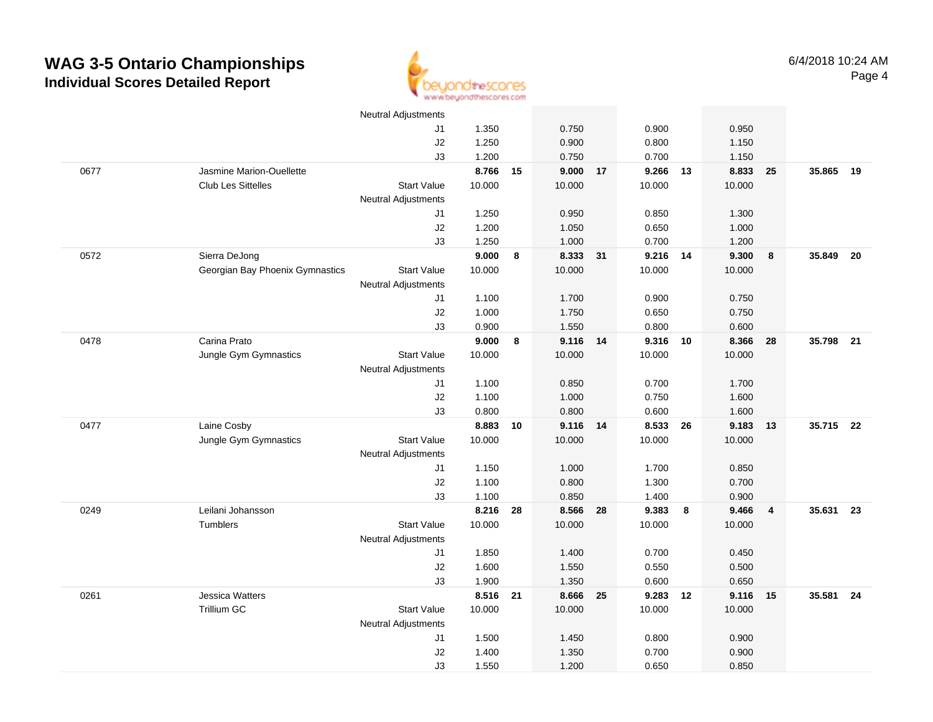

|      |                                 | <b>Neutral Adjustments</b> |          |    |                |    |          |    |        |                         |           |      |
|------|---------------------------------|----------------------------|----------|----|----------------|----|----------|----|--------|-------------------------|-----------|------|
|      |                                 | J1                         | 1.350    |    | 0.750          |    | 0.900    |    | 0.950  |                         |           |      |
|      |                                 | J2                         | 1.250    |    | 0.900          |    | 0.800    |    | 1.150  |                         |           |      |
|      |                                 | J3                         | 1.200    |    | 0.750          |    | 0.700    |    | 1.150  |                         |           |      |
| 0677 | Jasmine Marion-Ouellette        |                            | 8.766    | 15 | 9.000          | 17 | 9.266    | 13 | 8.833  | 25                      | 35.865    | 19   |
|      | <b>Club Les Sittelles</b>       | <b>Start Value</b>         | 10.000   |    | 10.000         |    | 10.000   |    | 10.000 |                         |           |      |
|      |                                 | <b>Neutral Adjustments</b> |          |    |                |    |          |    |        |                         |           |      |
|      |                                 | J1                         | 1.250    |    | 0.950          |    | 0.850    |    | 1.300  |                         |           |      |
|      |                                 | J2                         | 1.200    |    | 1.050          |    | 0.650    |    | 1.000  |                         |           |      |
|      |                                 | J3                         | 1.250    |    | 1.000          |    | 0.700    |    | 1.200  |                         |           |      |
| 0572 | Sierra DeJong                   |                            | 9.000    | 8  | 8.333 31       |    | 9.216 14 |    | 9.300  | 8                       | 35.849    | - 20 |
|      | Georgian Bay Phoenix Gymnastics | <b>Start Value</b>         | 10.000   |    | 10.000         |    | 10.000   |    | 10.000 |                         |           |      |
|      |                                 | <b>Neutral Adjustments</b> |          |    |                |    |          |    |        |                         |           |      |
|      |                                 | J1                         | 1.100    |    | 1.700          |    | 0.900    |    | 0.750  |                         |           |      |
|      |                                 | J2                         | 1.000    |    | 1.750          |    | 0.650    |    | 0.750  |                         |           |      |
|      |                                 | J3                         | 0.900    |    | 1.550          |    | 0.800    |    | 0.600  |                         |           |      |
| 0478 | Carina Prato                    |                            | 9.000    | 8  | 9.116          | 14 | 9.316    | 10 | 8.366  | 28                      | 35.798 21 |      |
|      | Jungle Gym Gymnastics           | <b>Start Value</b>         | 10.000   |    | 10.000         |    | 10.000   |    | 10.000 |                         |           |      |
|      |                                 | <b>Neutral Adjustments</b> |          |    |                |    |          |    |        |                         |           |      |
|      |                                 | J1                         | 1.100    |    | 0.850          |    | 0.700    |    | 1.700  |                         |           |      |
|      |                                 | J2                         | 1.100    |    | 1.000          |    | 0.750    |    | 1.600  |                         |           |      |
|      |                                 | J3                         | 0.800    |    | 0.800          |    | 0.600    |    | 1.600  |                         |           |      |
| 0477 | Laine Cosby                     |                            | 8.883    | 10 | 9.116 14       |    | 8.533    | 26 | 9.183  | 13                      | 35.715 22 |      |
|      | Jungle Gym Gymnastics           | <b>Start Value</b>         | 10.000   |    | 10.000         |    | 10.000   |    | 10.000 |                         |           |      |
|      |                                 | <b>Neutral Adjustments</b> |          |    |                |    |          |    |        |                         |           |      |
|      |                                 | J1                         | 1.150    |    | 1.000          |    | 1.700    |    | 0.850  |                         |           |      |
|      |                                 | J2                         | 1.100    |    | 0.800          |    | 1.300    |    | 0.700  |                         |           |      |
|      |                                 | J3                         | 1.100    |    | 0.850          |    | 1.400    |    | 0.900  |                         |           |      |
| 0249 | Leilani Johansson               |                            | 8.216    | 28 | 8.566 28       |    | 9.383    | 8  | 9.466  | $\overline{\mathbf{4}}$ | 35.631 23 |      |
|      | Tumblers                        | <b>Start Value</b>         | 10.000   |    | 10.000         |    | 10.000   |    | 10.000 |                         |           |      |
|      |                                 | Neutral Adjustments        |          |    |                |    |          |    |        |                         |           |      |
|      |                                 | J1                         | 1.850    |    | 1.400          |    | 0.700    |    | 0.450  |                         |           |      |
|      |                                 | J2                         | 1.600    |    | 1.550          |    | 0.550    |    | 0.500  |                         |           |      |
|      |                                 | J3                         | 1.900    |    | 1.350          |    | 0.600    |    | 0.650  |                         |           |      |
| 0261 | <b>Jessica Watters</b>          |                            | 8.516 21 |    | 8.666 25       |    | 9.283    | 12 | 9.116  | 15                      | 35.581 24 |      |
|      | <b>Trillium GC</b>              | <b>Start Value</b>         | 10.000   |    | 10.000         |    | 10.000   |    | 10.000 |                         |           |      |
|      |                                 | <b>Neutral Adjustments</b> | 1.500    |    |                |    | 0.800    |    | 0.900  |                         |           |      |
|      |                                 | J1<br>J2                   | 1.400    |    | 1.450<br>1.350 |    | 0.700    |    | 0.900  |                         |           |      |
|      |                                 | J3                         | 1.550    |    |                |    |          |    |        |                         |           |      |
|      |                                 |                            |          |    | 1.200          |    | 0.650    |    | 0.850  |                         |           |      |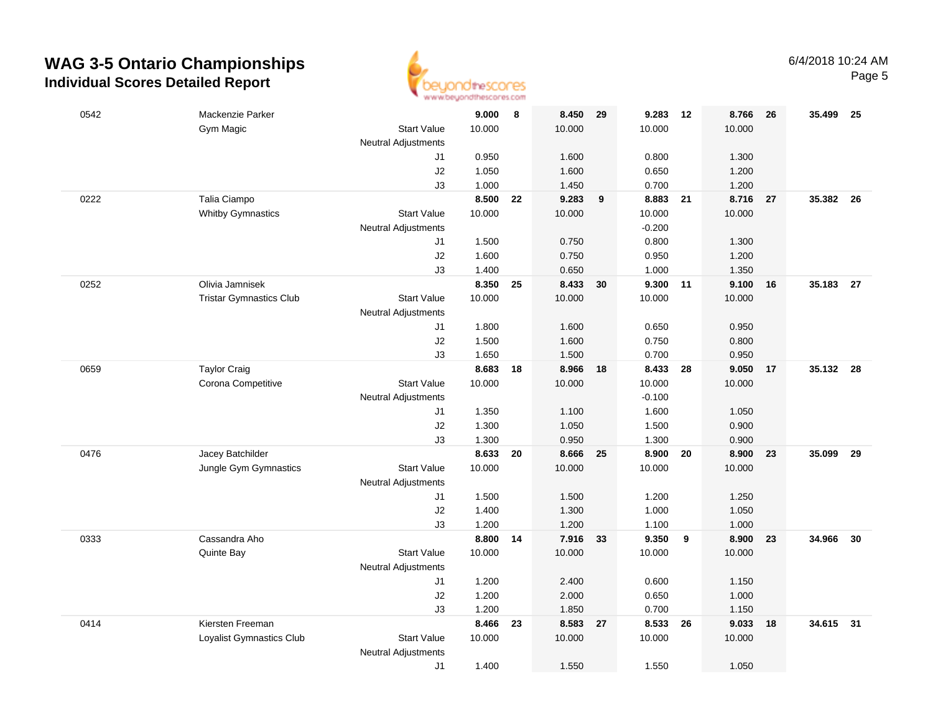

| 0542 | Mackenzie Parker               |                            | 9.000  | 8  | 8.450 29 |    | 9.283    | 12                      | 8.766  | - 26 | 35.499    | - 25 |
|------|--------------------------------|----------------------------|--------|----|----------|----|----------|-------------------------|--------|------|-----------|------|
|      | Gym Magic                      | <b>Start Value</b>         | 10.000 |    | 10.000   |    | 10.000   |                         | 10.000 |      |           |      |
|      |                                | <b>Neutral Adjustments</b> |        |    |          |    |          |                         |        |      |           |      |
|      |                                | J1                         | 0.950  |    | 1.600    |    | 0.800    |                         | 1.300  |      |           |      |
|      |                                | J2                         | 1.050  |    | 1.600    |    | 0.650    |                         | 1.200  |      |           |      |
|      |                                | J3                         | 1.000  |    | 1.450    |    | 0.700    |                         | 1.200  |      |           |      |
| 0222 | Talia Ciampo                   |                            | 8.500  | 22 | 9.283    | 9  | 8.883 21 |                         | 8.716  | 27   | 35.382    | - 26 |
|      | <b>Whitby Gymnastics</b>       | <b>Start Value</b>         | 10.000 |    | 10.000   |    | 10.000   |                         | 10.000 |      |           |      |
|      |                                | <b>Neutral Adjustments</b> |        |    |          |    | $-0.200$ |                         |        |      |           |      |
|      |                                | J1                         | 1.500  |    | 0.750    |    | 0.800    |                         | 1.300  |      |           |      |
|      |                                | J2                         | 1.600  |    | 0.750    |    | 0.950    |                         | 1.200  |      |           |      |
|      |                                | J3                         | 1.400  |    | 0.650    |    | 1.000    |                         | 1.350  |      |           |      |
| 0252 | Olivia Jamnisek                |                            | 8.350  | 25 | 8.433    | 30 | 9.300    | 11                      | 9.100  | 16   | 35.183    | 27   |
|      | <b>Tristar Gymnastics Club</b> | <b>Start Value</b>         | 10.000 |    | 10.000   |    | 10.000   |                         | 10.000 |      |           |      |
|      |                                | <b>Neutral Adjustments</b> |        |    |          |    |          |                         |        |      |           |      |
|      |                                | J1                         | 1.800  |    | 1.600    |    | 0.650    |                         | 0.950  |      |           |      |
|      |                                | $\sf J2$                   | 1.500  |    | 1.600    |    | 0.750    |                         | 0.800  |      |           |      |
|      |                                | J3                         | 1.650  |    | 1.500    |    | 0.700    |                         | 0.950  |      |           |      |
| 0659 | <b>Taylor Craig</b>            |                            | 8.683  | 18 | 8.966    | 18 | 8.433 28 |                         | 9.050  | 17   | 35.132 28 |      |
|      | Corona Competitive             | <b>Start Value</b>         | 10.000 |    | 10.000   |    | 10.000   |                         | 10.000 |      |           |      |
|      |                                | <b>Neutral Adjustments</b> |        |    |          |    | $-0.100$ |                         |        |      |           |      |
|      |                                | J1                         | 1.350  |    | 1.100    |    | 1.600    |                         | 1.050  |      |           |      |
|      |                                | J2                         | 1.300  |    | 1.050    |    | 1.500    |                         | 0.900  |      |           |      |
|      |                                | J3                         | 1.300  |    | 0.950    |    | 1.300    |                         | 0.900  |      |           |      |
| 0476 | Jacey Batchilder               |                            | 8.633  | 20 | 8.666    | 25 | 8.900    | 20                      | 8.900  | 23   | 35.099    | 29   |
|      | Jungle Gym Gymnastics          | <b>Start Value</b>         | 10.000 |    | 10.000   |    | 10.000   |                         | 10.000 |      |           |      |
|      |                                | <b>Neutral Adjustments</b> |        |    |          |    |          |                         |        |      |           |      |
|      |                                | J1                         | 1.500  |    | 1.500    |    | 1.200    |                         | 1.250  |      |           |      |
|      |                                | J2                         | 1.400  |    | 1.300    |    | 1.000    |                         | 1.050  |      |           |      |
|      |                                | J3                         | 1.200  |    | 1.200    |    | 1.100    |                         | 1.000  |      |           |      |
| 0333 | Cassandra Aho                  |                            | 8.800  | 14 | 7.916 33 |    | 9.350    | $\overline{\mathbf{9}}$ | 8.900  | 23   | 34.966    | 30   |
|      | Quinte Bay                     | <b>Start Value</b>         | 10.000 |    | 10.000   |    | 10.000   |                         | 10.000 |      |           |      |
|      |                                | <b>Neutral Adjustments</b> |        |    |          |    |          |                         |        |      |           |      |
|      |                                | J1                         | 1.200  |    | 2.400    |    | 0.600    |                         | 1.150  |      |           |      |
|      |                                | J2                         | 1.200  |    | 2.000    |    | 0.650    |                         | 1.000  |      |           |      |
|      |                                | J3                         | 1.200  |    | 1.850    |    | 0.700    |                         | 1.150  |      |           |      |
| 0414 | Kiersten Freeman               |                            | 8.466  | 23 | 8.583    | 27 | 8.533    | 26                      | 9.033  | 18   | 34.615 31 |      |
|      | Loyalist Gymnastics Club       | <b>Start Value</b>         | 10.000 |    | 10.000   |    | 10.000   |                         | 10.000 |      |           |      |
|      |                                | <b>Neutral Adjustments</b> |        |    |          |    |          |                         |        |      |           |      |
|      |                                | J1                         | 1.400  |    | 1.550    |    | 1.550    |                         | 1.050  |      |           |      |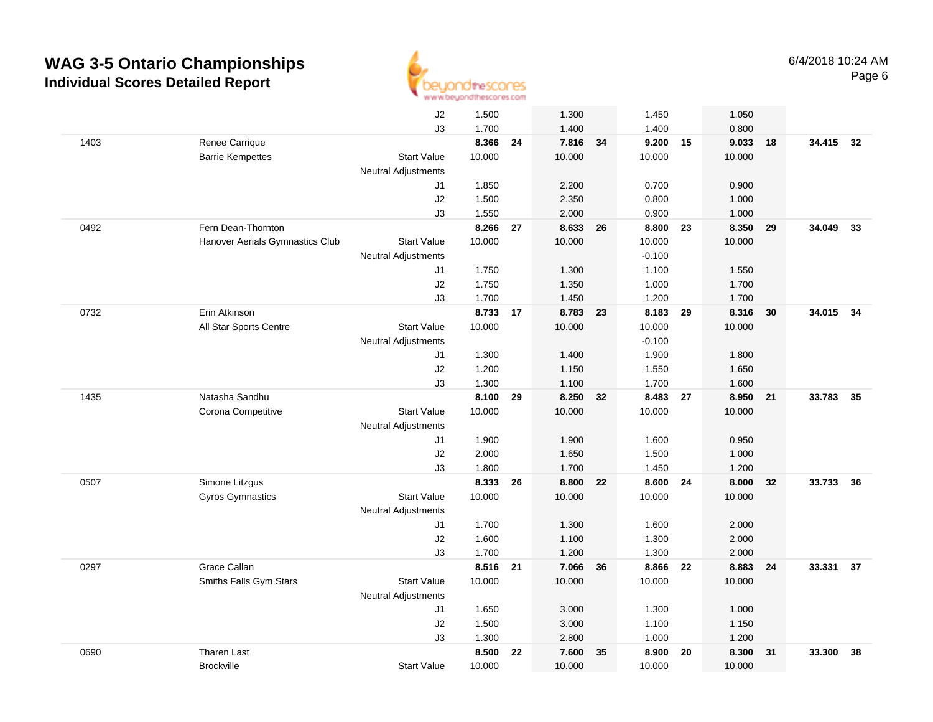

|      |                                 | J2                               | 1.500  |    | 1.300    |    | 1.450    |    | 1.050    |      |           |    |
|------|---------------------------------|----------------------------------|--------|----|----------|----|----------|----|----------|------|-----------|----|
|      |                                 | J3                               | 1.700  |    | 1.400    |    | 1.400    |    | 0.800    |      |           |    |
| 1403 | Renee Carrique                  |                                  | 8.366  | 24 | 7.816    | 34 | 9.200    | 15 | 9.033    | 18   | 34.415 32 |    |
|      | <b>Barrie Kempettes</b>         | <b>Start Value</b>               | 10.000 |    | 10.000   |    | 10.000   |    | 10.000   |      |           |    |
|      |                                 | Neutral Adjustments              |        |    |          |    |          |    |          |      |           |    |
|      |                                 | J1                               | 1.850  |    | 2.200    |    | 0.700    |    | 0.900    |      |           |    |
|      |                                 | J2                               | 1.500  |    | 2.350    |    | 0.800    |    | 1.000    |      |           |    |
|      |                                 | J3                               | 1.550  |    | 2.000    |    | 0.900    |    | 1.000    |      |           |    |
| 0492 | Fern Dean-Thornton              |                                  | 8.266  | 27 | 8.633    | 26 | 8.800    | 23 | 8.350    | 29   | 34.049    | 33 |
|      | Hanover Aerials Gymnastics Club | <b>Start Value</b>               | 10.000 |    | 10.000   |    | 10.000   |    | 10.000   |      |           |    |
|      |                                 | Neutral Adjustments              |        |    |          |    | $-0.100$ |    |          |      |           |    |
|      |                                 | J1                               | 1.750  |    | 1.300    |    | 1.100    |    | 1.550    |      |           |    |
|      |                                 | J2                               | 1.750  |    | 1.350    |    | 1.000    |    | 1.700    |      |           |    |
|      |                                 | J3                               | 1.700  |    | 1.450    |    | 1.200    |    | 1.700    |      |           |    |
| 0732 | Erin Atkinson                   |                                  | 8.733  | 17 | 8.783 23 |    | 8.183 29 |    | 8.316    | 30   | 34.015 34 |    |
|      | All Star Sports Centre          | <b>Start Value</b>               | 10.000 |    | 10.000   |    | 10.000   |    | 10.000   |      |           |    |
|      |                                 | <b>Neutral Adjustments</b>       |        |    |          |    | $-0.100$ |    |          |      |           |    |
|      |                                 | J1                               | 1.300  |    | 1.400    |    | 1.900    |    | 1.800    |      |           |    |
|      |                                 | J2                               | 1.200  |    | 1.150    |    | 1.550    |    | 1.650    |      |           |    |
|      |                                 | J3                               | 1.300  |    | 1.100    |    | 1.700    |    | 1.600    |      |           |    |
| 1435 | Natasha Sandhu                  |                                  | 8.100  | 29 | 8.250    | 32 | 8.483    | 27 | 8.950 21 |      | 33.783    | 35 |
|      | Corona Competitive              | <b>Start Value</b>               | 10.000 |    | 10.000   |    | 10.000   |    | 10.000   |      |           |    |
|      |                                 | Neutral Adjustments              |        |    |          |    |          |    |          |      |           |    |
|      |                                 | J1                               | 1.900  |    | 1.900    |    | 1.600    |    | 0.950    |      |           |    |
|      |                                 | J2                               | 2.000  |    | 1.650    |    | 1.500    |    | 1.000    |      |           |    |
|      |                                 | J3                               | 1.800  |    | 1.700    |    | 1.450    |    | 1.200    |      |           |    |
| 0507 | Simone Litzgus                  |                                  | 8.333  | 26 | 8.800    | 22 | 8.600    | 24 | 8.000    | 32   | 33.733    | 36 |
|      | <b>Gyros Gymnastics</b>         | <b>Start Value</b>               | 10.000 |    | 10.000   |    | 10.000   |    | 10.000   |      |           |    |
|      |                                 | <b>Neutral Adjustments</b><br>J1 | 1.700  |    | 1.300    |    | 1.600    |    | 2.000    |      |           |    |
|      |                                 | J2                               | 1.600  |    | 1.100    |    | 1.300    |    | 2.000    |      |           |    |
|      |                                 | J3                               | 1.700  |    | 1.200    |    | 1.300    |    | 2.000    |      |           |    |
| 0297 | Grace Callan                    |                                  | 8.516  | 21 | 7.066    | 36 | 8.866 22 |    | 8.883    | - 24 | 33.331 37 |    |
|      | Smiths Falls Gym Stars          | <b>Start Value</b>               | 10.000 |    | 10.000   |    | 10.000   |    | 10.000   |      |           |    |
|      |                                 | <b>Neutral Adjustments</b>       |        |    |          |    |          |    |          |      |           |    |
|      |                                 | J1                               | 1.650  |    | 3.000    |    | 1.300    |    | 1.000    |      |           |    |
|      |                                 | J2                               | 1.500  |    | 3.000    |    | 1.100    |    | 1.150    |      |           |    |
|      |                                 | J3                               | 1.300  |    | 2.800    |    | 1.000    |    | 1.200    |      |           |    |
| 0690 | <b>Tharen Last</b>              |                                  | 8.500  | 22 | 7.600    | 35 | 8.900    | 20 | 8.300    | 31   | 33.300    | 38 |
|      | <b>Brockville</b>               | <b>Start Value</b>               | 10.000 |    | 10.000   |    | 10.000   |    | 10.000   |      |           |    |
|      |                                 |                                  |        |    |          |    |          |    |          |      |           |    |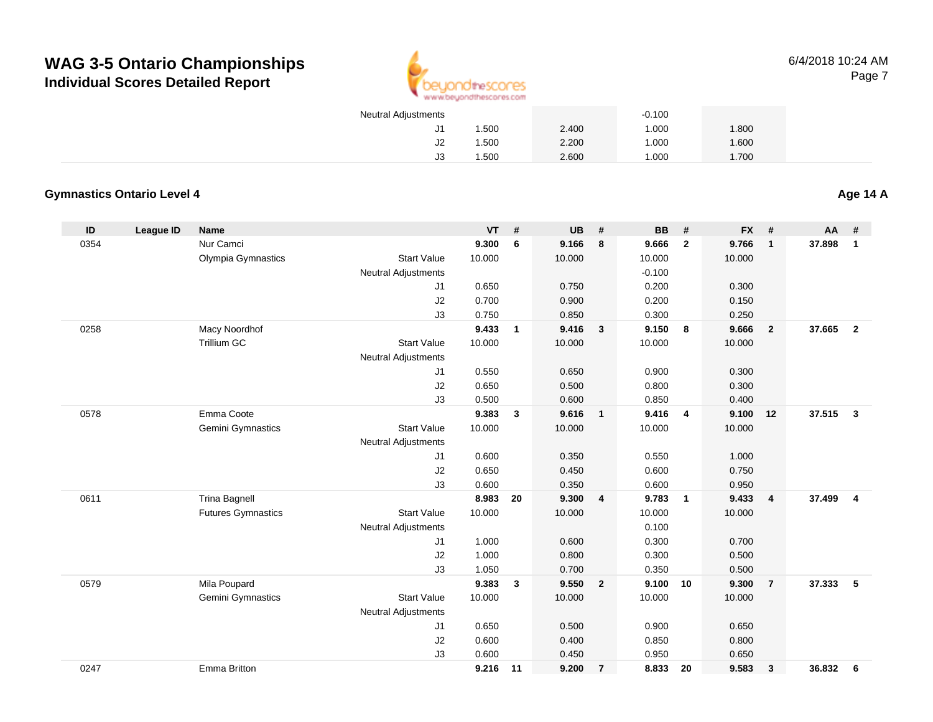

| <b>Neutral Adjustments</b> |       |       | $-0.100$ |       |
|----------------------------|-------|-------|----------|-------|
| J1.                        | 1.500 | 2.400 | 1.000    | 1.800 |
| J2                         | 1.500 | 2.200 | 1.000    | 1.600 |
| JЗ                         | 1.500 | 2.600 | 1.000    | 1.700 |

#### **Gymnastics Ontario Level 4**

**Age 14 A**

| ID   | League ID | <b>Name</b>               |                            | <b>VT</b> | #            | <b>UB</b> | #              | <b>BB</b> | #              | <b>FX</b> | #              | AA     | #              |
|------|-----------|---------------------------|----------------------------|-----------|--------------|-----------|----------------|-----------|----------------|-----------|----------------|--------|----------------|
| 0354 |           | Nur Camci                 |                            | 9.300     | 6            | 9.166     | 8              | 9.666     | $\overline{2}$ | 9.766     | $\overline{1}$ | 37.898 | $\mathbf{1}$   |
|      |           | Olympia Gymnastics        | <b>Start Value</b>         | 10.000    |              | 10.000    |                | 10.000    |                | 10.000    |                |        |                |
|      |           |                           | <b>Neutral Adjustments</b> |           |              |           |                | $-0.100$  |                |           |                |        |                |
|      |           |                           | J1                         | 0.650     |              | 0.750     |                | 0.200     |                | 0.300     |                |        |                |
|      |           |                           | J2                         | 0.700     |              | 0.900     |                | 0.200     |                | 0.150     |                |        |                |
|      |           |                           | J3                         | 0.750     |              | 0.850     |                | 0.300     |                | 0.250     |                |        |                |
| 0258 |           | Macy Noordhof             |                            | 9.433     | $\mathbf{1}$ | 9.416     | $\mathbf{3}$   | 9.150     | 8              | 9.666     | $\overline{2}$ | 37.665 | $\overline{2}$ |
|      |           | <b>Trillium GC</b>        | <b>Start Value</b>         | 10.000    |              | 10.000    |                | 10.000    |                | 10.000    |                |        |                |
|      |           |                           | <b>Neutral Adjustments</b> |           |              |           |                |           |                |           |                |        |                |
|      |           |                           | J1                         | 0.550     |              | 0.650     |                | 0.900     |                | 0.300     |                |        |                |
|      |           |                           | J2                         | 0.650     |              | 0.500     |                | 0.800     |                | 0.300     |                |        |                |
|      |           |                           | J3                         | 0.500     |              | 0.600     |                | 0.850     |                | 0.400     |                |        |                |
| 0578 |           | Emma Coote                |                            | 9.383     | $\mathbf{3}$ | 9.616     | $\mathbf{1}$   | 9.416     | $\overline{4}$ | 9.100     | 12             | 37.515 | -3             |
|      |           | Gemini Gymnastics         | <b>Start Value</b>         | 10.000    |              | 10.000    |                | 10.000    |                | 10.000    |                |        |                |
|      |           |                           | <b>Neutral Adjustments</b> |           |              |           |                |           |                |           |                |        |                |
|      |           |                           | J1                         | 0.600     |              | 0.350     |                | 0.550     |                | 1.000     |                |        |                |
|      |           |                           | J2                         | 0.650     |              | 0.450     |                | 0.600     |                | 0.750     |                |        |                |
|      |           |                           | J3                         | 0.600     |              | 0.350     |                | 0.600     |                | 0.950     |                |        |                |
| 0611 |           | <b>Trina Bagnell</b>      |                            | 8.983     | 20           | 9.300     | $\overline{4}$ | 9.783     | $\overline{1}$ | 9.433     | $\overline{4}$ | 37.499 | $\overline{4}$ |
|      |           | <b>Futures Gymnastics</b> | <b>Start Value</b>         | 10.000    |              | 10.000    |                | 10.000    |                | 10.000    |                |        |                |
|      |           |                           | <b>Neutral Adjustments</b> |           |              |           |                | 0.100     |                |           |                |        |                |
|      |           |                           | J1                         | 1.000     |              | 0.600     |                | 0.300     |                | 0.700     |                |        |                |
|      |           |                           | J2                         | 1.000     |              | 0.800     |                | 0.300     |                | 0.500     |                |        |                |
|      |           |                           | J3                         | 1.050     |              | 0.700     |                | 0.350     |                | 0.500     |                |        |                |
| 0579 |           | Mila Poupard              |                            | 9.383     | 3            | 9.550     | $\overline{2}$ | 9.100     | 10             | 9.300     | $\overline{7}$ | 37.333 | 5              |
|      |           | Gemini Gymnastics         | <b>Start Value</b>         | 10.000    |              | 10.000    |                | 10.000    |                | 10.000    |                |        |                |
|      |           |                           | <b>Neutral Adjustments</b> |           |              |           |                |           |                |           |                |        |                |
|      |           |                           | J1                         | 0.650     |              | 0.500     |                | 0.900     |                | 0.650     |                |        |                |
|      |           |                           | J2                         | 0.600     |              | 0.400     |                | 0.850     |                | 0.800     |                |        |                |
|      |           |                           | J3                         | 0.600     |              | 0.450     |                | 0.950     |                | 0.650     |                |        |                |
| 0247 |           | Emma Britton              |                            | 9.216     | $-11$        | 9.200     | $\overline{7}$ | 8.833     | 20             | 9.583     | $\mathbf{3}$   | 36.832 | - 6            |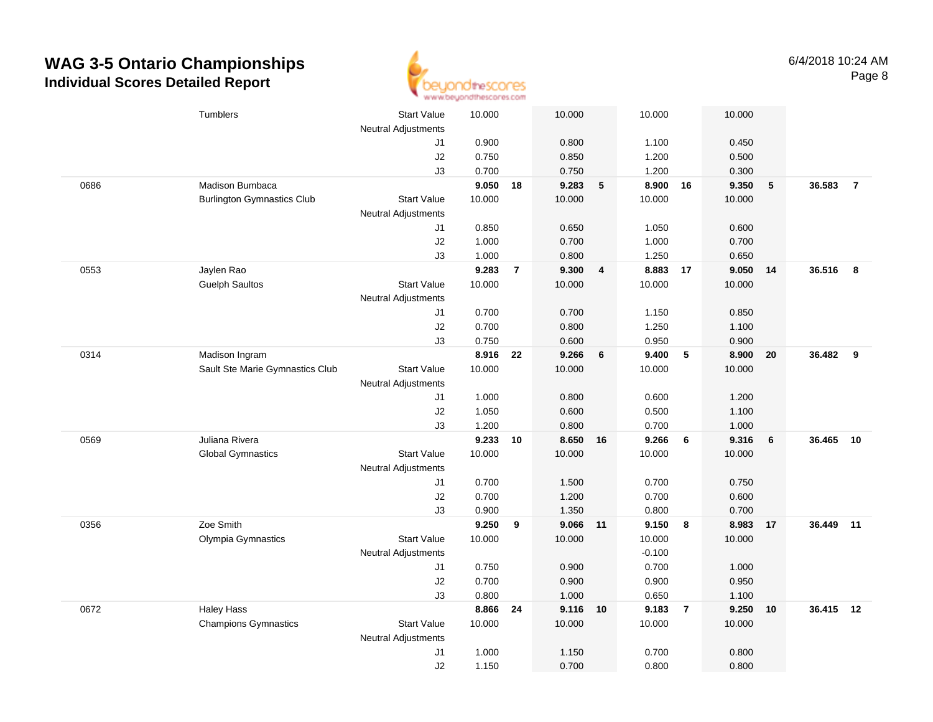

|      | Tumblers                          | Start Value<br>Neutral Adjustments | 10.000 |                | 10.000   |                 | 10.000   |                 | 10.000         |    |           |                |
|------|-----------------------------------|------------------------------------|--------|----------------|----------|-----------------|----------|-----------------|----------------|----|-----------|----------------|
|      |                                   | J1                                 | 0.900  |                | 0.800    |                 | 1.100    |                 | 0.450          |    |           |                |
|      |                                   | J2                                 | 0.750  |                | 0.850    |                 | 1.200    |                 | 0.500          |    |           |                |
|      |                                   | J3                                 | 0.700  |                | 0.750    |                 | 1.200    |                 | 0.300          |    |           |                |
| 0686 | Madison Bumbaca                   |                                    | 9.050  | 18             | 9.283    | $5\phantom{.0}$ | 8.900 16 |                 | 9.350          | 5  | 36.583    | $\overline{7}$ |
|      | <b>Burlington Gymnastics Club</b> | <b>Start Value</b>                 | 10.000 |                | 10.000   |                 | 10.000   |                 | 10.000         |    |           |                |
|      |                                   | <b>Neutral Adjustments</b>         |        |                |          |                 |          |                 |                |    |           |                |
|      |                                   | J1                                 | 0.850  |                | 0.650    |                 | 1.050    |                 | 0.600          |    |           |                |
|      |                                   | J2                                 | 1.000  |                | 0.700    |                 | 1.000    |                 | 0.700          |    |           |                |
|      |                                   | J3                                 | 1.000  |                | 0.800    |                 | 1.250    |                 | 0.650          |    |           |                |
| 0553 | Jaylen Rao                        |                                    | 9.283  | $\overline{7}$ | 9.300    | $\overline{4}$  | 8.883    | 17              | 9.050          | 14 | 36.516    | 8              |
|      | <b>Guelph Saultos</b>             | <b>Start Value</b>                 | 10.000 |                | 10.000   |                 | 10.000   |                 | 10.000         |    |           |                |
|      |                                   | Neutral Adjustments                |        |                |          |                 |          |                 |                |    |           |                |
|      |                                   | J1                                 | 0.700  |                | 0.700    |                 | 1.150    |                 | 0.850          |    |           |                |
|      |                                   | J2                                 | 0.700  |                | 0.800    |                 | 1.250    |                 | 1.100          |    |           |                |
|      |                                   | J3                                 | 0.750  |                | 0.600    |                 | 0.950    |                 | 0.900          |    |           |                |
| 0314 | Madison Ingram                    |                                    | 8.916  | 22             | 9.266    | $6\phantom{1}$  | 9.400    | $5\phantom{.0}$ | 8.900          | 20 | 36.482    | 9              |
|      | Sault Ste Marie Gymnastics Club   | <b>Start Value</b>                 | 10.000 |                | 10.000   |                 | 10.000   |                 | 10.000         |    |           |                |
|      |                                   | <b>Neutral Adjustments</b>         |        |                |          |                 |          |                 |                |    |           |                |
|      |                                   | J1                                 | 1.000  |                | 0.800    |                 | 0.600    |                 | 1.200          |    |           |                |
|      |                                   | J2                                 | 1.050  |                | 0.600    |                 | 0.500    |                 | 1.100          |    |           |                |
|      |                                   | J3                                 | 1.200  |                | 0.800    |                 | 0.700    |                 | 1.000          |    |           |                |
| 0569 | Juliana Rivera                    |                                    | 9.233  | 10             | 8.650    | 16              | 9.266    | 6               | 9.316          | 6  | 36.465    | 10             |
|      | <b>Global Gymnastics</b>          | Start Value                        | 10.000 |                | 10.000   |                 | 10.000   |                 | 10.000         |    |           |                |
|      |                                   | Neutral Adjustments                |        |                |          |                 |          |                 |                |    |           |                |
|      |                                   | J1                                 | 0.700  |                | 1.500    |                 | 0.700    |                 | 0.750          |    |           |                |
|      |                                   | J2                                 | 0.700  |                | 1.200    |                 | 0.700    |                 | 0.600          |    |           |                |
|      |                                   | J3                                 | 0.900  |                | 1.350    |                 | 0.800    |                 | 0.700          |    |           |                |
| 0356 | Zoe Smith                         |                                    | 9.250  | 9              | 9.066 11 |                 | 9.150    | 8               | 8.983          | 17 | 36.449 11 |                |
|      | Olympia Gymnastics                | <b>Start Value</b>                 | 10.000 |                | 10.000   |                 | 10.000   |                 | 10.000         |    |           |                |
|      |                                   | <b>Neutral Adjustments</b>         |        |                |          |                 | $-0.100$ |                 |                |    |           |                |
|      |                                   | J1                                 | 0.750  |                | 0.900    |                 | 0.700    |                 | 1.000          |    |           |                |
|      |                                   | J2                                 | 0.700  |                | 0.900    |                 | 0.900    |                 | 0.950          |    |           |                |
|      |                                   | J3                                 | 0.800  |                | 1.000    |                 | 0.650    |                 | 1.100          |    |           |                |
| 0672 | <b>Haley Hass</b>                 |                                    | 8.866  | 24             | 9.116 10 |                 | 9.183    | $\overline{7}$  | 9.250          | 10 | 36.415 12 |                |
|      | <b>Champions Gymnastics</b>       | <b>Start Value</b>                 | 10.000 |                | 10.000   |                 | 10.000   |                 | 10.000         |    |           |                |
|      |                                   | Neutral Adjustments                | 1.000  |                | 1.150    |                 | 0.700    |                 |                |    |           |                |
|      |                                   | J1<br>J2                           | 1.150  |                | 0.700    |                 | 0.800    |                 | 0.800<br>0.800 |    |           |                |
|      |                                   |                                    |        |                |          |                 |          |                 |                |    |           |                |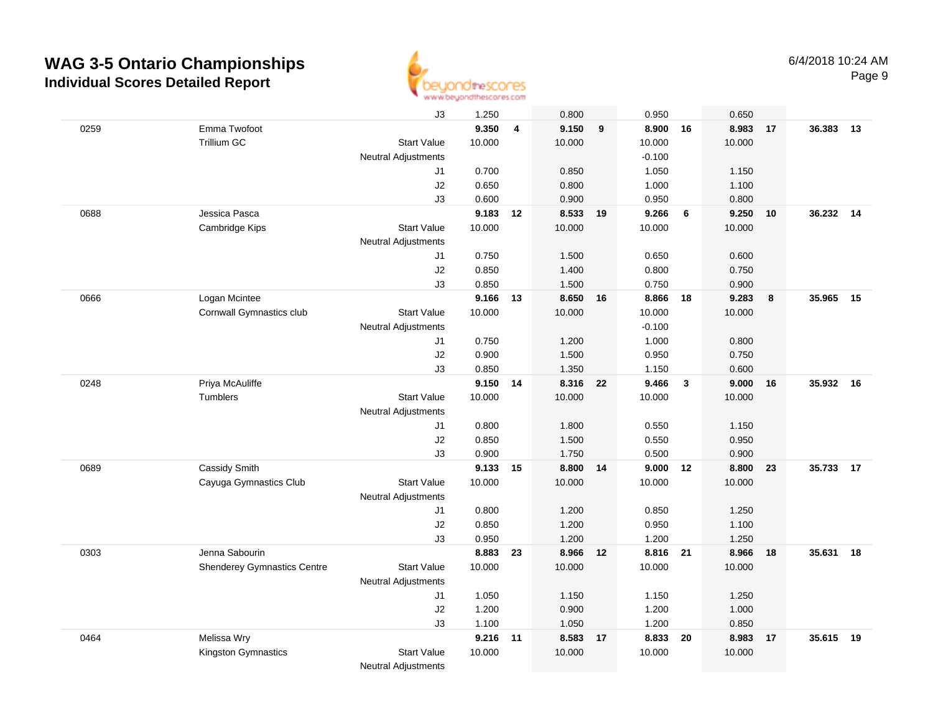

|      |                                    | J3                         | 1.250    |                | 0.800    |    | 0.950    |              | 0.650  |    |           |    |
|------|------------------------------------|----------------------------|----------|----------------|----------|----|----------|--------------|--------|----|-----------|----|
| 0259 | Emma Twofoot                       |                            | 9.350    | $\overline{4}$ | 9.150    | 9  | 8.900    | 16           | 8.983  | 17 | 36.383    | 13 |
|      | Trillium GC                        | <b>Start Value</b>         | 10.000   |                | 10.000   |    | 10.000   |              | 10.000 |    |           |    |
|      |                                    | <b>Neutral Adjustments</b> |          |                |          |    | $-0.100$ |              |        |    |           |    |
|      |                                    | J1                         | 0.700    |                | 0.850    |    | 1.050    |              | 1.150  |    |           |    |
|      |                                    | J2                         | 0.650    |                | 0.800    |    | 1.000    |              | 1.100  |    |           |    |
|      |                                    | J3                         | 0.600    |                | 0.900    |    | 0.950    |              | 0.800  |    |           |    |
| 0688 | Jessica Pasca                      |                            | 9.183    | 12             | 8.533    | 19 | 9.266    | 6            | 9.250  | 10 | 36.232    | 14 |
|      | Cambridge Kips                     | <b>Start Value</b>         | 10.000   |                | 10.000   |    | 10.000   |              | 10.000 |    |           |    |
|      |                                    | <b>Neutral Adjustments</b> |          |                |          |    |          |              |        |    |           |    |
|      |                                    | J1                         | 0.750    |                | 1.500    |    | 0.650    |              | 0.600  |    |           |    |
|      |                                    | J2                         | 0.850    |                | 1.400    |    | 0.800    |              | 0.750  |    |           |    |
|      |                                    | J3                         | 0.850    |                | 1.500    |    | 0.750    |              | 0.900  |    |           |    |
| 0666 | Logan Mcintee                      |                            | 9.166    | 13             | 8.650 16 |    | 8.866    | 18           | 9.283  | 8  | 35.965    | 15 |
|      | Cornwall Gymnastics club           | <b>Start Value</b>         | 10.000   |                | 10.000   |    | 10.000   |              | 10.000 |    |           |    |
|      |                                    | Neutral Adjustments        |          |                |          |    | $-0.100$ |              |        |    |           |    |
|      |                                    | J1                         | 0.750    |                | 1.200    |    | 1.000    |              | 0.800  |    |           |    |
|      |                                    | J2                         | 0.900    |                | 1.500    |    | 0.950    |              | 0.750  |    |           |    |
|      |                                    | J3                         | 0.850    |                | 1.350    |    | 1.150    |              | 0.600  |    |           |    |
| 0248 | Priya McAuliffe                    |                            | 9.150 14 |                | 8.316 22 |    | 9.466    | $\mathbf{3}$ | 9.000  | 16 | 35.932 16 |    |
|      | <b>Tumblers</b>                    | <b>Start Value</b>         | 10.000   |                | 10.000   |    | 10.000   |              | 10.000 |    |           |    |
|      |                                    | <b>Neutral Adjustments</b> |          |                |          |    |          |              |        |    |           |    |
|      |                                    | J1                         | 0.800    |                | 1.800    |    | 0.550    |              | 1.150  |    |           |    |
|      |                                    | J2                         | 0.850    |                | 1.500    |    | 0.550    |              | 0.950  |    |           |    |
|      |                                    | J3                         | 0.900    |                | 1.750    |    | 0.500    |              | 0.900  |    |           |    |
| 0689 | Cassidy Smith                      |                            | 9.133    | 15             | 8.800    | 14 | 9.000    | 12           | 8.800  | 23 | 35.733    | 17 |
|      | Cayuga Gymnastics Club             | <b>Start Value</b>         | 10.000   |                | 10.000   |    | 10.000   |              | 10.000 |    |           |    |
|      |                                    | Neutral Adjustments        |          |                |          |    |          |              |        |    |           |    |
|      |                                    | J1                         | 0.800    |                | 1.200    |    | 0.850    |              | 1.250  |    |           |    |
|      |                                    | J2                         | 0.850    |                | 1.200    |    | 0.950    |              | 1.100  |    |           |    |
|      |                                    | J3                         | 0.950    |                | 1.200    |    | 1.200    |              | 1.250  |    |           |    |
| 0303 | Jenna Sabourin                     |                            | 8.883    | 23             | 8.966 12 |    | 8.816 21 |              | 8.966  | 18 | 35.631    | 18 |
|      | <b>Shenderey Gymnastics Centre</b> | <b>Start Value</b>         | 10.000   |                | 10.000   |    | 10.000   |              | 10.000 |    |           |    |
|      |                                    | <b>Neutral Adjustments</b> |          |                |          |    |          |              |        |    |           |    |
|      |                                    | J1                         | 1.050    |                | 1.150    |    | 1.150    |              | 1.250  |    |           |    |
|      |                                    | J2                         | 1.200    |                | 0.900    |    | 1.200    |              | 1.000  |    |           |    |
|      |                                    | J3                         | 1.100    |                | 1.050    |    | 1.200    |              | 0.850  |    |           |    |
| 0464 | Melissa Wry                        |                            | 9.216    | 11             | 8.583    | 17 | 8.833    | 20           | 8.983  | 17 | 35.615    | 19 |
|      | Kingston Gymnastics                | <b>Start Value</b>         | 10.000   |                | 10.000   |    | 10.000   |              | 10.000 |    |           |    |
|      |                                    | <b>Neutral Adjustments</b> |          |                |          |    |          |              |        |    |           |    |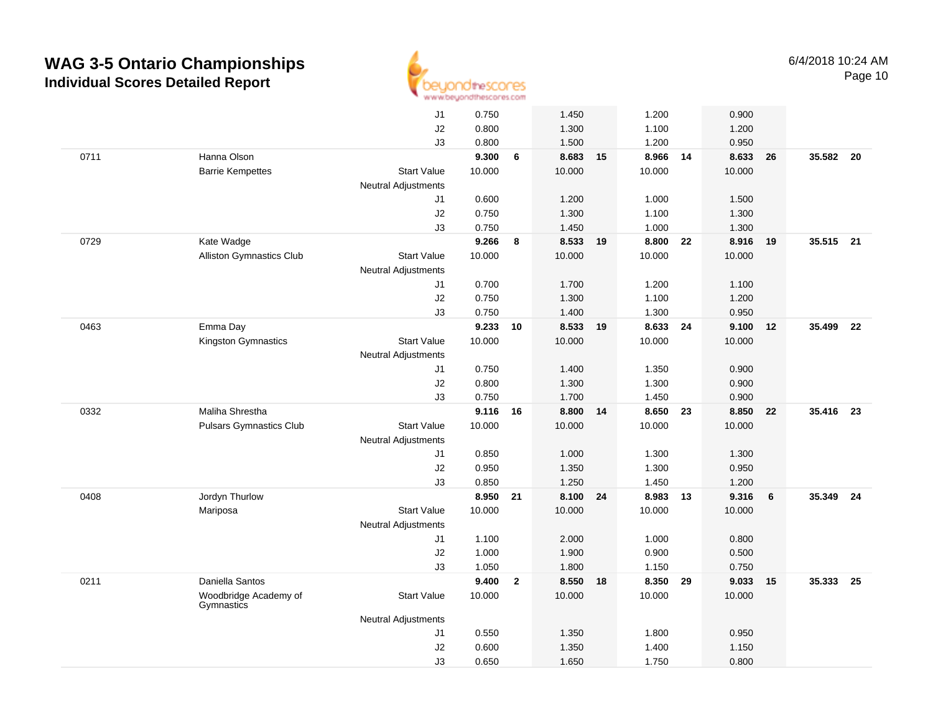

|      |                                     | J1                         | 0.750  |                | 1.450    |    | 1.200    |    | 0.900  |    |           |      |
|------|-------------------------------------|----------------------------|--------|----------------|----------|----|----------|----|--------|----|-----------|------|
|      |                                     | J2                         | 0.800  |                | 1.300    |    | 1.100    |    | 1.200  |    |           |      |
|      |                                     | J3                         | 0.800  |                | 1.500    |    | 1.200    |    | 0.950  |    |           |      |
| 0711 | Hanna Olson                         |                            | 9.300  | 6              | 8.683 15 |    | 8.966 14 |    | 8.633  | 26 | 35.582 20 |      |
|      | <b>Barrie Kempettes</b>             | <b>Start Value</b>         | 10.000 |                | 10.000   |    | 10.000   |    | 10.000 |    |           |      |
|      |                                     | <b>Neutral Adjustments</b> |        |                |          |    |          |    |        |    |           |      |
|      |                                     | J1                         | 0.600  |                | 1.200    |    | 1.000    |    | 1.500  |    |           |      |
|      |                                     | J2                         | 0.750  |                | 1.300    |    | 1.100    |    | 1.300  |    |           |      |
|      |                                     | J3                         | 0.750  |                | 1.450    |    | 1.000    |    | 1.300  |    |           |      |
| 0729 | Kate Wadge                          |                            | 9.266  | 8              | 8.533    | 19 | 8.800    | 22 | 8.916  | 19 | 35.515    | 21   |
|      | <b>Alliston Gymnastics Club</b>     | <b>Start Value</b>         | 10.000 |                | 10.000   |    | 10.000   |    | 10.000 |    |           |      |
|      |                                     | <b>Neutral Adjustments</b> |        |                |          |    |          |    |        |    |           |      |
|      |                                     | J1                         | 0.700  |                | 1.700    |    | 1.200    |    | 1.100  |    |           |      |
|      |                                     | J2                         | 0.750  |                | 1.300    |    | 1.100    |    | 1.200  |    |           |      |
|      |                                     | J3                         | 0.750  |                | 1.400    |    | 1.300    |    | 0.950  |    |           |      |
| 0463 | Emma Day                            |                            | 9.233  | 10             | 8.533 19 |    | 8.633 24 |    | 9.100  | 12 | 35.499    | - 22 |
|      | Kingston Gymnastics                 | <b>Start Value</b>         | 10.000 |                | 10.000   |    | 10.000   |    | 10.000 |    |           |      |
|      |                                     | <b>Neutral Adjustments</b> |        |                |          |    |          |    |        |    |           |      |
|      |                                     | J1                         | 0.750  |                | 1.400    |    | 1.350    |    | 0.900  |    |           |      |
|      |                                     | J2                         | 0.800  |                | 1.300    |    | 1.300    |    | 0.900  |    |           |      |
|      |                                     | J3                         | 0.750  |                | 1.700    |    | 1.450    |    | 0.900  |    |           |      |
| 0332 | Maliha Shrestha                     |                            | 9.116  | 16             | 8.800 14 |    | 8.650 23 |    | 8.850  | 22 | 35.416    | 23   |
|      | <b>Pulsars Gymnastics Club</b>      | <b>Start Value</b>         | 10.000 |                | 10.000   |    | 10.000   |    | 10.000 |    |           |      |
|      |                                     | Neutral Adjustments        |        |                |          |    |          |    |        |    |           |      |
|      |                                     | J1                         | 0.850  |                | 1.000    |    | 1.300    |    | 1.300  |    |           |      |
|      |                                     | J2                         | 0.950  |                | 1.350    |    | 1.300    |    | 0.950  |    |           |      |
|      |                                     | J3                         | 0.850  |                | 1.250    |    | 1.450    |    | 1.200  |    |           |      |
| 0408 | Jordyn Thurlow                      |                            | 8.950  | 21             | 8.100    | 24 | 8.983    | 13 | 9.316  | 6  | 35.349    | 24   |
|      | Mariposa                            | <b>Start Value</b>         | 10.000 |                | 10.000   |    | 10.000   |    | 10.000 |    |           |      |
|      |                                     | <b>Neutral Adjustments</b> | 1.100  |                | 2.000    |    | 1.000    |    | 0.800  |    |           |      |
|      |                                     | J1<br>J2                   | 1.000  |                | 1.900    |    | 0.900    |    | 0.500  |    |           |      |
|      |                                     | J3                         | 1.050  |                | 1.800    |    | 1.150    |    | 0.750  |    |           |      |
| 0211 | Daniella Santos                     |                            | 9.400  | $\overline{2}$ | 8.550    | 18 | 8.350 29 |    | 9.033  | 15 | 35.333    | 25   |
|      | Woodbridge Academy of<br>Gymnastics | <b>Start Value</b>         | 10.000 |                | 10.000   |    | 10.000   |    | 10.000 |    |           |      |
|      |                                     | <b>Neutral Adjustments</b> |        |                |          |    |          |    |        |    |           |      |
|      |                                     | J1                         | 0.550  |                | 1.350    |    | 1.800    |    | 0.950  |    |           |      |
|      |                                     | J2                         | 0.600  |                | 1.350    |    | 1.400    |    | 1.150  |    |           |      |
|      |                                     | J3                         | 0.650  |                | 1.650    |    | 1.750    |    | 0.800  |    |           |      |
|      |                                     |                            |        |                |          |    |          |    |        |    |           |      |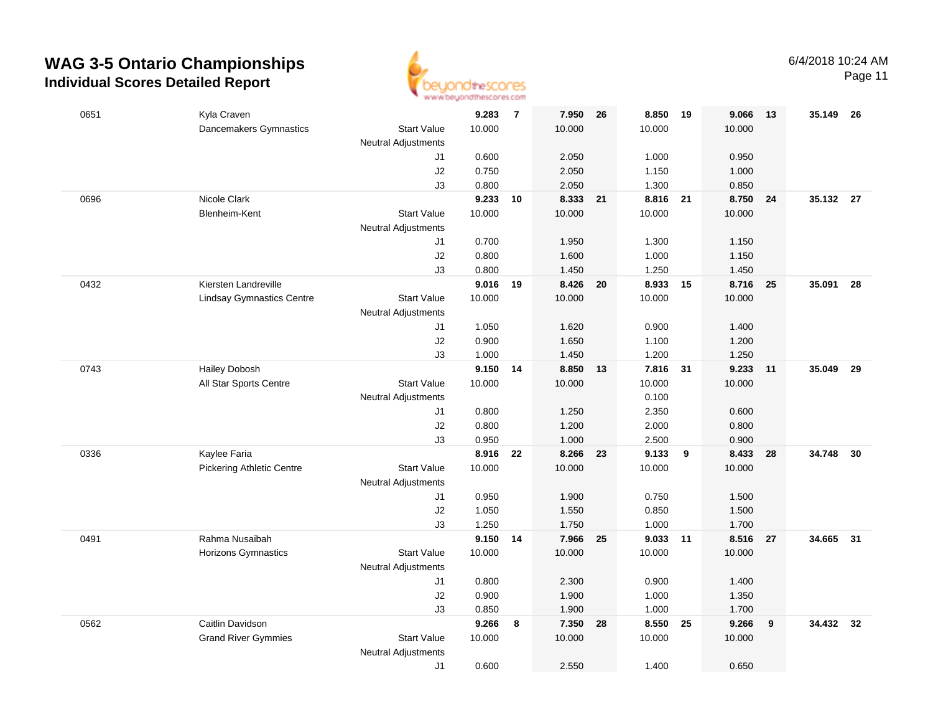

Page 11

| 0651 | Kyla Craven                      |                                                  | 9.283           | $\overline{7}$ | 7.950           | 26 | 8.850              | 19 | 9.066           | - 13 | 35.149 26 |    |
|------|----------------------------------|--------------------------------------------------|-----------------|----------------|-----------------|----|--------------------|----|-----------------|------|-----------|----|
|      | Dancemakers Gymnastics           | <b>Start Value</b><br><b>Neutral Adjustments</b> | 10.000          |                | 10.000          |    | 10.000             |    | 10.000          |      |           |    |
|      |                                  | J1                                               | 0.600           |                | 2.050           |    | 1.000              |    | 0.950           |      |           |    |
|      |                                  | J2                                               | 0.750           |                | 2.050           |    | 1.150              |    | 1.000           |      |           |    |
|      |                                  | J3                                               | 0.800           |                | 2.050           |    | 1.300              |    | 0.850           |      |           |    |
| 0696 | Nicole Clark                     |                                                  | 9.233           | 10             | 8.333 21        |    | 8.816 21           |    | 8.750           | 24   | 35.132 27 |    |
|      | Blenheim-Kent                    | <b>Start Value</b>                               | 10.000          |                | 10.000          |    | 10.000             |    | 10.000          |      |           |    |
|      |                                  | <b>Neutral Adjustments</b>                       |                 |                |                 |    |                    |    |                 |      |           |    |
|      |                                  | J1                                               | 0.700           |                | 1.950           |    | 1.300              |    | 1.150           |      |           |    |
|      |                                  | J2                                               | 0.800           |                | 1.600           |    | 1.000              |    | 1.150           |      |           |    |
|      |                                  | J3                                               | 0.800           |                | 1.450           |    | 1.250              |    | 1.450           |      |           |    |
| 0432 | Kiersten Landreville             |                                                  | 9.016<br>10.000 | 19             | 8.426<br>10.000 | 20 | 8.933 15<br>10.000 |    | 8.716<br>10.000 | 25   | 35.091    | 28 |
|      | <b>Lindsay Gymnastics Centre</b> | <b>Start Value</b><br>Neutral Adjustments        |                 |                |                 |    |                    |    |                 |      |           |    |
|      |                                  | J1                                               | 1.050           |                | 1.620           |    | 0.900              |    | 1.400           |      |           |    |
|      |                                  | J2                                               | 0.900           |                | 1.650           |    | 1.100              |    | 1.200           |      |           |    |
|      |                                  | J3                                               | 1.000           |                | 1.450           |    | 1.200              |    | 1.250           |      |           |    |
| 0743 | <b>Hailey Dobosh</b>             |                                                  | 9.150 14        |                | 8.850 13        |    | 7.816 31           |    | 9.233           | 11   | 35.049 29 |    |
|      | All Star Sports Centre           | <b>Start Value</b>                               | 10.000          |                | 10.000          |    | 10.000             |    | 10.000          |      |           |    |
|      |                                  | <b>Neutral Adjustments</b>                       |                 |                |                 |    | 0.100              |    |                 |      |           |    |
|      |                                  | J1                                               | 0.800           |                | 1.250           |    | 2.350              |    | 0.600           |      |           |    |
|      |                                  | J2                                               | 0.800           |                | 1.200           |    | 2.000              |    | 0.800           |      |           |    |
|      |                                  | J3                                               | 0.950           |                | 1.000           |    | 2.500              |    | 0.900           |      |           |    |
| 0336 | Kaylee Faria                     |                                                  | 8.916           | 22             | 8.266           | 23 | 9.133              | 9  | 8.433           | 28   | 34.748    | 30 |
|      | <b>Pickering Athletic Centre</b> | <b>Start Value</b>                               | 10.000          |                | 10.000          |    | 10.000             |    | 10.000          |      |           |    |
|      |                                  | <b>Neutral Adjustments</b>                       |                 |                |                 |    |                    |    |                 |      |           |    |
|      |                                  | J1                                               | 0.950           |                | 1.900           |    | 0.750              |    | 1.500           |      |           |    |
|      |                                  | J2<br>JЗ                                         | 1.050<br>1.250  |                | 1.550<br>1.750  |    | 0.850<br>1.000     |    | 1.500<br>1.700  |      |           |    |
| 0491 | Rahma Nusaibah                   |                                                  | 9.150 14        |                | 7.966 25        |    | 9.033              | 11 | 8.516           | 27   | 34.665 31 |    |
|      | Horizons Gymnastics              | <b>Start Value</b>                               | 10.000          |                | 10.000          |    | 10.000             |    | 10.000          |      |           |    |
|      |                                  | <b>Neutral Adjustments</b>                       |                 |                |                 |    |                    |    |                 |      |           |    |
|      |                                  | J1                                               | 0.800           |                | 2.300           |    | 0.900              |    | 1.400           |      |           |    |
|      |                                  | J2                                               | 0.900           |                | 1.900           |    | 1.000              |    | 1.350           |      |           |    |
|      |                                  | J3                                               | 0.850           |                | 1.900           |    | 1.000              |    | 1.700           |      |           |    |
| 0562 | Caitlin Davidson                 |                                                  | 9.266           | 8              | 7.350           | 28 | 8.550              | 25 | 9.266           | 9    | 34.432 32 |    |
|      | <b>Grand River Gymmies</b>       | <b>Start Value</b>                               | 10.000          |                | 10.000          |    | 10.000             |    | 10.000          |      |           |    |
|      |                                  | <b>Neutral Adjustments</b>                       |                 |                |                 |    |                    |    |                 |      |           |    |
|      |                                  | J1                                               | 0.600           |                | 2.550           |    | 1.400              |    | 0.650           |      |           |    |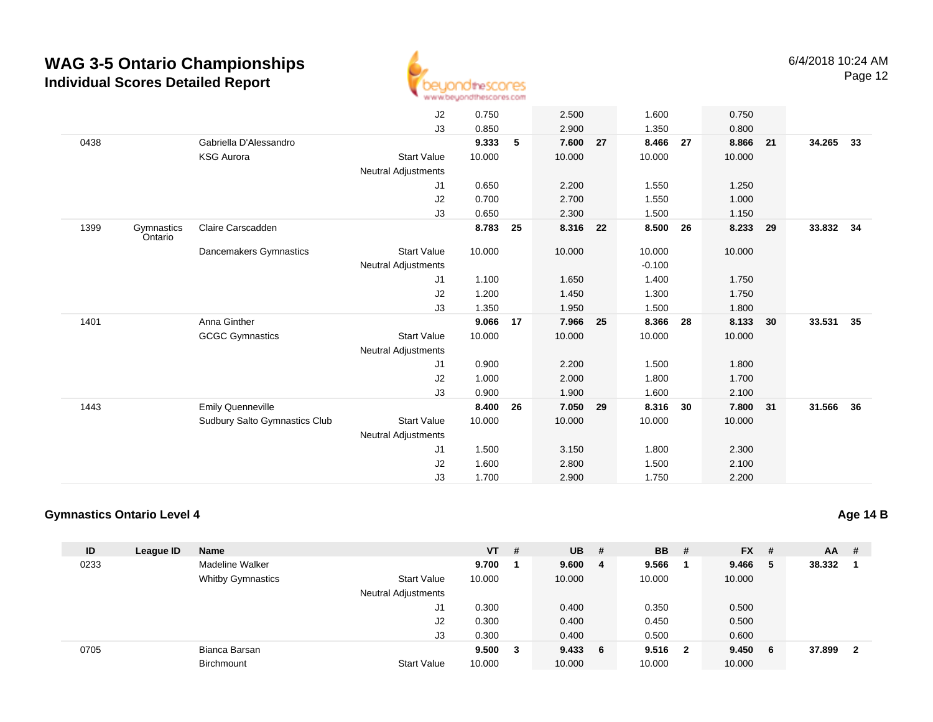

|      |            |                               | J2                         | 0.750  |    | 2.500    |     | 1.600    |    | 0.750    |    |           |    |
|------|------------|-------------------------------|----------------------------|--------|----|----------|-----|----------|----|----------|----|-----------|----|
|      |            |                               | J3                         | 0.850  |    | 2.900    |     | 1.350    |    | 0.800    |    |           |    |
| 0438 |            | Gabriella D'Alessandro        |                            | 9.333  | 5  | 7.600    | 27  | 8.466    | 27 | 8.866    | 21 | 34.265    | 33 |
|      |            | <b>KSG Aurora</b>             | <b>Start Value</b>         | 10.000 |    | 10.000   |     | 10.000   |    | 10.000   |    |           |    |
|      |            |                               | <b>Neutral Adjustments</b> |        |    |          |     |          |    |          |    |           |    |
|      |            |                               | J1                         | 0.650  |    | 2.200    |     | 1.550    |    | 1.250    |    |           |    |
|      |            |                               | J2                         | 0.700  |    | 2.700    |     | 1.550    |    | 1.000    |    |           |    |
|      |            |                               | J3                         | 0.650  |    | 2.300    |     | 1.500    |    | 1.150    |    |           |    |
| 1399 | Gymnastics | Claire Carscadden             |                            | 8.783  | 25 | 8.316 22 |     | 8.500    | 26 | 8.233    | 29 | 33.832 34 |    |
|      | Ontario    |                               |                            |        |    |          |     |          |    |          |    |           |    |
|      |            | Dancemakers Gymnastics        | <b>Start Value</b>         | 10.000 |    | 10.000   |     | 10.000   |    | 10.000   |    |           |    |
|      |            |                               | Neutral Adjustments        |        |    |          |     | $-0.100$ |    |          |    |           |    |
|      |            |                               | J1                         | 1.100  |    | 1.650    |     | 1.400    |    | 1.750    |    |           |    |
|      |            |                               | J2                         | 1.200  |    | 1.450    |     | 1.300    |    | 1.750    |    |           |    |
|      |            |                               | J3                         | 1.350  |    | 1.950    |     | 1.500    |    | 1.800    |    |           |    |
| 1401 |            | Anna Ginther                  |                            | 9.066  | 17 | 7.966    | 25  | 8.366    | 28 | 8.133    | 30 | 33.531    | 35 |
|      |            | <b>GCGC Gymnastics</b>        | <b>Start Value</b>         | 10.000 |    | 10.000   |     | 10.000   |    | 10.000   |    |           |    |
|      |            |                               | Neutral Adjustments        |        |    |          |     |          |    |          |    |           |    |
|      |            |                               | J1                         | 0.900  |    | 2.200    |     | 1.500    |    | 1.800    |    |           |    |
|      |            |                               | J2                         | 1.000  |    | 2.000    |     | 1.800    |    | 1.700    |    |           |    |
|      |            |                               | J3                         | 0.900  |    | 1.900    |     | 1.600    |    | 2.100    |    |           |    |
| 1443 |            | <b>Emily Quenneville</b>      |                            | 8.400  | 26 | 7.050    | -29 | 8.316    | 30 | 7.800 31 |    | 31.566    | 36 |
|      |            | Sudbury Salto Gymnastics Club | <b>Start Value</b>         | 10.000 |    | 10.000   |     | 10.000   |    | 10.000   |    |           |    |
|      |            |                               |                            |        |    |          |     |          |    |          |    |           |    |
|      |            |                               | <b>Neutral Adjustments</b> |        |    |          |     |          |    |          |    |           |    |
|      |            |                               | J1                         | 1.500  |    | 3.150    |     | 1.800    |    | 2.300    |    |           |    |
|      |            |                               | J2                         | 1.600  |    | 2.800    |     | 1.500    |    | 2.100    |    |           |    |
|      |            |                               | J3                         | 1.700  |    | 2.900    |     | 1.750    |    | 2.200    |    |           |    |

#### **Gymnastics Ontario Level 4**

| ID   | League ID | <b>Name</b>              |                            | $VT$ # |   | $UB$ # |   | <b>BB</b> | - #                     | <b>FX</b> | #  | <b>AA</b> | # |
|------|-----------|--------------------------|----------------------------|--------|---|--------|---|-----------|-------------------------|-----------|----|-----------|---|
| 0233 |           | Madeline Walker          |                            | 9.700  |   | 9.600  | 4 | 9.566     |                         | 9.466     | -5 | 38.332    |   |
|      |           | <b>Whitby Gymnastics</b> | <b>Start Value</b>         | 10.000 |   | 10.000 |   | 10.000    |                         | 10.000    |    |           |   |
|      |           |                          | <b>Neutral Adjustments</b> |        |   |        |   |           |                         |           |    |           |   |
|      |           |                          | J1                         | 0.300  |   | 0.400  |   | 0.350     |                         | 0.500     |    |           |   |
|      |           |                          | J2                         | 0.300  |   | 0.400  |   | 0.450     |                         | 0.500     |    |           |   |
|      |           |                          | J3                         | 0.300  |   | 0.400  |   | 0.500     |                         | 0.600     |    |           |   |
| 0705 |           | Bianca Barsan            |                            | 9.500  | 3 | 9.4336 |   | 9.516     | $\overline{\mathbf{2}}$ | 9.450     | -6 | 37.899    | 2 |
|      |           | <b>Birchmount</b>        | <b>Start Value</b>         | 10.000 |   | 10.000 |   | 10.000    |                         | 10.000    |    |           |   |

**Age 14 B**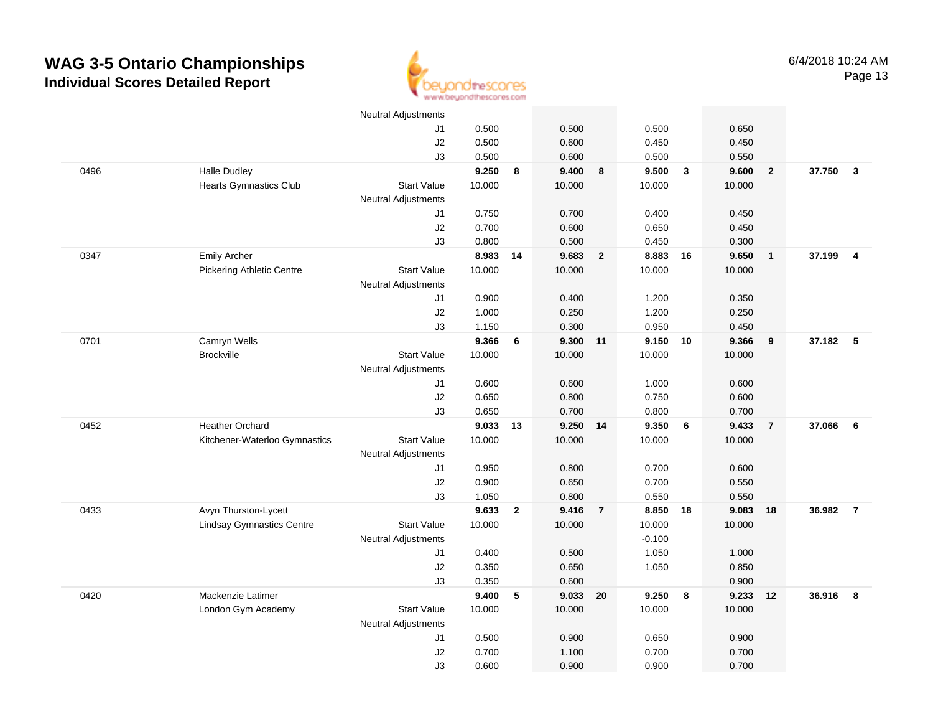

|      |                                  | Neutral Adjustments        |          |                 |          |                         |          |              |        |                |          |                         |
|------|----------------------------------|----------------------------|----------|-----------------|----------|-------------------------|----------|--------------|--------|----------------|----------|-------------------------|
|      |                                  | J1                         | 0.500    |                 | 0.500    |                         | 0.500    |              | 0.650  |                |          |                         |
|      |                                  | J2                         | 0.500    |                 | 0.600    |                         | 0.450    |              | 0.450  |                |          |                         |
|      |                                  | J3                         | 0.500    |                 | 0.600    |                         | 0.500    |              | 0.550  |                |          |                         |
| 0496 | <b>Halle Dudley</b>              |                            | 9.250    | 8               | 9.400    | 8                       | 9.500    | $\mathbf{3}$ | 9.600  | $\mathbf{2}$   | 37.750   | $\mathbf{3}$            |
|      | <b>Hearts Gymnastics Club</b>    | <b>Start Value</b>         | 10.000   |                 | 10.000   |                         | 10.000   |              | 10.000 |                |          |                         |
|      |                                  | <b>Neutral Adjustments</b> |          |                 |          |                         |          |              |        |                |          |                         |
|      |                                  | J1                         | 0.750    |                 | 0.700    |                         | 0.400    |              | 0.450  |                |          |                         |
|      |                                  | J2                         | 0.700    |                 | 0.600    |                         | 0.650    |              | 0.450  |                |          |                         |
|      |                                  | J3                         | 0.800    |                 | 0.500    |                         | 0.450    |              | 0.300  |                |          |                         |
| 0347 | <b>Emily Archer</b>              |                            | 8.983 14 |                 | 9.683    | $\overline{\mathbf{2}}$ | 8.883    | 16           | 9.650  | $\mathbf{1}$   | 37.199   | $\overline{4}$          |
|      | <b>Pickering Athletic Centre</b> | <b>Start Value</b>         | 10.000   |                 | 10.000   |                         | 10.000   |              | 10.000 |                |          |                         |
|      |                                  | <b>Neutral Adjustments</b> |          |                 |          |                         |          |              |        |                |          |                         |
|      |                                  | J1                         | 0.900    |                 | 0.400    |                         | 1.200    |              | 0.350  |                |          |                         |
|      |                                  | $\sf J2$                   | 1.000    |                 | 0.250    |                         | 1.200    |              | 0.250  |                |          |                         |
|      |                                  | J3                         | 1.150    |                 | 0.300    |                         | 0.950    |              | 0.450  |                |          |                         |
| 0701 | Camryn Wells                     |                            | 9.366    | $6\phantom{1}6$ | 9.300 11 |                         | 9.150    | 10           | 9.366  | 9              | 37.182 5 |                         |
|      | <b>Brockville</b>                | <b>Start Value</b>         | 10.000   |                 | 10.000   |                         | 10.000   |              | 10.000 |                |          |                         |
|      |                                  | <b>Neutral Adjustments</b> |          |                 |          |                         |          |              |        |                |          |                         |
|      |                                  | J1                         | 0.600    |                 | 0.600    |                         | 1.000    |              | 0.600  |                |          |                         |
|      |                                  | $\sf J2$                   | 0.650    |                 | 0.800    |                         | 0.750    |              | 0.600  |                |          |                         |
|      |                                  | J3                         | 0.650    |                 | 0.700    |                         | 0.800    |              | 0.700  |                |          |                         |
| 0452 | <b>Heather Orchard</b>           |                            | 9.033    | 13              | 9.250    | 14                      | 9.350    | 6            | 9.433  | $\overline{7}$ | 37.066   | 6                       |
|      | Kitchener-Waterloo Gymnastics    | <b>Start Value</b>         | 10.000   |                 | 10.000   |                         | 10.000   |              | 10.000 |                |          |                         |
|      |                                  | Neutral Adjustments        |          |                 |          |                         |          |              |        |                |          |                         |
|      |                                  | J1                         | 0.950    |                 | 0.800    |                         | 0.700    |              | 0.600  |                |          |                         |
|      |                                  | J2                         | 0.900    |                 | 0.650    |                         | 0.700    |              | 0.550  |                |          |                         |
|      |                                  | J3                         | 1.050    |                 | 0.800    |                         | 0.550    |              | 0.550  |                |          |                         |
| 0433 | Avyn Thurston-Lycett             |                            | 9.633    | $\mathbf{2}$    | 9.416    | $\overline{7}$          | 8.850    | 18           | 9.083  | 18             | 36.982   | $\overline{7}$          |
|      | <b>Lindsay Gymnastics Centre</b> | <b>Start Value</b>         | 10.000   |                 | 10.000   |                         | 10.000   |              | 10.000 |                |          |                         |
|      |                                  | <b>Neutral Adjustments</b> |          |                 |          |                         | $-0.100$ |              |        |                |          |                         |
|      |                                  | J1                         | 0.400    |                 | 0.500    |                         | 1.050    |              | 1.000  |                |          |                         |
|      |                                  | J2                         | 0.350    |                 | 0.650    |                         | 1.050    |              | 0.850  |                |          |                         |
|      |                                  | J3                         | 0.350    |                 | 0.600    |                         |          |              | 0.900  |                |          |                         |
| 0420 | Mackenzie Latimer                |                            | 9.400    | 5               | 9.033 20 |                         | 9.250    | 8            | 9.233  | 12             | 36.916   | $\overline{\mathbf{8}}$ |
|      | London Gym Academy               | <b>Start Value</b>         | 10.000   |                 | 10.000   |                         | 10.000   |              | 10.000 |                |          |                         |
|      |                                  | Neutral Adjustments        |          |                 |          |                         |          |              |        |                |          |                         |
|      |                                  | J1                         | 0.500    |                 | 0.900    |                         | 0.650    |              | 0.900  |                |          |                         |
|      |                                  | J2                         | 0.700    |                 | 1.100    |                         | 0.700    |              | 0.700  |                |          |                         |
|      |                                  | J3                         | 0.600    |                 | 0.900    |                         | 0.900    |              | 0.700  |                |          |                         |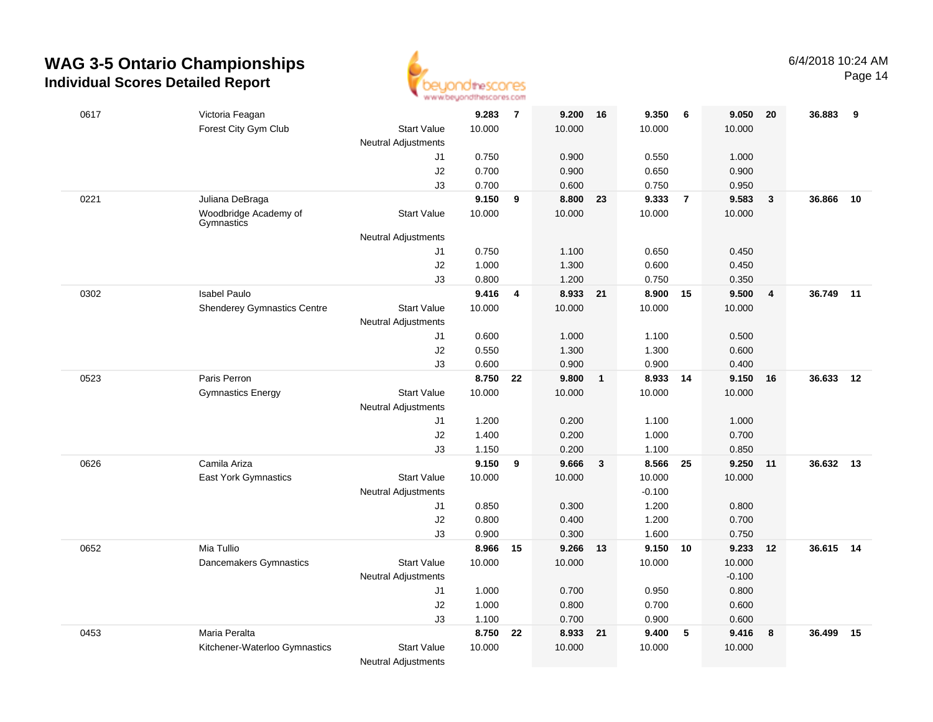

Page 14

| 0617 | Victoria Feagan                     |                            | 9.283    | $\overline{7}$ | 9.200    | - 16         | 9.350    | 6              | 9.050    | - 20           | 36.883    | 9  |
|------|-------------------------------------|----------------------------|----------|----------------|----------|--------------|----------|----------------|----------|----------------|-----------|----|
|      | Forest City Gym Club                | <b>Start Value</b>         | 10.000   |                | 10.000   |              | 10.000   |                | 10.000   |                |           |    |
|      |                                     | <b>Neutral Adjustments</b> |          |                |          |              |          |                |          |                |           |    |
|      |                                     | J1                         | 0.750    |                | 0.900    |              | 0.550    |                | 1.000    |                |           |    |
|      |                                     | J2                         | 0.700    |                | 0.900    |              | 0.650    |                | 0.900    |                |           |    |
|      |                                     | J3                         | 0.700    |                | 0.600    |              | 0.750    |                | 0.950    |                |           |    |
| 0221 | Juliana DeBraga                     |                            | 9.150    | 9              | 8.800    | 23           | 9.333    | $\overline{7}$ | 9.583    | $\mathbf{3}$   | 36.866    | 10 |
|      | Woodbridge Academy of<br>Gymnastics | <b>Start Value</b>         | 10.000   |                | 10.000   |              | 10.000   |                | 10.000   |                |           |    |
|      |                                     | Neutral Adjustments        |          |                |          |              |          |                |          |                |           |    |
|      |                                     | J1                         | 0.750    |                | 1.100    |              | 0.650    |                | 0.450    |                |           |    |
|      |                                     | J2                         | 1.000    |                | 1.300    |              | 0.600    |                | 0.450    |                |           |    |
|      |                                     | J3                         | 0.800    |                | 1.200    |              | 0.750    |                | 0.350    |                |           |    |
| 0302 | <b>Isabel Paulo</b>                 |                            | 9.416    | 4              | 8.933 21 |              | 8.900 15 |                | 9.500    | $\overline{4}$ | 36.749    | 11 |
|      | <b>Shenderey Gymnastics Centre</b>  | <b>Start Value</b>         | 10.000   |                | 10.000   |              | 10.000   |                | 10.000   |                |           |    |
|      |                                     | <b>Neutral Adjustments</b> |          |                |          |              |          |                |          |                |           |    |
|      |                                     | J1                         | 0.600    |                | 1.000    |              | 1.100    |                | 0.500    |                |           |    |
|      |                                     | J2                         | 0.550    |                | 1.300    |              | 1.300    |                | 0.600    |                |           |    |
|      |                                     | J3                         | 0.600    |                | 0.900    |              | 0.900    |                | 0.400    |                |           |    |
| 0523 | Paris Perron                        |                            | 8.750    | 22             | 9.800    | $\mathbf{1}$ | 8.933    | 14             | 9.150    | 16             | 36.633    | 12 |
|      | <b>Gymnastics Energy</b>            | <b>Start Value</b>         | 10.000   |                | 10.000   |              | 10.000   |                | 10.000   |                |           |    |
|      |                                     | Neutral Adjustments<br>J1  | 1.200    |                | 0.200    |              | 1.100    |                | 1.000    |                |           |    |
|      |                                     | J2                         | 1.400    |                | 0.200    |              | 1.000    |                | 0.700    |                |           |    |
|      |                                     | J3                         | 1.150    |                | 0.200    |              | 1.100    |                | 0.850    |                |           |    |
| 0626 | Camila Ariza                        |                            | 9.150    | 9              | 9.666    | 3            | 8.566    | 25             | 9.250    | 11             | 36.632    | 13 |
|      | East York Gymnastics                | <b>Start Value</b>         | 10.000   |                | 10.000   |              | 10.000   |                | 10.000   |                |           |    |
|      |                                     | <b>Neutral Adjustments</b> |          |                |          |              | $-0.100$ |                |          |                |           |    |
|      |                                     | J1                         | 0.850    |                | 0.300    |              | 1.200    |                | 0.800    |                |           |    |
|      |                                     | J2                         | 0.800    |                | 0.400    |              | 1.200    |                | 0.700    |                |           |    |
|      |                                     | J3                         | 0.900    |                | 0.300    |              | 1.600    |                | 0.750    |                |           |    |
| 0652 | Mia Tullio                          |                            | 8.966 15 |                | 9.266 13 |              | 9.150    | 10             | 9.233    | 12             | 36.615 14 |    |
|      | Dancemakers Gymnastics              | <b>Start Value</b>         | 10.000   |                | 10.000   |              | 10.000   |                | 10.000   |                |           |    |
|      |                                     | <b>Neutral Adjustments</b> |          |                |          |              |          |                | $-0.100$ |                |           |    |
|      |                                     | J1                         | 1.000    |                | 0.700    |              | 0.950    |                | 0.800    |                |           |    |
|      |                                     | J2                         | 1.000    |                | 0.800    |              | 0.700    |                | 0.600    |                |           |    |
|      |                                     | J3                         | 1.100    |                | 0.700    |              | 0.900    |                | 0.600    |                |           |    |
| 0453 | Maria Peralta                       |                            | 8.750    | 22             | 8.933 21 |              | 9.400    | 5              | 9.416    | 8              | 36.499    | 15 |
|      | Kitchener-Waterloo Gymnastics       | <b>Start Value</b>         | 10.000   |                | 10.000   |              | 10.000   |                | 10.000   |                |           |    |
|      |                                     | <b>Neutral Adjustments</b> |          |                |          |              |          |                |          |                |           |    |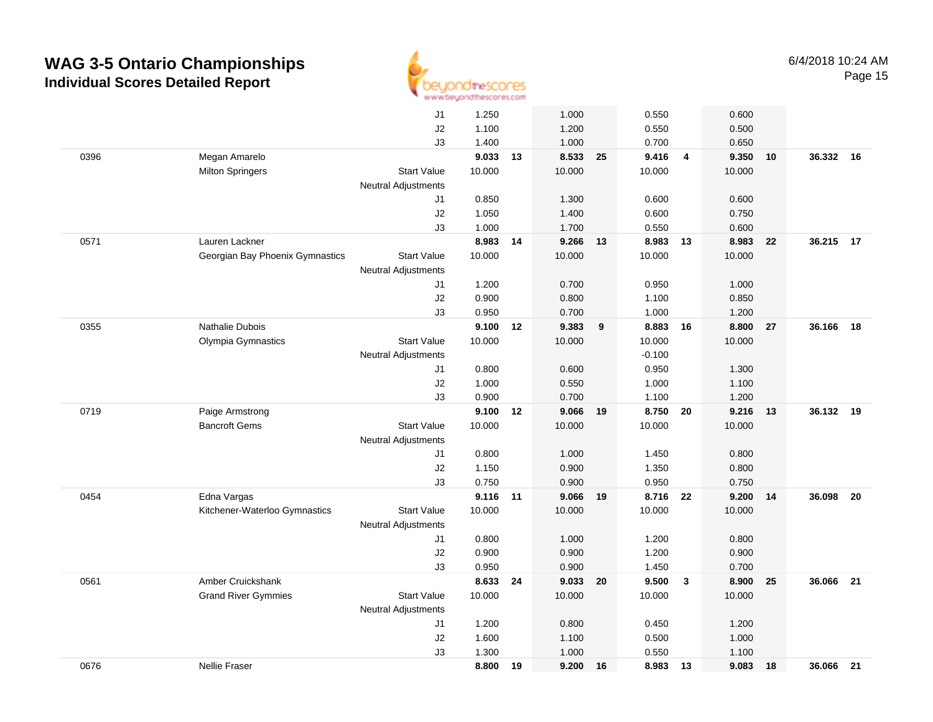

|      |                                 | J1                         | 1.250  |    | 1.000          |    | 0.550          |                         | 0.600  |    |           |    |
|------|---------------------------------|----------------------------|--------|----|----------------|----|----------------|-------------------------|--------|----|-----------|----|
|      |                                 | J2                         | 1.100  |    | 1.200          |    | 0.550          |                         | 0.500  |    |           |    |
|      |                                 | J3                         | 1.400  |    | 1.000          |    | 0.700          |                         | 0.650  |    |           |    |
| 0396 | Megan Amarelo                   |                            | 9.033  | 13 | 8.533 25       |    | 9.416          | $\overline{4}$          | 9.350  | 10 | 36.332    | 16 |
|      | <b>Milton Springers</b>         | <b>Start Value</b>         | 10.000 |    | 10.000         |    | 10.000         |                         | 10.000 |    |           |    |
|      |                                 | <b>Neutral Adjustments</b> |        |    |                |    |                |                         |        |    |           |    |
|      |                                 | J1                         | 0.850  |    | 1.300          |    | 0.600          |                         | 0.600  |    |           |    |
|      |                                 | J2                         | 1.050  |    | 1.400          |    | 0.600          |                         | 0.750  |    |           |    |
|      |                                 | J3                         | 1.000  |    | 1.700          |    | 0.550          |                         | 0.600  |    |           |    |
| 0571 | Lauren Lackner                  |                            | 8.983  | 14 | 9.266          | 13 | 8.983          | 13                      | 8.983  | 22 | 36.215 17 |    |
|      | Georgian Bay Phoenix Gymnastics | <b>Start Value</b>         | 10.000 |    | 10.000         |    | 10.000         |                         | 10.000 |    |           |    |
|      |                                 | Neutral Adjustments        |        |    |                |    |                |                         |        |    |           |    |
|      |                                 | J1                         | 1.200  |    | 0.700          |    | 0.950          |                         | 1.000  |    |           |    |
|      |                                 | J2                         | 0.900  |    | 0.800          |    | 1.100          |                         | 0.850  |    |           |    |
|      |                                 | J3                         | 0.950  |    | 0.700          |    | 1.000          |                         | 1.200  |    |           |    |
| 0355 | <b>Nathalie Dubois</b>          |                            | 9.100  | 12 | 9.383          | 9  | 8.883          | 16                      | 8.800  | 27 | 36.166    | 18 |
|      | Olympia Gymnastics              | <b>Start Value</b>         | 10.000 |    | 10.000         |    | 10.000         |                         | 10.000 |    |           |    |
|      |                                 | <b>Neutral Adjustments</b> |        |    |                |    | $-0.100$       |                         |        |    |           |    |
|      |                                 | J1                         | 0.800  |    | 0.600          |    | 0.950          |                         | 1.300  |    |           |    |
|      |                                 | J2                         | 1.000  |    | 0.550          |    | 1.000          |                         | 1.100  |    |           |    |
|      |                                 | J3                         | 0.900  |    | 0.700          |    | 1.100          |                         | 1.200  |    |           |    |
| 0719 | Paige Armstrong                 |                            | 9.100  | 12 | 9.066          | 19 | 8.750          | 20                      | 9.216  | 13 | 36.132    | 19 |
|      | <b>Bancroft Gems</b>            | <b>Start Value</b>         | 10.000 |    | 10.000         |    | 10.000         |                         | 10.000 |    |           |    |
|      |                                 | Neutral Adjustments        |        |    |                |    |                |                         |        |    |           |    |
|      |                                 | J1                         | 0.800  |    | 1.000          |    | 1.450          |                         | 0.800  |    |           |    |
|      |                                 | J <sub>2</sub>             | 1.150  |    | 0.900          |    | 1.350          |                         | 0.800  |    |           |    |
|      |                                 | J3                         | 0.750  |    | 0.900          |    | 0.950          |                         | 0.750  |    |           |    |
| 0454 | Edna Vargas                     |                            | 9.116  | 11 | 9.066          | 19 | 8.716          | 22                      | 9.200  | 14 | 36.098    | 20 |
|      | Kitchener-Waterloo Gymnastics   | <b>Start Value</b>         | 10.000 |    | 10.000         |    | 10.000         |                         | 10.000 |    |           |    |
|      |                                 | <b>Neutral Adjustments</b> | 0.800  |    |                |    |                |                         | 0.800  |    |           |    |
|      |                                 | J1<br>J2                   | 0.900  |    | 1.000<br>0.900 |    | 1.200<br>1.200 |                         | 0.900  |    |           |    |
|      |                                 | J3                         | 0.950  |    | 0.900          |    | 1.450          |                         | 0.700  |    |           |    |
| 0561 | Amber Cruickshank               |                            | 8.633  | 24 | 9.033          | 20 | 9.500          | $\overline{\mathbf{3}}$ | 8.900  | 25 | 36.066    | 21 |
|      | <b>Grand River Gymmies</b>      | <b>Start Value</b>         | 10.000 |    | 10.000         |    | 10.000         |                         | 10.000 |    |           |    |
|      |                                 | <b>Neutral Adjustments</b> |        |    |                |    |                |                         |        |    |           |    |
|      |                                 | J1                         | 1.200  |    | 0.800          |    | 0.450          |                         | 1.200  |    |           |    |
|      |                                 | J2                         | 1.600  |    | 1.100          |    | 0.500          |                         | 1.000  |    |           |    |
|      |                                 | J3                         | 1.300  |    | 1.000          |    | 0.550          |                         | 1.100  |    |           |    |
| 0676 | <b>Nellie Fraser</b>            |                            | 8.800  | 19 | 9.200          | 16 | 8.983          | 13                      | 9.083  | 18 | 36.066 21 |    |
|      |                                 |                            |        |    |                |    |                |                         |        |    |           |    |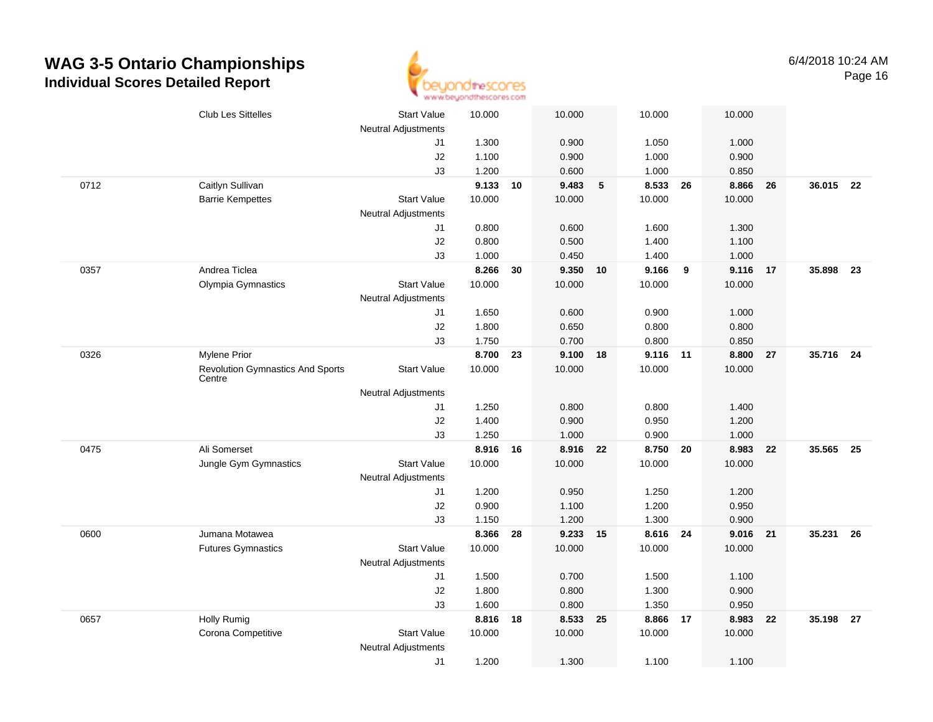

|      | <b>Club Les Sittelles</b>               | <b>Start Value</b>         | 10.000          |    | 10.000          |                | 10.000          |    | 10.000          |    |           |    |
|------|-----------------------------------------|----------------------------|-----------------|----|-----------------|----------------|-----------------|----|-----------------|----|-----------|----|
|      |                                         | <b>Neutral Adjustments</b> |                 |    |                 |                |                 |    |                 |    |           |    |
|      |                                         | J1                         | 1.300           |    | 0.900           |                | 1.050           |    | 1.000           |    |           |    |
|      |                                         | J2                         | 1.100           |    | 0.900           |                | 1.000           |    | 0.900           |    |           |    |
|      |                                         | J3                         | 1.200           |    | 0.600           |                | 1.000           |    | 0.850           |    |           |    |
| 0712 | Caitlyn Sullivan                        |                            | 9.133           | 10 | 9.483           | $5\phantom{1}$ | 8.533           | 26 | 8.866           | 26 | 36.015 22 |    |
|      | <b>Barrie Kempettes</b>                 | <b>Start Value</b>         | 10.000          |    | 10.000          |                | 10.000          |    | 10.000          |    |           |    |
|      |                                         | <b>Neutral Adjustments</b> |                 |    |                 |                |                 |    |                 |    |           |    |
|      |                                         | J1                         | 0.800           |    | 0.600           |                | 1.600           |    | 1.300           |    |           |    |
|      |                                         | J2                         | 0.800           |    | 0.500           |                | 1.400           |    | 1.100           |    |           |    |
|      | Andrea Ticlea                           | J3                         | 1.000           |    | 0.450           |                | 1.400           |    | 1.000           |    |           |    |
| 0357 |                                         |                            | 8.266<br>10.000 | 30 | 9.350<br>10.000 | 10             | 9.166<br>10.000 | 9  | 9.116<br>10.000 | 17 | 35.898    | 23 |
|      | Olympia Gymnastics                      | <b>Start Value</b>         |                 |    |                 |                |                 |    |                 |    |           |    |
|      |                                         | Neutral Adjustments<br>J1  | 1.650           |    | 0.600           |                | 0.900           |    | 1.000           |    |           |    |
|      |                                         | J2                         | 1.800           |    | 0.650           |                | 0.800           |    | 0.800           |    |           |    |
|      |                                         | J3                         | 1.750           |    | 0.700           |                | 0.800           |    | 0.850           |    |           |    |
| 0326 | <b>Mylene Prior</b>                     |                            | 8.700           | 23 | 9.100 18        |                | 9.116 11        |    | 8.800           | 27 | 35.716 24 |    |
|      | <b>Revolution Gymnastics And Sports</b> | <b>Start Value</b>         | 10.000          |    | 10.000          |                | 10.000          |    | 10.000          |    |           |    |
|      | Centre                                  |                            |                 |    |                 |                |                 |    |                 |    |           |    |
|      |                                         | <b>Neutral Adjustments</b> |                 |    |                 |                |                 |    |                 |    |           |    |
|      |                                         | J1                         | 1.250           |    | 0.800           |                | 0.800           |    | 1.400           |    |           |    |
|      |                                         | J2                         | 1.400           |    | 0.900           |                | 0.950           |    | 1.200           |    |           |    |
|      |                                         | J3                         | 1.250           |    | 1.000           |                | 0.900           |    | 1.000           |    |           |    |
| 0475 | Ali Somerset                            |                            | 8.916           | 16 | 8.916 22        |                | 8.750 20        |    | 8.983           | 22 | 35.565    | 25 |
|      | Jungle Gym Gymnastics                   | <b>Start Value</b>         | 10.000          |    | 10.000          |                | 10.000          |    | 10.000          |    |           |    |
|      |                                         | Neutral Adjustments        |                 |    |                 |                |                 |    |                 |    |           |    |
|      |                                         | J1                         | 1.200           |    | 0.950           |                | 1.250           |    | 1.200           |    |           |    |
|      |                                         | J2                         | 0.900           |    | 1.100           |                | 1.200           |    | 0.950           |    |           |    |
|      |                                         | J3                         | 1.150           |    | 1.200           |                | 1.300           |    | 0.900           |    |           |    |
| 0600 | Jumana Motawea                          |                            | 8.366           | 28 | 9.233 15        |                | 8.616 24        |    | 9.016           | 21 | 35.231    | 26 |
|      | <b>Futures Gymnastics</b>               | <b>Start Value</b>         | 10.000          |    | 10.000          |                | 10.000          |    | 10.000          |    |           |    |
|      |                                         | <b>Neutral Adjustments</b> |                 |    |                 |                |                 |    |                 |    |           |    |
|      |                                         | J1                         | 1.500           |    | 0.700           |                | 1.500           |    | 1.100           |    |           |    |
|      |                                         | J2                         | 1.800           |    | 0.800           |                | 1.300           |    | 0.900           |    |           |    |
|      |                                         | J3                         | 1.600           |    | 0.800           |                | 1.350           |    | 0.950           |    |           |    |
| 0657 | <b>Holly Rumig</b>                      |                            | 8.816           | 18 | 8.533           | 25             | 8.866           | 17 | 8.983           | 22 | 35.198    | 27 |
|      | Corona Competitive                      | <b>Start Value</b>         | 10.000          |    | 10.000          |                | 10.000          |    | 10.000          |    |           |    |
|      |                                         | <b>Neutral Adjustments</b> |                 |    |                 |                |                 |    |                 |    |           |    |
|      |                                         | J1                         | 1.200           |    | 1.300           |                | 1.100           |    | 1.100           |    |           |    |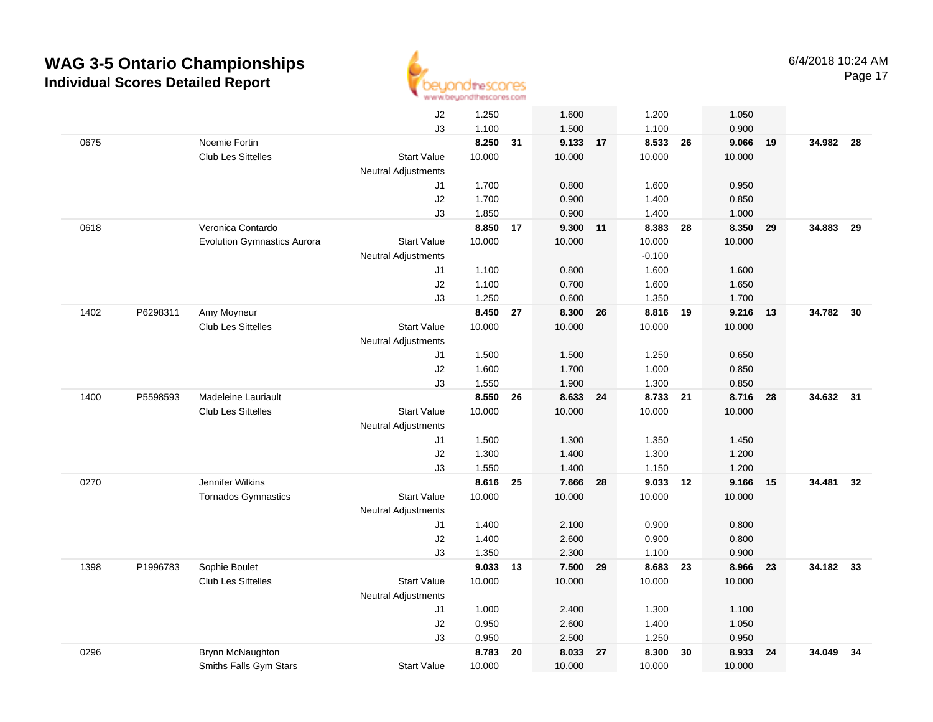

|      |          |                                    | J2                               | 1.250          |    | 1.600             |    | 1.200             |    | 1.050          |    |           |    |
|------|----------|------------------------------------|----------------------------------|----------------|----|-------------------|----|-------------------|----|----------------|----|-----------|----|
|      |          |                                    | JЗ                               | 1.100          |    | 1.500             |    | 1.100             |    | 0.900          |    |           |    |
| 0675 |          | Noemie Fortin                      |                                  | 8.250          | 31 | 9.133 17          |    | 8.533 26          |    | 9.066          | 19 | 34.982 28 |    |
|      |          | <b>Club Les Sittelles</b>          | <b>Start Value</b>               | 10.000         |    | 10.000            |    | 10.000            |    | 10.000         |    |           |    |
|      |          |                                    | <b>Neutral Adjustments</b>       |                |    |                   |    |                   |    |                |    |           |    |
|      |          |                                    | J1                               | 1.700          |    | 0.800             |    | 1.600             |    | 0.950          |    |           |    |
|      |          |                                    | J2                               | 1.700          |    | 0.900             |    | 1.400             |    | 0.850          |    |           |    |
|      |          |                                    | J3                               | 1.850          |    | 0.900             |    | 1.400             |    | 1.000          |    |           |    |
| 0618 |          | Veronica Contardo                  |                                  | 8.850          | 17 | 9.300 11          |    | 8.383             | 28 | 8.350          | 29 | 34.883    | 29 |
|      |          | <b>Evolution Gymnastics Aurora</b> | <b>Start Value</b>               | 10.000         |    | 10.000            |    | 10.000            |    | 10.000         |    |           |    |
|      |          |                                    | <b>Neutral Adjustments</b>       |                |    |                   |    | $-0.100$          |    |                |    |           |    |
|      |          |                                    | J1                               | 1.100          |    | 0.800             |    | 1.600             |    | 1.600          |    |           |    |
|      |          |                                    | J2                               | 1.100          |    | 0.700             |    | 1.600             |    | 1.650          |    |           |    |
|      |          |                                    | J3                               | 1.250          |    | 0.600             |    | 1.350             |    | 1.700          |    |           |    |
| 1402 | P6298311 | Amy Moyneur                        |                                  | 8.450          | 27 | 8.300             | 26 | 8.816 19          |    | 9.216          | 13 | 34.782    | 30 |
|      |          | <b>Club Les Sittelles</b>          | <b>Start Value</b>               | 10.000         |    | 10.000            |    | 10.000            |    | 10.000         |    |           |    |
|      |          |                                    | <b>Neutral Adjustments</b>       |                |    |                   |    |                   |    |                |    |           |    |
|      |          |                                    | J1                               | 1.500          |    | 1.500             |    | 1.250             |    | 0.650          |    |           |    |
|      |          |                                    | J2                               | 1.600          |    | 1.700             |    | 1.000             |    | 0.850          |    |           |    |
|      |          |                                    | J3                               | 1.550          |    | 1.900             |    | 1.300             |    | 0.850          |    |           |    |
| 1400 | P5598593 | <b>Madeleine Lauriault</b>         |                                  | 8.550          | 26 | 8.633             | 24 | 8.733 21          |    | 8.716          | 28 | 34.632 31 |    |
|      |          | Club Les Sittelles                 | <b>Start Value</b>               | 10.000         |    | 10.000            |    | 10.000            |    | 10.000         |    |           |    |
|      |          |                                    | <b>Neutral Adjustments</b>       |                |    |                   |    |                   |    |                |    |           |    |
|      |          |                                    | J1                               | 1.500          |    | 1.300             |    | 1.350             |    | 1.450          |    |           |    |
|      |          |                                    | J2                               | 1.300          |    | 1.400             |    | 1.300             |    | 1.200          |    |           |    |
|      |          |                                    | J3                               | 1.550          |    | 1.400             |    | 1.150             |    | 1.200          |    |           |    |
| 0270 |          | Jennifer Wilkins                   |                                  | 8.616          | 25 | 7.666             | 28 | 9.033 12          |    | 9.166          | 15 | 34.481    | 32 |
|      |          | Tornados Gymnastics                | <b>Start Value</b>               | 10.000         |    | 10.000            |    | 10.000            |    | 10.000         |    |           |    |
|      |          |                                    | <b>Neutral Adjustments</b>       |                |    |                   |    |                   |    |                |    |           |    |
|      |          |                                    | J1                               | 1.400<br>1.400 |    | 2.100             |    | 0.900             |    | 0.800          |    |           |    |
|      |          |                                    | J2<br>J3                         |                |    | 2.600             |    | 0.900             |    | 0.800          |    |           |    |
| 1398 | P1996783 | Sophie Boulet                      |                                  | 1.350<br>9.033 | 13 | 2.300<br>7.500 29 |    | 1.100<br>8.683 23 |    | 0.900<br>8.966 | 23 | 34.182 33 |    |
|      |          | <b>Club Les Sittelles</b>          | <b>Start Value</b>               | 10.000         |    | 10.000            |    | 10.000            |    | 10.000         |    |           |    |
|      |          |                                    |                                  |                |    |                   |    |                   |    |                |    |           |    |
|      |          |                                    | <b>Neutral Adjustments</b><br>J1 | 1.000          |    | 2.400             |    | 1.300             |    | 1.100          |    |           |    |
|      |          |                                    | J2                               | 0.950          |    | 2.600             |    | 1.400             |    | 1.050          |    |           |    |
|      |          |                                    | J3                               | 0.950          |    | 2.500             |    | 1.250             |    | 0.950          |    |           |    |
| 0296 |          | Brynn McNaughton                   |                                  | 8.783          | 20 | 8.033             | 27 | 8.300             | 30 | 8.933          | 24 | 34.049    | 34 |
|      |          | Smiths Falls Gym Stars             | <b>Start Value</b>               | 10.000         |    | 10.000            |    | 10.000            |    | 10.000         |    |           |    |
|      |          |                                    |                                  |                |    |                   |    |                   |    |                |    |           |    |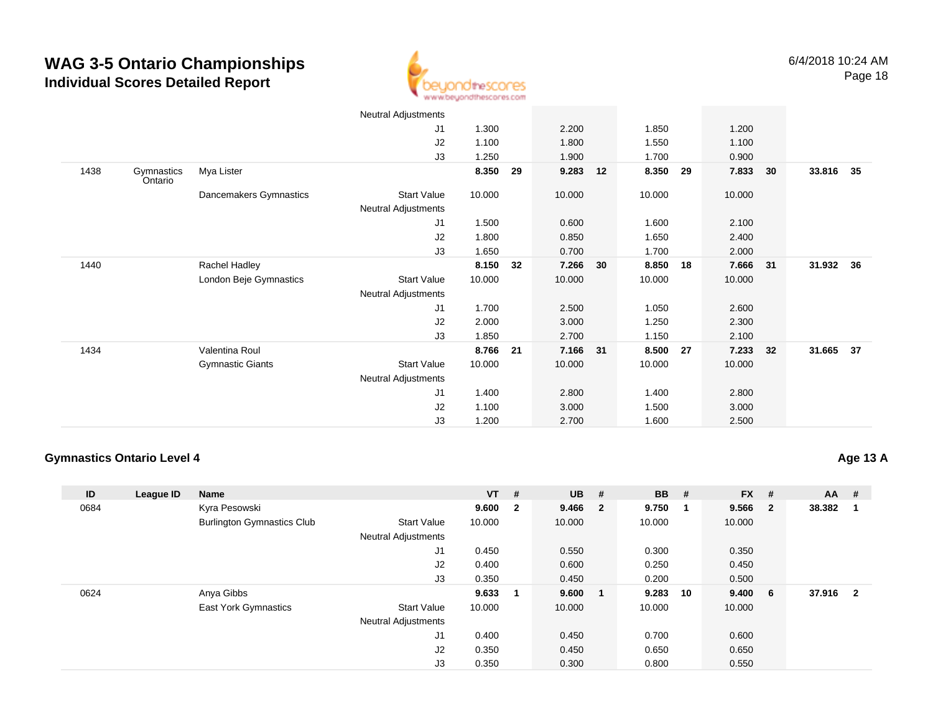

|      |                       |                         | Neutral Adjustments |        |    |          |    |        |    |        |      |        |      |
|------|-----------------------|-------------------------|---------------------|--------|----|----------|----|--------|----|--------|------|--------|------|
|      |                       |                         | J <sub>1</sub>      | 1.300  |    | 2.200    |    | 1.850  |    | 1.200  |      |        |      |
|      |                       |                         | J2                  | 1.100  |    | 1.800    |    | 1.550  |    | 1.100  |      |        |      |
|      |                       |                         | J3                  | 1.250  |    | 1.900    |    | 1.700  |    | 0.900  |      |        |      |
| 1438 | Gymnastics<br>Ontario | Mya Lister              |                     | 8.350  | 29 | 9.283    | 12 | 8.350  | 29 | 7.833  | 30   | 33.816 | 35   |
|      |                       | Dancemakers Gymnastics  | Start Value         | 10.000 |    | 10.000   |    | 10.000 |    | 10.000 |      |        |      |
|      |                       |                         | Neutral Adjustments |        |    |          |    |        |    |        |      |        |      |
|      |                       |                         | J <sub>1</sub>      | 1.500  |    | 0.600    |    | 1.600  |    | 2.100  |      |        |      |
|      |                       |                         | J2                  | 1.800  |    | 0.850    |    | 1.650  |    | 2.400  |      |        |      |
|      |                       |                         | J3                  | 1.650  |    | 0.700    |    | 1.700  |    | 2.000  |      |        |      |
| 1440 |                       | Rachel Hadley           |                     | 8.150  | 32 | 7.266    | 30 | 8.850  | 18 | 7.666  | - 31 | 31.932 | - 36 |
|      |                       | London Beje Gymnastics  | Start Value         | 10.000 |    | 10.000   |    | 10.000 |    | 10.000 |      |        |      |
|      |                       |                         | Neutral Adjustments |        |    |          |    |        |    |        |      |        |      |
|      |                       |                         | J1                  | 1.700  |    | 2.500    |    | 1.050  |    | 2.600  |      |        |      |
|      |                       |                         | J <sub>2</sub>      | 2.000  |    | 3.000    |    | 1.250  |    | 2.300  |      |        |      |
|      |                       |                         | J3                  | 1.850  |    | 2.700    |    | 1.150  |    | 2.100  |      |        |      |
| 1434 |                       | Valentina Roul          |                     | 8.766  | 21 | 7.166 31 |    | 8.500  | 27 | 7.233  | 32   | 31.665 | 37   |
|      |                       | <b>Gymnastic Giants</b> | Start Value         | 10.000 |    | 10.000   |    | 10.000 |    | 10.000 |      |        |      |
|      |                       |                         | Neutral Adjustments |        |    |          |    |        |    |        |      |        |      |
|      |                       |                         | J <sub>1</sub>      | 1.400  |    | 2.800    |    | 1.400  |    | 2.800  |      |        |      |
|      |                       |                         | J <sub>2</sub>      | 1.100  |    | 3.000    |    | 1.500  |    | 3.000  |      |        |      |
|      |                       |                         | J3                  | 1.200  |    | 2.700    |    | 1.600  |    | 2.500  |      |        |      |

#### **Gymnastics Ontario Level 4**

**Age 13 A**

| ID   | League ID | <b>Name</b>                       |                            | $VT$ # |                | <b>UB</b> | # | <b>BB</b> | #   | <b>FX</b> | #   | <b>AA</b> | #                       |
|------|-----------|-----------------------------------|----------------------------|--------|----------------|-----------|---|-----------|-----|-----------|-----|-----------|-------------------------|
| 0684 |           | Kyra Pesowski                     |                            | 9.600  | $\overline{2}$ | 9.466 2   |   | 9.750     | - 1 | 9.566     | - 2 | 38.382    |                         |
|      |           | <b>Burlington Gymnastics Club</b> | <b>Start Value</b>         | 10.000 |                | 10.000    |   | 10.000    |     | 10.000    |     |           |                         |
|      |           |                                   | <b>Neutral Adjustments</b> |        |                |           |   |           |     |           |     |           |                         |
|      |           |                                   | J1                         | 0.450  |                | 0.550     |   | 0.300     |     | 0.350     |     |           |                         |
|      |           |                                   | J2                         | 0.400  |                | 0.600     |   | 0.250     |     | 0.450     |     |           |                         |
|      |           |                                   | J3                         | 0.350  |                | 0.450     |   | 0.200     |     | 0.500     |     |           |                         |
| 0624 |           | Anya Gibbs                        |                            | 9.633  | -1             | 9.600     |   | 9.283     | 10  | 9.400     | - 6 | 37.916    | $\overline{\mathbf{2}}$ |
|      |           | <b>East York Gymnastics</b>       | <b>Start Value</b>         | 10.000 |                | 10.000    |   | 10.000    |     | 10.000    |     |           |                         |
|      |           |                                   | <b>Neutral Adjustments</b> |        |                |           |   |           |     |           |     |           |                         |
|      |           |                                   | J1                         | 0.400  |                | 0.450     |   | 0.700     |     | 0.600     |     |           |                         |
|      |           |                                   | J2                         | 0.350  |                | 0.450     |   | 0.650     |     | 0.650     |     |           |                         |
|      |           |                                   | J3                         | 0.350  |                | 0.300     |   | 0.800     |     | 0.550     |     |           |                         |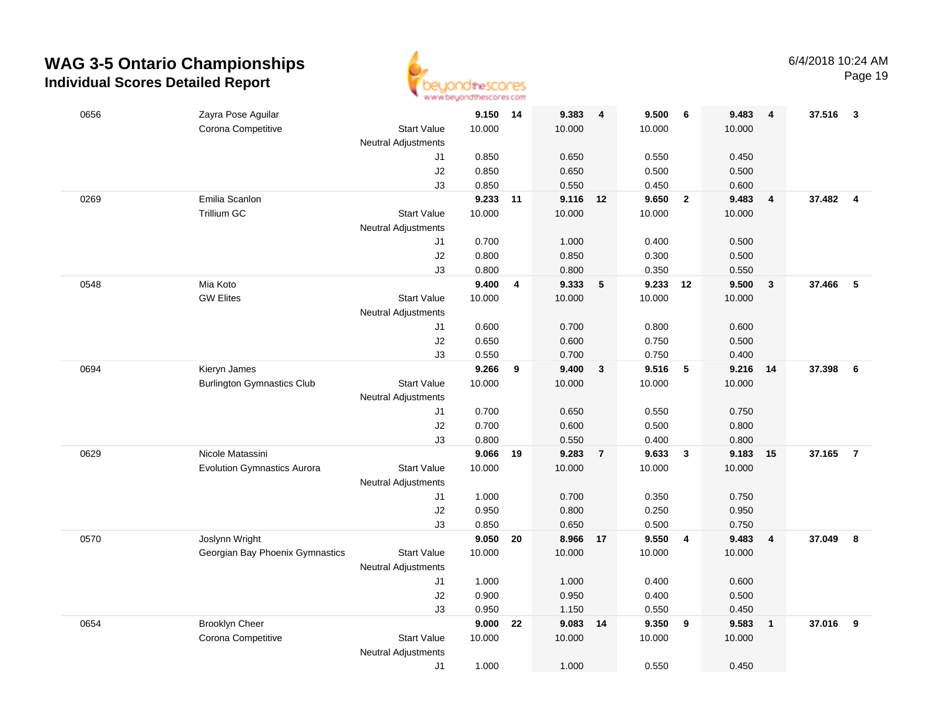

| 0656 | Zayra Pose Aguilar                                       | 9.150 14       |    | 9.383          | - 4            | 9.500          | 6                       | 9.483          | $\overline{4}$          | 37.516   | $\overline{\mathbf{3}}$ |
|------|----------------------------------------------------------|----------------|----|----------------|----------------|----------------|-------------------------|----------------|-------------------------|----------|-------------------------|
|      | Corona Competitive<br><b>Start Value</b>                 | 10.000         |    | 10.000         |                | 10.000         |                         | 10.000         |                         |          |                         |
|      | <b>Neutral Adjustments</b>                               |                |    |                |                |                |                         |                |                         |          |                         |
|      | J1                                                       | 0.850          |    | 0.650          |                | 0.550          |                         | 0.450          |                         |          |                         |
|      | J2                                                       | 0.850          |    | 0.650          |                | 0.500          |                         | 0.500          |                         |          |                         |
|      | J3                                                       | 0.850          |    | 0.550          |                | 0.450          |                         | 0.600          |                         |          |                         |
| 0269 | Emilia Scanlon                                           | 9.233          | 11 | 9.116 12       |                | 9.650          | $\overline{\mathbf{2}}$ | 9.483          | $\overline{\mathbf{4}}$ | 37.482 4 |                         |
|      | Trillium GC<br><b>Start Value</b>                        | 10.000         |    | 10.000         |                | 10.000         |                         | 10.000         |                         |          |                         |
|      | <b>Neutral Adjustments</b>                               |                |    |                |                |                |                         |                |                         |          |                         |
|      | J1                                                       | 0.700          |    | 1.000          |                | 0.400          |                         | 0.500          |                         |          |                         |
|      | J2                                                       | 0.800          |    | 0.850          |                | 0.300          |                         | 0.500          |                         |          |                         |
|      | J3                                                       | 0.800          |    | 0.800          |                | 0.350          |                         | 0.550          |                         |          |                         |
| 0548 | Mia Koto                                                 | 9.400          | 4  | 9.333          | $-5$           | 9.233          | 12                      | 9.500          | $\mathbf{3}$            | 37.466   | 5                       |
|      | <b>GW Elites</b><br><b>Start Value</b>                   | 10.000         |    | 10.000         |                | 10.000         |                         | 10.000         |                         |          |                         |
|      | <b>Neutral Adjustments</b>                               |                |    |                |                |                |                         |                |                         |          |                         |
|      | J1                                                       | 0.600          |    | 0.700          |                | 0.800          |                         | 0.600          |                         |          |                         |
|      | $\sf J2$                                                 | 0.650          |    | 0.600          |                | 0.750          |                         | 0.500          |                         |          |                         |
|      | J3                                                       | 0.550          |    | 0.700          |                | 0.750          |                         | 0.400          |                         |          |                         |
| 0694 | Kieryn James                                             | 9.266          | 9  | 9.400          | $\mathbf{3}$   | 9.516          | 5                       | 9.216          | -14                     | 37.398   | 6                       |
|      | <b>Burlington Gymnastics Club</b><br><b>Start Value</b>  | 10.000         |    | 10.000         |                | 10.000         |                         | 10.000         |                         |          |                         |
|      | Neutral Adjustments                                      |                |    |                |                |                |                         |                |                         |          |                         |
|      | J1                                                       | 0.700          |    | 0.650          |                | 0.550          |                         | 0.750          |                         |          |                         |
|      | J2                                                       | 0.700          |    | 0.600          |                | 0.500          |                         | 0.800          |                         |          |                         |
|      | J3                                                       | 0.800          |    | 0.550          |                | 0.400          |                         | 0.800          |                         |          |                         |
| 0629 | Nicole Matassini                                         | 9.066          | 19 | 9.283          | $\overline{7}$ | 9.633          | $\overline{\mathbf{3}}$ | 9.183          | 15                      | 37.165   | $\overline{7}$          |
|      | <b>Evolution Gymnastics Aurora</b><br><b>Start Value</b> | 10.000         |    | 10.000         |                | 10.000         |                         | 10.000         |                         |          |                         |
|      | <b>Neutral Adjustments</b>                               |                |    |                |                |                |                         |                |                         |          |                         |
|      | J1                                                       | 1.000          |    | 0.700          |                | 0.350          |                         | 0.750          |                         |          |                         |
|      | J2<br>J3                                                 | 0.950<br>0.850 |    | 0.800<br>0.650 |                | 0.250<br>0.500 |                         | 0.950<br>0.750 |                         |          |                         |
| 0570 | Joslynn Wright                                           | 9.050          | 20 | 8.966          | 17             | 9.550          | $\overline{4}$          | 9.483          | $\overline{\mathbf{4}}$ | 37.049   | 8                       |
|      | Georgian Bay Phoenix Gymnastics<br><b>Start Value</b>    | 10.000         |    | 10.000         |                | 10.000         |                         | 10.000         |                         |          |                         |
|      | <b>Neutral Adjustments</b>                               |                |    |                |                |                |                         |                |                         |          |                         |
|      | J1                                                       | 1.000          |    | 1.000          |                | 0.400          |                         | 0.600          |                         |          |                         |
|      | J2                                                       | 0.900          |    | 0.950          |                | 0.400          |                         | 0.500          |                         |          |                         |
|      | J3                                                       | 0.950          |    | 1.150          |                | 0.550          |                         | 0.450          |                         |          |                         |
| 0654 | <b>Brooklyn Cheer</b>                                    | 9.000          | 22 | 9.083          | 14             | 9.350          | 9                       | 9.583          | $\mathbf{1}$            | 37.016   | 9                       |
|      | Corona Competitive<br>Start Value                        | 10.000         |    | 10.000         |                | 10.000         |                         | 10.000         |                         |          |                         |
|      | <b>Neutral Adjustments</b>                               |                |    |                |                |                |                         |                |                         |          |                         |
|      | J1                                                       | 1.000          |    | 1.000          |                | 0.550          |                         | 0.450          |                         |          |                         |
|      |                                                          |                |    |                |                |                |                         |                |                         |          |                         |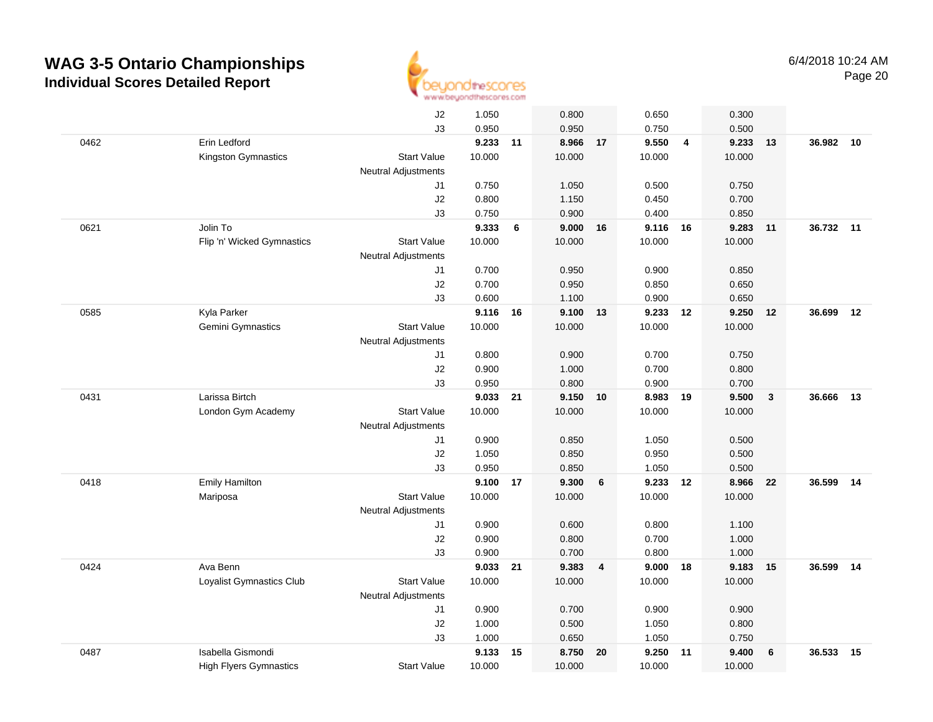

|      |                               | J2                         | 1.050          |    | 0.800          |                | 0.650          |                | 0.300          |                         |           |    |
|------|-------------------------------|----------------------------|----------------|----|----------------|----------------|----------------|----------------|----------------|-------------------------|-----------|----|
|      |                               | J3                         | 0.950          |    | 0.950          |                | 0.750          |                | 0.500          |                         |           |    |
| 0462 | Erin Ledford                  |                            | 9.233 11       |    | 8.966 17       |                | 9.550          | $\overline{4}$ | 9.233          | 13                      | 36.982    | 10 |
|      | Kingston Gymnastics           | <b>Start Value</b>         | 10.000         |    | 10.000         |                | 10.000         |                | 10.000         |                         |           |    |
|      |                               | <b>Neutral Adjustments</b> |                |    |                |                |                |                |                |                         |           |    |
|      |                               | J1                         | 0.750          |    | 1.050          |                | 0.500          |                | 0.750          |                         |           |    |
|      |                               | J2                         | 0.800          |    | 1.150          |                | 0.450          |                | 0.700          |                         |           |    |
|      |                               | J3                         | 0.750          |    | 0.900          |                | 0.400          |                | 0.850          |                         |           |    |
| 0621 | Jolin To                      |                            | 9.333          | 6  | 9.000          | 16             | 9.116 16       |                | 9.283          | 11                      | 36.732 11 |    |
|      | Flip 'n' Wicked Gymnastics    | <b>Start Value</b>         | 10.000         |    | 10.000         |                | 10.000         |                | 10.000         |                         |           |    |
|      |                               | <b>Neutral Adjustments</b> |                |    |                |                |                |                |                |                         |           |    |
|      |                               | J1                         | 0.700          |    | 0.950          |                | 0.900          |                | 0.850          |                         |           |    |
|      |                               | J2                         | 0.700          |    | 0.950          |                | 0.850          |                | 0.650          |                         |           |    |
|      |                               | J3                         | 0.600          |    | 1.100          |                | 0.900          |                | 0.650          |                         |           |    |
| 0585 | Kyla Parker                   |                            | 9.116 16       |    | 9.100 13       |                | 9.233 12       |                | 9.250          | 12                      | 36.699    | 12 |
|      | Gemini Gymnastics             | <b>Start Value</b>         | 10.000         |    | 10.000         |                | 10.000         |                | 10.000         |                         |           |    |
|      |                               | <b>Neutral Adjustments</b> |                |    |                |                |                |                |                |                         |           |    |
|      |                               | J1                         | 0.800          |    | 0.900          |                | 0.700          |                | 0.750          |                         |           |    |
|      |                               | J2                         | 0.900          |    | 1.000          |                | 0.700          |                | 0.800          |                         |           |    |
|      |                               | J3                         | 0.950          |    | 0.800          |                | 0.900          |                | 0.700          |                         |           |    |
| 0431 | Larissa Birtch                |                            | 9.033          | 21 | 9.150          | 10             | 8.983          | 19             | 9.500          | $\overline{\mathbf{3}}$ | 36.666    | 13 |
|      | London Gym Academy            | <b>Start Value</b>         | 10.000         |    | 10.000         |                | 10.000         |                | 10.000         |                         |           |    |
|      |                               | Neutral Adjustments        |                |    |                |                |                |                |                |                         |           |    |
|      |                               | J1                         | 0.900          |    | 0.850          |                | 1.050          |                | 0.500          |                         |           |    |
|      |                               | J2<br>J3                   | 1.050<br>0.950 |    | 0.850          |                | 0.950<br>1.050 |                | 0.500<br>0.500 |                         |           |    |
| 0418 | <b>Emily Hamilton</b>         |                            | 9.100          | 17 | 0.850<br>9.300 | 6              | 9.233          | 12             | 8.966          | 22                      | 36.599    | 14 |
|      | Mariposa                      | <b>Start Value</b>         | 10.000         |    | 10.000         |                | 10.000         |                | 10.000         |                         |           |    |
|      |                               | <b>Neutral Adjustments</b> |                |    |                |                |                |                |                |                         |           |    |
|      |                               | J1                         | 0.900          |    | 0.600          |                | 0.800          |                | 1.100          |                         |           |    |
|      |                               | J2                         | 0.900          |    | 0.800          |                | 0.700          |                | 1.000          |                         |           |    |
|      |                               | J3                         | 0.900          |    | 0.700          |                | 0.800          |                | 1.000          |                         |           |    |
| 0424 | Ava Benn                      |                            | 9.033          | 21 | 9.383          | $\overline{4}$ | $9.000$ 18     |                | 9.183          | 15                      | 36.599    | 14 |
|      | Loyalist Gymnastics Club      | <b>Start Value</b>         | 10.000         |    | 10.000         |                | 10.000         |                | 10.000         |                         |           |    |
|      |                               | <b>Neutral Adjustments</b> |                |    |                |                |                |                |                |                         |           |    |
|      |                               | J1                         | 0.900          |    | 0.700          |                | 0.900          |                | 0.900          |                         |           |    |
|      |                               | J2                         | 1.000          |    | 0.500          |                | 1.050          |                | 0.800          |                         |           |    |
|      |                               | J3                         | 1.000          |    | 0.650          |                | 1.050          |                | 0.750          |                         |           |    |
| 0487 | Isabella Gismondi             |                            | 9.133          | 15 | 8.750          | 20             | 9.250          | 11             | 9.400          | 6                       | 36.533    | 15 |
|      | <b>High Flyers Gymnastics</b> | <b>Start Value</b>         | 10.000         |    | 10.000         |                | 10.000         |                | 10.000         |                         |           |    |
|      |                               |                            |                |    |                |                |                |                |                |                         |           |    |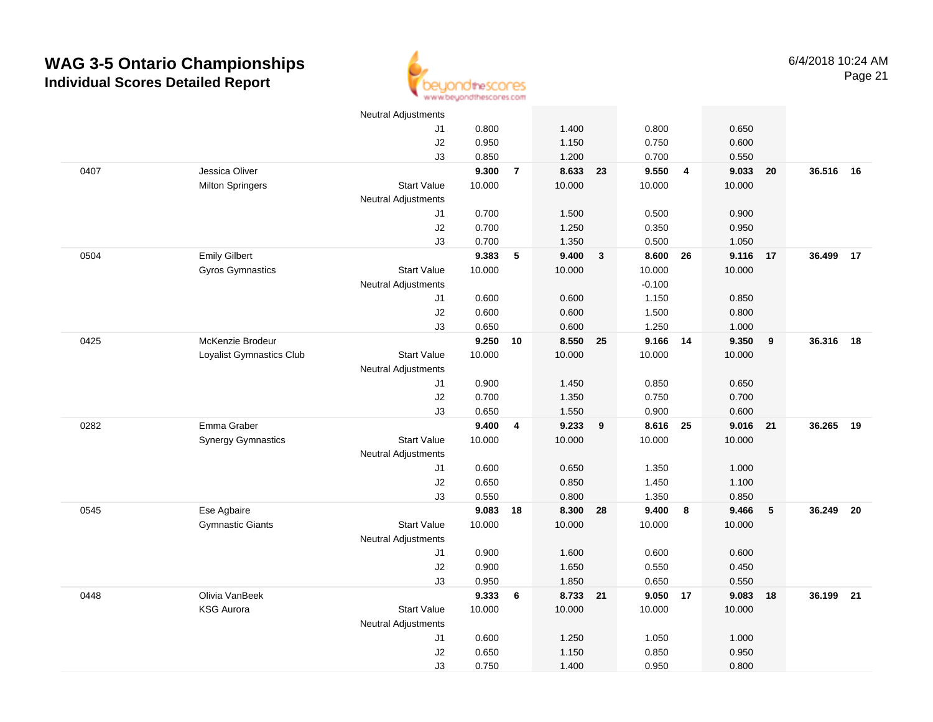

|      |                           | Neutral Adjustments        |        |                |          |                         |          |                         |        |    |           |      |
|------|---------------------------|----------------------------|--------|----------------|----------|-------------------------|----------|-------------------------|--------|----|-----------|------|
|      |                           | J1                         | 0.800  |                | 1.400    |                         | 0.800    |                         | 0.650  |    |           |      |
|      |                           | J2                         | 0.950  |                | 1.150    |                         | 0.750    |                         | 0.600  |    |           |      |
|      |                           | J3                         | 0.850  |                | 1.200    |                         | 0.700    |                         | 0.550  |    |           |      |
| 0407 | Jessica Oliver            |                            | 9.300  | $\overline{7}$ | 8.633    | 23                      | 9.550    | $\overline{\mathbf{4}}$ | 9.033  | 20 | 36.516 16 |      |
|      | <b>Milton Springers</b>   | <b>Start Value</b>         | 10.000 |                | 10.000   |                         | 10.000   |                         | 10.000 |    |           |      |
|      |                           | <b>Neutral Adjustments</b> |        |                |          |                         |          |                         |        |    |           |      |
|      |                           | J1                         | 0.700  |                | 1.500    |                         | 0.500    |                         | 0.900  |    |           |      |
|      |                           | J2                         | 0.700  |                | 1.250    |                         | 0.350    |                         | 0.950  |    |           |      |
|      |                           | J3                         | 0.700  |                | 1.350    |                         | 0.500    |                         | 1.050  |    |           |      |
| 0504 | <b>Emily Gilbert</b>      |                            | 9.383  | 5              | 9.400    | $\mathbf{3}$            | 8.600    | 26                      | 9.116  | 17 | 36.499 17 |      |
|      | Gyros Gymnastics          | <b>Start Value</b>         | 10.000 |                | 10.000   |                         | 10.000   |                         | 10.000 |    |           |      |
|      |                           | <b>Neutral Adjustments</b> |        |                |          |                         | $-0.100$ |                         |        |    |           |      |
|      |                           | J1                         | 0.600  |                | 0.600    |                         | 1.150    |                         | 0.850  |    |           |      |
|      |                           | J2                         | 0.600  |                | 0.600    |                         | 1.500    |                         | 0.800  |    |           |      |
|      |                           | J3                         | 0.650  |                | 0.600    |                         | 1.250    |                         | 1.000  |    |           |      |
| 0425 | McKenzie Brodeur          |                            | 9.250  | 10             | 8.550 25 |                         | 9.166 14 |                         | 9.350  | 9  | 36.316    | 18   |
|      | Loyalist Gymnastics Club  | <b>Start Value</b>         | 10.000 |                | 10.000   |                         | 10.000   |                         | 10.000 |    |           |      |
|      |                           | <b>Neutral Adjustments</b> |        |                |          |                         |          |                         |        |    |           |      |
|      |                           | J <sub>1</sub>             | 0.900  |                | 1.450    |                         | 0.850    |                         | 0.650  |    |           |      |
|      |                           | J2                         | 0.700  |                | 1.350    |                         | 0.750    |                         | 0.700  |    |           |      |
|      |                           | J3                         | 0.650  |                | 1.550    |                         | 0.900    |                         | 0.600  |    |           |      |
| 0282 | Emma Graber               |                            | 9.400  | 4              | 9.233    | $\overline{\mathbf{9}}$ | 8.616    | 25                      | 9.016  | 21 | 36.265    | 19   |
|      | <b>Synergy Gymnastics</b> | <b>Start Value</b>         | 10.000 |                | 10.000   |                         | 10.000   |                         | 10.000 |    |           |      |
|      |                           | <b>Neutral Adjustments</b> |        |                |          |                         |          |                         |        |    |           |      |
|      |                           | J1                         | 0.600  |                | 0.650    |                         | 1.350    |                         | 1.000  |    |           |      |
|      |                           | J2                         | 0.650  |                | 0.850    |                         | 1.450    |                         | 1.100  |    |           |      |
|      |                           | J3                         | 0.550  |                | 0.800    |                         | 1.350    |                         | 0.850  |    |           |      |
| 0545 | Ese Agbaire               |                            | 9.083  | 18             | 8.300    | 28                      | 9.400    | 8                       | 9.466  | 5  | 36.249    | - 20 |
|      | <b>Gymnastic Giants</b>   | <b>Start Value</b>         | 10.000 |                | 10.000   |                         | 10.000   |                         | 10.000 |    |           |      |
|      |                           | <b>Neutral Adjustments</b> |        |                |          |                         |          |                         |        |    |           |      |
|      |                           | J1                         | 0.900  |                | 1.600    |                         | 0.600    |                         | 0.600  |    |           |      |
|      |                           | J2                         | 0.900  |                | 1.650    |                         | 0.550    |                         | 0.450  |    |           |      |
|      |                           | J3                         | 0.950  |                | 1.850    |                         | 0.650    |                         | 0.550  |    |           |      |
| 0448 | Olivia VanBeek            |                            | 9.333  | 6              | 8.733 21 |                         | 9.050 17 |                         | 9.083  | 18 | 36.199 21 |      |
|      | <b>KSG Aurora</b>         | <b>Start Value</b>         | 10.000 |                | 10.000   |                         | 10.000   |                         | 10.000 |    |           |      |
|      |                           | <b>Neutral Adjustments</b> |        |                |          |                         |          |                         |        |    |           |      |
|      |                           | $\sf J1$                   | 0.600  |                | 1.250    |                         | 1.050    |                         | 1.000  |    |           |      |
|      |                           | J2                         | 0.650  |                | 1.150    |                         | 0.850    |                         | 0.950  |    |           |      |
|      |                           | J3                         | 0.750  |                | 1.400    |                         | 0.950    |                         | 0.800  |    |           |      |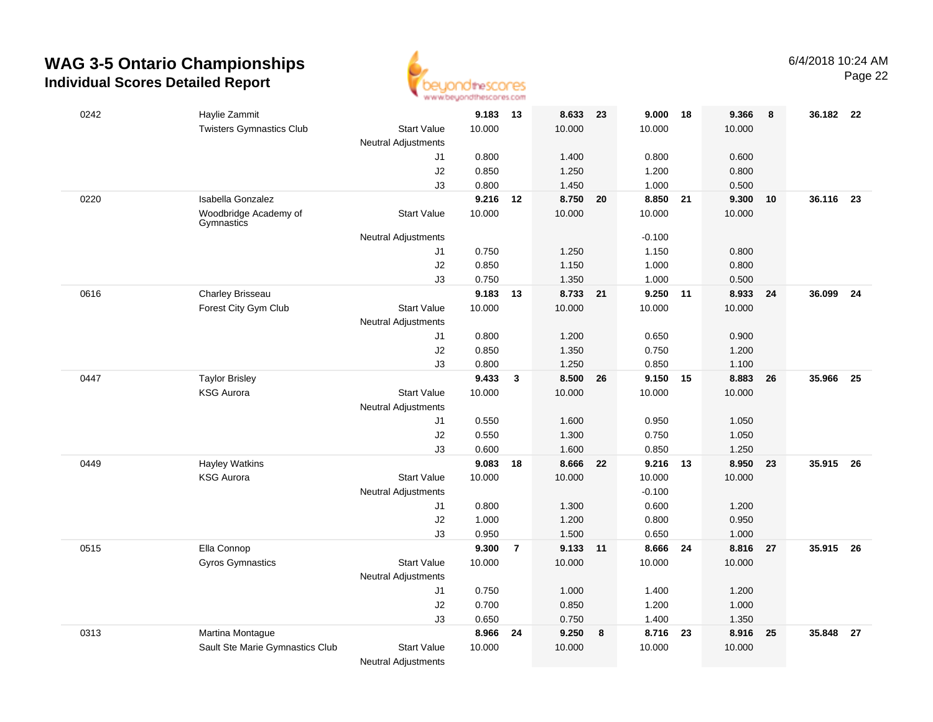

| 0242 | Haylie Zammit                       |                                                  | 9.183  | 13             | 8.633 23 |    | $9.000$ 18 |    | 9.366  | 8  | 36.182 22 |    |
|------|-------------------------------------|--------------------------------------------------|--------|----------------|----------|----|------------|----|--------|----|-----------|----|
|      | <b>Twisters Gymnastics Club</b>     | <b>Start Value</b>                               | 10.000 |                | 10.000   |    | 10.000     |    | 10.000 |    |           |    |
|      |                                     | <b>Neutral Adjustments</b>                       |        |                |          |    |            |    |        |    |           |    |
|      |                                     | J1                                               | 0.800  |                | 1.400    |    | 0.800      |    | 0.600  |    |           |    |
|      |                                     | J2                                               | 0.850  |                | 1.250    |    | 1.200      |    | 0.800  |    |           |    |
|      |                                     | J3                                               | 0.800  |                | 1.450    |    | 1.000      |    | 0.500  |    |           |    |
| 0220 | Isabella Gonzalez                   |                                                  | 9.216  | 12             | 8.750    | 20 | 8.850      | 21 | 9.300  | 10 | 36.116 23 |    |
|      | Woodbridge Academy of<br>Gymnastics | <b>Start Value</b>                               | 10.000 |                | 10.000   |    | 10.000     |    | 10.000 |    |           |    |
|      |                                     | <b>Neutral Adjustments</b>                       |        |                |          |    | $-0.100$   |    |        |    |           |    |
|      |                                     | J1                                               | 0.750  |                | 1.250    |    | 1.150      |    | 0.800  |    |           |    |
|      |                                     | J2                                               | 0.850  |                | 1.150    |    | 1.000      |    | 0.800  |    |           |    |
|      |                                     | J3                                               | 0.750  |                | 1.350    |    | 1.000      |    | 0.500  |    |           |    |
| 0616 | Charley Brisseau                    |                                                  | 9.183  | 13             | 8.733 21 |    | 9.250 11   |    | 8.933  | 24 | 36.099    | 24 |
|      | Forest City Gym Club                | <b>Start Value</b>                               | 10.000 |                | 10.000   |    | 10.000     |    | 10.000 |    |           |    |
|      |                                     | <b>Neutral Adjustments</b>                       |        |                |          |    |            |    |        |    |           |    |
|      |                                     | J1                                               | 0.800  |                | 1.200    |    | 0.650      |    | 0.900  |    |           |    |
|      |                                     | J2                                               | 0.850  |                | 1.350    |    | 0.750      |    | 1.200  |    |           |    |
|      |                                     | J3                                               | 0.800  |                | 1.250    |    | 0.850      |    | 1.100  |    |           |    |
| 0447 | <b>Taylor Brisley</b>               |                                                  | 9.433  | $\mathbf{3}$   | 8.500    | 26 | 9.150 15   |    | 8.883  | 26 | 35.966    | 25 |
|      | <b>KSG Aurora</b>                   | <b>Start Value</b>                               | 10.000 |                | 10.000   |    | 10.000     |    | 10.000 |    |           |    |
|      |                                     | <b>Neutral Adjustments</b>                       |        |                |          |    |            |    |        |    |           |    |
|      |                                     | J1                                               | 0.550  |                | 1.600    |    | 0.950      |    | 1.050  |    |           |    |
|      |                                     | J2                                               | 0.550  |                | 1.300    |    | 0.750      |    | 1.050  |    |           |    |
|      |                                     | J3                                               | 0.600  |                | 1.600    |    | 0.850      |    | 1.250  |    |           |    |
| 0449 | <b>Hayley Watkins</b>               |                                                  | 9.083  | 18             | 8.666    | 22 | 9.216      | 13 | 8.950  | 23 | 35.915    | 26 |
|      | <b>KSG Aurora</b>                   | <b>Start Value</b>                               | 10.000 |                | 10.000   |    | 10.000     |    | 10.000 |    |           |    |
|      |                                     | <b>Neutral Adjustments</b>                       |        |                |          |    | $-0.100$   |    |        |    |           |    |
|      |                                     | J1                                               | 0.800  |                | 1.300    |    | 0.600      |    | 1.200  |    |           |    |
|      |                                     | J <sub>2</sub>                                   | 1.000  |                | 1.200    |    | 0.800      |    | 0.950  |    |           |    |
|      |                                     | J3                                               | 0.950  |                | 1.500    |    | 0.650      |    | 1.000  |    |           |    |
| 0515 | Ella Connop                         |                                                  | 9.300  | $\overline{7}$ | 9.133 11 |    | 8.666 24   |    | 8.816  | 27 | 35.915 26 |    |
|      | Gyros Gymnastics                    | <b>Start Value</b><br><b>Neutral Adjustments</b> | 10.000 |                | 10.000   |    | 10.000     |    | 10.000 |    |           |    |
|      |                                     | J1                                               | 0.750  |                | 1.000    |    | 1.400      |    | 1.200  |    |           |    |
|      |                                     | J2                                               | 0.700  |                | 0.850    |    | 1.200      |    | 1.000  |    |           |    |
|      |                                     | J3                                               | 0.650  |                | 0.750    |    | 1.400      |    | 1.350  |    |           |    |
| 0313 | Martina Montague                    |                                                  | 8.966  | 24             | 9.250    | 8  | 8.716 23   |    | 8.916  | 25 | 35.848    | 27 |
|      | Sault Ste Marie Gymnastics Club     | <b>Start Value</b>                               | 10.000 |                | 10.000   |    | 10.000     |    | 10.000 |    |           |    |
|      |                                     | <b>Neutral Adjustments</b>                       |        |                |          |    |            |    |        |    |           |    |
|      |                                     |                                                  |        |                |          |    |            |    |        |    |           |    |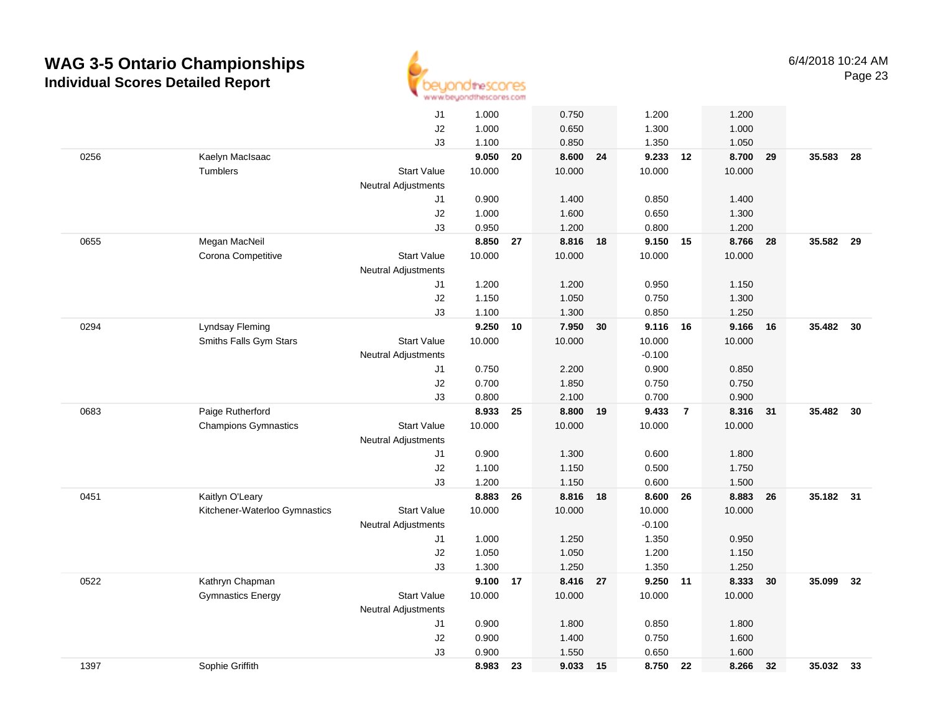

|      |                               | J1                         | 1.000  |    | 0.750    |    | 1.200    |                | 1.200  |    |           |      |
|------|-------------------------------|----------------------------|--------|----|----------|----|----------|----------------|--------|----|-----------|------|
|      |                               | J2                         | 1.000  |    | 0.650    |    | 1.300    |                | 1.000  |    |           |      |
|      |                               | J3                         | 1.100  |    | 0.850    |    | 1.350    |                | 1.050  |    |           |      |
| 0256 | Kaelyn MacIsaac               |                            | 9.050  | 20 | 8.600 24 |    | 9.233 12 |                | 8.700  | 29 | 35.583    | - 28 |
|      | Tumblers                      | <b>Start Value</b>         | 10.000 |    | 10.000   |    | 10.000   |                | 10.000 |    |           |      |
|      |                               | <b>Neutral Adjustments</b> |        |    |          |    |          |                |        |    |           |      |
|      |                               | J1                         | 0.900  |    | 1.400    |    | 0.850    |                | 1.400  |    |           |      |
|      |                               | J2                         | 1.000  |    | 1.600    |    | 0.650    |                | 1.300  |    |           |      |
|      |                               | JЗ                         | 0.950  |    | 1.200    |    | 0.800    |                | 1.200  |    |           |      |
| 0655 | Megan MacNeil                 |                            | 8.850  | 27 | 8.816    | 18 | 9.150 15 |                | 8.766  | 28 | 35.582    | - 29 |
|      | Corona Competitive            | <b>Start Value</b>         | 10.000 |    | 10.000   |    | 10.000   |                | 10.000 |    |           |      |
|      |                               | <b>Neutral Adjustments</b> |        |    |          |    |          |                |        |    |           |      |
|      |                               | J1                         | 1.200  |    | 1.200    |    | 0.950    |                | 1.150  |    |           |      |
|      |                               | J2                         | 1.150  |    | 1.050    |    | 0.750    |                | 1.300  |    |           |      |
|      |                               | J3                         | 1.100  |    | 1.300    |    | 0.850    |                | 1.250  |    |           |      |
| 0294 | <b>Lyndsay Fleming</b>        |                            | 9.250  | 10 | 7.950    | 30 | 9.116 16 |                | 9.166  | 16 | 35.482    | 30   |
|      | Smiths Falls Gym Stars        | <b>Start Value</b>         | 10.000 |    | 10.000   |    | 10.000   |                | 10.000 |    |           |      |
|      |                               | Neutral Adjustments        |        |    |          |    | $-0.100$ |                |        |    |           |      |
|      |                               | J1                         | 0.750  |    | 2.200    |    | 0.900    |                | 0.850  |    |           |      |
|      |                               | J2                         | 0.700  |    | 1.850    |    | 0.750    |                | 0.750  |    |           |      |
|      |                               | J3                         | 0.800  |    | 2.100    |    | 0.700    |                | 0.900  |    |           |      |
| 0683 | Paige Rutherford              |                            | 8.933  | 25 | 8.800    | 19 | 9.433    | $\overline{7}$ | 8.316  | 31 | 35.482    | 30   |
|      | <b>Champions Gymnastics</b>   | <b>Start Value</b>         | 10.000 |    | 10.000   |    | 10.000   |                | 10.000 |    |           |      |
|      |                               | <b>Neutral Adjustments</b> |        |    |          |    |          |                |        |    |           |      |
|      |                               | J1                         | 0.900  |    | 1.300    |    | 0.600    |                | 1.800  |    |           |      |
|      |                               | J2                         | 1.100  |    | 1.150    |    | 0.500    |                | 1.750  |    |           |      |
|      |                               | J3                         | 1.200  |    | 1.150    |    | 0.600    |                | 1.500  |    |           |      |
| 0451 | Kaitlyn O'Leary               |                            | 8.883  | 26 | 8.816    | 18 | 8.600    | 26             | 8.883  | 26 | 35.182    | 31   |
|      | Kitchener-Waterloo Gymnastics | <b>Start Value</b>         | 10.000 |    | 10.000   |    | 10.000   |                | 10.000 |    |           |      |
|      |                               | Neutral Adjustments        |        |    |          |    | $-0.100$ |                |        |    |           |      |
|      |                               | J1                         | 1.000  |    | 1.250    |    | 1.350    |                | 0.950  |    |           |      |
|      |                               | J2                         | 1.050  |    | 1.050    |    | 1.200    |                | 1.150  |    |           |      |
|      |                               | J3                         | 1.300  |    | 1.250    |    | 1.350    |                | 1.250  |    |           |      |
| 0522 | Kathryn Chapman               |                            | 9.100  | 17 | 8.416 27 |    | 9.250    | $-11$          | 8.333  | 30 | 35.099    | 32   |
|      | <b>Gymnastics Energy</b>      | <b>Start Value</b>         | 10.000 |    | 10.000   |    | 10.000   |                | 10.000 |    |           |      |
|      |                               | Neutral Adjustments        |        |    |          |    |          |                |        |    |           |      |
|      |                               | J1                         | 0.900  |    | 1.800    |    | 0.850    |                | 1.800  |    |           |      |
|      |                               | J2                         | 0.900  |    | 1.400    |    | 0.750    |                | 1.600  |    |           |      |
|      |                               | J3                         | 0.900  |    | 1.550    |    | 0.650    |                | 1.600  |    |           |      |
| 1397 | Sophie Griffith               |                            | 8.983  | 23 | 9.033    | 15 | 8.750    | 22             | 8.266  | 32 | 35.032 33 |      |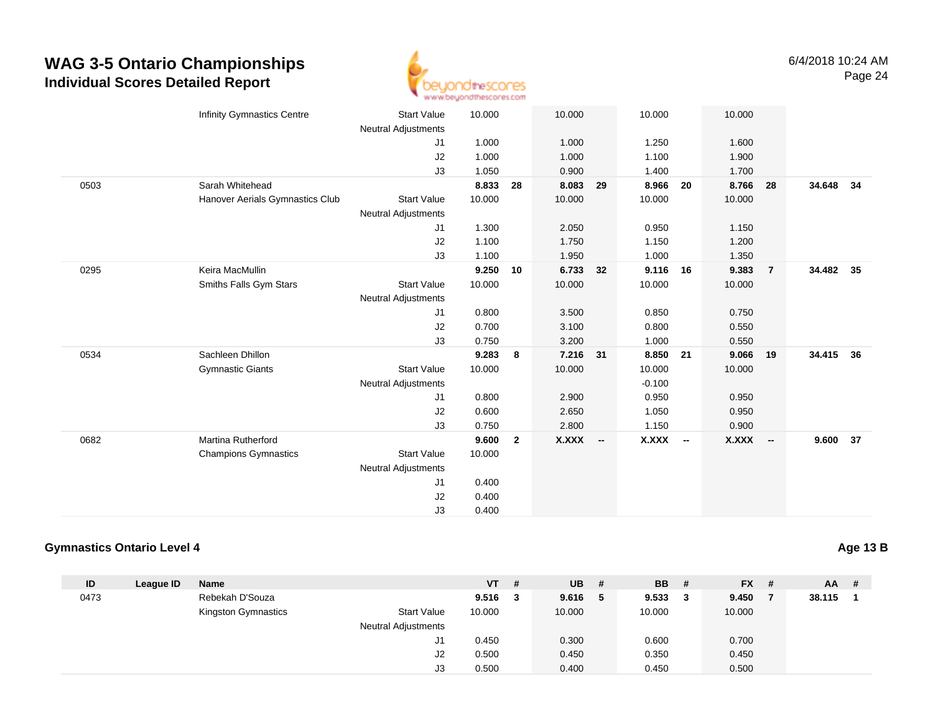

|      | <b>Infinity Gymnastics Centre</b> | <b>Start Value</b><br><b>Neutral Adjustments</b> | 10.000 |                | 10.000    |    | 10.000    |    | 10.000       |                |           |    |
|------|-----------------------------------|--------------------------------------------------|--------|----------------|-----------|----|-----------|----|--------------|----------------|-----------|----|
|      |                                   | J1                                               | 1.000  |                | 1.000     |    | 1.250     |    | 1.600        |                |           |    |
|      |                                   | J2                                               | 1.000  |                | 1.000     |    | 1.100     |    | 1.900        |                |           |    |
|      |                                   | J3                                               | 1.050  |                | 0.900     |    | 1.400     |    | 1.700        |                |           |    |
| 0503 | Sarah Whitehead                   |                                                  | 8.833  | 28             | 8.083     | 29 | 8.966     | 20 | 8.766        | 28             | 34.648    | 34 |
|      | Hanover Aerials Gymnastics Club   | <b>Start Value</b>                               | 10.000 |                | 10.000    |    | 10.000    |    | 10.000       |                |           |    |
|      |                                   | <b>Neutral Adjustments</b>                       |        |                |           |    |           |    |              |                |           |    |
|      |                                   | J1                                               | 1.300  |                | 2.050     |    | 0.950     |    | 1.150        |                |           |    |
|      |                                   | J2                                               | 1.100  |                | 1.750     |    | 1.150     |    | 1.200        |                |           |    |
|      |                                   | J3                                               | 1.100  |                | 1.950     |    | 1.000     |    | 1.350        |                |           |    |
| 0295 | Keira MacMullin                   |                                                  | 9.250  | 10             | 6.733     | 32 | 9.116     | 16 | 9.383        | $\overline{7}$ | 34.482 35 |    |
|      | Smiths Falls Gym Stars            | <b>Start Value</b>                               | 10.000 |                | 10.000    |    | 10.000    |    | 10.000       |                |           |    |
|      |                                   | <b>Neutral Adjustments</b>                       |        |                |           |    |           |    |              |                |           |    |
|      |                                   | J1                                               | 0.800  |                | 3.500     |    | 0.850     |    | 0.750        |                |           |    |
|      |                                   | J2                                               | 0.700  |                | 3.100     |    | 0.800     |    | 0.550        |                |           |    |
|      |                                   | J3                                               | 0.750  |                | 3.200     |    | 1.000     |    | 0.550        |                |           |    |
| 0534 | Sachleen Dhillon                  |                                                  | 9.283  | 8              | 7.216 31  |    | 8.850     | 21 | 9.066        | 19             | 34.415 36 |    |
|      | <b>Gymnastic Giants</b>           | <b>Start Value</b>                               | 10.000 |                | 10.000    |    | 10.000    |    | 10.000       |                |           |    |
|      |                                   | <b>Neutral Adjustments</b>                       |        |                |           |    | $-0.100$  |    |              |                |           |    |
|      |                                   | J1                                               | 0.800  |                | 2.900     |    | 0.950     |    | 0.950        |                |           |    |
|      |                                   | J2                                               | 0.600  |                | 2.650     |    | 1.050     |    | 0.950        |                |           |    |
|      |                                   | J3                                               | 0.750  |                | 2.800     |    | 1.150     |    | 0.900        |                |           |    |
| 0682 | <b>Martina Rutherford</b>         |                                                  | 9.600  | $\overline{2}$ | $X.XXX -$ |    | $X.XXX$ - |    | <b>X.XXX</b> | $\sim$         | 9.600     | 37 |
|      | <b>Champions Gymnastics</b>       | <b>Start Value</b>                               | 10.000 |                |           |    |           |    |              |                |           |    |
|      |                                   | <b>Neutral Adjustments</b>                       |        |                |           |    |           |    |              |                |           |    |
|      |                                   | J1                                               | 0.400  |                |           |    |           |    |              |                |           |    |
|      |                                   | J2                                               | 0.400  |                |           |    |           |    |              |                |           |    |
|      |                                   | J3                                               | 0.400  |                |           |    |           |    |              |                |           |    |

#### **Gymnastics Ontario Level 4**

| ID   | League ID | Name                |                            | <b>VT</b> | -#  | <b>UB</b> | # | <b>BB</b> | # | $FX$ # | $AA$ # |  |
|------|-----------|---------------------|----------------------------|-----------|-----|-----------|---|-----------|---|--------|--------|--|
| 0473 |           | Rebekah D'Souza     |                            | 9.516     | - 3 | 9.616     | 5 | 9.533     | 3 | 9.450  | 38.115 |  |
|      |           | Kingston Gymnastics | <b>Start Value</b>         | 10.000    |     | 10.000    |   | 10.000    |   | 10.000 |        |  |
|      |           |                     | <b>Neutral Adjustments</b> |           |     |           |   |           |   |        |        |  |
|      |           |                     | J1                         | 0.450     |     | 0.300     |   | 0.600     |   | 0.700  |        |  |
|      |           |                     | J2                         | 0.500     |     | 0.450     |   | 0.350     |   | 0.450  |        |  |
|      |           |                     | J3                         | 0.500     |     | 0.400     |   | 0.450     |   | 0.500  |        |  |

**Age 13 B**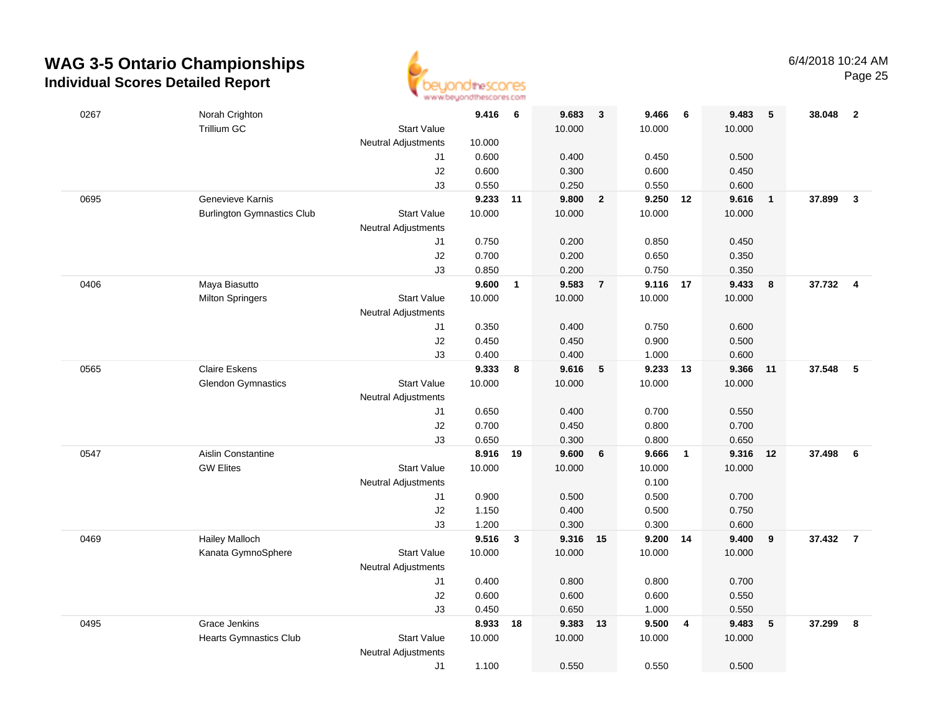

| 0267 | Norah Crighton                    |                            | 9.416    | $6\overline{6}$ | 9.683    | $\overline{\mathbf{3}}$ | 9.466    | 6              | 9.483  | 5            | 38.048   | $\overline{2}$ |
|------|-----------------------------------|----------------------------|----------|-----------------|----------|-------------------------|----------|----------------|--------|--------------|----------|----------------|
|      | <b>Trillium GC</b>                | <b>Start Value</b>         |          |                 | 10.000   |                         | 10.000   |                | 10.000 |              |          |                |
|      |                                   | <b>Neutral Adjustments</b> | 10.000   |                 |          |                         |          |                |        |              |          |                |
|      |                                   | J1                         | 0.600    |                 | 0.400    |                         | 0.450    |                | 0.500  |              |          |                |
|      |                                   | $\sf J2$                   | 0.600    |                 | 0.300    |                         | 0.600    |                | 0.450  |              |          |                |
|      |                                   | J3                         | 0.550    |                 | 0.250    |                         | 0.550    |                | 0.600  |              |          |                |
| 0695 | Genevieve Karnis                  |                            | 9.233 11 |                 | 9.800    | $\overline{\mathbf{2}}$ | 9.250 12 |                | 9.616  | $\mathbf{1}$ | 37.899   | $\mathbf{3}$   |
|      | <b>Burlington Gymnastics Club</b> | <b>Start Value</b>         | 10.000   |                 | 10.000   |                         | 10.000   |                | 10.000 |              |          |                |
|      |                                   | <b>Neutral Adjustments</b> |          |                 |          |                         |          |                |        |              |          |                |
|      |                                   | J1                         | 0.750    |                 | 0.200    |                         | 0.850    |                | 0.450  |              |          |                |
|      |                                   | $\sf J2$                   | 0.700    |                 | 0.200    |                         | 0.650    |                | 0.350  |              |          |                |
|      |                                   | J3                         | 0.850    |                 | 0.200    |                         | 0.750    |                | 0.350  |              |          |                |
| 0406 | Maya Biasutto                     |                            | 9.600    | $\overline{1}$  | 9.583    | $\overline{7}$          | 9.116    | 17             | 9.433  | 8            | 37.732 4 |                |
|      | <b>Milton Springers</b>           | <b>Start Value</b>         | 10.000   |                 | 10.000   |                         | 10.000   |                | 10.000 |              |          |                |
|      |                                   | <b>Neutral Adjustments</b> |          |                 |          |                         |          |                |        |              |          |                |
|      |                                   | J1                         | 0.350    |                 | 0.400    |                         | 0.750    |                | 0.600  |              |          |                |
|      |                                   | $\sf J2$                   | 0.450    |                 | 0.450    |                         | 0.900    |                | 0.500  |              |          |                |
|      |                                   | J3                         | 0.400    |                 | 0.400    |                         | 1.000    |                | 0.600  |              |          |                |
| 0565 | <b>Claire Eskens</b>              |                            | 9.333    | 8               | 9.616    | $\sqrt{5}$              | 9.233    | 13             | 9.366  | 11           | 37.548   | 5              |
|      | <b>Glendon Gymnastics</b>         | <b>Start Value</b>         | 10.000   |                 | 10.000   |                         | 10.000   |                | 10.000 |              |          |                |
|      |                                   | <b>Neutral Adjustments</b> |          |                 |          |                         |          |                |        |              |          |                |
|      |                                   | J1                         | 0.650    |                 | 0.400    |                         | 0.700    |                | 0.550  |              |          |                |
|      |                                   | $\sf J2$                   | 0.700    |                 | 0.450    |                         | 0.800    |                | 0.700  |              |          |                |
|      |                                   | J3                         | 0.650    |                 | 0.300    |                         | 0.800    |                | 0.650  |              |          |                |
| 0547 | <b>Aislin Constantine</b>         |                            | 8.916    | 19              | 9.600    | 6                       | 9.666    | $\overline{1}$ | 9.316  | 12           | 37.498   | 6              |
|      | <b>GW Elites</b>                  | <b>Start Value</b>         | 10.000   |                 | 10.000   |                         | 10.000   |                | 10.000 |              |          |                |
|      |                                   | <b>Neutral Adjustments</b> |          |                 |          |                         | 0.100    |                |        |              |          |                |
|      |                                   | J1                         | 0.900    |                 | 0.500    |                         | 0.500    |                | 0.700  |              |          |                |
|      |                                   | J2                         | 1.150    |                 | 0.400    |                         | 0.500    |                | 0.750  |              |          |                |
|      |                                   | J3                         | 1.200    |                 | 0.300    |                         | 0.300    |                | 0.600  |              |          |                |
| 0469 | <b>Hailey Malloch</b>             |                            | 9.516    | $\mathbf{3}$    | 9.316 15 |                         | 9.200 14 |                | 9.400  | 9            | 37.432   | $\overline{7}$ |
|      | Kanata GymnoSphere                | <b>Start Value</b>         | 10.000   |                 | 10.000   |                         | 10.000   |                | 10.000 |              |          |                |
|      |                                   | <b>Neutral Adjustments</b> |          |                 |          |                         |          |                |        |              |          |                |
|      |                                   | J1                         | 0.400    |                 | 0.800    |                         | 0.800    |                | 0.700  |              |          |                |
|      |                                   | J2                         | 0.600    |                 | 0.600    |                         | 0.600    |                | 0.550  |              |          |                |
|      |                                   | J3                         | 0.450    |                 | 0.650    |                         | 1.000    |                | 0.550  |              |          |                |
| 0495 | Grace Jenkins                     |                            | 8.933    | 18              | 9.383    | 13                      | 9.500    | $\overline{4}$ | 9.483  | 5            | 37.299   | 8              |
|      | <b>Hearts Gymnastics Club</b>     | <b>Start Value</b>         | 10.000   |                 | 10.000   |                         | 10.000   |                | 10.000 |              |          |                |
|      |                                   | <b>Neutral Adjustments</b> |          |                 |          |                         |          |                |        |              |          |                |
|      |                                   | J1                         | 1.100    |                 | 0.550    |                         | 0.550    |                | 0.500  |              |          |                |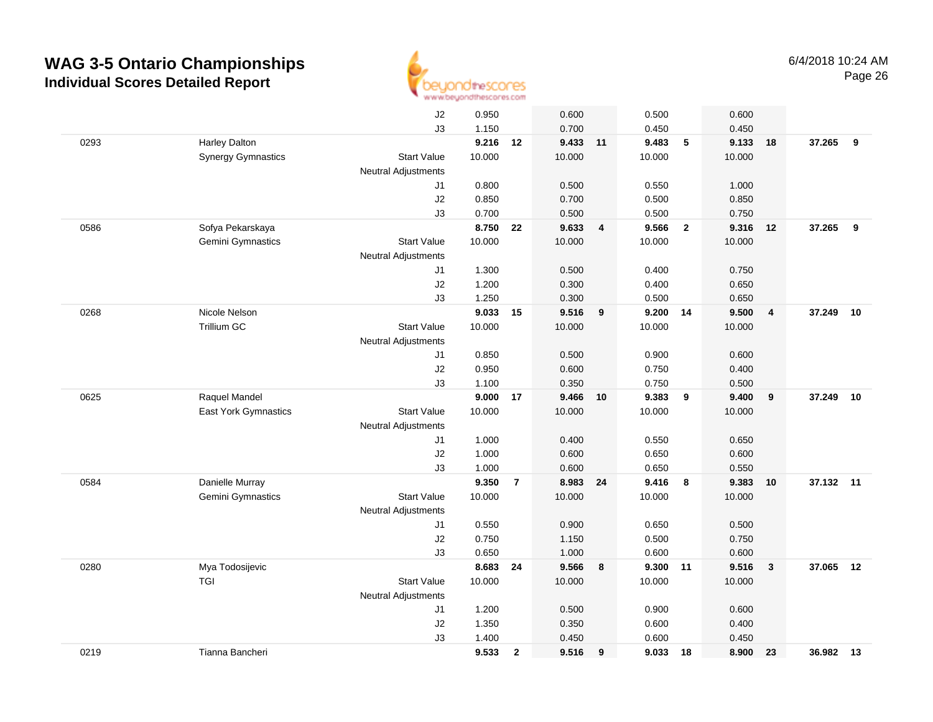

|      |                             | J2                         | 0.950  |                | 0.600    |                | 0.500    |                         | 0.600  |                |           |    |
|------|-----------------------------|----------------------------|--------|----------------|----------|----------------|----------|-------------------------|--------|----------------|-----------|----|
|      |                             | J3                         | 1.150  |                | 0.700    |                | 0.450    |                         | 0.450  |                |           |    |
| 0293 | Harley Dalton               |                            | 9.216  | 12             | 9.433 11 |                | 9.483    | 5                       | 9.133  | 18             | 37.265 9  |    |
|      | <b>Synergy Gymnastics</b>   | <b>Start Value</b>         | 10.000 |                | 10.000   |                | 10.000   |                         | 10.000 |                |           |    |
|      |                             | <b>Neutral Adjustments</b> |        |                |          |                |          |                         |        |                |           |    |
|      |                             | J1                         | 0.800  |                | 0.500    |                | 0.550    |                         | 1.000  |                |           |    |
|      |                             | J2                         | 0.850  |                | 0.700    |                | 0.500    |                         | 0.850  |                |           |    |
|      |                             | J3                         | 0.700  |                | 0.500    |                | 0.500    |                         | 0.750  |                |           |    |
| 0586 | Sofya Pekarskaya            |                            | 8.750  | 22             | 9.633    | $\overline{4}$ | 9.566    | $\overline{2}$          | 9.316  | 12             | 37.265    | 9  |
|      | Gemini Gymnastics           | <b>Start Value</b>         | 10.000 |                | 10.000   |                | 10.000   |                         | 10.000 |                |           |    |
|      |                             | Neutral Adjustments        |        |                |          |                |          |                         |        |                |           |    |
|      |                             | J1                         | 1.300  |                | 0.500    |                | 0.400    |                         | 0.750  |                |           |    |
|      |                             | J2                         | 1.200  |                | 0.300    |                | 0.400    |                         | 0.650  |                |           |    |
|      |                             | J3                         | 1.250  |                | 0.300    |                | 0.500    |                         | 0.650  |                |           |    |
| 0268 | Nicole Nelson               |                            | 9.033  | 15             | 9.516    | 9              | 9.200    | 14                      | 9.500  | $\overline{4}$ | 37.249    | 10 |
|      | Trillium GC                 | <b>Start Value</b>         | 10.000 |                | 10.000   |                | 10.000   |                         | 10.000 |                |           |    |
|      |                             | <b>Neutral Adjustments</b> |        |                |          |                |          |                         |        |                |           |    |
|      |                             | J1                         | 0.850  |                | 0.500    |                | 0.900    |                         | 0.600  |                |           |    |
|      |                             | J2                         | 0.950  |                | 0.600    |                | 0.750    |                         | 0.400  |                |           |    |
|      |                             | J3                         | 1.100  |                | 0.350    |                | 0.750    |                         | 0.500  |                |           |    |
| 0625 | Raquel Mandel               |                            | 9.000  | 17             | 9.466    | 10             | 9.383    | 9                       | 9.400  | 9              | 37.249    | 10 |
|      | <b>East York Gymnastics</b> | <b>Start Value</b>         | 10.000 |                | 10.000   |                | 10.000   |                         | 10.000 |                |           |    |
|      |                             | Neutral Adjustments        |        |                |          |                |          |                         |        |                |           |    |
|      |                             | J1                         | 1.000  |                | 0.400    |                | 0.550    |                         | 0.650  |                |           |    |
|      |                             | J2                         | 1.000  |                | 0.600    |                | 0.650    |                         | 0.600  |                |           |    |
|      |                             | J3                         | 1.000  |                | 0.600    |                | 0.650    |                         | 0.550  |                |           |    |
| 0584 | Danielle Murray             |                            | 9.350  | $\overline{7}$ | 8.983    | 24             | 9.416    | $\overline{\mathbf{8}}$ | 9.383  | 10             | 37.132 11 |    |
|      | Gemini Gymnastics           | <b>Start Value</b>         | 10.000 |                | 10.000   |                | 10.000   |                         | 10.000 |                |           |    |
|      |                             | Neutral Adjustments        |        |                |          |                |          |                         |        |                |           |    |
|      |                             | J1                         | 0.550  |                | 0.900    |                | 0.650    |                         | 0.500  |                |           |    |
|      |                             | J2                         | 0.750  |                | 1.150    |                | 0.500    |                         | 0.750  |                |           |    |
|      |                             | J3                         | 0.650  |                | 1.000    |                | 0.600    |                         | 0.600  |                |           |    |
| 0280 | Mya Todosijevic             |                            | 8.683  | 24             | 9.566    | 8              | 9.300 11 |                         | 9.516  | $\mathbf{3}$   | 37.065    | 12 |
|      | TGI                         | <b>Start Value</b>         | 10.000 |                | 10.000   |                | 10.000   |                         | 10.000 |                |           |    |
|      |                             | <b>Neutral Adjustments</b> |        |                |          |                |          |                         |        |                |           |    |
|      |                             | J1                         | 1.200  |                | 0.500    |                | 0.900    |                         | 0.600  |                |           |    |
|      |                             | J2                         | 1.350  |                | 0.350    |                | 0.600    |                         | 0.400  |                |           |    |
|      |                             | J3                         | 1.400  |                | 0.450    |                | 0.600    |                         | 0.450  |                |           |    |
| 0219 | Tianna Bancheri             |                            | 9.533  | $\overline{2}$ | 9.516    | 9              | 9.033    | 18                      | 8.900  | 23             | 36.982 13 |    |
|      |                             |                            |        |                |          |                |          |                         |        |                |           |    |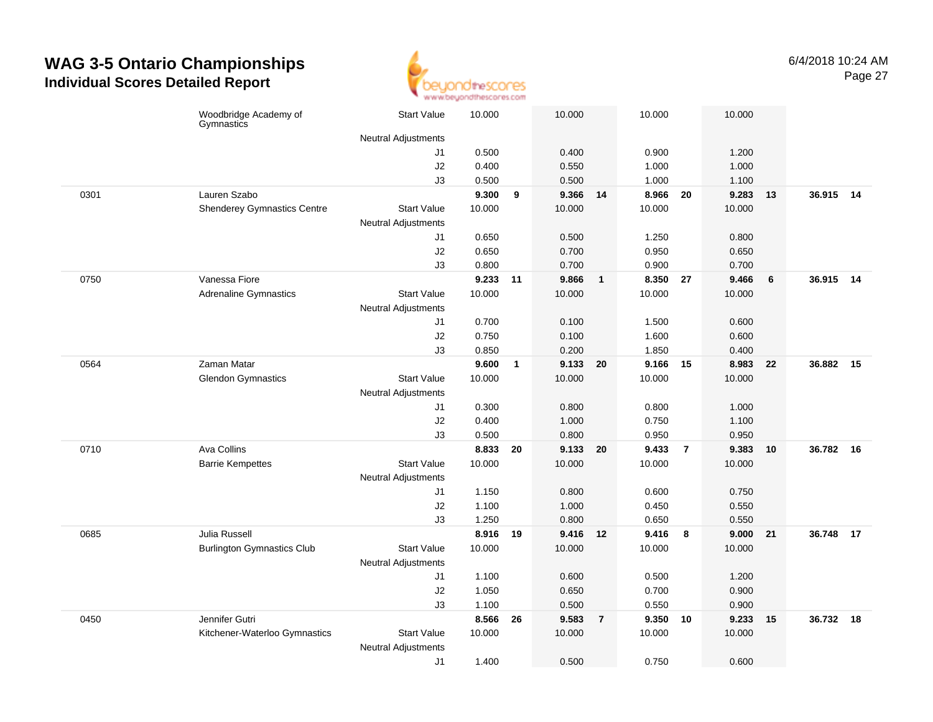

|      | Woodbridge Academy of<br>Gymnastics | <b>Start Value</b>         | 10.000 |              | 10.000   |                | 10.000   |                | 10.000   |      |           |  |
|------|-------------------------------------|----------------------------|--------|--------------|----------|----------------|----------|----------------|----------|------|-----------|--|
|      |                                     | Neutral Adjustments        |        |              |          |                |          |                |          |      |           |  |
|      |                                     | J1                         | 0.500  |              | 0.400    |                | 0.900    |                | 1.200    |      |           |  |
|      |                                     | J2                         | 0.400  |              | 0.550    |                | 1.000    |                | 1.000    |      |           |  |
|      |                                     | J3                         | 0.500  |              | 0.500    |                | 1.000    |                | 1.100    |      |           |  |
| 0301 | Lauren Szabo                        |                            | 9.300  | 9            | 9.366    | 14             | 8.966    | 20             | 9.283    | 13   | 36.915 14 |  |
|      | <b>Shenderey Gymnastics Centre</b>  | <b>Start Value</b>         | 10.000 |              | 10.000   |                | 10.000   |                | 10.000   |      |           |  |
|      |                                     | Neutral Adjustments        |        |              |          |                |          |                |          |      |           |  |
|      |                                     | J1                         | 0.650  |              | 0.500    |                | 1.250    |                | 0.800    |      |           |  |
|      |                                     | J2                         | 0.650  |              | 0.700    |                | 0.950    |                | 0.650    |      |           |  |
|      |                                     | J3                         | 0.800  |              | 0.700    |                | 0.900    |                | 0.700    |      |           |  |
| 0750 | Vanessa Fiore                       |                            | 9.233  | 11           | 9.866    | $\mathbf{1}$   | 8.350 27 |                | 9.466    | 6    | 36.915 14 |  |
|      | <b>Adrenaline Gymnastics</b>        | <b>Start Value</b>         | 10.000 |              | 10.000   |                | 10.000   |                | 10.000   |      |           |  |
|      |                                     | <b>Neutral Adjustments</b> |        |              |          |                |          |                |          |      |           |  |
|      |                                     | J1                         | 0.700  |              | 0.100    |                | 1.500    |                | 0.600    |      |           |  |
|      |                                     | J2                         | 0.750  |              | 0.100    |                | 1.600    |                | 0.600    |      |           |  |
|      |                                     | J3                         | 0.850  |              | 0.200    |                | 1.850    |                | 0.400    |      |           |  |
| 0564 | Zaman Matar                         |                            | 9.600  | $\mathbf{1}$ | 9.133    | 20             | 9.166    | 15             | 8.983    | - 22 | 36.882 15 |  |
|      | <b>Glendon Gymnastics</b>           | <b>Start Value</b>         | 10.000 |              | 10.000   |                | 10.000   |                | 10.000   |      |           |  |
|      |                                     | <b>Neutral Adjustments</b> |        |              |          |                |          |                |          |      |           |  |
|      |                                     | J1                         | 0.300  |              | 0.800    |                | 0.800    |                | 1.000    |      |           |  |
|      |                                     | J2                         | 0.400  |              | 1.000    |                | 0.750    |                | 1.100    |      |           |  |
|      |                                     | J3                         | 0.500  |              | 0.800    |                | 0.950    |                | 0.950    |      |           |  |
| 0710 | Ava Collins                         |                            | 8.833  | 20           | 9.133    | 20             | 9.433    | $\overline{7}$ | 9.383    | 10   | 36.782 16 |  |
|      | <b>Barrie Kempettes</b>             | <b>Start Value</b>         | 10.000 |              | 10.000   |                | 10.000   |                | 10.000   |      |           |  |
|      |                                     | <b>Neutral Adjustments</b> |        |              |          |                |          |                |          |      |           |  |
|      |                                     | J1                         | 1.150  |              | 0.800    |                | 0.600    |                | 0.750    |      |           |  |
|      |                                     | J2                         | 1.100  |              | 1.000    |                | 0.450    |                | 0.550    |      |           |  |
|      |                                     | J3                         | 1.250  |              | 0.800    |                | 0.650    |                | 0.550    |      |           |  |
| 0685 | Julia Russell                       |                            | 8.916  | 19           | 9.416 12 |                | 9.416    | 8              | 9.000 21 |      | 36.748 17 |  |
|      | <b>Burlington Gymnastics Club</b>   | <b>Start Value</b>         | 10.000 |              | 10.000   |                | 10.000   |                | 10.000   |      |           |  |
|      |                                     | Neutral Adjustments        |        |              |          |                |          |                |          |      |           |  |
|      |                                     | J1                         | 1.100  |              | 0.600    |                | 0.500    |                | 1.200    |      |           |  |
|      |                                     | J2                         | 1.050  |              | 0.650    |                | 0.700    |                | 0.900    |      |           |  |
|      |                                     | J3                         | 1.100  |              | 0.500    |                | 0.550    |                | 0.900    |      |           |  |
| 0450 | Jennifer Gutri                      |                            | 8.566  | 26           | 9.583    | $\overline{7}$ | 9.350    | 10             | 9.233    | 15   | 36.732 18 |  |
|      | Kitchener-Waterloo Gymnastics       | <b>Start Value</b>         | 10.000 |              | 10.000   |                | 10.000   |                | 10.000   |      |           |  |
|      |                                     | Neutral Adjustments        |        |              |          |                |          |                |          |      |           |  |
|      |                                     | J1                         | 1.400  |              | 0.500    |                | 0.750    |                | 0.600    |      |           |  |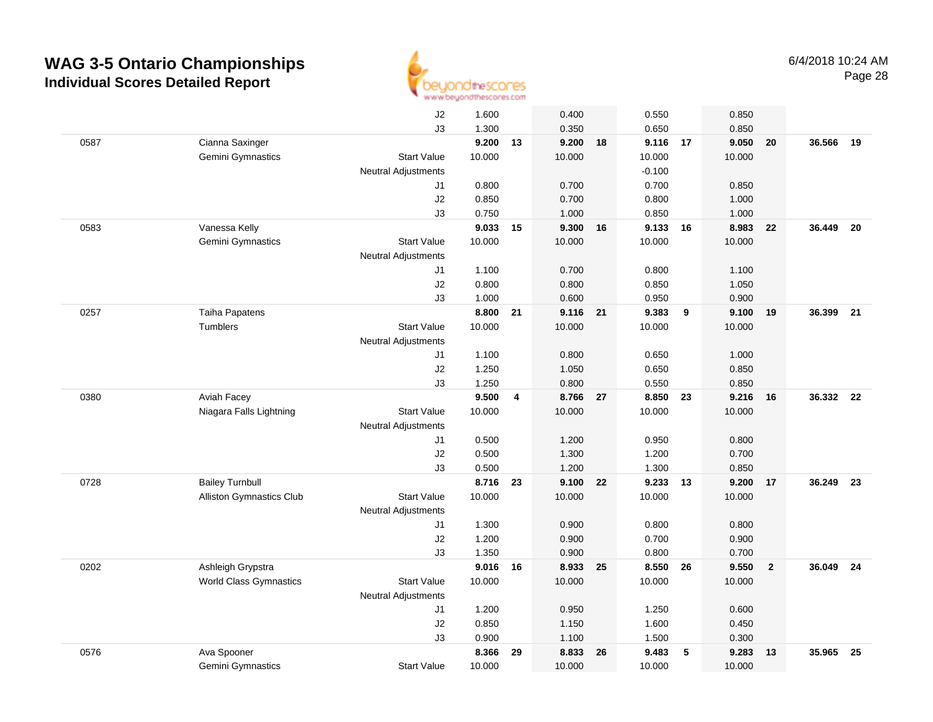

|      |                               | J2                         | 1.600  |    | 0.400    |    | 0.550    |    | 0.850  |                |        |      |
|------|-------------------------------|----------------------------|--------|----|----------|----|----------|----|--------|----------------|--------|------|
|      |                               | J3                         | 1.300  |    | 0.350    |    | 0.650    |    | 0.850  |                |        |      |
| 0587 | Cianna Saxinger               |                            | 9.200  | 13 | 9.200    | 18 | 9.116 17 |    | 9.050  | 20             | 36.566 | - 19 |
|      | Gemini Gymnastics             | <b>Start Value</b>         | 10.000 |    | 10.000   |    | 10.000   |    | 10.000 |                |        |      |
|      |                               | <b>Neutral Adjustments</b> |        |    |          |    | $-0.100$ |    |        |                |        |      |
|      |                               | J1                         | 0.800  |    | 0.700    |    | 0.700    |    | 0.850  |                |        |      |
|      |                               | J2                         | 0.850  |    | 0.700    |    | 0.800    |    | 1.000  |                |        |      |
|      |                               | J3                         | 0.750  |    | 1.000    |    | 0.850    |    | 1.000  |                |        |      |
| 0583 | Vanessa Kelly                 |                            | 9.033  | 15 | 9.300    | 16 | 9.133    | 16 | 8.983  | 22             | 36.449 | - 20 |
|      | Gemini Gymnastics             | <b>Start Value</b>         | 10.000 |    | 10.000   |    | 10.000   |    | 10.000 |                |        |      |
|      |                               | <b>Neutral Adjustments</b> |        |    |          |    |          |    |        |                |        |      |
|      |                               | J1                         | 1.100  |    | 0.700    |    | 0.800    |    | 1.100  |                |        |      |
|      |                               | J2                         | 0.800  |    | 0.800    |    | 0.850    |    | 1.050  |                |        |      |
|      |                               | J3                         | 1.000  |    | 0.600    |    | 0.950    |    | 0.900  |                |        |      |
| 0257 | Taiha Papatens                |                            | 8.800  | 21 | 9.116 21 |    | 9.383    | 9  | 9.100  | 19             | 36.399 | 21   |
|      | <b>Tumblers</b>               | <b>Start Value</b>         | 10.000 |    | 10.000   |    | 10.000   |    | 10.000 |                |        |      |
|      |                               | <b>Neutral Adjustments</b> |        |    |          |    |          |    |        |                |        |      |
|      |                               | J1                         | 1.100  |    | 0.800    |    | 0.650    |    | 1.000  |                |        |      |
|      |                               | J2                         | 1.250  |    | 1.050    |    | 0.650    |    | 0.850  |                |        |      |
|      |                               | J3                         | 1.250  |    | 0.800    |    | 0.550    |    | 0.850  |                |        |      |
| 0380 | Aviah Facey                   |                            | 9.500  | 4  | 8.766    | 27 | 8.850    | 23 | 9.216  | 16             | 36.332 | - 22 |
|      | Niagara Falls Lightning       | <b>Start Value</b>         | 10.000 |    | 10.000   |    | 10.000   |    | 10.000 |                |        |      |
|      |                               | Neutral Adjustments        |        |    |          |    |          |    |        |                |        |      |
|      |                               | J1                         | 0.500  |    | 1.200    |    | 0.950    |    | 0.800  |                |        |      |
|      |                               | J2                         | 0.500  |    | 1.300    |    | 1.200    |    | 0.700  |                |        |      |
|      |                               | J3                         | 0.500  |    | 1.200    |    | 1.300    |    | 0.850  |                |        |      |
| 0728 | <b>Bailey Turnbull</b>        |                            | 8.716  | 23 | 9.100    | 22 | 9.233    | 13 | 9.200  | 17             | 36.249 | 23   |
|      | Alliston Gymnastics Club      | <b>Start Value</b>         | 10.000 |    | 10.000   |    | 10.000   |    | 10.000 |                |        |      |
|      |                               | Neutral Adjustments        |        |    |          |    |          |    |        |                |        |      |
|      |                               | J1                         | 1.300  |    | 0.900    |    | 0.800    |    | 0.800  |                |        |      |
|      |                               | J2                         | 1.200  |    | 0.900    |    | 0.700    |    | 0.900  |                |        |      |
|      |                               | J3                         | 1.350  |    | 0.900    |    | 0.800    |    | 0.700  |                |        |      |
| 0202 | Ashleigh Grypstra             |                            | 9.016  | 16 | 8.933    | 25 | 8.550 26 |    | 9.550  | $\overline{2}$ | 36.049 | - 24 |
|      | <b>World Class Gymnastics</b> | <b>Start Value</b>         | 10.000 |    | 10.000   |    | 10.000   |    | 10.000 |                |        |      |
|      |                               | <b>Neutral Adjustments</b> |        |    |          |    |          |    |        |                |        |      |
|      |                               | J1                         | 1.200  |    | 0.950    |    | 1.250    |    | 0.600  |                |        |      |
|      |                               | J <sub>2</sub>             | 0.850  |    | 1.150    |    | 1.600    |    | 0.450  |                |        |      |
|      |                               | J3                         | 0.900  |    | 1.100    |    | 1.500    |    | 0.300  |                |        |      |
| 0576 | Ava Spooner                   |                            | 8.366  | 29 | 8.833    | 26 | 9.483    | 5  | 9.283  | 13             | 35.965 | 25   |
|      | <b>Gemini Gymnastics</b>      | <b>Start Value</b>         | 10.000 |    | 10.000   |    | 10.000   |    | 10.000 |                |        |      |
|      |                               |                            |        |    |          |    |          |    |        |                |        |      |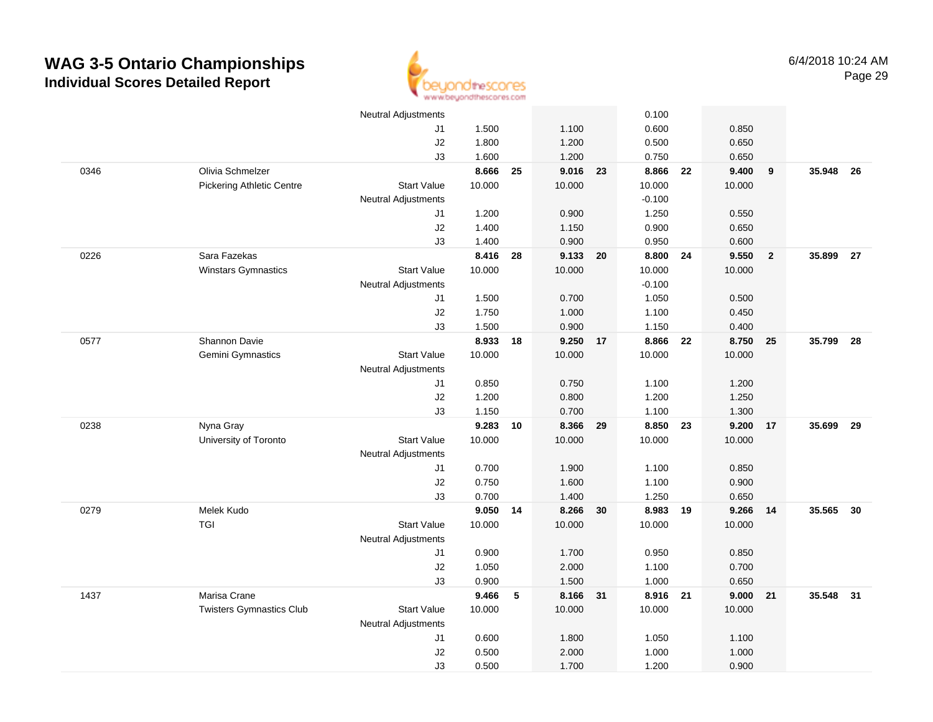

|      |                                  | <b>Neutral Adjustments</b> |          |    |          |    | 0.100    |    |        |                |           |      |
|------|----------------------------------|----------------------------|----------|----|----------|----|----------|----|--------|----------------|-----------|------|
|      |                                  | J1                         | 1.500    |    | 1.100    |    | 0.600    |    | 0.850  |                |           |      |
|      |                                  | J2                         | 1.800    |    | 1.200    |    | 0.500    |    | 0.650  |                |           |      |
|      |                                  | J3                         | 1.600    |    | 1.200    |    | 0.750    |    | 0.650  |                |           |      |
| 0346 | Olivia Schmelzer                 |                            | 8.666    | 25 | 9.016    | 23 | 8.866    | 22 | 9.400  | 9              | 35.948    | - 26 |
|      | <b>Pickering Athletic Centre</b> | <b>Start Value</b>         | 10.000   |    | 10.000   |    | 10.000   |    | 10.000 |                |           |      |
|      |                                  | <b>Neutral Adjustments</b> |          |    |          |    | $-0.100$ |    |        |                |           |      |
|      |                                  | J1                         | 1.200    |    | 0.900    |    | 1.250    |    | 0.550  |                |           |      |
|      |                                  | J2                         | 1.400    |    | 1.150    |    | 0.900    |    | 0.650  |                |           |      |
|      |                                  | J3                         | 1.400    |    | 0.900    |    | 0.950    |    | 0.600  |                |           |      |
| 0226 | Sara Fazekas                     |                            | 8.416    | 28 | 9.133 20 |    | 8.800    | 24 | 9.550  | $\overline{2}$ | 35.899 27 |      |
|      | <b>Winstars Gymnastics</b>       | <b>Start Value</b>         | 10.000   |    | 10.000   |    | 10.000   |    | 10.000 |                |           |      |
|      |                                  | Neutral Adjustments        |          |    |          |    | $-0.100$ |    |        |                |           |      |
|      |                                  | J1                         | 1.500    |    | 0.700    |    | 1.050    |    | 0.500  |                |           |      |
|      |                                  | J2                         | 1.750    |    | 1.000    |    | 1.100    |    | 0.450  |                |           |      |
|      |                                  | J3                         | 1.500    |    | 0.900    |    | 1.150    |    | 0.400  |                |           |      |
| 0577 | Shannon Davie                    |                            | 8.933    | 18 | 9.250 17 |    | 8.866    | 22 | 8.750  | 25             | 35.799 28 |      |
|      | Gemini Gymnastics                | <b>Start Value</b>         | 10.000   |    | 10.000   |    | 10.000   |    | 10.000 |                |           |      |
|      |                                  | <b>Neutral Adjustments</b> |          |    |          |    |          |    |        |                |           |      |
|      |                                  | J1                         | 0.850    |    | 0.750    |    | 1.100    |    | 1.200  |                |           |      |
|      |                                  | J2                         | 1.200    |    | 0.800    |    | 1.200    |    | 1.250  |                |           |      |
|      |                                  | J3                         | 1.150    |    | 0.700    |    | 1.100    |    | 1.300  |                |           |      |
| 0238 | Nyna Gray                        |                            | 9.283    | 10 | 8.366    | 29 | 8.850    | 23 | 9.200  | 17             | 35.699    | 29   |
|      | University of Toronto            | <b>Start Value</b>         | 10.000   |    | 10.000   |    | 10.000   |    | 10.000 |                |           |      |
|      |                                  | <b>Neutral Adjustments</b> |          |    |          |    |          |    |        |                |           |      |
|      |                                  | J1                         | 0.700    |    | 1.900    |    | 1.100    |    | 0.850  |                |           |      |
|      |                                  | J2                         | 0.750    |    | 1.600    |    | 1.100    |    | 0.900  |                |           |      |
|      |                                  | J3                         | 0.700    |    | 1.400    |    | 1.250    |    | 0.650  |                |           |      |
| 0279 | Melek Kudo                       |                            | 9.050 14 |    | 8.266 30 |    | 8.983 19 |    | 9.266  | 14             | 35.565    | 30   |
|      | <b>TGI</b>                       | <b>Start Value</b>         | 10.000   |    | 10.000   |    | 10.000   |    | 10.000 |                |           |      |
|      |                                  | <b>Neutral Adjustments</b> |          |    |          |    |          |    |        |                |           |      |
|      |                                  | J1                         | 0.900    |    | 1.700    |    | 0.950    |    | 0.850  |                |           |      |
|      |                                  | J2                         | 1.050    |    | 2.000    |    | 1.100    |    | 0.700  |                |           |      |
|      |                                  | J3                         | 0.900    |    | 1.500    |    | 1.000    |    | 0.650  |                |           |      |
| 1437 | Marisa Crane                     |                            | 9.466    | 5  | 8.166 31 |    | 8.916 21 |    | 9.000  | 21             | 35.548 31 |      |
|      | <b>Twisters Gymnastics Club</b>  | <b>Start Value</b>         | 10.000   |    | 10.000   |    | 10.000   |    | 10.000 |                |           |      |
|      |                                  | <b>Neutral Adjustments</b> |          |    |          |    |          |    |        |                |           |      |
|      |                                  | J1                         | 0.600    |    | 1.800    |    | 1.050    |    | 1.100  |                |           |      |
|      |                                  | $\sf J2$                   | 0.500    |    | 2.000    |    | 1.000    |    | 1.000  |                |           |      |
|      |                                  | J3                         | 0.500    |    | 1.700    |    | 1.200    |    | 0.900  |                |           |      |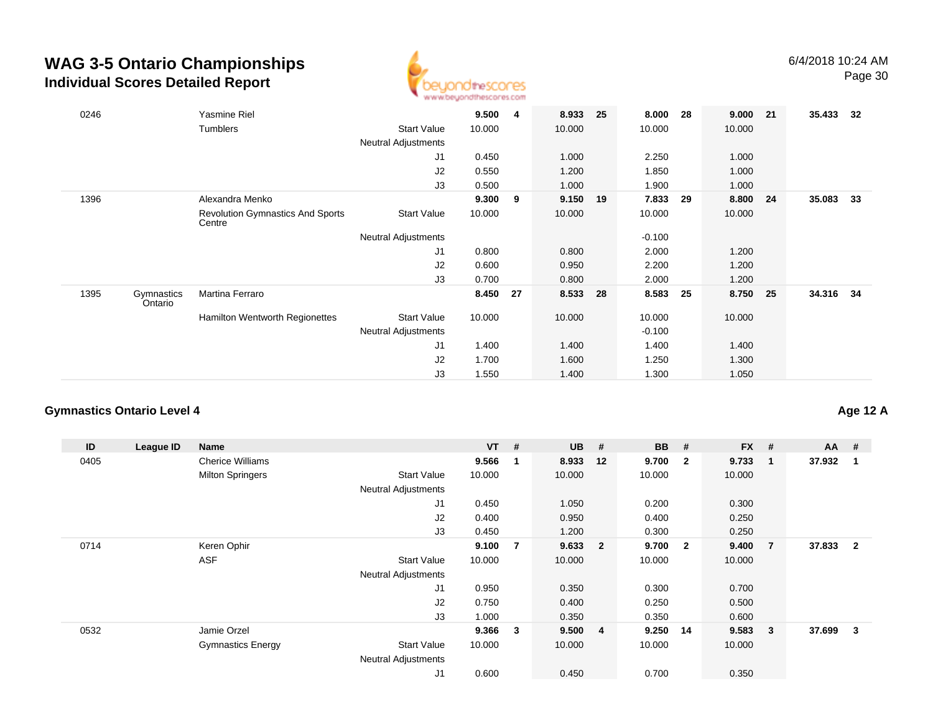

| 0246 |                       | Yasmine Riel                                      |                            | 9.500  | 4  | 8.933  | 25 | 8.000    | 28   | 9.000  | 21   | 35.433 | -32 |
|------|-----------------------|---------------------------------------------------|----------------------------|--------|----|--------|----|----------|------|--------|------|--------|-----|
|      |                       | Tumblers                                          | <b>Start Value</b>         | 10.000 |    | 10.000 |    | 10.000   |      | 10.000 |      |        |     |
|      |                       |                                                   | <b>Neutral Adjustments</b> |        |    |        |    |          |      |        |      |        |     |
|      |                       |                                                   | J1                         | 0.450  |    | 1.000  |    | 2.250    |      | 1.000  |      |        |     |
|      |                       |                                                   | J2                         | 0.550  |    | 1.200  |    | 1.850    |      | 1.000  |      |        |     |
|      |                       |                                                   | J3                         | 0.500  |    | 1.000  |    | 1.900    |      | 1.000  |      |        |     |
| 1396 |                       | Alexandra Menko                                   |                            | 9.300  | 9  | 9.150  | 19 | 7.833    | - 29 | 8.800  | 24   | 35.083 | 33  |
|      |                       | <b>Revolution Gymnastics And Sports</b><br>Centre | <b>Start Value</b>         | 10.000 |    | 10.000 |    | 10.000   |      | 10.000 |      |        |     |
|      |                       |                                                   | Neutral Adjustments        |        |    |        |    | $-0.100$ |      |        |      |        |     |
|      |                       |                                                   | J1                         | 0.800  |    | 0.800  |    | 2.000    |      | 1.200  |      |        |     |
|      |                       |                                                   | J2                         | 0.600  |    | 0.950  |    | 2.200    |      | 1.200  |      |        |     |
|      |                       |                                                   | J3                         | 0.700  |    | 0.800  |    | 2.000    |      | 1.200  |      |        |     |
| 1395 | Gymnastics<br>Ontario | Martina Ferraro                                   |                            | 8.450  | 27 | 8.533  | 28 | 8.583    | 25   | 8.750  | - 25 | 34.316 | 34  |
|      |                       | <b>Hamilton Wentworth Regionettes</b>             | <b>Start Value</b>         | 10.000 |    | 10.000 |    | 10.000   |      | 10.000 |      |        |     |
|      |                       |                                                   | Neutral Adjustments        |        |    |        |    | $-0.100$ |      |        |      |        |     |
|      |                       |                                                   | J1                         | 1.400  |    | 1.400  |    | 1.400    |      | 1.400  |      |        |     |
|      |                       |                                                   | J2                         | 1.700  |    | 1.600  |    | 1.250    |      | 1.300  |      |        |     |
|      |                       |                                                   | J3                         | 1.550  |    | 1.400  |    | 1.300    |      | 1.050  |      |        |     |

#### **Gymnastics Ontario Level 4**

**Age 12 A**

| ID   | League ID | Name                     |                            | $VT$ # |   | <b>UB</b> | #                       | <b>BB</b> | #                       | <b>FX</b> | #              | $AA$ # |                |
|------|-----------|--------------------------|----------------------------|--------|---|-----------|-------------------------|-----------|-------------------------|-----------|----------------|--------|----------------|
| 0405 |           | <b>Cherice Williams</b>  |                            | 9.566  | 1 | 8.933     | 12                      | 9.700     | $\overline{\mathbf{2}}$ | 9.733     | 1              | 37.932 | 1              |
|      |           | <b>Milton Springers</b>  | <b>Start Value</b>         | 10.000 |   | 10.000    |                         | 10.000    |                         | 10.000    |                |        |                |
|      |           |                          | <b>Neutral Adjustments</b> |        |   |           |                         |           |                         |           |                |        |                |
|      |           |                          | J1                         | 0.450  |   | 1.050     |                         | 0.200     |                         | 0.300     |                |        |                |
|      |           |                          | J2                         | 0.400  |   | 0.950     |                         | 0.400     |                         | 0.250     |                |        |                |
|      |           |                          | J3                         | 0.450  |   | 1.200     |                         | 0.300     |                         | 0.250     |                |        |                |
| 0714 |           | Keren Ophir              |                            | 9.100  | 7 | 9.633     | $\overline{\mathbf{2}}$ | 9.700     | $\overline{\mathbf{2}}$ | 9.400     | $\overline{7}$ | 37.833 | $\overline{2}$ |
|      |           | <b>ASF</b>               | <b>Start Value</b>         | 10.000 |   | 10.000    |                         | 10.000    |                         | 10.000    |                |        |                |
|      |           |                          | <b>Neutral Adjustments</b> |        |   |           |                         |           |                         |           |                |        |                |
|      |           |                          | J1                         | 0.950  |   | 0.350     |                         | 0.300     |                         | 0.700     |                |        |                |
|      |           |                          | J2                         | 0.750  |   | 0.400     |                         | 0.250     |                         | 0.500     |                |        |                |
|      |           |                          | J3                         | 1.000  |   | 0.350     |                         | 0.350     |                         | 0.600     |                |        |                |
| 0532 |           | Jamie Orzel              |                            | 9.366  | 3 | 9.5004    |                         | 9.250     | 14                      | 9.583     | 3              | 37.699 | 3              |
|      |           | <b>Gymnastics Energy</b> | <b>Start Value</b>         | 10.000 |   | 10.000    |                         | 10.000    |                         | 10.000    |                |        |                |
|      |           |                          | <b>Neutral Adjustments</b> |        |   |           |                         |           |                         |           |                |        |                |
|      |           |                          | J1                         | 0.600  |   | 0.450     |                         | 0.700     |                         | 0.350     |                |        |                |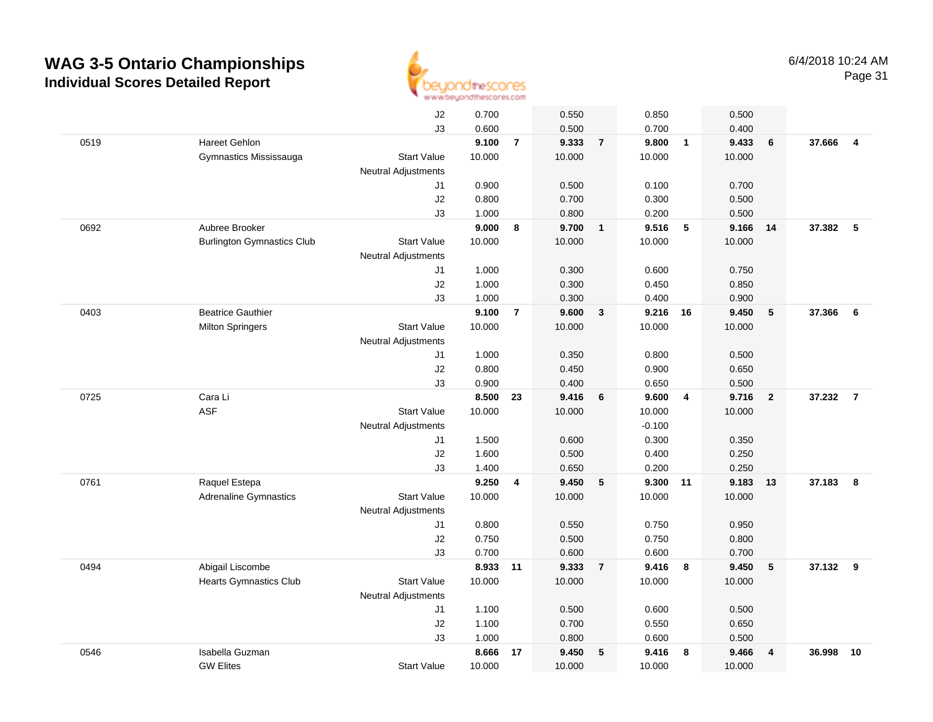

|      |                                   | J2                         | 0.700          |                | 0.550          |                | 0.850             |                         | 0.500          |                         |          |                |
|------|-----------------------------------|----------------------------|----------------|----------------|----------------|----------------|-------------------|-------------------------|----------------|-------------------------|----------|----------------|
|      |                                   | J3                         | 0.600          |                | 0.500          |                | 0.700             |                         | 0.400          |                         |          |                |
| 0519 | <b>Hareet Gehlon</b>              |                            | 9.100          | $\overline{7}$ | 9.333          | $\overline{7}$ | 9.800             | $\overline{1}$          | 9.433          | 6                       | 37.666   | $\overline{4}$ |
|      | Gymnastics Mississauga            | <b>Start Value</b>         | 10.000         |                | 10.000         |                | 10.000            |                         | 10.000         |                         |          |                |
|      |                                   | <b>Neutral Adjustments</b> |                |                |                |                |                   |                         |                |                         |          |                |
|      |                                   | J1                         | 0.900          |                | 0.500          |                | 0.100             |                         | 0.700          |                         |          |                |
|      |                                   | J2                         | 0.800          |                | 0.700          |                | 0.300             |                         | 0.500          |                         |          |                |
|      |                                   | J3                         | 1.000          |                | 0.800          |                | 0.200             |                         | 0.500          |                         |          |                |
| 0692 | Aubree Brooker                    |                            | 9.000          | 8              | 9.700          | $\mathbf{1}$   | 9.516             | $5\phantom{.0}$         | 9.166          | 14                      | 37.382   | $-5$           |
|      | <b>Burlington Gymnastics Club</b> | <b>Start Value</b>         | 10.000         |                | 10.000         |                | 10.000            |                         | 10.000         |                         |          |                |
|      |                                   | <b>Neutral Adjustments</b> |                |                |                |                |                   |                         |                |                         |          |                |
|      |                                   | J1                         | 1.000          |                | 0.300          |                | 0.600             |                         | 0.750          |                         |          |                |
|      |                                   | J2                         | 1.000          |                | 0.300          |                | 0.450             |                         | 0.850          |                         |          |                |
|      |                                   | J3                         | 1.000          |                | 0.300          |                | 0.400             |                         | 0.900          |                         |          |                |
| 0403 | <b>Beatrice Gauthier</b>          |                            | 9.100          | $\overline{7}$ | 9.600          | $\mathbf{3}$   | 9.216 16          |                         | 9.450          | 5                       | 37.366   | 6              |
|      | <b>Milton Springers</b>           | <b>Start Value</b>         | 10.000         |                | 10.000         |                | 10.000            |                         | 10.000         |                         |          |                |
|      |                                   | <b>Neutral Adjustments</b> |                |                |                |                |                   |                         |                |                         |          |                |
|      |                                   | J1                         | 1.000          |                | 0.350          |                | 0.800             |                         | 0.500          |                         |          |                |
|      |                                   | J2                         | 0.800          |                | 0.450          |                | 0.900             |                         | 0.650          |                         |          |                |
|      |                                   | J3                         | 0.900          |                | 0.400          |                | 0.650             |                         | 0.500          |                         |          |                |
| 0725 | Cara Li                           |                            | 8.500          | 23             | 9.416          | 6              | 9.600             | $\overline{4}$          | 9.716          | $\overline{\mathbf{2}}$ | 37.232   | $\overline{7}$ |
|      | <b>ASF</b>                        | <b>Start Value</b>         | 10.000         |                | 10.000         |                | 10.000            |                         | 10.000         |                         |          |                |
|      |                                   | <b>Neutral Adjustments</b> |                |                |                |                | $-0.100$          |                         |                |                         |          |                |
|      |                                   | J1                         | 1.500          |                | 0.600          |                | 0.300             |                         | 0.350          |                         |          |                |
|      |                                   | J2                         | 1.600          |                | 0.500          |                | 0.400             |                         | 0.250          |                         |          |                |
| 0761 | Raquel Estepa                     | J3                         | 1.400<br>9.250 | 4              | 0.650<br>9.450 | 5              | 0.200<br>9.300 11 |                         | 0.250<br>9.183 | 13                      | 37.183   | 8              |
|      | <b>Adrenaline Gymnastics</b>      | <b>Start Value</b>         | 10.000         |                | 10.000         |                | 10.000            |                         | 10.000         |                         |          |                |
|      |                                   | <b>Neutral Adjustments</b> |                |                |                |                |                   |                         |                |                         |          |                |
|      |                                   | J1                         | 0.800          |                | 0.550          |                | 0.750             |                         | 0.950          |                         |          |                |
|      |                                   | J2                         | 0.750          |                | 0.500          |                | 0.750             |                         | 0.800          |                         |          |                |
|      |                                   | J3                         | 0.700          |                | 0.600          |                | 0.600             |                         | 0.700          |                         |          |                |
| 0494 | Abigail Liscombe                  |                            | 8.933 11       |                | 9.333          | $\overline{7}$ | 9.416             | $\overline{\mathbf{8}}$ | 9.450          | 5                       | 37.132 9 |                |
|      | <b>Hearts Gymnastics Club</b>     | <b>Start Value</b>         | 10.000         |                | 10.000         |                | 10.000            |                         | 10.000         |                         |          |                |
|      |                                   | <b>Neutral Adjustments</b> |                |                |                |                |                   |                         |                |                         |          |                |
|      |                                   | J1                         | 1.100          |                | 0.500          |                | 0.600             |                         | 0.500          |                         |          |                |
|      |                                   | J2                         | 1.100          |                | 0.700          |                | 0.550             |                         | 0.650          |                         |          |                |
|      |                                   | J3                         | 1.000          |                | 0.800          |                | 0.600             |                         | 0.500          |                         |          |                |
| 0546 | Isabella Guzman                   |                            | 8.666          | 17             | 9.450          | 5              | 9.416             | 8                       | 9.466          | $\overline{4}$          | 36.998   | 10             |
|      | <b>GW Elites</b>                  | <b>Start Value</b>         | 10.000         |                | 10.000         |                | 10.000            |                         | 10.000         |                         |          |                |
|      |                                   |                            |                |                |                |                |                   |                         |                |                         |          |                |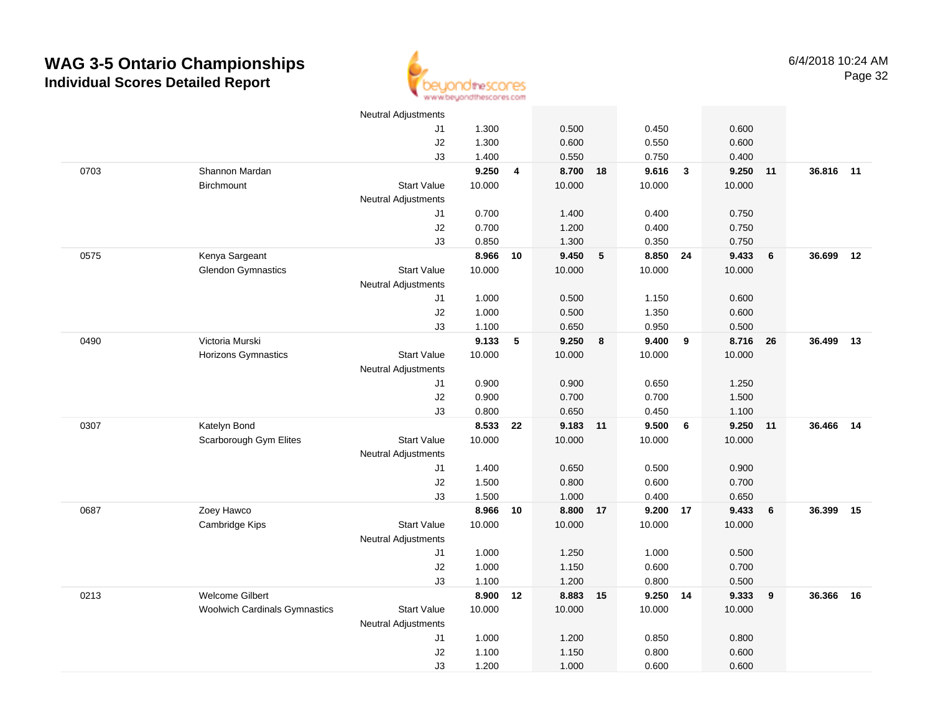

|      |                                      | <b>Neutral Adjustments</b> |        |                         |        |    |          |              |        |    |           |    |
|------|--------------------------------------|----------------------------|--------|-------------------------|--------|----|----------|--------------|--------|----|-----------|----|
|      |                                      | J1                         | 1.300  |                         | 0.500  |    | 0.450    |              | 0.600  |    |           |    |
|      |                                      | J2                         | 1.300  |                         | 0.600  |    | 0.550    |              | 0.600  |    |           |    |
|      |                                      | J3                         | 1.400  |                         | 0.550  |    | 0.750    |              | 0.400  |    |           |    |
| 0703 | Shannon Mardan                       |                            | 9.250  | $\overline{\mathbf{4}}$ | 8.700  | 18 | 9.616    | $\mathbf{3}$ | 9.250  | 11 | 36.816 11 |    |
|      | <b>Birchmount</b>                    | <b>Start Value</b>         | 10.000 |                         | 10.000 |    | 10.000   |              | 10.000 |    |           |    |
|      |                                      | Neutral Adjustments        |        |                         |        |    |          |              |        |    |           |    |
|      |                                      | J1                         | 0.700  |                         | 1.400  |    | 0.400    |              | 0.750  |    |           |    |
|      |                                      | J2                         | 0.700  |                         | 1.200  |    | 0.400    |              | 0.750  |    |           |    |
|      |                                      | J3                         | 0.850  |                         | 1.300  |    | 0.350    |              | 0.750  |    |           |    |
| 0575 | Kenya Sargeant                       |                            | 8.966  | 10                      | 9.450  | 5  | 8.850 24 |              | 9.433  | 6  | 36.699    | 12 |
|      | <b>Glendon Gymnastics</b>            | <b>Start Value</b>         | 10.000 |                         | 10.000 |    | 10.000   |              | 10.000 |    |           |    |
|      |                                      | Neutral Adjustments        |        |                         |        |    |          |              |        |    |           |    |
|      |                                      | J1                         | 1.000  |                         | 0.500  |    | 1.150    |              | 0.600  |    |           |    |
|      |                                      | J2                         | 1.000  |                         | 0.500  |    | 1.350    |              | 0.600  |    |           |    |
|      |                                      | J3                         | 1.100  |                         | 0.650  |    | 0.950    |              | 0.500  |    |           |    |
| 0490 | Victoria Murski                      |                            | 9.133  | $\sqrt{5}$              | 9.250  | 8  | 9.400    | 9            | 8.716  | 26 | 36.499    | 13 |
|      | Horizons Gymnastics                  | <b>Start Value</b>         | 10.000 |                         | 10.000 |    | 10.000   |              | 10.000 |    |           |    |
|      |                                      | <b>Neutral Adjustments</b> |        |                         |        |    |          |              |        |    |           |    |
|      |                                      | J1                         | 0.900  |                         | 0.900  |    | 0.650    |              | 1.250  |    |           |    |
|      |                                      | J2                         | 0.900  |                         | 0.700  |    | 0.700    |              | 1.500  |    |           |    |
|      |                                      | J3                         | 0.800  |                         | 0.650  |    | 0.450    |              | 1.100  |    |           |    |
| 0307 | Katelyn Bond                         |                            | 8.533  | 22                      | 9.183  | 11 | 9.500    | 6            | 9.250  | 11 | 36.466    | 14 |
|      | Scarborough Gym Elites               | <b>Start Value</b>         | 10.000 |                         | 10.000 |    | 10.000   |              | 10.000 |    |           |    |
|      |                                      | <b>Neutral Adjustments</b> |        |                         |        |    |          |              |        |    |           |    |
|      |                                      | J1                         | 1.400  |                         | 0.650  |    | 0.500    |              | 0.900  |    |           |    |
|      |                                      | J2                         | 1.500  |                         | 0.800  |    | 0.600    |              | 0.700  |    |           |    |
|      |                                      | J3                         | 1.500  |                         | 1.000  |    | 0.400    |              | 0.650  |    |           |    |
| 0687 | Zoey Hawco                           |                            | 8.966  | 10                      | 8.800  | 17 | 9.200    | 17           | 9.433  | 6  | 36.399    | 15 |
|      | Cambridge Kips                       | <b>Start Value</b>         | 10.000 |                         | 10.000 |    | 10.000   |              | 10.000 |    |           |    |
|      |                                      | <b>Neutral Adjustments</b> |        |                         |        |    |          |              |        |    |           |    |
|      |                                      | J1                         | 1.000  |                         | 1.250  |    | 1.000    |              | 0.500  |    |           |    |
|      |                                      | J2                         | 1.000  |                         | 1.150  |    | 0.600    |              | 0.700  |    |           |    |
|      |                                      | J3                         | 1.100  |                         | 1.200  |    | 0.800    |              | 0.500  |    |           |    |
| 0213 | <b>Welcome Gilbert</b>               |                            | 8.900  | 12                      | 8.883  | 15 | 9.250    | 14           | 9.333  | 9  | 36.366    | 16 |
|      | <b>Woolwich Cardinals Gymnastics</b> | <b>Start Value</b>         | 10.000 |                         | 10.000 |    | 10.000   |              | 10.000 |    |           |    |
|      |                                      | <b>Neutral Adjustments</b> |        |                         |        |    |          |              |        |    |           |    |
|      |                                      | J1                         | 1.000  |                         | 1.200  |    | 0.850    |              | 0.800  |    |           |    |
|      |                                      | J2                         | 1.100  |                         | 1.150  |    | 0.800    |              | 0.600  |    |           |    |
|      |                                      | J3                         | 1.200  |                         | 1.000  |    | 0.600    |              | 0.600  |    |           |    |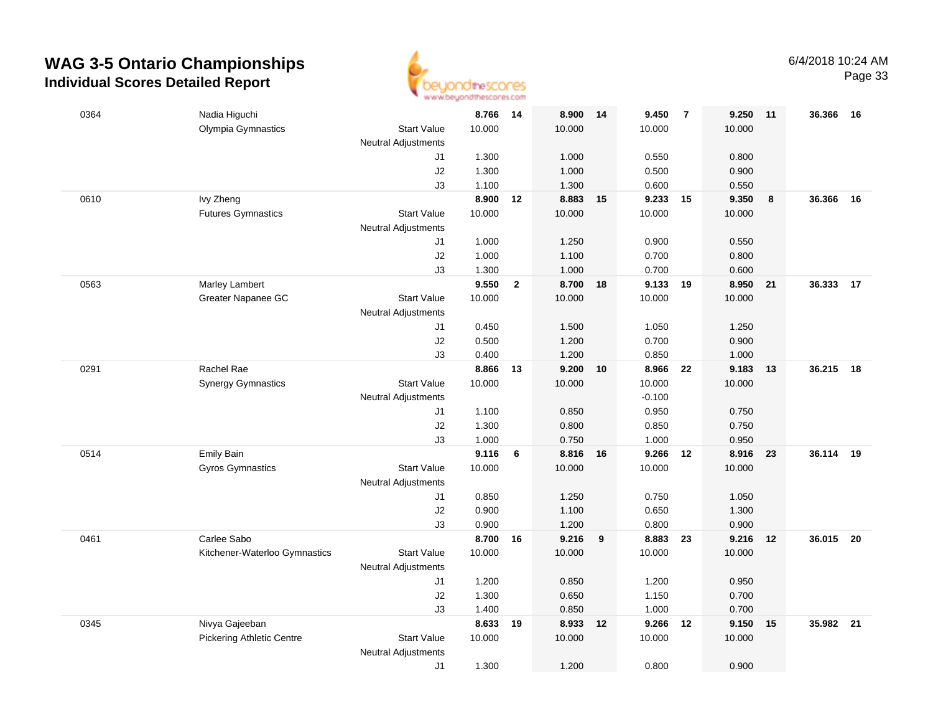

| 0364 | Nadia Higuchi                    |                            | 8.766 14       |                | 8.900          | 14 | 9.450          | $\overline{7}$ | 9.250          | 11 | 36.366    | - 16 |
|------|----------------------------------|----------------------------|----------------|----------------|----------------|----|----------------|----------------|----------------|----|-----------|------|
|      | Olympia Gymnastics               | <b>Start Value</b>         | 10.000         |                | 10.000         |    | 10.000         |                | 10.000         |    |           |      |
|      |                                  | <b>Neutral Adjustments</b> |                |                |                |    |                |                |                |    |           |      |
|      |                                  | J1                         | 1.300          |                | 1.000          |    | 0.550          |                | 0.800          |    |           |      |
|      |                                  | J2                         | 1.300          |                | 1.000          |    | 0.500          |                | 0.900          |    |           |      |
|      |                                  | J3                         | 1.100          |                | 1.300          |    | 0.600          |                | 0.550          |    |           |      |
| 0610 | Ivy Zheng                        |                            | 8.900          | 12             | 8.883          | 15 | 9.233          | 15             | 9.350          | 8  | 36.366    | 16   |
|      | <b>Futures Gymnastics</b>        | <b>Start Value</b>         | 10.000         |                | 10.000         |    | 10.000         |                | 10.000         |    |           |      |
|      |                                  | <b>Neutral Adjustments</b> |                |                |                |    |                |                |                |    |           |      |
|      |                                  | J1                         | 1.000          |                | 1.250          |    | 0.900          |                | 0.550          |    |           |      |
|      |                                  | J2                         | 1.000          |                | 1.100          |    | 0.700          |                | 0.800          |    |           |      |
|      |                                  | J3                         | 1.300          |                | 1.000          |    | 0.700          |                | 0.600          |    |           |      |
| 0563 | Marley Lambert                   |                            | 9.550          | $\overline{2}$ | 8.700          | 18 | 9.133          | - 19           | 8.950          | 21 | 36.333    | 17   |
|      | Greater Napanee GC               | <b>Start Value</b>         | 10.000         |                | 10.000         |    | 10.000         |                | 10.000         |    |           |      |
|      |                                  | <b>Neutral Adjustments</b> |                |                |                |    |                |                |                |    |           |      |
|      |                                  | J1                         | 0.450          |                | 1.500          |    | 1.050          |                | 1.250          |    |           |      |
|      |                                  | J2                         | 0.500          |                | 1.200          |    | 0.700          |                | 0.900          |    |           |      |
|      |                                  | J3                         | 0.400          |                | 1.200          |    | 0.850          |                | 1.000          |    |           |      |
| 0291 | Rachel Rae                       |                            | 8.866 13       |                | 9.200          | 10 | 8.966          | - 22           | 9.183          | 13 | 36.215    | 18   |
|      | <b>Synergy Gymnastics</b>        | <b>Start Value</b>         | 10.000         |                | 10.000         |    | 10.000         |                | 10.000         |    |           |      |
|      |                                  | <b>Neutral Adjustments</b> |                |                |                |    | $-0.100$       |                |                |    |           |      |
|      |                                  | J1                         | 1.100          |                | 0.850          |    | 0.950          |                | 0.750          |    |           |      |
|      |                                  | J2                         | 1.300          |                | 0.800          |    | 0.850          |                | 0.750          |    |           |      |
|      |                                  | J3                         | 1.000          |                | 0.750          |    | 1.000          |                | 0.950          |    |           |      |
| 0514 | Emily Bain                       |                            | 9.116          | 6              | 8.816          | 16 | 9.266          | 12             | 8.916          | 23 | 36.114    | 19   |
|      | <b>Gyros Gymnastics</b>          | <b>Start Value</b>         | 10.000         |                | 10.000         |    | 10.000         |                | 10.000         |    |           |      |
|      |                                  | <b>Neutral Adjustments</b> |                |                |                |    |                |                |                |    |           |      |
|      |                                  | J1                         | 0.850          |                | 1.250          |    | 0.750          |                | 1.050          |    |           |      |
|      |                                  | J2                         | 0.900<br>0.900 |                | 1.100<br>1.200 |    | 0.650<br>0.800 |                | 1.300<br>0.900 |    |           |      |
| 0461 | Carlee Sabo                      | J3                         | 8.700 16       |                | 9.216          | 9  | 8.883          | 23             | 9.216          | 12 | 36.015 20 |      |
|      | Kitchener-Waterloo Gymnastics    | <b>Start Value</b>         | 10.000         |                | 10.000         |    | 10.000         |                | 10.000         |    |           |      |
|      |                                  | <b>Neutral Adjustments</b> |                |                |                |    |                |                |                |    |           |      |
|      |                                  | J1                         | 1.200          |                | 0.850          |    | 1.200          |                | 0.950          |    |           |      |
|      |                                  | J2                         | 1.300          |                | 0.650          |    | 1.150          |                | 0.700          |    |           |      |
|      |                                  | J3                         | 1.400          |                | 0.850          |    | 1.000          |                | 0.700          |    |           |      |
| 0345 | Nivya Gajeeban                   |                            | 8.633          | 19             | 8.933          | 12 | 9.266          | 12             | 9.150          | 15 | 35.982 21 |      |
|      | <b>Pickering Athletic Centre</b> | <b>Start Value</b>         | 10.000         |                | 10.000         |    | 10.000         |                | 10.000         |    |           |      |
|      |                                  | <b>Neutral Adjustments</b> |                |                |                |    |                |                |                |    |           |      |
|      |                                  | J1                         | 1.300          |                | 1.200          |    | 0.800          |                | 0.900          |    |           |      |
|      |                                  |                            |                |                |                |    |                |                |                |    |           |      |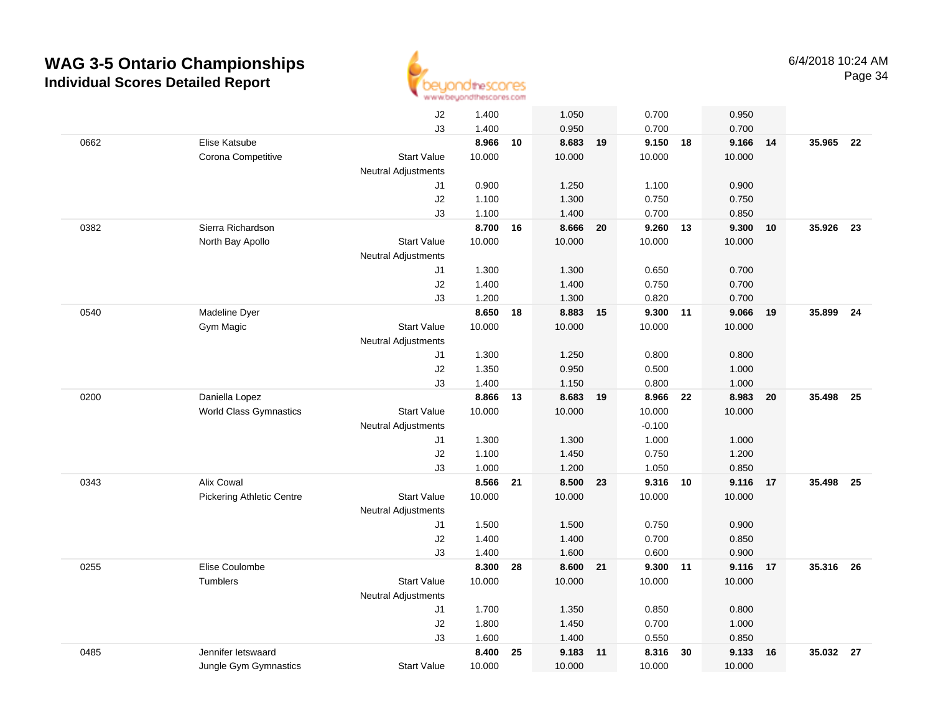

|      |                                  | J2                         | 1.400  |    | 1.050    |    | 0.700    |    | 0.950    |    |           |    |
|------|----------------------------------|----------------------------|--------|----|----------|----|----------|----|----------|----|-----------|----|
|      |                                  | J3                         | 1.400  |    | 0.950    |    | 0.700    |    | 0.700    |    |           |    |
| 0662 | Elise Katsube                    |                            | 8.966  | 10 | 8.683    | 19 | 9.150    | 18 | 9.166 14 |    | 35.965    | 22 |
|      | Corona Competitive               | <b>Start Value</b>         | 10.000 |    | 10.000   |    | 10.000   |    | 10.000   |    |           |    |
|      |                                  | <b>Neutral Adjustments</b> |        |    |          |    |          |    |          |    |           |    |
|      |                                  | J1                         | 0.900  |    | 1.250    |    | 1.100    |    | 0.900    |    |           |    |
|      |                                  | J2                         | 1.100  |    | 1.300    |    | 0.750    |    | 0.750    |    |           |    |
|      |                                  | J3                         | 1.100  |    | 1.400    |    | 0.700    |    | 0.850    |    |           |    |
| 0382 | Sierra Richardson                |                            | 8.700  | 16 | 8.666    | 20 | 9.260    | 13 | 9.300    | 10 | 35.926    | 23 |
|      | North Bay Apollo                 | <b>Start Value</b>         | 10.000 |    | 10.000   |    | 10.000   |    | 10.000   |    |           |    |
|      |                                  | <b>Neutral Adjustments</b> |        |    |          |    |          |    |          |    |           |    |
|      |                                  | J1                         | 1.300  |    | 1.300    |    | 0.650    |    | 0.700    |    |           |    |
|      |                                  | J2                         | 1.400  |    | 1.400    |    | 0.750    |    | 0.700    |    |           |    |
|      |                                  | J3                         | 1.200  |    | 1.300    |    | 0.820    |    | 0.700    |    |           |    |
| 0540 | Madeline Dyer                    |                            | 8.650  | 18 | 8.883 15 |    | 9.300 11 |    | 9.066 19 |    | 35,899    | 24 |
|      | Gym Magic                        | <b>Start Value</b>         | 10.000 |    | 10.000   |    | 10.000   |    | 10.000   |    |           |    |
|      |                                  | <b>Neutral Adjustments</b> |        |    |          |    |          |    |          |    |           |    |
|      |                                  | J1                         | 1.300  |    | 1.250    |    | 0.800    |    | 0.800    |    |           |    |
|      |                                  | J2                         | 1.350  |    | 0.950    |    | 0.500    |    | 1.000    |    |           |    |
|      |                                  | J3                         | 1.400  |    | 1.150    |    | 0.800    |    | 1.000    |    |           |    |
| 0200 | Daniella Lopez                   |                            | 8.866  | 13 | 8.683    | 19 | 8.966    | 22 | 8.983    | 20 | 35.498    | 25 |
|      | <b>World Class Gymnastics</b>    | <b>Start Value</b>         | 10.000 |    | 10.000   |    | 10.000   |    | 10.000   |    |           |    |
|      |                                  | <b>Neutral Adjustments</b> |        |    |          |    | $-0.100$ |    |          |    |           |    |
|      |                                  | J1                         | 1.300  |    | 1.300    |    | 1.000    |    | 1.000    |    |           |    |
|      |                                  | J2                         | 1.100  |    | 1.450    |    | 0.750    |    | 1.200    |    |           |    |
|      |                                  | J3                         | 1.000  |    | 1.200    |    | 1.050    |    | 0.850    |    |           |    |
| 0343 | <b>Alix Cowal</b>                |                            | 8.566  | 21 | 8.500    | 23 | 9.316 10 |    | 9.116 17 |    | 35.498 25 |    |
|      | <b>Pickering Athletic Centre</b> | <b>Start Value</b>         | 10.000 |    | 10.000   |    | 10.000   |    | 10.000   |    |           |    |
|      |                                  | <b>Neutral Adjustments</b> |        |    |          |    |          |    |          |    |           |    |
|      |                                  | J1                         | 1.500  |    | 1.500    |    | 0.750    |    | 0.900    |    |           |    |
|      |                                  | J2                         | 1.400  |    | 1.400    |    | 0.700    |    | 0.850    |    |           |    |
|      |                                  | J3                         | 1.400  |    | 1.600    |    | 0.600    |    | 0.900    |    |           |    |
| 0255 | Elise Coulombe                   |                            | 8.300  | 28 | 8.600    | 21 | 9.300 11 |    | 9.116 17 |    | 35.316 26 |    |
|      | Tumblers                         | <b>Start Value</b>         | 10.000 |    | 10.000   |    | 10.000   |    | 10.000   |    |           |    |
|      |                                  | <b>Neutral Adjustments</b> |        |    |          |    |          |    |          |    |           |    |
|      |                                  | J1                         | 1.700  |    | 1.350    |    | 0.850    |    | 0.800    |    |           |    |
|      |                                  | J2                         | 1.800  |    | 1.450    |    | 0.700    |    | 1.000    |    |           |    |
|      |                                  | J3                         | 1.600  |    | 1.400    |    | 0.550    |    | 0.850    |    |           |    |
| 0485 | Jennifer letswaard               |                            | 8.400  | 25 | 9.183    | 11 | 8.316    | 30 | 9.133    | 16 | 35.032    | 27 |
|      | Jungle Gym Gymnastics            | <b>Start Value</b>         | 10.000 |    | 10.000   |    | 10.000   |    | 10.000   |    |           |    |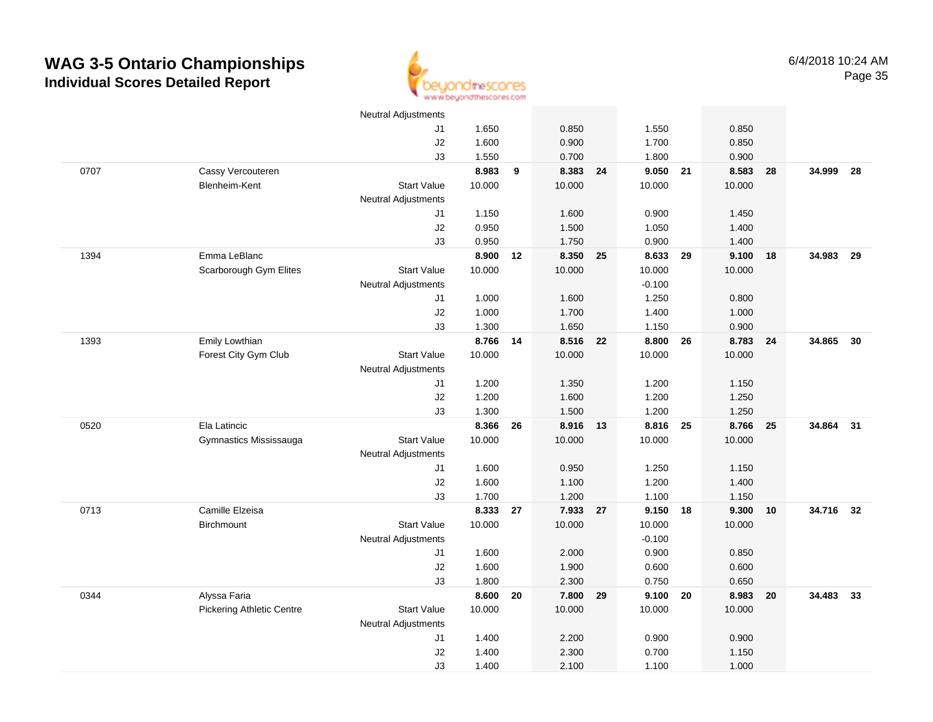

|      |                                  | <b>Neutral Adjustments</b> |                |    |                |    |                |    |                |     |           |      |
|------|----------------------------------|----------------------------|----------------|----|----------------|----|----------------|----|----------------|-----|-----------|------|
|      |                                  | J1                         | 1.650          |    | 0.850          |    | 1.550          |    | 0.850          |     |           |      |
|      |                                  | J2                         | 1.600          |    | 0.900          |    | 1.700          |    | 0.850          |     |           |      |
|      |                                  | J3                         | 1.550          |    | 0.700          |    | 1.800          |    | 0.900          |     |           |      |
| 0707 | Cassy Vercouteren                |                            | 8.983          | 9  | 8.383 24       |    | 9.050 21       |    | 8.583          | 28  | 34.999    | 28   |
|      | Blenheim-Kent                    | <b>Start Value</b>         | 10.000         |    | 10.000         |    | 10.000         |    | 10.000         |     |           |      |
|      |                                  | <b>Neutral Adjustments</b> |                |    |                |    |                |    |                |     |           |      |
|      |                                  | J1                         | 1.150          |    | 1.600          |    | 0.900          |    | 1.450          |     |           |      |
|      |                                  | J2                         | 0.950          |    | 1.500          |    | 1.050          |    | 1.400          |     |           |      |
|      |                                  | J3                         | 0.950          |    | 1.750          |    | 0.900          |    | 1.400          |     |           |      |
| 1394 | Emma LeBlanc                     |                            | 8.900          | 12 | 8.350          | 25 | 8.633          | 29 | 9.100          | -18 | 34.983    | - 29 |
|      | Scarborough Gym Elites           | <b>Start Value</b>         | 10.000         |    | 10.000         |    | 10.000         |    | 10.000         |     |           |      |
|      |                                  | <b>Neutral Adjustments</b> |                |    |                |    | $-0.100$       |    |                |     |           |      |
|      |                                  | J1                         | 1.000          |    | 1.600          |    | 1.250          |    | 0.800          |     |           |      |
|      |                                  | J2                         | 1.000          |    | 1.700          |    | 1.400          |    | 1.000          |     |           |      |
|      |                                  | J3                         | 1.300          |    | 1.650          |    | 1.150          |    | 0.900          |     |           |      |
| 1393 | Emily Lowthian                   |                            | 8.766          | 14 | 8.516 22       |    | 8.800          | 26 | 8.783          | 24  | 34.865    | 30   |
|      | Forest City Gym Club             | <b>Start Value</b>         | 10.000         |    | 10.000         |    | 10.000         |    | 10.000         |     |           |      |
|      |                                  | <b>Neutral Adjustments</b> |                |    |                |    |                |    |                |     |           |      |
|      |                                  | J1                         | 1.200          |    | 1.350          |    | 1.200          |    | 1.150          |     |           |      |
|      |                                  | J2                         | 1.200          |    | 1.600          |    | 1.200          |    | 1.250          |     |           |      |
|      |                                  | J3                         | 1.300          |    | 1.500          |    | 1.200          |    | 1.250          |     |           |      |
| 0520 | Ela Latincic                     |                            | 8.366          | 26 | 8.916          | 13 | 8.816          | 25 | 8.766          | 25  | 34.864 31 |      |
|      | Gymnastics Mississauga           | <b>Start Value</b>         | 10.000         |    | 10.000         |    | 10.000         |    | 10.000         |     |           |      |
|      |                                  | <b>Neutral Adjustments</b> |                |    |                |    |                |    |                |     |           |      |
|      |                                  | J1                         | 1.600          |    | 0.950          |    | 1.250          |    | 1.150          |     |           |      |
|      |                                  | J2                         | 1.600          |    | 1.100          |    | 1.200          |    | 1.400          |     |           |      |
|      |                                  | J3                         | 1.700          |    | 1.200          |    | 1.100          |    | 1.150          |     |           |      |
| 0713 | Camille Elzeisa                  |                            | 8.333          | 27 | 7.933 27       |    | 9.150          | 18 | 9.300          | 10  | 34.716 32 |      |
|      | Birchmount                       | <b>Start Value</b>         | 10.000         |    | 10.000         |    | 10.000         |    | 10.000         |     |           |      |
|      |                                  | <b>Neutral Adjustments</b> |                |    |                |    | $-0.100$       |    |                |     |           |      |
|      |                                  | J1                         | 1.600          |    | 2.000          |    | 0.900          |    | 0.850          |     |           |      |
|      |                                  | J2<br>J3                   | 1.600<br>1.800 |    | 1.900<br>2.300 |    | 0.600<br>0.750 |    | 0.600<br>0.650 |     |           |      |
| 0344 | Alyssa Faria                     |                            | 8.600          | 20 | 7.800          | 29 | 9.100          | 20 | 8.983          | 20  | 34.483 33 |      |
|      | <b>Pickering Athletic Centre</b> | <b>Start Value</b>         | 10.000         |    | 10.000         |    | 10.000         |    | 10.000         |     |           |      |
|      |                                  | Neutral Adjustments        |                |    |                |    |                |    |                |     |           |      |
|      |                                  | J1                         | 1.400          |    | 2.200          |    | 0.900          |    | 0.900          |     |           |      |
|      |                                  | J2                         | 1.400          |    | 2.300          |    | 0.700          |    | 1.150          |     |           |      |
|      |                                  | J3                         | 1.400          |    | 2.100          |    | 1.100          |    | 1.000          |     |           |      |
|      |                                  |                            |                |    |                |    |                |    |                |     |           |      |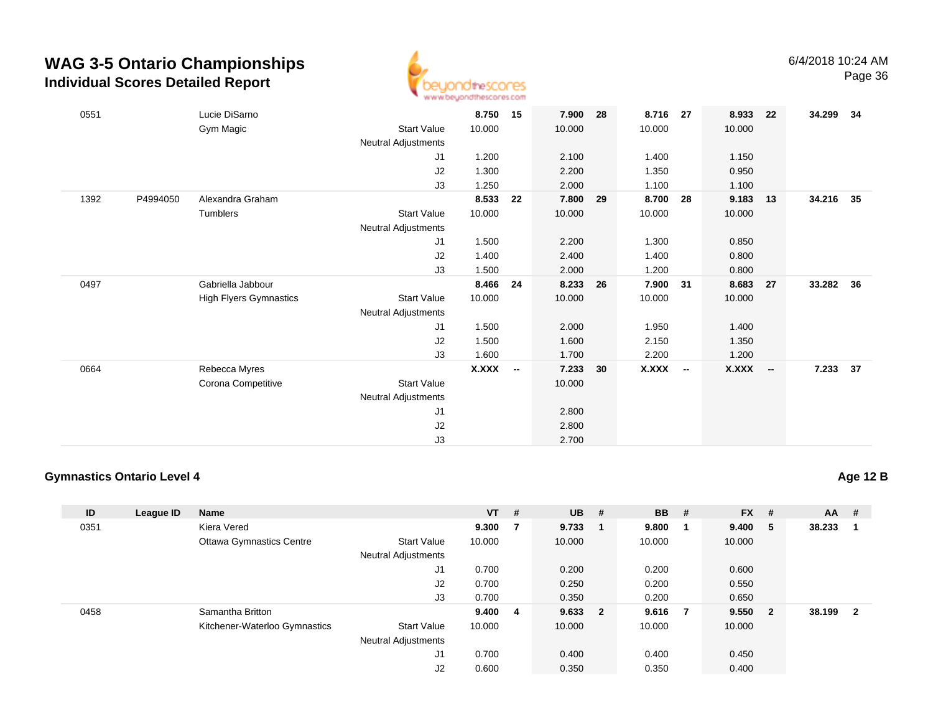

| 0551 |          | Lucie DiSarno                 |                            | 8.750     | 15 | 7.900  | 28 | 8.716 27     |                          | 8.933        | 22                       | 34.299 | - 34 |
|------|----------|-------------------------------|----------------------------|-----------|----|--------|----|--------------|--------------------------|--------------|--------------------------|--------|------|
|      |          | Gym Magic                     | Start Value                | 10.000    |    | 10.000 |    | 10.000       |                          | 10.000       |                          |        |      |
|      |          |                               | <b>Neutral Adjustments</b> |           |    |        |    |              |                          |              |                          |        |      |
|      |          |                               | J1                         | 1.200     |    | 2.100  |    | 1.400        |                          | 1.150        |                          |        |      |
|      |          |                               | J2                         | 1.300     |    | 2.200  |    | 1.350        |                          | 0.950        |                          |        |      |
|      |          |                               | J3                         | 1.250     |    | 2.000  |    | 1.100        |                          | 1.100        |                          |        |      |
| 1392 | P4994050 | Alexandra Graham              |                            | 8.533     | 22 | 7.800  | 29 | 8.700        | 28                       | 9.183        | 13                       | 34.216 | 35   |
|      |          | Tumblers                      | Start Value                | 10.000    |    | 10.000 |    | 10.000       |                          | 10.000       |                          |        |      |
|      |          |                               | <b>Neutral Adjustments</b> |           |    |        |    |              |                          |              |                          |        |      |
|      |          |                               | J1                         | 1.500     |    | 2.200  |    | 1.300        |                          | 0.850        |                          |        |      |
|      |          |                               | J2                         | 1.400     |    | 2.400  |    | 1.400        |                          | 0.800        |                          |        |      |
|      |          |                               | J3                         | 1.500     |    | 2.000  |    | 1.200        |                          | 0.800        |                          |        |      |
| 0497 |          | Gabriella Jabbour             |                            | 8.466     | 24 | 8.233  | 26 | 7.900 31     |                          | 8.683        | 27                       | 33.282 | 36   |
|      |          | <b>High Flyers Gymnastics</b> | Start Value                | 10.000    |    | 10.000 |    | 10.000       |                          | 10.000       |                          |        |      |
|      |          |                               | <b>Neutral Adjustments</b> |           |    |        |    |              |                          |              |                          |        |      |
|      |          |                               | J1                         | 1.500     |    | 2.000  |    | 1.950        |                          | 1.400        |                          |        |      |
|      |          |                               | J2                         | 1.500     |    | 1.600  |    | 2.150        |                          | 1.350        |                          |        |      |
|      |          |                               | J3                         | 1.600     |    | 1.700  |    | 2.200        |                          | 1.200        |                          |        |      |
| 0664 |          | Rebecca Myres                 |                            | $X.XXX$ - |    | 7.233  | 30 | <b>X.XXX</b> | $\overline{\phantom{a}}$ | <b>X.XXX</b> | $\overline{\phantom{a}}$ | 7.233  | 37   |
|      |          | Corona Competitive            | Start Value                |           |    | 10.000 |    |              |                          |              |                          |        |      |
|      |          |                               | <b>Neutral Adjustments</b> |           |    |        |    |              |                          |              |                          |        |      |
|      |          |                               | J <sub>1</sub>             |           |    | 2.800  |    |              |                          |              |                          |        |      |
|      |          |                               | J2                         |           |    | 2.800  |    |              |                          |              |                          |        |      |
|      |          |                               | J3                         |           |    | 2.700  |    |              |                          |              |                          |        |      |

#### **Gymnastics Ontario Level 4**

**Age 12 B**

| ID   | League ID | <b>Name</b>                     |                            | $VT$ # |    | $UB$ #  | <b>BB</b> | #              | $FX$ # |                         | <b>AA</b> | -#                      |
|------|-----------|---------------------------------|----------------------------|--------|----|---------|-----------|----------------|--------|-------------------------|-----------|-------------------------|
| 0351 |           | Kiera Vered                     |                            | 9.300  | 7  | 9.733   | 9.800     |                | 9.400  | - 5                     | 38.233    |                         |
|      |           | <b>Ottawa Gymnastics Centre</b> | <b>Start Value</b>         | 10.000 |    | 10.000  | 10.000    |                | 10.000 |                         |           |                         |
|      |           |                                 | <b>Neutral Adjustments</b> |        |    |         |           |                |        |                         |           |                         |
|      |           |                                 | J1                         | 0.700  |    | 0.200   | 0.200     |                | 0.600  |                         |           |                         |
|      |           |                                 | J2                         | 0.700  |    | 0.250   | 0.200     |                | 0.550  |                         |           |                         |
|      |           |                                 | J3                         | 0.700  |    | 0.350   | 0.200     |                | 0.650  |                         |           |                         |
| 0458 |           | Samantha Britton                |                            | 9.400  | -4 | 9.633 2 | 9.616     | $\overline{7}$ | 9.550  | $\overline{\mathbf{2}}$ | 38.199    | $\overline{\mathbf{2}}$ |
|      |           | Kitchener-Waterloo Gymnastics   | <b>Start Value</b>         | 10.000 |    | 10.000  | 10.000    |                | 10.000 |                         |           |                         |
|      |           |                                 | <b>Neutral Adjustments</b> |        |    |         |           |                |        |                         |           |                         |
|      |           |                                 | J <sub>1</sub>             | 0.700  |    | 0.400   | 0.400     |                | 0.450  |                         |           |                         |
|      |           |                                 | J2                         | 0.600  |    | 0.350   | 0.350     |                | 0.400  |                         |           |                         |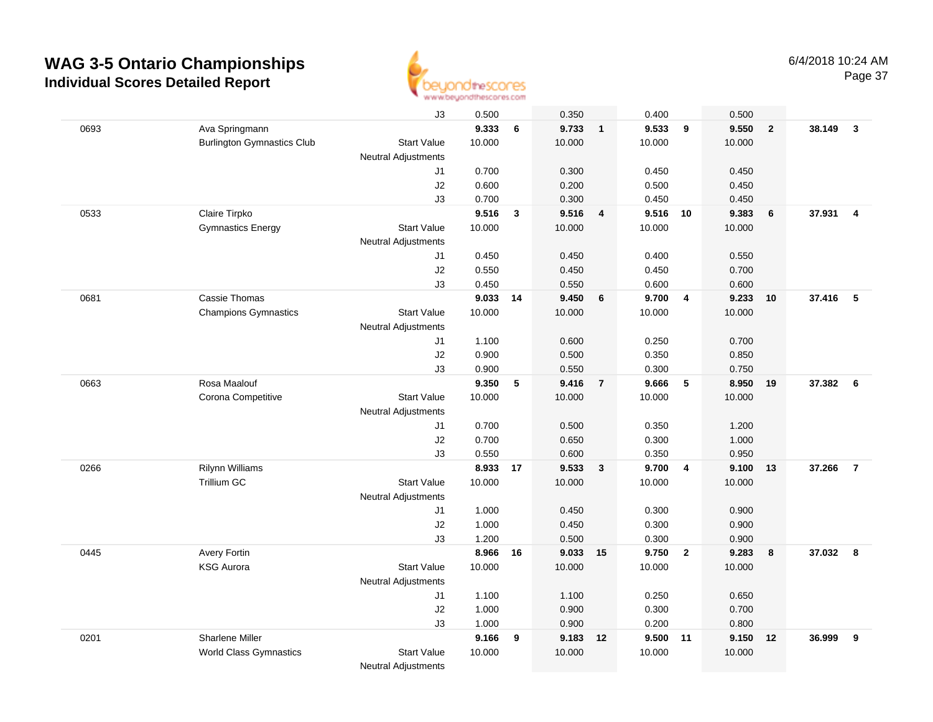

|      |                                   | J3                         | 0.500    |              | 0.350    |                | 0.400    |                         | 0.500  |                |          |                         |
|------|-----------------------------------|----------------------------|----------|--------------|----------|----------------|----------|-------------------------|--------|----------------|----------|-------------------------|
| 0693 | Ava Springmann                    |                            | 9.333    | 6            | 9.733    | $\overline{1}$ | 9.533    | 9                       | 9.550  | $\overline{2}$ | 38.149   | $\overline{\mathbf{3}}$ |
|      | <b>Burlington Gymnastics Club</b> | <b>Start Value</b>         | 10.000   |              | 10.000   |                | 10.000   |                         | 10.000 |                |          |                         |
|      |                                   | <b>Neutral Adjustments</b> |          |              |          |                |          |                         |        |                |          |                         |
|      |                                   | J1                         | 0.700    |              | 0.300    |                | 0.450    |                         | 0.450  |                |          |                         |
|      |                                   | J2                         | 0.600    |              | 0.200    |                | 0.500    |                         | 0.450  |                |          |                         |
|      |                                   | J3                         | 0.700    |              | 0.300    |                | 0.450    |                         | 0.450  |                |          |                         |
| 0533 | Claire Tirpko                     |                            | 9.516    | $\mathbf{3}$ | 9.516    | $\overline{4}$ | 9.516    | 10                      | 9.383  | 6              | 37.931   | $\overline{4}$          |
|      | <b>Gymnastics Energy</b>          | <b>Start Value</b>         | 10.000   |              | 10.000   |                | 10.000   |                         | 10.000 |                |          |                         |
|      |                                   | <b>Neutral Adjustments</b> |          |              |          |                |          |                         |        |                |          |                         |
|      |                                   | J1                         | 0.450    |              | 0.450    |                | 0.400    |                         | 0.550  |                |          |                         |
|      |                                   | J2                         | 0.550    |              | 0.450    |                | 0.450    |                         | 0.700  |                |          |                         |
|      |                                   | J3                         | 0.450    |              | 0.550    |                | 0.600    |                         | 0.600  |                |          |                         |
| 0681 | Cassie Thomas                     |                            | 9.033    | 14           | 9.450    | 6              | 9.700    | $\overline{\mathbf{4}}$ | 9.233  | 10             | 37.416   | 5                       |
|      | <b>Champions Gymnastics</b>       | <b>Start Value</b>         | 10.000   |              | 10.000   |                | 10.000   |                         | 10.000 |                |          |                         |
|      |                                   | <b>Neutral Adjustments</b> |          |              |          |                |          |                         |        |                |          |                         |
|      |                                   | J1                         | 1.100    |              | 0.600    |                | 0.250    |                         | 0.700  |                |          |                         |
|      |                                   | J2                         | 0.900    |              | 0.500    |                | 0.350    |                         | 0.850  |                |          |                         |
|      |                                   | J3                         | 0.900    |              | 0.550    |                | 0.300    |                         | 0.750  |                |          |                         |
| 0663 | Rosa Maalouf                      |                            | 9.350    | 5            | 9.416    | $\overline{7}$ | 9.666    | 5                       | 8.950  | 19             | 37.382 6 |                         |
|      | Corona Competitive                | <b>Start Value</b>         | 10.000   |              | 10.000   |                | 10.000   |                         | 10.000 |                |          |                         |
|      |                                   | Neutral Adjustments        |          |              |          |                |          |                         |        |                |          |                         |
|      |                                   | J1                         | 0.700    |              | 0.500    |                | 0.350    |                         | 1.200  |                |          |                         |
|      |                                   | J2                         | 0.700    |              | 0.650    |                | 0.300    |                         | 1.000  |                |          |                         |
|      |                                   | J3                         | 0.550    |              | 0.600    |                | 0.350    |                         | 0.950  |                |          |                         |
| 0266 | Rilynn Williams                   |                            | 8.933    | 17           | 9.533    | $\mathbf{3}$   | 9.700    | $\overline{4}$          | 9.100  | 13             | 37.266   | $\overline{7}$          |
|      | <b>Trillium GC</b>                | <b>Start Value</b>         | 10.000   |              | 10.000   |                | 10.000   |                         | 10.000 |                |          |                         |
|      |                                   | <b>Neutral Adjustments</b> |          |              |          |                |          |                         |        |                |          |                         |
|      |                                   | J1                         | 1.000    |              | 0.450    |                | 0.300    |                         | 0.900  |                |          |                         |
|      |                                   | J2                         | 1.000    |              | 0.450    |                | 0.300    |                         | 0.900  |                |          |                         |
|      |                                   | J3                         | 1.200    |              | 0.500    |                | 0.300    |                         | 0.900  |                |          |                         |
| 0445 | Avery Fortin                      |                            | 8.966 16 |              | 9.033 15 |                | 9.750 2  |                         | 9.283  | 8              | 37.032   | $\overline{\mathbf{8}}$ |
|      | <b>KSG Aurora</b>                 | <b>Start Value</b>         | 10.000   |              | 10.000   |                | 10.000   |                         | 10.000 |                |          |                         |
|      |                                   | Neutral Adjustments        |          |              |          |                |          |                         |        |                |          |                         |
|      |                                   | J1                         | 1.100    |              | 1.100    |                | 0.250    |                         | 0.650  |                |          |                         |
|      |                                   | J2                         | 1.000    |              | 0.900    |                | 0.300    |                         | 0.700  |                |          |                         |
|      |                                   | J3                         | 1.000    |              | 0.900    |                | 0.200    |                         | 0.800  |                |          |                         |
| 0201 | Sharlene Miller                   |                            | 9.166    | 9            | 9.183 12 |                | 9.500 11 |                         | 9.150  | 12             | 36.999   | 9                       |
|      | <b>World Class Gymnastics</b>     | <b>Start Value</b>         | 10.000   |              | 10.000   |                | 10.000   |                         | 10.000 |                |          |                         |
|      |                                   | <b>Neutral Adjustments</b> |          |              |          |                |          |                         |        |                |          |                         |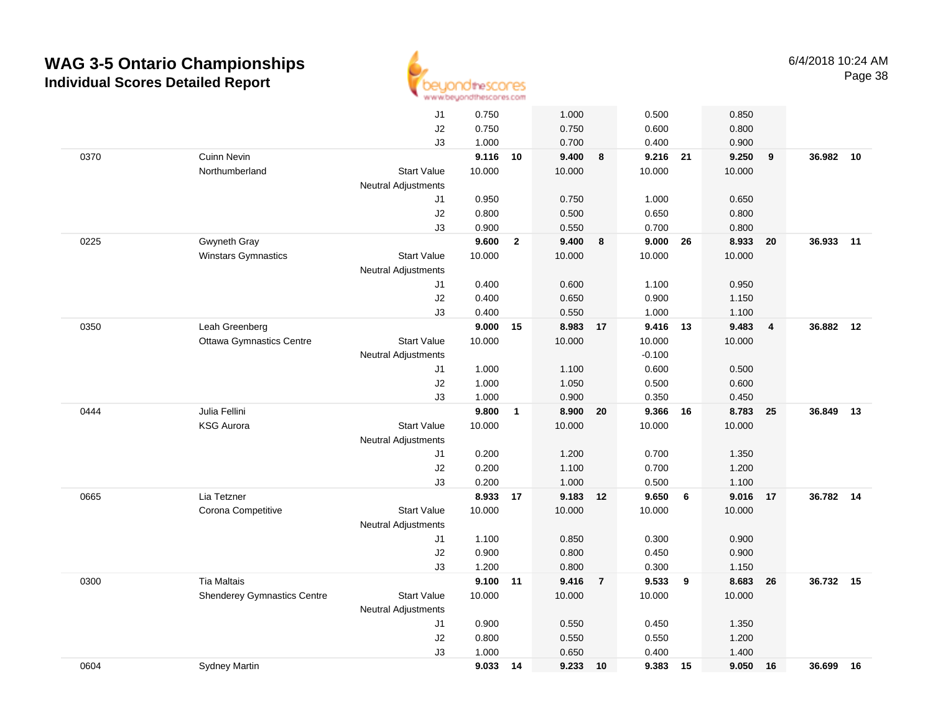

|      |                                    | J1                         | 0.750  |              | 1.000    |                | 0.500    |        | 0.850  |                |           |    |
|------|------------------------------------|----------------------------|--------|--------------|----------|----------------|----------|--------|--------|----------------|-----------|----|
|      |                                    | J2                         | 0.750  |              | 0.750    |                | 0.600    |        | 0.800  |                |           |    |
|      |                                    | J3                         | 1.000  |              | 0.700    |                | 0.400    |        | 0.900  |                |           |    |
| 0370 | <b>Cuinn Nevin</b>                 |                            | 9.116  | 10           | 9.400    | 8              | 9.216 21 |        | 9.250  | 9              | 36.982    | 10 |
|      | Northumberland                     | <b>Start Value</b>         | 10.000 |              | 10.000   |                | 10.000   |        | 10.000 |                |           |    |
|      |                                    | <b>Neutral Adjustments</b> |        |              |          |                |          |        |        |                |           |    |
|      |                                    | J1                         | 0.950  |              | 0.750    |                | 1.000    |        | 0.650  |                |           |    |
|      |                                    | J2                         | 0.800  |              | 0.500    |                | 0.650    |        | 0.800  |                |           |    |
|      |                                    | J3                         | 0.900  |              | 0.550    |                | 0.700    |        | 0.800  |                |           |    |
| 0225 | Gwyneth Gray                       |                            | 9.600  | $\mathbf{2}$ | 9.400    | 8              | 9.000    | 26     | 8.933  | 20             | 36.933    | 11 |
|      | Winstars Gymnastics                | <b>Start Value</b>         | 10.000 |              | 10.000   |                | 10.000   |        | 10.000 |                |           |    |
|      |                                    | Neutral Adjustments        |        |              |          |                |          |        |        |                |           |    |
|      |                                    | J1                         | 0.400  |              | 0.600    |                | 1.100    |        | 0.950  |                |           |    |
|      |                                    | J2                         | 0.400  |              | 0.650    |                | 0.900    |        | 1.150  |                |           |    |
|      |                                    | J3                         | 0.400  |              | 0.550    |                | 1.000    |        | 1.100  |                |           |    |
| 0350 | Leah Greenberg                     |                            | 9.000  | 15           | 8.983 17 |                | 9.416 13 |        | 9.483  | $\overline{4}$ | 36.882    | 12 |
|      | <b>Ottawa Gymnastics Centre</b>    | <b>Start Value</b>         | 10.000 |              | 10.000   |                | 10.000   |        | 10.000 |                |           |    |
|      |                                    | Neutral Adjustments        |        |              |          |                | $-0.100$ |        |        |                |           |    |
|      |                                    | J1                         | 1.000  |              | 1.100    |                | 0.600    |        | 0.500  |                |           |    |
|      |                                    | J2                         | 1.000  |              | 1.050    |                | 0.500    |        | 0.600  |                |           |    |
|      |                                    | J3                         | 1.000  |              | 0.900    |                | 0.350    |        | 0.450  |                |           |    |
| 0444 | Julia Fellini                      |                            | 9.800  | $\mathbf{1}$ | 8.900    | 20             | 9.366    | 16     | 8.783  | 25             | 36.849    | 13 |
|      | <b>KSG Aurora</b>                  | <b>Start Value</b>         | 10.000 |              | 10.000   |                | 10.000   |        | 10.000 |                |           |    |
|      |                                    | <b>Neutral Adjustments</b> |        |              |          |                |          |        |        |                |           |    |
|      |                                    | J1                         | 0.200  |              | 1.200    |                | 0.700    |        | 1.350  |                |           |    |
|      |                                    | J2                         | 0.200  |              | 1.100    |                | 0.700    |        | 1.200  |                |           |    |
|      |                                    | JЗ                         | 0.200  |              | 1.000    |                | 0.500    |        | 1.100  |                |           |    |
| 0665 | Lia Tetzner                        |                            | 8.933  | 17           | 9.183    | 12             | 9.650    | 6      | 9.016  | 17             | 36.782    | 14 |
|      | Corona Competitive                 | <b>Start Value</b>         | 10.000 |              | 10.000   |                | 10.000   |        | 10.000 |                |           |    |
|      |                                    | <b>Neutral Adjustments</b> |        |              |          |                |          |        |        |                |           |    |
|      |                                    | J1                         | 1.100  |              | 0.850    |                | 0.300    |        | 0.900  |                |           |    |
|      |                                    | J2                         | 0.900  |              | 0.800    |                | 0.450    |        | 0.900  |                |           |    |
|      |                                    | J3                         | 1.200  |              | 0.800    |                | 0.300    |        | 1.150  |                |           |    |
| 0300 | <b>Tia Maltais</b>                 |                            | 9.100  | 11           | 9.416    | $\overline{7}$ | 9.533    | $_{9}$ | 8.683  | 26             | 36.732 15 |    |
|      | <b>Shenderey Gymnastics Centre</b> | <b>Start Value</b>         | 10.000 |              | 10.000   |                | 10.000   |        | 10.000 |                |           |    |
|      |                                    | Neutral Adjustments        |        |              |          |                |          |        |        |                |           |    |
|      |                                    | J1                         | 0.900  |              | 0.550    |                | 0.450    |        | 1.350  |                |           |    |
|      |                                    | J2                         | 0.800  |              | 0.550    |                | 0.550    |        | 1.200  |                |           |    |
|      |                                    | J3                         | 1.000  |              | 0.650    |                | 0.400    |        | 1.400  |                |           |    |
| 0604 | <b>Sydney Martin</b>               |                            | 9.033  | 14           | 9.233    | 10             | 9.383    | 15     | 9.050  | 16             | 36.699    | 16 |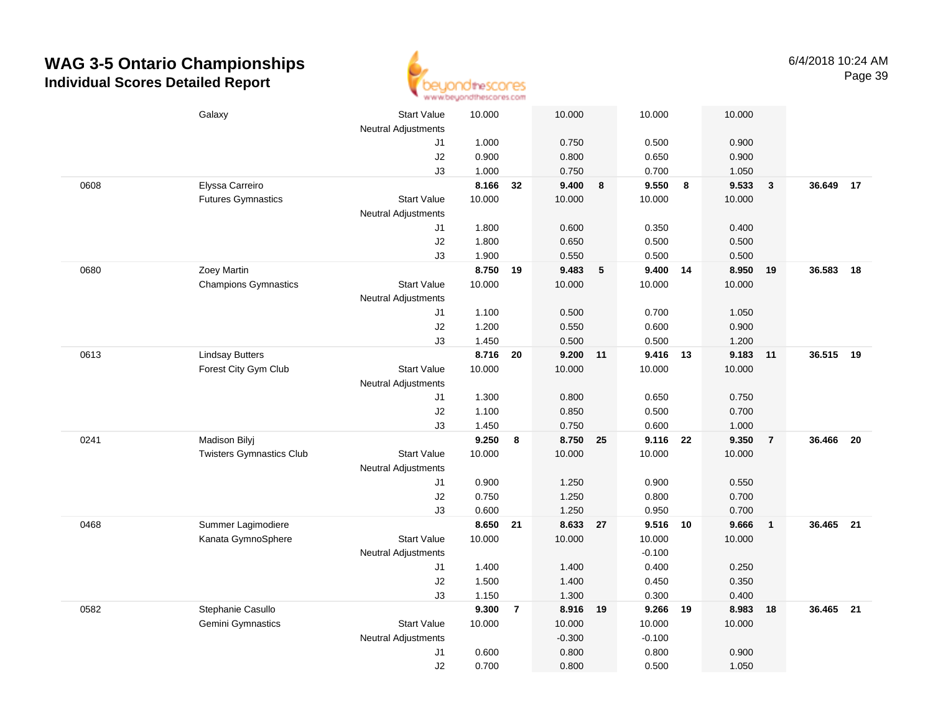

|      | Galaxy                          | <b>Start Value</b>         | 10.000         |                | 10.000             |                  | 10.000         |                  | 10.000 |                |           |    |
|------|---------------------------------|----------------------------|----------------|----------------|--------------------|------------------|----------------|------------------|--------|----------------|-----------|----|
|      |                                 | Neutral Adjustments<br>J1  | 1.000          |                | 0.750              |                  | 0.500          |                  | 0.900  |                |           |    |
|      |                                 | J2                         | 0.900          |                | 0.800              |                  | 0.650          |                  | 0.900  |                |           |    |
|      |                                 | J3                         | 1.000          |                | 0.750              |                  | 0.700          |                  | 1.050  |                |           |    |
| 0608 | Elyssa Carreiro                 |                            | 8.166          | 32             | 9.400              | $\boldsymbol{8}$ | 9.550          | $\boldsymbol{8}$ | 9.533  | $\mathbf{3}$   | 36.649    | 17 |
|      | <b>Futures Gymnastics</b>       | <b>Start Value</b>         | 10.000         |                | 10.000             |                  | 10.000         |                  | 10.000 |                |           |    |
|      |                                 | <b>Neutral Adjustments</b> |                |                |                    |                  |                |                  |        |                |           |    |
|      |                                 | J1                         | 1.800          |                | 0.600              |                  | 0.350          |                  | 0.400  |                |           |    |
|      |                                 | $\sf J2$                   | 1.800          |                | 0.650              |                  | 0.500          |                  | 0.500  |                |           |    |
|      |                                 | J3                         | 1.900          |                | 0.550              |                  | 0.500          |                  | 0.500  |                |           |    |
| 0680 | Zoey Martin                     |                            | 8.750          | 19             | 9.483              | $5\phantom{.0}$  | 9.400          | 14               | 8.950  | 19             | 36.583    | 18 |
|      | <b>Champions Gymnastics</b>     | <b>Start Value</b>         | 10.000         |                | 10.000             |                  | 10.000         |                  | 10.000 |                |           |    |
|      |                                 | Neutral Adjustments        |                |                |                    |                  |                |                  |        |                |           |    |
|      |                                 | J1                         | 1.100          |                | 0.500              |                  | 0.700          |                  | 1.050  |                |           |    |
|      |                                 | J2                         | 1.200          |                | 0.550              |                  | 0.600          |                  | 0.900  |                |           |    |
|      |                                 | J3                         | 1.450          |                | 0.500              |                  | 0.500          |                  | 1.200  |                |           |    |
| 0613 | <b>Lindsay Butters</b>          |                            | 8.716          | 20             | 9.200              | 11               | 9.416 13       |                  | 9.183  | 11             | 36.515 19 |    |
|      | Forest City Gym Club            | <b>Start Value</b>         | 10.000         |                | 10.000             |                  | 10.000         |                  | 10.000 |                |           |    |
|      |                                 | Neutral Adjustments        |                |                |                    |                  |                |                  |        |                |           |    |
|      |                                 | J1                         | 1.300          |                | 0.800              |                  | 0.650          |                  | 0.750  |                |           |    |
|      |                                 | J2                         | 1.100          |                | 0.850              |                  | 0.500          |                  | 0.700  |                |           |    |
|      |                                 | J3                         | 1.450          |                | 0.750              |                  | 0.600          |                  | 1.000  |                |           |    |
| 0241 | <b>Madison Bilyj</b>            |                            | 9.250          | 8              | 8.750              | 25               | 9.116          | 22               | 9.350  | $\overline{7}$ | 36.466    | 20 |
|      | <b>Twisters Gymnastics Club</b> | Start Value                | 10.000         |                | 10.000             |                  | 10.000         |                  | 10.000 |                |           |    |
|      |                                 | <b>Neutral Adjustments</b> |                |                |                    |                  |                |                  |        |                |           |    |
|      |                                 | J1                         | 0.900          |                | 1.250              |                  | 0.900          |                  | 0.550  |                |           |    |
|      |                                 | J2                         | 0.750          |                | 1.250              |                  | 0.800          |                  | 0.700  |                |           |    |
|      |                                 | J3                         | 0.600          |                | 1.250              |                  | 0.950          |                  | 0.700  |                |           |    |
| 0468 | Summer Lagimodiere              |                            | 8.650          | 21             | 8.633 27           |                  | 9.516 10       |                  | 9.666  | $\mathbf{1}$   | 36.465 21 |    |
|      | Kanata GymnoSphere              | Start Value                | 10.000         |                | 10.000             |                  | 10.000         |                  | 10.000 |                |           |    |
|      |                                 | <b>Neutral Adjustments</b> |                |                |                    |                  | $-0.100$       |                  |        |                |           |    |
|      |                                 | J1                         | 1.400          |                | 1.400              |                  | 0.400          |                  | 0.250  |                |           |    |
|      |                                 | J2                         | 1.500          |                | 1.400              |                  | 0.450          |                  | 0.350  |                |           |    |
| 0582 |                                 | J3                         | 1.150<br>9.300 |                | 1.300              |                  | 0.300<br>9.266 |                  | 0.400  |                | 36.465 21 |    |
|      | Stephanie Casullo               | <b>Start Value</b>         |                | $\overline{7}$ | 8.916 19           |                  | 10.000         | 19               | 8.983  | 18             |           |    |
|      | Gemini Gymnastics               | Neutral Adjustments        | 10.000         |                | 10.000<br>$-0.300$ |                  | $-0.100$       |                  | 10.000 |                |           |    |
|      |                                 | J1                         | 0.600          |                | 0.800              |                  | 0.800          |                  | 0.900  |                |           |    |
|      |                                 | J2                         | 0.700          |                | 0.800              |                  | 0.500          |                  | 1.050  |                |           |    |
|      |                                 |                            |                |                |                    |                  |                |                  |        |                |           |    |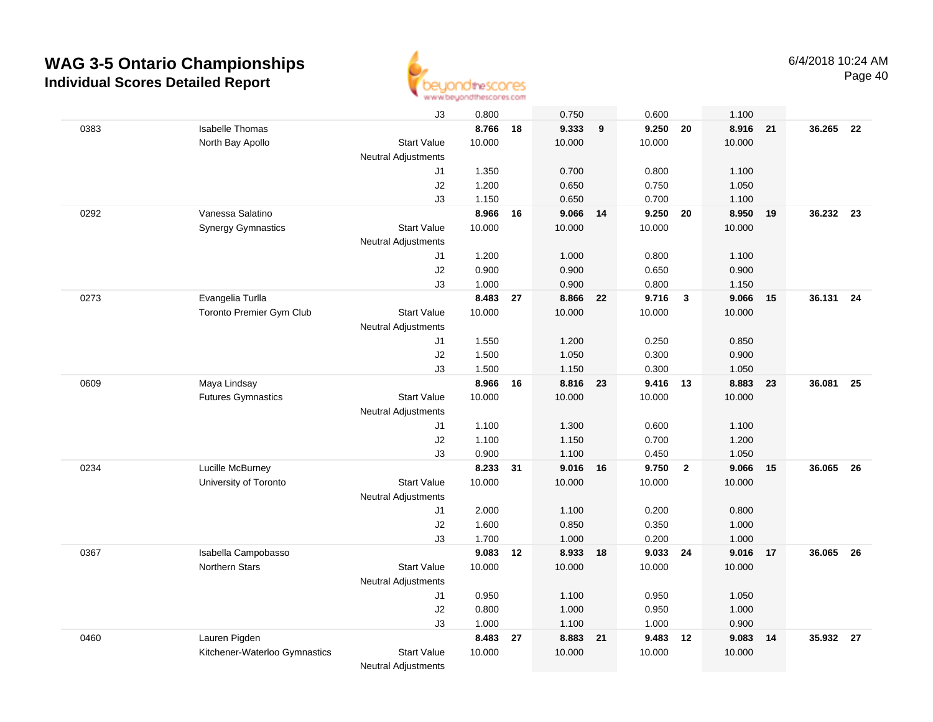

|      |                               | J3                         | 0.800  |    | 0.750  |    | 0.600    |                | 1.100    |    |           |     |
|------|-------------------------------|----------------------------|--------|----|--------|----|----------|----------------|----------|----|-----------|-----|
| 0383 | <b>Isabelle Thomas</b>        |                            | 8.766  | 18 | 9.333  | 9  | 9.250    | 20             | 8.916 21 |    | 36.265    | 22  |
|      | North Bay Apollo              | <b>Start Value</b>         | 10.000 |    | 10.000 |    | 10.000   |                | 10.000   |    |           |     |
|      |                               | <b>Neutral Adjustments</b> |        |    |        |    |          |                |          |    |           |     |
|      |                               | J1                         | 1.350  |    | 0.700  |    | 0.800    |                | 1.100    |    |           |     |
|      |                               | J2                         | 1.200  |    | 0.650  |    | 0.750    |                | 1.050    |    |           |     |
|      |                               | J3                         | 1.150  |    | 0.650  |    | 0.700    |                | 1.100    |    |           |     |
| 0292 | Vanessa Salatino              |                            | 8.966  | 16 | 9.066  | 14 | 9.250    | 20             | 8.950    | 19 | 36.232 23 |     |
|      | <b>Synergy Gymnastics</b>     | <b>Start Value</b>         | 10.000 |    | 10.000 |    | 10.000   |                | 10.000   |    |           |     |
|      |                               | <b>Neutral Adjustments</b> |        |    |        |    |          |                |          |    |           |     |
|      |                               | J1                         | 1.200  |    | 1.000  |    | 0.800    |                | 1.100    |    |           |     |
|      |                               | J2                         | 0.900  |    | 0.900  |    | 0.650    |                | 0.900    |    |           |     |
|      |                               | J3                         | 1.000  |    | 0.900  |    | 0.800    |                | 1.150    |    |           |     |
| 0273 | Evangelia Turlla              |                            | 8.483  | 27 | 8.866  | 22 | 9.716    | 3              | 9.066    | 15 | 36.131    | 24  |
|      | Toronto Premier Gym Club      | <b>Start Value</b>         | 10.000 |    | 10.000 |    | 10.000   |                | 10.000   |    |           |     |
|      |                               | <b>Neutral Adjustments</b> |        |    |        |    |          |                |          |    |           |     |
|      |                               | J1                         | 1.550  |    | 1.200  |    | 0.250    |                | 0.850    |    |           |     |
|      |                               | J2                         | 1.500  |    | 1.050  |    | 0.300    |                | 0.900    |    |           |     |
|      |                               | JЗ                         | 1.500  |    | 1.150  |    | 0.300    |                | 1.050    |    |           |     |
| 0609 | Maya Lindsay                  |                            | 8.966  | 16 | 8.816  | 23 | 9.416 13 |                | 8.883    | 23 | 36.081    | 25  |
|      | <b>Futures Gymnastics</b>     | <b>Start Value</b>         | 10.000 |    | 10.000 |    | 10.000   |                | 10.000   |    |           |     |
|      |                               | <b>Neutral Adjustments</b> |        |    |        |    |          |                |          |    |           |     |
|      |                               | J1                         | 1.100  |    | 1.300  |    | 0.600    |                | 1.100    |    |           |     |
|      |                               | J2                         | 1.100  |    | 1.150  |    | 0.700    |                | 1.200    |    |           |     |
|      |                               | J3                         | 0.900  |    | 1.100  |    | 0.450    |                | 1.050    |    |           |     |
| 0234 | Lucille McBurney              |                            | 8.233  | 31 | 9.016  | 16 | 9.750    | $\overline{2}$ | 9.066    | 15 | 36.065    | 26  |
|      | University of Toronto         | <b>Start Value</b>         | 10.000 |    | 10.000 |    | 10.000   |                | 10.000   |    |           |     |
|      |                               | <b>Neutral Adjustments</b> |        |    |        |    |          |                |          |    |           |     |
|      |                               | J1                         | 2.000  |    | 1.100  |    | 0.200    |                | 0.800    |    |           |     |
|      |                               | J2                         | 1.600  |    | 0.850  |    | 0.350    |                | 1.000    |    |           |     |
|      |                               | J3                         | 1.700  |    | 1.000  |    | 0.200    |                | 1.000    |    |           |     |
| 0367 | Isabella Campobasso           |                            | 9.083  | 12 | 8.933  | 18 | 9.033    | 24             | 9.016    | 17 | 36.065    | -26 |
|      | <b>Northern Stars</b>         | <b>Start Value</b>         | 10.000 |    | 10.000 |    | 10.000   |                | 10.000   |    |           |     |
|      |                               | Neutral Adjustments        |        |    |        |    |          |                |          |    |           |     |
|      |                               | J1                         | 0.950  |    | 1.100  |    | 0.950    |                | 1.050    |    |           |     |
|      |                               | J2                         | 0.800  |    | 1.000  |    | 0.950    |                | 1.000    |    |           |     |
|      |                               | J3                         | 1.000  |    | 1.100  |    | 1.000    |                | 0.900    |    |           |     |
| 0460 | Lauren Pigden                 |                            | 8.483  | 27 | 8.883  | 21 | 9.483    | 12             | 9.083    | 14 | 35.932 27 |     |
|      | Kitchener-Waterloo Gymnastics | <b>Start Value</b>         | 10.000 |    | 10.000 |    | 10.000   |                | 10.000   |    |           |     |
|      |                               |                            |        |    |        |    |          |                |          |    |           |     |

Neutral Adjustments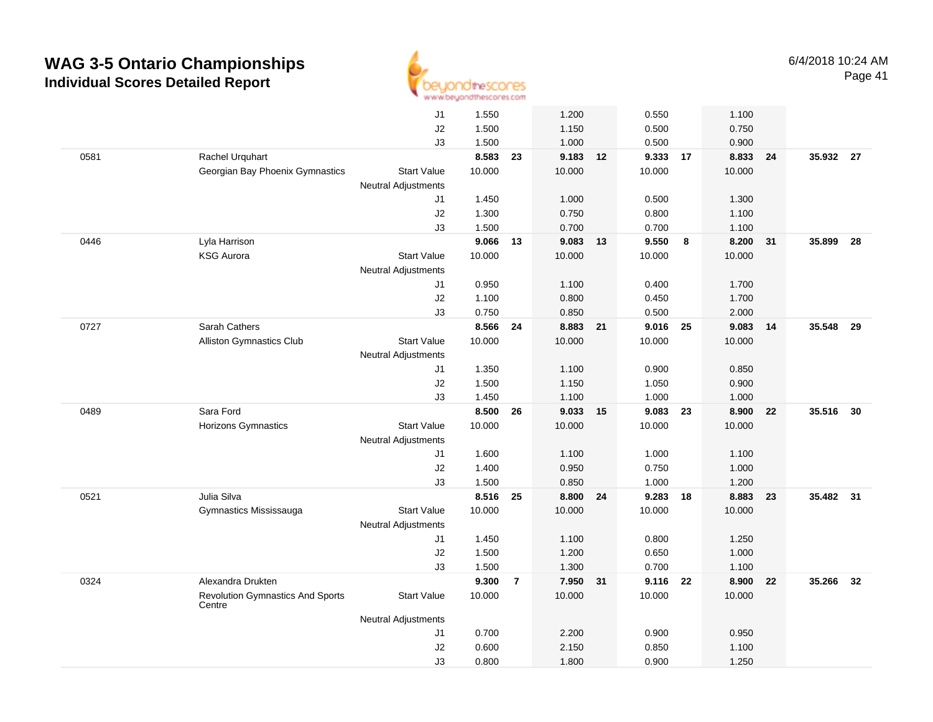

|      |                                                   | J1                         | 1.550  |                | 1.200    |      | 0.550    |    | 1.100  |    |           |    |
|------|---------------------------------------------------|----------------------------|--------|----------------|----------|------|----------|----|--------|----|-----------|----|
|      |                                                   | J2                         | 1.500  |                | 1.150    |      | 0.500    |    | 0.750  |    |           |    |
|      |                                                   | J3                         | 1.500  |                | 1.000    |      | 0.500    |    | 0.900  |    |           |    |
| 0581 | Rachel Urquhart                                   |                            | 8.583  | 23             | 9.183 12 |      | 9.333 17 |    | 8.833  | 24 | 35.932 27 |    |
|      | Georgian Bay Phoenix Gymnastics                   | <b>Start Value</b>         | 10.000 |                | 10.000   |      | 10.000   |    | 10.000 |    |           |    |
|      |                                                   | Neutral Adjustments        |        |                |          |      |          |    |        |    |           |    |
|      |                                                   | J1                         | 1.450  |                | 1.000    |      | 0.500    |    | 1.300  |    |           |    |
|      |                                                   | J2                         | 1.300  |                | 0.750    |      | 0.800    |    | 1.100  |    |           |    |
|      |                                                   | J3                         | 1.500  |                | 0.700    |      | 0.700    |    | 1.100  |    |           |    |
| 0446 | Lyla Harrison                                     |                            | 9.066  | 13             | 9.083    | 13   | 9.550    | 8  | 8.200  | 31 | 35.899    | 28 |
|      | <b>KSG Aurora</b>                                 | <b>Start Value</b>         | 10.000 |                | 10.000   |      | 10.000   |    | 10.000 |    |           |    |
|      |                                                   | <b>Neutral Adjustments</b> |        |                |          |      |          |    |        |    |           |    |
|      |                                                   | J1                         | 0.950  |                | 1.100    |      | 0.400    |    | 1.700  |    |           |    |
|      |                                                   | J2                         | 1.100  |                | 0.800    |      | 0.450    |    | 1.700  |    |           |    |
|      |                                                   | J3                         | 0.750  |                | 0.850    |      | 0.500    |    | 2.000  |    |           |    |
| 0727 | Sarah Cathers                                     |                            | 8.566  | 24             | 8.883 21 |      | 9.016 25 |    | 9.083  | 14 | 35.548    | 29 |
|      | Alliston Gymnastics Club                          | <b>Start Value</b>         | 10.000 |                | 10.000   |      | 10.000   |    | 10.000 |    |           |    |
|      |                                                   | <b>Neutral Adjustments</b> |        |                |          |      |          |    |        |    |           |    |
|      |                                                   | J1                         | 1.350  |                | 1.100    |      | 0.900    |    | 0.850  |    |           |    |
|      |                                                   | J2                         | 1.500  |                | 1.150    |      | 1.050    |    | 0.900  |    |           |    |
|      |                                                   | J3                         | 1.450  |                | 1.100    |      | 1.000    |    | 1.000  |    |           |    |
| 0489 | Sara Ford                                         |                            | 8.500  | 26             | 9.033 15 |      | 9.083    | 23 | 8.900  | 22 | 35.516 30 |    |
|      | Horizons Gymnastics                               | <b>Start Value</b>         | 10.000 |                | 10.000   |      | 10.000   |    | 10.000 |    |           |    |
|      |                                                   | <b>Neutral Adjustments</b> |        |                |          |      |          |    |        |    |           |    |
|      |                                                   | J1                         | 1.600  |                | 1.100    |      | 1.000    |    | 1.100  |    |           |    |
|      |                                                   |                            | 1.400  |                | 0.950    |      | 0.750    |    | 1.000  |    |           |    |
|      |                                                   | J2<br>J3                   | 1.500  |                | 0.850    |      | 1.000    |    | 1.200  |    |           |    |
| 0521 | Julia Silva                                       |                            | 8.516  | 25             | 8.800    | - 24 | 9.283    | 18 | 8.883  | 23 | 35.482 31 |    |
|      | Gymnastics Mississauga                            | <b>Start Value</b>         | 10.000 |                | 10.000   |      | 10.000   |    | 10.000 |    |           |    |
|      |                                                   | <b>Neutral Adjustments</b> |        |                |          |      |          |    |        |    |           |    |
|      |                                                   | J1                         | 1.450  |                | 1.100    |      | 0.800    |    | 1.250  |    |           |    |
|      |                                                   | J2                         | 1.500  |                | 1.200    |      | 0.650    |    | 1.000  |    |           |    |
|      |                                                   | J3                         | 1.500  |                | 1.300    |      | 0.700    |    | 1.100  |    |           |    |
|      |                                                   |                            |        |                |          |      |          |    |        |    |           |    |
| 0324 | Alexandra Drukten                                 |                            | 9.300  | $\overline{7}$ | 7.950 31 |      | 9.116 22 |    | 8.900  | 22 | 35.266 32 |    |
|      | <b>Revolution Gymnastics And Sports</b><br>Centre | <b>Start Value</b>         | 10.000 |                | 10.000   |      | 10.000   |    | 10.000 |    |           |    |
|      |                                                   | <b>Neutral Adjustments</b> |        |                |          |      |          |    |        |    |           |    |
|      |                                                   | J1                         | 0.700  |                | 2.200    |      | 0.900    |    | 0.950  |    |           |    |
|      |                                                   | J2                         | 0.600  |                | 2.150    |      | 0.850    |    | 1.100  |    |           |    |
|      |                                                   | J3                         | 0.800  |                | 1.800    |      | 0.900    |    | 1.250  |    |           |    |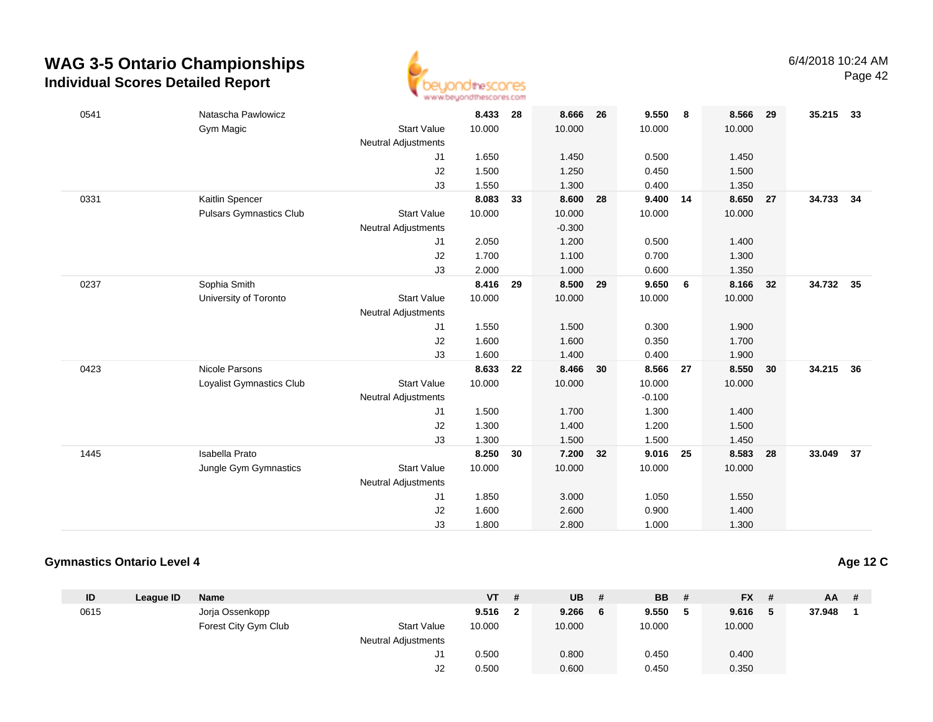

| 0541 | Natascha Pawlowicz              |                            | 8.433  | 28 | 8.666    | 26 | 9.550    | 8    | 8.566  | 29 | 35.215 33 |      |
|------|---------------------------------|----------------------------|--------|----|----------|----|----------|------|--------|----|-----------|------|
|      | Gym Magic                       | <b>Start Value</b>         | 10.000 |    | 10.000   |    | 10.000   |      | 10.000 |    |           |      |
|      |                                 | <b>Neutral Adjustments</b> |        |    |          |    |          |      |        |    |           |      |
|      |                                 | J1                         | 1.650  |    | 1.450    |    | 0.500    |      | 1.450  |    |           |      |
|      |                                 | J2                         | 1.500  |    | 1.250    |    | 0.450    |      | 1.500  |    |           |      |
|      |                                 | J3                         | 1.550  |    | 1.300    |    | 0.400    |      | 1.350  |    |           |      |
| 0331 | Kaitlin Spencer                 |                            | 8.083  | 33 | 8.600    | 28 | 9.400 14 |      | 8.650  | 27 | 34.733    | - 34 |
|      | <b>Pulsars Gymnastics Club</b>  | <b>Start Value</b>         | 10.000 |    | 10.000   |    | 10.000   |      | 10.000 |    |           |      |
|      |                                 | Neutral Adjustments        |        |    | $-0.300$ |    |          |      |        |    |           |      |
|      |                                 | J1                         | 2.050  |    | 1.200    |    | 0.500    |      | 1.400  |    |           |      |
|      |                                 | J2                         | 1.700  |    | 1.100    |    | 0.700    |      | 1.300  |    |           |      |
|      |                                 | J3                         | 2.000  |    | 1.000    |    | 0.600    |      | 1.350  |    |           |      |
| 0237 | Sophia Smith                    |                            | 8.416  | 29 | 8.500    | 29 | 9.650    | 6    | 8.166  | 32 | 34.732    | 35   |
|      | University of Toronto           | <b>Start Value</b>         | 10.000 |    | 10.000   |    | 10.000   |      | 10.000 |    |           |      |
|      |                                 | Neutral Adjustments        |        |    |          |    |          |      |        |    |           |      |
|      |                                 | J1                         | 1.550  |    | 1.500    |    | 0.300    |      | 1.900  |    |           |      |
|      |                                 | J2                         | 1.600  |    | 1.600    |    | 0.350    |      | 1.700  |    |           |      |
|      |                                 | J3                         | 1.600  |    | 1.400    |    | 0.400    |      | 1.900  |    |           |      |
| 0423 | Nicole Parsons                  |                            | 8.633  | 22 | 8.466    | 30 | 8.566    | 27   | 8.550  | 30 | 34.215    | 36   |
|      | <b>Loyalist Gymnastics Club</b> | <b>Start Value</b>         | 10.000 |    | 10.000   |    | 10.000   |      | 10.000 |    |           |      |
|      |                                 | Neutral Adjustments        |        |    |          |    | $-0.100$ |      |        |    |           |      |
|      |                                 | J1                         | 1.500  |    | 1.700    |    | 1.300    |      | 1.400  |    |           |      |
|      |                                 | J2                         | 1.300  |    | 1.400    |    | 1.200    |      | 1.500  |    |           |      |
|      |                                 | J3                         | 1.300  |    | 1.500    |    | 1.500    |      | 1.450  |    |           |      |
| 1445 | Isabella Prato                  |                            | 8.250  | 30 | 7.200    | 32 | 9.016    | - 25 | 8.583  | 28 | 33.049    | 37   |
|      | Jungle Gym Gymnastics           | <b>Start Value</b>         | 10.000 |    | 10.000   |    | 10.000   |      | 10.000 |    |           |      |
|      |                                 | Neutral Adjustments        |        |    |          |    |          |      |        |    |           |      |
|      |                                 | J1                         | 1.850  |    | 3.000    |    | 1.050    |      | 1.550  |    |           |      |
|      |                                 | J2                         | 1.600  |    | 2.600    |    | 0.900    |      | 1.400  |    |           |      |
|      |                                 | J3                         | 1.800  |    | 2.800    |    | 1.000    |      | 1.300  |    |           |      |

#### **Gymnastics Ontario Level 4**

|  |  | <b>Age 12 C</b> |
|--|--|-----------------|
|  |  |                 |

| ID   | League ID | <b>Name</b>          |                     | <b>VT</b> | UB     | -#  | <b>BB</b> | # |        |   | $AA$ #    |  |
|------|-----------|----------------------|---------------------|-----------|--------|-----|-----------|---|--------|---|-----------|--|
| 0615 |           | Jorja Ossenkopp      |                     | 9.516     | 9.266  | - 6 | 9.550     |   | 9.616  | 5 | 37.948    |  |
|      |           | Forest City Gym Club | <b>Start Value</b>  | 10.000    | 10.000 |     | 10.000    |   | 10.000 |   |           |  |
|      |           |                      | Neutral Adjustments |           |        |     |           |   |        |   |           |  |
|      |           |                      | J1                  | 0.500     | 0.800  |     | 0.450     |   | 0.400  |   |           |  |
|      |           |                      | J2                  | 0.500     | 0.600  |     | 0.450     |   | 0.350  |   |           |  |
|      |           |                      |                     |           | - #    |     |           |   |        |   | <b>FX</b> |  |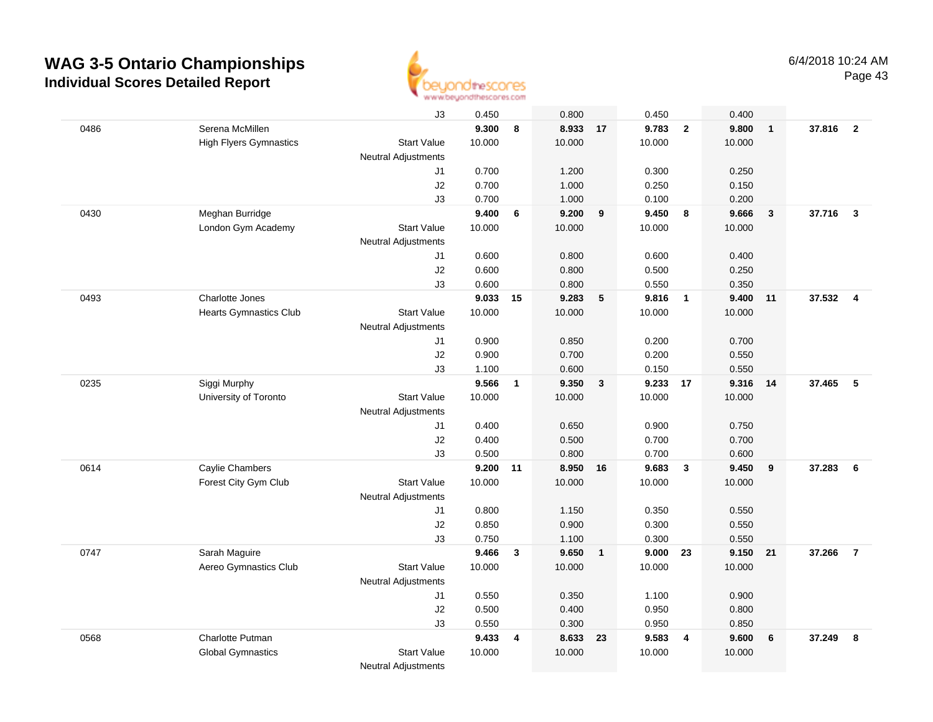

|      |                               | J3                         | 0.450  |              | 0.800    |                         | 0.450  |                         | 0.400  |              |          |                         |
|------|-------------------------------|----------------------------|--------|--------------|----------|-------------------------|--------|-------------------------|--------|--------------|----------|-------------------------|
| 0486 | Serena McMillen               |                            | 9.300  | 8            | 8.933 17 |                         | 9.783  | $\overline{2}$          | 9.800  | $\mathbf{1}$ | 37.816   | $\overline{\mathbf{2}}$ |
|      | <b>High Flyers Gymnastics</b> | <b>Start Value</b>         | 10.000 |              | 10.000   |                         | 10.000 |                         | 10.000 |              |          |                         |
|      |                               | Neutral Adjustments        |        |              |          |                         |        |                         |        |              |          |                         |
|      |                               | J1                         | 0.700  |              | 1.200    |                         | 0.300  |                         | 0.250  |              |          |                         |
|      |                               | J2                         | 0.700  |              | 1.000    |                         | 0.250  |                         | 0.150  |              |          |                         |
|      |                               | J3                         | 0.700  |              | 1.000    |                         | 0.100  |                         | 0.200  |              |          |                         |
| 0430 | Meghan Burridge               |                            | 9.400  | 6            | 9.200    | 9                       | 9.450  | 8                       | 9.666  | $\mathbf{3}$ | 37.716   | $\mathbf{3}$            |
|      | London Gym Academy            | <b>Start Value</b>         | 10.000 |              | 10.000   |                         | 10.000 |                         | 10.000 |              |          |                         |
|      |                               | <b>Neutral Adjustments</b> |        |              |          |                         |        |                         |        |              |          |                         |
|      |                               | J1                         | 0.600  |              | 0.800    |                         | 0.600  |                         | 0.400  |              |          |                         |
|      |                               | J2                         | 0.600  |              | 0.800    |                         | 0.500  |                         | 0.250  |              |          |                         |
|      |                               | J3                         | 0.600  |              | 0.800    |                         | 0.550  |                         | 0.350  |              |          |                         |
| 0493 | Charlotte Jones               |                            | 9.033  | 15           | 9.283    | 5                       | 9.816  | $\overline{\mathbf{1}}$ | 9.400  | 11           | 37.532 4 |                         |
|      | <b>Hearts Gymnastics Club</b> | <b>Start Value</b>         | 10.000 |              | 10.000   |                         | 10.000 |                         | 10.000 |              |          |                         |
|      |                               | <b>Neutral Adjustments</b> |        |              |          |                         |        |                         |        |              |          |                         |
|      |                               | J1                         | 0.900  |              | 0.850    |                         | 0.200  |                         | 0.700  |              |          |                         |
|      |                               | J2                         | 0.900  |              | 0.700    |                         | 0.200  |                         | 0.550  |              |          |                         |
|      |                               | J3                         | 1.100  |              | 0.600    |                         | 0.150  |                         | 0.550  |              |          |                         |
| 0235 | Siggi Murphy                  |                            | 9.566  | $\mathbf{1}$ | 9.350    | $\overline{\mathbf{3}}$ | 9.233  | 17                      | 9.316  | 14           | 37.465   | -5                      |
|      | University of Toronto         | <b>Start Value</b>         | 10.000 |              | 10.000   |                         | 10.000 |                         | 10.000 |              |          |                         |
|      |                               | <b>Neutral Adjustments</b> |        |              |          |                         |        |                         |        |              |          |                         |
|      |                               | J1                         | 0.400  |              | 0.650    |                         | 0.900  |                         | 0.750  |              |          |                         |
|      |                               | J2                         | 0.400  |              | 0.500    |                         | 0.700  |                         | 0.700  |              |          |                         |
|      |                               | J3                         | 0.500  |              | 0.800    |                         | 0.700  |                         | 0.600  |              |          |                         |
| 0614 | Caylie Chambers               |                            | 9.200  | 11           | 8.950    | 16                      | 9.683  | $\mathbf{3}$            | 9.450  | 9            | 37.283   | 6                       |
|      | Forest City Gym Club          | Start Value                | 10.000 |              | 10.000   |                         | 10.000 |                         | 10.000 |              |          |                         |
|      |                               | Neutral Adjustments        |        |              |          |                         |        |                         |        |              |          |                         |
|      |                               | J1                         | 0.800  |              | 1.150    |                         | 0.350  |                         | 0.550  |              |          |                         |
|      |                               | J2                         | 0.850  |              | 0.900    |                         | 0.300  |                         | 0.550  |              |          |                         |
|      |                               | J3                         | 0.750  |              | 1.100    |                         | 0.300  |                         | 0.550  |              |          |                         |
| 0747 | Sarah Maguire                 |                            | 9.466  | $\mathbf{3}$ | 9.650    | $\overline{1}$          | 9.000  | 23                      | 9.150  | 21           | 37.266   | $\overline{7}$          |
|      | Aereo Gymnastics Club         | <b>Start Value</b>         | 10.000 |              | 10.000   |                         | 10.000 |                         | 10.000 |              |          |                         |
|      |                               | <b>Neutral Adjustments</b> |        |              |          |                         |        |                         |        |              |          |                         |
|      |                               | J1                         | 0.550  |              | 0.350    |                         | 1.100  |                         | 0.900  |              |          |                         |
|      |                               | J2                         | 0.500  |              | 0.400    |                         | 0.950  |                         | 0.800  |              |          |                         |
|      |                               | J3                         | 0.550  |              | 0.300    |                         | 0.950  |                         | 0.850  |              |          |                         |
| 0568 | Charlotte Putman              |                            | 9.433  | 4            | 8.633    | 23                      | 9.583  | 4                       | 9.600  | 6            | 37.249   | 8                       |
|      | <b>Global Gymnastics</b>      | <b>Start Value</b>         | 10.000 |              | 10.000   |                         | 10.000 |                         | 10.000 |              |          |                         |
|      |                               | <b>Neutral Adjustments</b> |        |              |          |                         |        |                         |        |              |          |                         |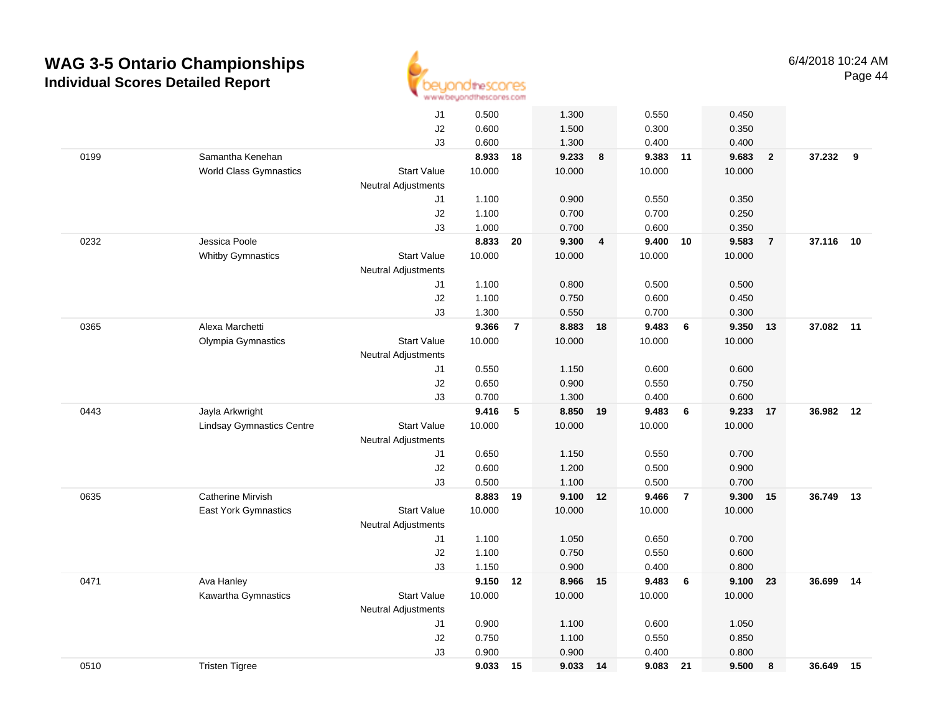

|      |                                  | J1                         | 0.500  |                | 1.300    |                | 0.550    |                | 0.450  |                |           |    |
|------|----------------------------------|----------------------------|--------|----------------|----------|----------------|----------|----------------|--------|----------------|-----------|----|
|      |                                  | J2                         | 0.600  |                | 1.500    |                | 0.300    |                | 0.350  |                |           |    |
|      |                                  | J3                         | 0.600  |                | 1.300    |                | 0.400    |                | 0.400  |                |           |    |
| 0199 | Samantha Kenehan                 |                            | 8.933  | 18             | 9.233    | 8              | 9.383 11 |                | 9.683  | $\overline{2}$ | 37.232 9  |    |
|      | <b>World Class Gymnastics</b>    | Start Value                | 10.000 |                | 10.000   |                | 10.000   |                | 10.000 |                |           |    |
|      |                                  | <b>Neutral Adjustments</b> |        |                |          |                |          |                |        |                |           |    |
|      |                                  | J1                         | 1.100  |                | 0.900    |                | 0.550    |                | 0.350  |                |           |    |
|      |                                  | J2                         | 1.100  |                | 0.700    |                | 0.700    |                | 0.250  |                |           |    |
|      |                                  | J3                         | 1.000  |                | 0.700    |                | 0.600    |                | 0.350  |                |           |    |
| 0232 | Jessica Poole                    |                            | 8.833  | 20             | 9.300    | $\overline{4}$ | 9.400 10 |                | 9.583  | $\overline{7}$ | 37.116 10 |    |
|      | <b>Whitby Gymnastics</b>         | <b>Start Value</b>         | 10.000 |                | 10.000   |                | 10.000   |                | 10.000 |                |           |    |
|      |                                  | <b>Neutral Adjustments</b> |        |                |          |                |          |                |        |                |           |    |
|      |                                  | J1                         | 1.100  |                | 0.800    |                | 0.500    |                | 0.500  |                |           |    |
|      |                                  | J2                         | 1.100  |                | 0.750    |                | 0.600    |                | 0.450  |                |           |    |
|      |                                  | J3                         | 1.300  |                | 0.550    |                | 0.700    |                | 0.300  |                |           |    |
| 0365 | Alexa Marchetti                  |                            | 9.366  | $\overline{7}$ | 8.883 18 |                | 9.483    | 6              | 9.350  | 13             | 37.082 11 |    |
|      | Olympia Gymnastics               | <b>Start Value</b>         | 10.000 |                | 10.000   |                | 10.000   |                | 10.000 |                |           |    |
|      |                                  | <b>Neutral Adjustments</b> |        |                |          |                |          |                |        |                |           |    |
|      |                                  | J1                         | 0.550  |                | 1.150    |                | 0.600    |                | 0.600  |                |           |    |
|      |                                  | J2                         | 0.650  |                | 0.900    |                | 0.550    |                | 0.750  |                |           |    |
|      |                                  | J3                         | 0.700  |                | 1.300    |                | 0.400    |                | 0.600  |                |           |    |
| 0443 | Jayla Arkwright                  |                            | 9.416  | 5              | 8.850    | 19             | 9.483    | 6              | 9.233  | 17             | 36.982    | 12 |
|      | <b>Lindsay Gymnastics Centre</b> | <b>Start Value</b>         | 10.000 |                | 10.000   |                | 10.000   |                | 10.000 |                |           |    |
|      |                                  | Neutral Adjustments        |        |                |          |                |          |                |        |                |           |    |
|      |                                  | J1                         | 0.650  |                | 1.150    |                | 0.550    |                | 0.700  |                |           |    |
|      |                                  | J2                         | 0.600  |                | 1.200    |                | 0.500    |                | 0.900  |                |           |    |
|      |                                  | J3                         | 0.500  |                | 1.100    |                | 0.500    |                | 0.700  |                |           |    |
| 0635 | <b>Catherine Mirvish</b>         |                            | 8.883  | 19             | 9.100    | 12             | 9.466    | $\overline{7}$ | 9.300  | 15             | 36.749    | 13 |
|      | <b>East York Gymnastics</b>      | <b>Start Value</b>         | 10.000 |                | 10.000   |                | 10.000   |                | 10.000 |                |           |    |
|      |                                  | <b>Neutral Adjustments</b> |        |                |          |                |          |                |        |                |           |    |
|      |                                  | J1                         | 1.100  |                | 1.050    |                | 0.650    |                | 0.700  |                |           |    |
|      |                                  | J2                         | 1.100  |                | 0.750    |                | 0.550    |                | 0.600  |                |           |    |
|      |                                  | J3                         | 1.150  |                | 0.900    |                | 0.400    |                | 0.800  |                |           |    |
| 0471 | Ava Hanley                       |                            | 9.150  | 12             | 8.966    | 15             | 9.483    | 6              | 9.100  | 23             | 36.699    | 14 |
|      | Kawartha Gymnastics              | <b>Start Value</b>         | 10.000 |                | 10.000   |                | 10.000   |                | 10.000 |                |           |    |
|      |                                  | <b>Neutral Adjustments</b> |        |                |          |                |          |                |        |                |           |    |
|      |                                  | J1                         | 0.900  |                | 1.100    |                | 0.600    |                | 1.050  |                |           |    |
|      |                                  | J2                         | 0.750  |                | 1.100    |                | 0.550    |                | 0.850  |                |           |    |
|      |                                  | J3                         | 0.900  |                | 0.900    |                | 0.400    |                | 0.800  |                |           |    |
| 0510 | <b>Tristen Tigree</b>            |                            | 9.033  | 15             | 9.033    | 14             | 9.083    | 21             | 9.500  | 8              | 36.649 15 |    |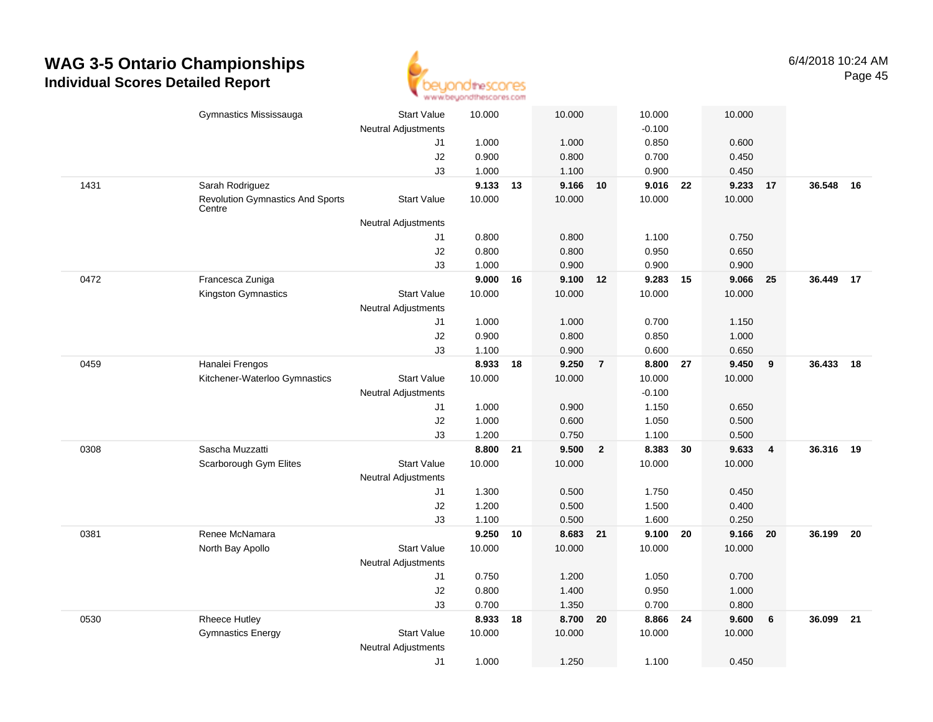

|      | Gymnastics Mississauga                  | <b>Start Value</b>         | 10.000 |    | 10.000         |                         | 10.000            |    | 10.000 |                |           |    |
|------|-----------------------------------------|----------------------------|--------|----|----------------|-------------------------|-------------------|----|--------|----------------|-----------|----|
|      |                                         | Neutral Adjustments        | 1.000  |    |                |                         | $-0.100$<br>0.850 |    | 0.600  |                |           |    |
|      |                                         | J1<br>J2                   | 0.900  |    | 1.000<br>0.800 |                         | 0.700             |    | 0.450  |                |           |    |
|      |                                         | J3                         | 1.000  |    | 1.100          |                         | 0.900             |    | 0.450  |                |           |    |
| 1431 | Sarah Rodriguez                         |                            | 9.133  | 13 | 9.166          | 10                      | 9.016             | 22 | 9.233  | 17             | 36.548    | 16 |
|      | <b>Revolution Gymnastics And Sports</b> | <b>Start Value</b>         | 10.000 |    | 10.000         |                         | 10.000            |    | 10.000 |                |           |    |
|      | Centre                                  | <b>Neutral Adjustments</b> |        |    |                |                         |                   |    |        |                |           |    |
|      |                                         | J1                         | 0.800  |    | 0.800          |                         | 1.100             |    | 0.750  |                |           |    |
|      |                                         | J2                         | 0.800  |    | 0.800          |                         | 0.950             |    | 0.650  |                |           |    |
|      |                                         | J3                         | 1.000  |    | 0.900          |                         | 0.900             |    | 0.900  |                |           |    |
| 0472 | Francesca Zuniga                        |                            | 9.000  | 16 | 9.100 12       |                         | 9.283             | 15 | 9.066  | 25             | 36.449 17 |    |
|      | Kingston Gymnastics                     | <b>Start Value</b>         | 10.000 |    | 10.000         |                         | 10.000            |    | 10.000 |                |           |    |
|      |                                         | <b>Neutral Adjustments</b> |        |    |                |                         |                   |    |        |                |           |    |
|      |                                         | J1                         | 1.000  |    | 1.000          |                         | 0.700             |    | 1.150  |                |           |    |
|      |                                         | J2                         | 0.900  |    | 0.800          |                         | 0.850             |    | 1.000  |                |           |    |
|      |                                         | J3                         | 1.100  |    | 0.900          |                         | 0.600             |    | 0.650  |                |           |    |
| 0459 | Hanalei Frengos                         |                            | 8.933  | 18 | 9.250          | $\overline{7}$          | 8.800             | 27 | 9.450  | 9              | 36.433    | 18 |
|      | Kitchener-Waterloo Gymnastics           | <b>Start Value</b>         | 10.000 |    | 10.000         |                         | 10.000            |    | 10.000 |                |           |    |
|      |                                         | <b>Neutral Adjustments</b> |        |    |                |                         | $-0.100$          |    |        |                |           |    |
|      |                                         | J1                         | 1.000  |    | 0.900          |                         | 1.150             |    | 0.650  |                |           |    |
|      |                                         | J2                         | 1.000  |    | 0.600          |                         | 1.050             |    | 0.500  |                |           |    |
|      |                                         | J3                         | 1.200  |    | 0.750          |                         | 1.100             |    | 0.500  |                |           |    |
| 0308 | Sascha Muzzatti                         |                            | 8.800  | 21 | 9.500          | $\overline{\mathbf{2}}$ | 8.383             | 30 | 9.633  | $\overline{4}$ | 36.316    | 19 |
|      | Scarborough Gym Elites                  | <b>Start Value</b>         | 10.000 |    | 10.000         |                         | 10.000            |    | 10.000 |                |           |    |
|      |                                         | Neutral Adjustments        |        |    |                |                         |                   |    |        |                |           |    |
|      |                                         | J1                         | 1.300  |    | 0.500          |                         | 1.750             |    | 0.450  |                |           |    |
|      |                                         | J2                         | 1.200  |    | 0.500          |                         | 1.500             |    | 0.400  |                |           |    |
|      |                                         | J3                         | 1.100  |    | 0.500          |                         | 1.600             |    | 0.250  |                |           |    |
| 0381 | Renee McNamara                          |                            | 9.250  | 10 | 8.683 21       |                         | 9.100             | 20 | 9.166  | 20             | 36.199    | 20 |
|      | North Bay Apollo                        | <b>Start Value</b>         | 10.000 |    | 10.000         |                         | 10.000            |    | 10.000 |                |           |    |
|      |                                         | <b>Neutral Adjustments</b> |        |    |                |                         |                   |    |        |                |           |    |
|      |                                         | J1                         | 0.750  |    | 1.200          |                         | 1.050             |    | 0.700  |                |           |    |
|      |                                         | J2                         | 0.800  |    | 1.400          |                         | 0.950             |    | 1.000  |                |           |    |
|      |                                         | J3                         | 0.700  |    | 1.350          |                         | 0.700             |    | 0.800  |                |           |    |
| 0530 | <b>Rheece Hutley</b>                    |                            | 8.933  | 18 | 8.700          | 20                      | 8.866             | 24 | 9.600  | 6              | 36.099    | 21 |
|      | <b>Gymnastics Energy</b>                | <b>Start Value</b>         | 10.000 |    | 10.000         |                         | 10.000            |    | 10.000 |                |           |    |
|      |                                         | <b>Neutral Adjustments</b> |        |    |                |                         |                   |    |        |                |           |    |
|      |                                         | J1                         | 1.000  |    | 1.250          |                         | 1.100             |    | 0.450  |                |           |    |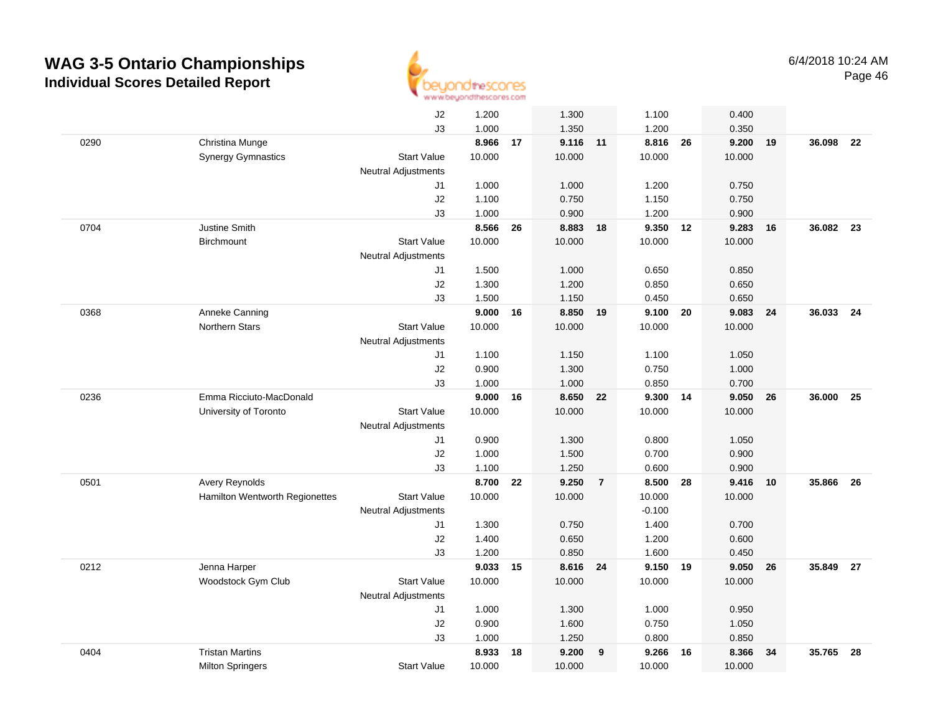

|      |                                | J2                         | 1.200  |    | 1.300    |                | 1.100    |    | 0.400  |    |           |      |
|------|--------------------------------|----------------------------|--------|----|----------|----------------|----------|----|--------|----|-----------|------|
|      |                                | J3                         | 1.000  |    | 1.350    |                | 1.200    |    | 0.350  |    |           |      |
| 0290 | Christina Munge                |                            | 8.966  | 17 | 9.116 11 |                | 8.816    | 26 | 9.200  | 19 | 36.098    | 22   |
|      | <b>Synergy Gymnastics</b>      | <b>Start Value</b>         | 10.000 |    | 10.000   |                | 10.000   |    | 10.000 |    |           |      |
|      |                                | <b>Neutral Adjustments</b> |        |    |          |                |          |    |        |    |           |      |
|      |                                | J1                         | 1.000  |    | 1.000    |                | 1.200    |    | 0.750  |    |           |      |
|      |                                | J2                         | 1.100  |    | 0.750    |                | 1.150    |    | 0.750  |    |           |      |
|      |                                | J3                         | 1.000  |    | 0.900    |                | 1.200    |    | 0.900  |    |           |      |
| 0704 | Justine Smith                  |                            | 8.566  | 26 | 8.883    | 18             | 9.350    | 12 | 9.283  | 16 | 36.082    | 23   |
|      | <b>Birchmount</b>              | <b>Start Value</b>         | 10.000 |    | 10.000   |                | 10.000   |    | 10.000 |    |           |      |
|      |                                | <b>Neutral Adjustments</b> |        |    |          |                |          |    |        |    |           |      |
|      |                                | J1                         | 1.500  |    | 1.000    |                | 0.650    |    | 0.850  |    |           |      |
|      |                                | J2                         | 1.300  |    | 1.200    |                | 0.850    |    | 0.650  |    |           |      |
|      |                                | J3                         | 1.500  |    | 1.150    |                | 0.450    |    | 0.650  |    |           |      |
| 0368 | Anneke Canning                 |                            | 9.000  | 16 | 8.850 19 |                | 9.100 20 |    | 9.083  | 24 | 36.033 24 |      |
|      | Northern Stars                 | <b>Start Value</b>         | 10.000 |    | 10.000   |                | 10.000   |    | 10.000 |    |           |      |
|      |                                | <b>Neutral Adjustments</b> |        |    |          |                |          |    |        |    |           |      |
|      |                                | J1                         | 1.100  |    | 1.150    |                | 1.100    |    | 1.050  |    |           |      |
|      |                                | J2                         | 0.900  |    | 1.300    |                | 0.750    |    | 1.000  |    |           |      |
|      |                                | J3                         | 1.000  |    | 1.000    |                | 0.850    |    | 0.700  |    |           |      |
| 0236 | Emma Ricciuto-MacDonald        |                            | 9.000  | 16 | 8.650    | 22             | 9.300    | 14 | 9.050  | 26 | 36.000    | 25   |
|      | University of Toronto          | <b>Start Value</b>         | 10.000 |    | 10.000   |                | 10.000   |    | 10.000 |    |           |      |
|      |                                | Neutral Adjustments        |        |    |          |                |          |    |        |    |           |      |
|      |                                | J1                         | 0.900  |    | 1.300    |                | 0.800    |    | 1.050  |    |           |      |
|      |                                | J2                         | 1.000  |    | 1.500    |                | 0.700    |    | 0.900  |    |           |      |
|      |                                | J3                         | 1.100  |    | 1.250    |                | 0.600    |    | 0.900  |    |           |      |
| 0501 | Avery Reynolds                 |                            | 8.700  | 22 | 9.250    | $\overline{7}$ | 8.500    | 28 | 9.416  | 10 | 35.866    | 26   |
|      | Hamilton Wentworth Regionettes | <b>Start Value</b>         | 10.000 |    | 10.000   |                | 10.000   |    | 10.000 |    |           |      |
|      |                                | <b>Neutral Adjustments</b> |        |    |          |                | $-0.100$ |    |        |    |           |      |
|      |                                | J1                         | 1.300  |    | 0.750    |                | 1.400    |    | 0.700  |    |           |      |
|      |                                | J2                         | 1.400  |    | 0.650    |                | 1.200    |    | 0.600  |    |           |      |
|      |                                | J3                         | 1.200  |    | 0.850    |                | 1.600    |    | 0.450  |    |           |      |
| 0212 | Jenna Harper                   |                            | 9.033  | 15 | 8.616 24 |                | 9.150 19 |    | 9.050  | 26 | 35.849    | - 27 |
|      | Woodstock Gym Club             | <b>Start Value</b>         | 10.000 |    | 10.000   |                | 10.000   |    | 10.000 |    |           |      |
|      |                                | <b>Neutral Adjustments</b> |        |    |          |                |          |    |        |    |           |      |
|      |                                | J1                         | 1.000  |    | 1.300    |                | 1.000    |    | 0.950  |    |           |      |
|      |                                | J2                         | 0.900  |    | 1.600    |                | 0.750    |    | 1.050  |    |           |      |
|      |                                | J3                         | 1.000  |    | 1.250    |                | 0.800    |    | 0.850  |    |           |      |
| 0404 | <b>Tristan Martins</b>         |                            | 8.933  | 18 | 9.200    | 9              | 9.266    | 16 | 8.366  | 34 | 35.765    | 28   |
|      | <b>Milton Springers</b>        | <b>Start Value</b>         | 10.000 |    | 10.000   |                | 10.000   |    | 10.000 |    |           |      |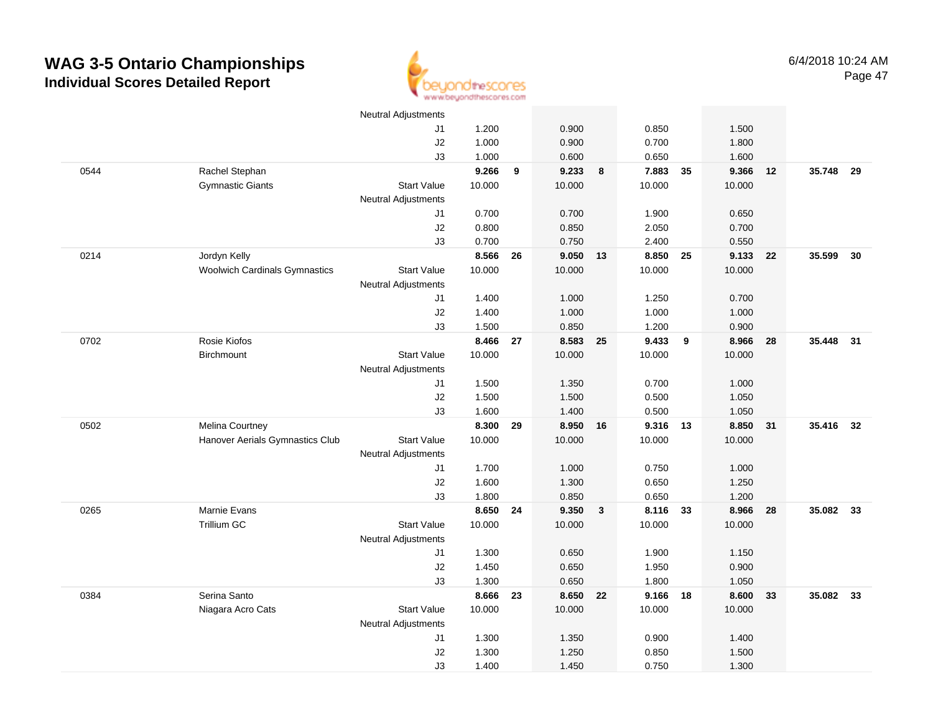

|      |                                      | <b>Neutral Adjustments</b> |                |    |                |              |                |                |                |    |           |    |
|------|--------------------------------------|----------------------------|----------------|----|----------------|--------------|----------------|----------------|----------------|----|-----------|----|
|      |                                      | J1                         | 1.200          |    | 0.900          |              | 0.850          |                | 1.500          |    |           |    |
|      |                                      | J2                         | 1.000          |    | 0.900          |              | 0.700          |                | 1.800          |    |           |    |
|      |                                      | J3                         | 1.000          |    | 0.600          |              | 0.650          |                | 1.600          |    |           |    |
| 0544 | Rachel Stephan                       |                            | 9.266          | 9  | 9.233          | 8            | 7.883          | 35             | 9.366          | 12 | 35.748    | 29 |
|      | <b>Gymnastic Giants</b>              | <b>Start Value</b>         | 10.000         |    | 10.000         |              | 10.000         |                | 10.000         |    |           |    |
|      |                                      | <b>Neutral Adjustments</b> |                |    |                |              |                |                |                |    |           |    |
|      |                                      | J1                         | 0.700          |    | 0.700          |              | 1.900          |                | 0.650          |    |           |    |
|      |                                      | J2                         | 0.800          |    | 0.850          |              | 2.050          |                | 0.700          |    |           |    |
|      |                                      | J3                         | 0.700          |    | 0.750          |              | 2.400          |                | 0.550          |    |           |    |
| 0214 | Jordyn Kelly                         |                            | 8.566          | 26 | 9.050 13       |              | 8.850          | 25             | 9.133          | 22 | 35.599    | 30 |
|      | <b>Woolwich Cardinals Gymnastics</b> | <b>Start Value</b>         | 10.000         |    | 10.000         |              | 10.000         |                | 10.000         |    |           |    |
|      |                                      | <b>Neutral Adjustments</b> |                |    |                |              |                |                |                |    |           |    |
|      |                                      | J1                         | 1.400          |    | 1.000          |              | 1.250          |                | 0.700          |    |           |    |
|      |                                      | $\sf J2$                   | 1.400          |    | 1.000          |              | 1.000          |                | 1.000          |    |           |    |
|      |                                      | J3                         | 1.500          |    | 0.850          |              | 1.200          |                | 0.900          |    |           |    |
| 0702 | Rosie Kiofos                         |                            | 8.466          | 27 | 8.583 25       |              | 9.433          | $\overline{9}$ | 8.966          | 28 | 35.448    | 31 |
|      | Birchmount                           | <b>Start Value</b>         | 10.000         |    | 10.000         |              | 10.000         |                | 10.000         |    |           |    |
|      |                                      | <b>Neutral Adjustments</b> |                |    |                |              |                |                |                |    |           |    |
|      |                                      | J1                         | 1.500          |    | 1.350          |              | 0.700          |                | 1.000          |    |           |    |
|      |                                      | $\sf J2$                   | 1.500          |    | 1.500          |              | 0.500          |                | 1.050          |    |           |    |
|      |                                      | J3                         | 1.600          |    | 1.400          |              | 0.500          |                | 1.050          |    |           |    |
| 0502 | Melina Courtney                      |                            | 8.300          | 29 | 8.950          | 16           | 9.316          | 13             | 8.850          | 31 | 35.416    | 32 |
|      | Hanover Aerials Gymnastics Club      | <b>Start Value</b>         | 10.000         |    | 10.000         |              | 10.000         |                | 10.000         |    |           |    |
|      |                                      | <b>Neutral Adjustments</b> |                |    |                |              |                |                |                |    |           |    |
|      |                                      | J1                         | 1.700          |    | 1.000          |              | 0.750          |                | 1.000          |    |           |    |
|      |                                      | J2                         | 1.600          |    | 1.300          |              | 0.650          |                | 1.250          |    |           |    |
|      |                                      | J3                         | 1.800          |    | 0.850          |              | 0.650          |                | 1.200          |    |           |    |
| 0265 | Marnie Evans                         |                            | 8.650 24       |    | 9.350          | $\mathbf{3}$ | 8.116          | 33             | 8.966          | 28 | 35.082 33 |    |
|      | Trillium GC                          | <b>Start Value</b>         | 10.000         |    | 10.000         |              | 10.000         |                | 10.000         |    |           |    |
|      |                                      | <b>Neutral Adjustments</b> |                |    |                |              |                |                |                |    |           |    |
|      |                                      | J1                         | 1.300          |    | 0.650          |              | 1.900          |                | 1.150          |    |           |    |
|      |                                      | J2<br>J3                   | 1.450<br>1.300 |    | 0.650<br>0.650 |              | 1.950<br>1.800 |                | 0.900<br>1.050 |    |           |    |
| 0384 | Serina Santo                         |                            | 8.666          | 23 | 8.650 22       |              | 9.166          | 18             | 8.600          | 33 | 35.082    | 33 |
|      | Niagara Acro Cats                    | <b>Start Value</b>         | 10.000         |    | 10.000         |              | 10.000         |                | 10.000         |    |           |    |
|      |                                      | <b>Neutral Adjustments</b> |                |    |                |              |                |                |                |    |           |    |
|      |                                      | J1                         | 1.300          |    | 1.350          |              | 0.900          |                | 1.400          |    |           |    |
|      |                                      | J2                         | 1.300          |    | 1.250          |              | 0.850          |                | 1.500          |    |           |    |
|      |                                      | J3                         | 1.400          |    | 1.450          |              | 0.750          |                | 1.300          |    |           |    |
|      |                                      |                            |                |    |                |              |                |                |                |    |           |    |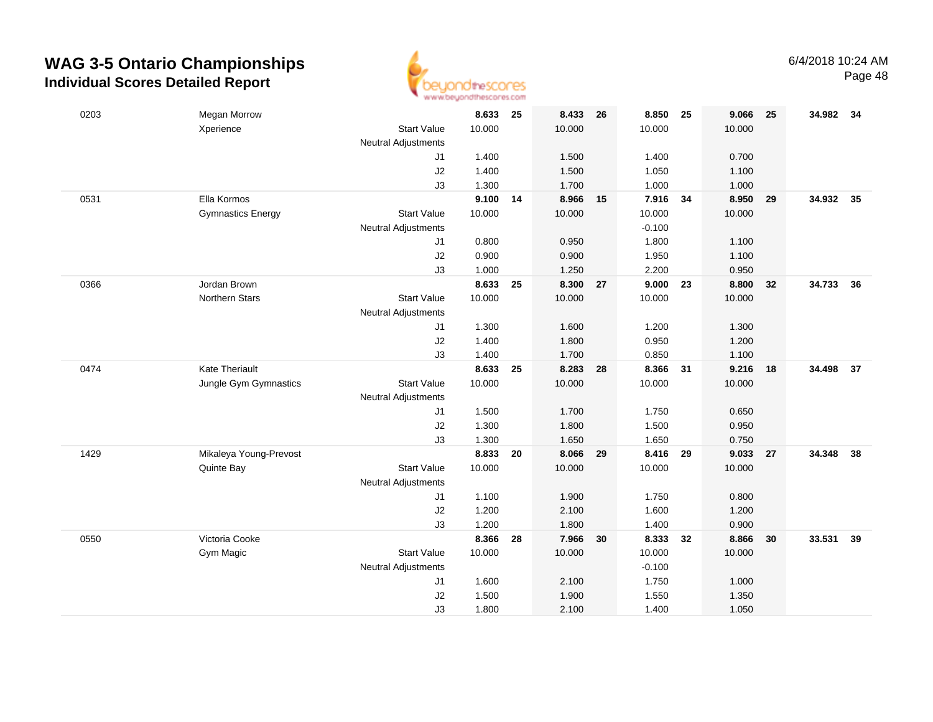

| 0203 | <b>Megan Morrow</b>      |                            | 8.633  | 25 | 8.433    | 26 | 8.850    | 25 | 9.066  | 25 | 34.982 34 |    |
|------|--------------------------|----------------------------|--------|----|----------|----|----------|----|--------|----|-----------|----|
|      | Xperience                | <b>Start Value</b>         | 10.000 |    | 10.000   |    | 10.000   |    | 10.000 |    |           |    |
|      |                          | <b>Neutral Adjustments</b> |        |    |          |    |          |    |        |    |           |    |
|      |                          | J1                         | 1.400  |    | 1.500    |    | 1.400    |    | 0.700  |    |           |    |
|      |                          | J2                         | 1.400  |    | 1.500    |    | 1.050    |    | 1.100  |    |           |    |
|      |                          | J3                         | 1.300  |    | 1.700    |    | 1.000    |    | 1.000  |    |           |    |
| 0531 | Ella Kormos              |                            | 9.100  | 14 | 8.966    | 15 | 7.916    | 34 | 8.950  | 29 | 34.932 35 |    |
|      | <b>Gymnastics Energy</b> | <b>Start Value</b>         | 10.000 |    | 10.000   |    | 10.000   |    | 10.000 |    |           |    |
|      |                          | <b>Neutral Adjustments</b> |        |    |          |    | $-0.100$ |    |        |    |           |    |
|      |                          | J1                         | 0.800  |    | 0.950    |    | 1.800    |    | 1.100  |    |           |    |
|      |                          | J2                         | 0.900  |    | 0.900    |    | 1.950    |    | 1.100  |    |           |    |
|      |                          | J3                         | 1.000  |    | 1.250    |    | 2.200    |    | 0.950  |    |           |    |
| 0366 | Jordan Brown             |                            | 8.633  | 25 | 8.300    | 27 | 9.000    | 23 | 8.800  | 32 | 34.733    | 36 |
|      | <b>Northern Stars</b>    | <b>Start Value</b>         | 10.000 |    | 10.000   |    | 10.000   |    | 10.000 |    |           |    |
|      |                          | <b>Neutral Adjustments</b> |        |    |          |    |          |    |        |    |           |    |
|      |                          | J1                         | 1.300  |    | 1.600    |    | 1.200    |    | 1.300  |    |           |    |
|      |                          | J2                         | 1.400  |    | 1.800    |    | 0.950    |    | 1.200  |    |           |    |
|      |                          | J3                         | 1.400  |    | 1.700    |    | 0.850    |    | 1.100  |    |           |    |
| 0474 | <b>Kate Theriault</b>    |                            | 8.633  | 25 | 8.283    | 28 | 8.366    | 31 | 9.216  | 18 | 34.498    | 37 |
|      | Jungle Gym Gymnastics    | <b>Start Value</b>         | 10.000 |    | 10.000   |    | 10.000   |    | 10.000 |    |           |    |
|      |                          | <b>Neutral Adjustments</b> |        |    |          |    |          |    |        |    |           |    |
|      |                          | J1                         | 1.500  |    | 1.700    |    | 1.750    |    | 0.650  |    |           |    |
|      |                          | J2                         | 1.300  |    | 1.800    |    | 1.500    |    | 0.950  |    |           |    |
|      |                          | J3                         | 1.300  |    | 1.650    |    | 1.650    |    | 0.750  |    |           |    |
| 1429 | Mikaleya Young-Prevost   |                            | 8.833  | 20 | 8.066 29 |    | 8.416 29 |    | 9.033  | 27 | 34.348    | 38 |
|      | Quinte Bay               | <b>Start Value</b>         | 10.000 |    | 10.000   |    | 10.000   |    | 10.000 |    |           |    |
|      |                          | <b>Neutral Adjustments</b> |        |    |          |    |          |    |        |    |           |    |
|      |                          | J1                         | 1.100  |    | 1.900    |    | 1.750    |    | 0.800  |    |           |    |
|      |                          | J2                         | 1.200  |    | 2.100    |    | 1.600    |    | 1.200  |    |           |    |
|      |                          | J3                         | 1.200  |    | 1.800    |    | 1.400    |    | 0.900  |    |           |    |
| 0550 | Victoria Cooke           |                            | 8.366  | 28 | 7.966    | 30 | 8.333    | 32 | 8.866  | 30 | 33.531    | 39 |
|      | Gym Magic                | <b>Start Value</b>         | 10.000 |    | 10.000   |    | 10.000   |    | 10.000 |    |           |    |
|      |                          | <b>Neutral Adjustments</b> |        |    |          |    | $-0.100$ |    |        |    |           |    |
|      |                          | J1                         | 1.600  |    | 2.100    |    | 1.750    |    | 1.000  |    |           |    |
|      |                          | J2                         | 1.500  |    | 1.900    |    | 1.550    |    | 1.350  |    |           |    |
|      |                          | J3                         | 1.800  |    | 2.100    |    | 1.400    |    | 1.050  |    |           |    |
|      |                          |                            |        |    |          |    |          |    |        |    |           |    |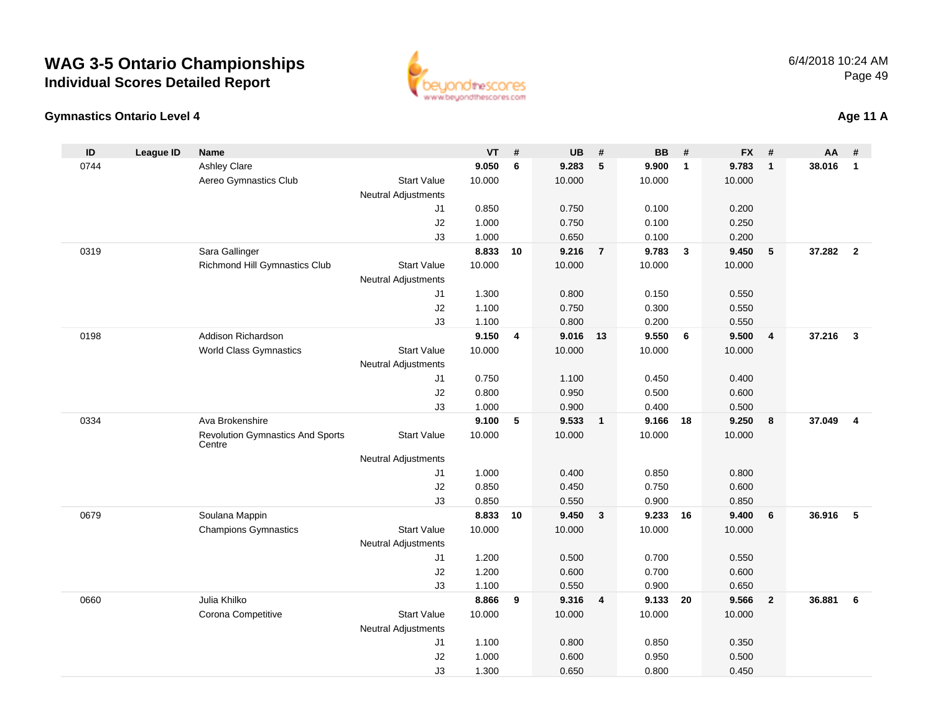

#### **Gymnastics Ontario Level 4**

|  | <b>Age 11 A</b> |
|--|-----------------|
|--|-----------------|

| ID   | <b>League ID</b> | <b>Name</b>                                       |                            | <b>VT</b>      | #       | <b>UB</b>      | #              | <b>BB</b>      | #            | <b>FX</b>      | #                       | <b>AA</b> | #                       |
|------|------------------|---------------------------------------------------|----------------------------|----------------|---------|----------------|----------------|----------------|--------------|----------------|-------------------------|-----------|-------------------------|
| 0744 |                  | <b>Ashley Clare</b>                               |                            | 9.050          | $\bf 6$ | 9.283          | $\sqrt{5}$     | 9.900          | $\mathbf{1}$ | 9.783          | $\mathbf{1}$            | 38.016    | $\overline{1}$          |
|      |                  | Aereo Gymnastics Club                             | <b>Start Value</b>         | 10.000         |         | 10.000         |                | 10.000         |              | 10.000         |                         |           |                         |
|      |                  |                                                   | <b>Neutral Adjustments</b> |                |         |                |                |                |              |                |                         |           |                         |
|      |                  |                                                   | J1                         | 0.850          |         | 0.750          |                | 0.100          |              | 0.200          |                         |           |                         |
|      |                  |                                                   | J2                         | 1.000          |         | 0.750          |                | 0.100          |              | 0.250          |                         |           |                         |
|      |                  |                                                   | J3                         | 1.000          |         | 0.650          |                | 0.100          |              | 0.200          |                         |           |                         |
| 0319 |                  | Sara Gallinger                                    |                            | 8.833          | 10      | 9.216          | $\overline{7}$ | 9.783          | $\mathbf{3}$ | 9.450          | $5\phantom{.0}$         | 37.282    | $\overline{\mathbf{2}}$ |
|      |                  | <b>Richmond Hill Gymnastics Club</b>              | <b>Start Value</b>         | 10.000         |         | 10.000         |                | 10.000         |              | 10.000         |                         |           |                         |
|      |                  |                                                   | <b>Neutral Adjustments</b> |                |         |                |                |                |              |                |                         |           |                         |
|      |                  |                                                   | J1                         | 1.300          |         | 0.800          |                | 0.150          |              | 0.550          |                         |           |                         |
|      |                  |                                                   | J2<br>J3                   | 1.100<br>1.100 |         | 0.750<br>0.800 |                | 0.300<br>0.200 |              | 0.550<br>0.550 |                         |           |                         |
| 0198 |                  | Addison Richardson                                |                            | 9.150          | 4       | 9.016 13       |                | 9.550          | 6            | 9.500          | $\overline{\mathbf{4}}$ | 37.216    | $\overline{\mathbf{3}}$ |
|      |                  | <b>World Class Gymnastics</b>                     | <b>Start Value</b>         | 10.000         |         | 10.000         |                | 10.000         |              | 10.000         |                         |           |                         |
|      |                  |                                                   | <b>Neutral Adjustments</b> |                |         |                |                |                |              |                |                         |           |                         |
|      |                  |                                                   | J1                         | 0.750          |         | 1.100          |                | 0.450          |              | 0.400          |                         |           |                         |
|      |                  |                                                   | J2                         | 0.800          |         | 0.950          |                | 0.500          |              | 0.600          |                         |           |                         |
|      |                  |                                                   | J3                         | 1.000          |         | 0.900          |                | 0.400          |              | 0.500          |                         |           |                         |
| 0334 |                  | Ava Brokenshire                                   |                            | 9.100          | 5       | 9.533          | $\overline{1}$ | 9.166          | 18           | 9.250          | 8                       | 37.049    | $\overline{4}$          |
|      |                  | <b>Revolution Gymnastics And Sports</b><br>Centre | <b>Start Value</b>         | 10.000         |         | 10.000         |                | 10.000         |              | 10.000         |                         |           |                         |
|      |                  |                                                   | <b>Neutral Adjustments</b> |                |         |                |                |                |              |                |                         |           |                         |
|      |                  |                                                   | J1                         | 1.000          |         | 0.400          |                | 0.850          |              | 0.800          |                         |           |                         |
|      |                  |                                                   | J2                         | 0.850          |         | 0.450          |                | 0.750          |              | 0.600          |                         |           |                         |
|      |                  |                                                   | J3                         | 0.850          |         | 0.550          |                | 0.900          |              | 0.850          |                         |           |                         |
| 0679 |                  | Soulana Mappin                                    |                            | 8.833          | 10      | 9.450          | $\mathbf{3}$   | 9.233          | 16           | 9.400          | 6                       | 36.916    | 5                       |
|      |                  | <b>Champions Gymnastics</b>                       | <b>Start Value</b>         | 10.000         |         | 10.000         |                | 10.000         |              | 10.000         |                         |           |                         |
|      |                  |                                                   | Neutral Adjustments        |                |         |                |                |                |              |                |                         |           |                         |
|      |                  |                                                   | J1                         | 1.200          |         | 0.500          |                | 0.700          |              | 0.550          |                         |           |                         |
|      |                  |                                                   | J2                         | 1.200          |         | 0.600          |                | 0.700          |              | 0.600          |                         |           |                         |
| 0660 |                  | Julia Khilko                                      | J3                         | 1.100<br>8.866 | 9       | 0.550<br>9.316 | $\overline{4}$ | 0.900<br>9.133 | 20           | 0.650<br>9.566 | $\overline{2}$          | 36.881    | 6                       |
|      |                  |                                                   | <b>Start Value</b>         |                |         | 10.000         |                | 10.000         |              |                |                         |           |                         |
|      |                  | Corona Competitive                                | <b>Neutral Adjustments</b> | 10.000         |         |                |                |                |              | 10.000         |                         |           |                         |
|      |                  |                                                   | J1                         | 1.100          |         | 0.800          |                | 0.850          |              | 0.350          |                         |           |                         |
|      |                  |                                                   | J2                         | 1.000          |         | 0.600          |                | 0.950          |              | 0.500          |                         |           |                         |
|      |                  |                                                   | J3                         | 1.300          |         | 0.650          |                | 0.800          |              | 0.450          |                         |           |                         |
|      |                  |                                                   |                            |                |         |                |                |                |              |                |                         |           |                         |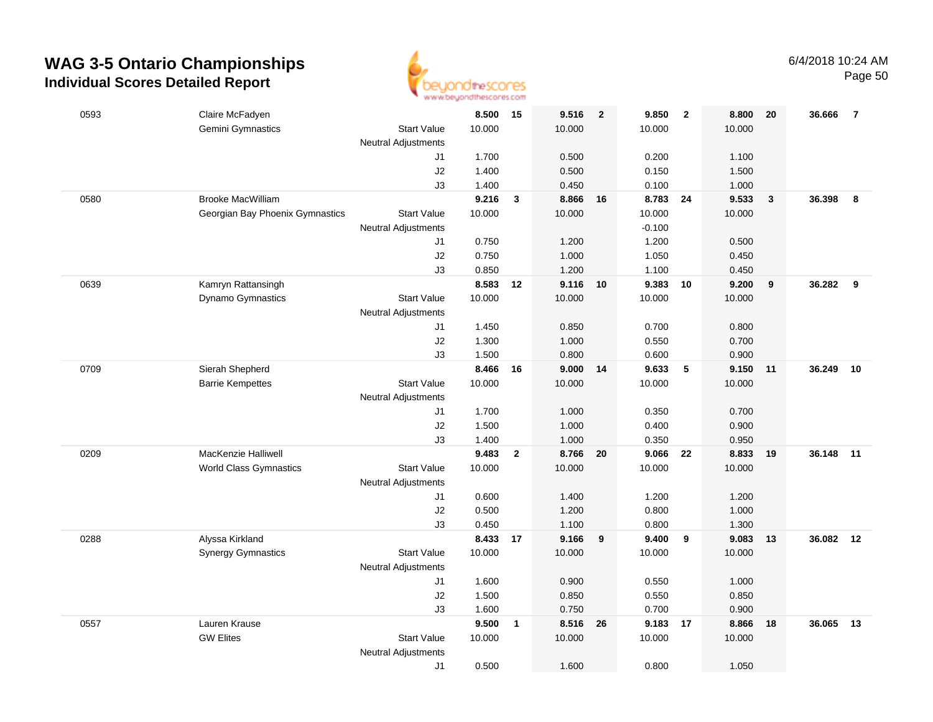

| 0593 | Claire McFadyen                            |                            | 8.500           | 15             | 9.516                | $\overline{\mathbf{2}}$ | 9.850           | $\overline{\mathbf{2}}$ | 8.800           | 20           | 36.666    | $\overline{7}$ |
|------|--------------------------------------------|----------------------------|-----------------|----------------|----------------------|-------------------------|-----------------|-------------------------|-----------------|--------------|-----------|----------------|
|      | Gemini Gymnastics                          | <b>Start Value</b>         | 10.000          |                | 10.000               |                         | 10.000          |                         | 10.000          |              |           |                |
|      |                                            | <b>Neutral Adjustments</b> |                 |                |                      |                         |                 |                         |                 |              |           |                |
|      |                                            | J1                         | 1.700           |                | 0.500                |                         | 0.200           |                         | 1.100           |              |           |                |
|      |                                            | J2                         | 1.400           |                | 0.500                |                         | 0.150           |                         | 1.500           |              |           |                |
|      |                                            | J3                         | 1.400           |                | 0.450                |                         | 0.100           |                         | 1.000           |              |           |                |
| 0580 | <b>Brooke MacWilliam</b>                   |                            | 9.216           | $\mathbf{3}$   | 8.866                | 16                      | 8.783           | 24                      | 9.533           | $\mathbf{3}$ | 36.398    | 8              |
|      | Georgian Bay Phoenix Gymnastics            | <b>Start Value</b>         | 10.000          |                | 10.000               |                         | 10.000          |                         | 10.000          |              |           |                |
|      |                                            | <b>Neutral Adjustments</b> |                 |                |                      |                         | $-0.100$        |                         |                 |              |           |                |
|      |                                            | J1                         | 0.750           |                | 1.200                |                         | 1.200           |                         | 0.500           |              |           |                |
|      |                                            | J2                         | 0.750           |                | 1.000                |                         | 1.050           |                         | 0.450           |              |           |                |
|      |                                            | J3                         | 0.850           |                | 1.200                |                         | 1.100           |                         | 0.450           |              |           |                |
| 0639 | Kamryn Rattansingh                         |                            | 8.583           | 12             | 9.116                | 10                      | 9.383           | 10                      | 9.200           | 9            | 36.282    | 9              |
|      | Dynamo Gymnastics                          | <b>Start Value</b>         | 10.000          |                | 10.000               |                         | 10.000          |                         | 10.000          |              |           |                |
|      |                                            | <b>Neutral Adjustments</b> |                 |                |                      |                         |                 |                         |                 |              |           |                |
|      |                                            | J1                         | 1.450           |                | 0.850                |                         | 0.700           |                         | 0.800           |              |           |                |
|      |                                            | $\sf J2$                   | 1.300           |                | 1.000                |                         | 0.550           |                         | 0.700           |              |           |                |
| 0709 |                                            | J3                         | 1.500           |                | 0.800                |                         | 0.600           | 5                       | 0.900           |              | 36.249    |                |
|      | Sierah Shepherd<br><b>Barrie Kempettes</b> | <b>Start Value</b>         | 8.466<br>10.000 | 16             | $9.000$ 14<br>10.000 |                         | 9.633<br>10.000 |                         | 9.150<br>10.000 | 11           |           | 10             |
|      |                                            | <b>Neutral Adjustments</b> |                 |                |                      |                         |                 |                         |                 |              |           |                |
|      |                                            | J1                         | 1.700           |                | 1.000                |                         | 0.350           |                         | 0.700           |              |           |                |
|      |                                            | $\sf J2$                   | 1.500           |                | 1.000                |                         | 0.400           |                         | 0.900           |              |           |                |
|      |                                            | J3                         | 1.400           |                | 1.000                |                         | 0.350           |                         | 0.950           |              |           |                |
| 0209 | <b>MacKenzie Halliwell</b>                 |                            | 9.483           | $\overline{2}$ | 8.766                | 20                      | 9.066           | 22                      | 8.833           | 19           | 36.148    | 11             |
|      | <b>World Class Gymnastics</b>              | <b>Start Value</b>         | 10.000          |                | 10.000               |                         | 10.000          |                         | 10.000          |              |           |                |
|      |                                            | <b>Neutral Adjustments</b> |                 |                |                      |                         |                 |                         |                 |              |           |                |
|      |                                            | J1                         | 0.600           |                | 1.400                |                         | 1.200           |                         | 1.200           |              |           |                |
|      |                                            | J2                         | 0.500           |                | 1.200                |                         | 0.800           |                         | 1.000           |              |           |                |
|      |                                            | J3                         | 0.450           |                | 1.100                |                         | 0.800           |                         | 1.300           |              |           |                |
| 0288 | Alyssa Kirkland                            |                            | 8.433 17        |                | 9.166                | 9                       | 9.400           | 9                       | 9.083           | 13           | 36.082 12 |                |
|      | <b>Synergy Gymnastics</b>                  | <b>Start Value</b>         | 10.000          |                | 10.000               |                         | 10.000          |                         | 10.000          |              |           |                |
|      |                                            | <b>Neutral Adjustments</b> |                 |                |                      |                         |                 |                         |                 |              |           |                |
|      |                                            | J1                         | 1.600           |                | 0.900                |                         | 0.550           |                         | 1.000           |              |           |                |
|      |                                            | J2                         | 1.500           |                | 0.850                |                         | 0.550           |                         | 0.850           |              |           |                |
|      |                                            | J3                         | 1.600           |                | 0.750                |                         | 0.700           |                         | 0.900           |              |           |                |
| 0557 | Lauren Krause                              |                            | 9.500           | $\mathbf{1}$   | 8.516 26             |                         | 9.183           | 17                      | 8.866           | 18           | 36.065    | 13             |
|      | <b>GW Elites</b>                           | <b>Start Value</b>         | 10.000          |                | 10.000               |                         | 10.000          |                         | 10.000          |              |           |                |
|      |                                            | <b>Neutral Adjustments</b> |                 |                |                      |                         |                 |                         |                 |              |           |                |
|      |                                            | J1                         | 0.500           |                | 1.600                |                         | 0.800           |                         | 1.050           |              |           |                |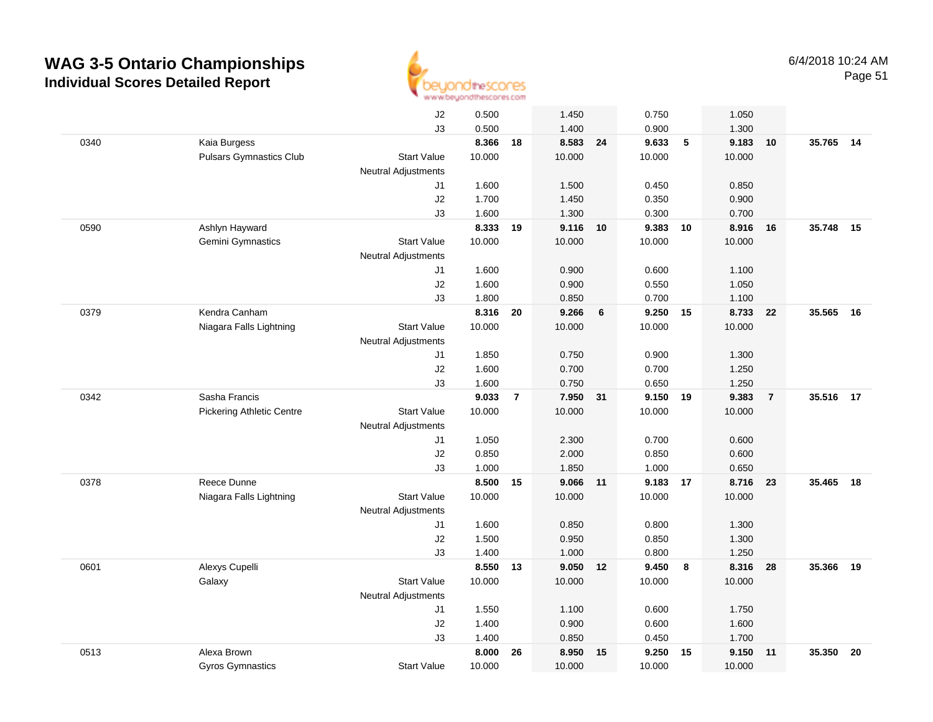

| J2<br>0.500<br>1.450<br>0.750<br>1.050<br>J3<br>0.500<br>1.400<br>0.900<br>1.300<br>Kaia Burgess<br>8.366<br>8.583<br>9.633<br>$\sqrt{5}$<br>9.183<br>0340<br>18<br>24<br>10<br><b>Pulsars Gymnastics Club</b><br>10.000<br>10.000<br><b>Start Value</b><br>10.000<br>10.000<br><b>Neutral Adjustments</b><br>1.600<br>1.500<br>0.450<br>0.850<br>J1<br>J2<br>1.700<br>1.450<br>0.350<br>0.900<br>J3<br>1.600<br>1.300<br>0.300<br>0.700<br>Ashlyn Hayward<br>8.333<br>9.116<br>9.383<br>0590<br>19<br>10<br>10<br>8.916<br>16<br><b>Start Value</b><br>10.000<br>10.000<br>10.000<br>10.000<br>Gemini Gymnastics<br><b>Neutral Adjustments</b><br>1.600<br>0.900<br>0.600<br>1.100<br>J1<br>1.050<br>J2<br>1.600<br>0.900<br>0.550<br>J3<br>1.800<br>0.850<br>0.700<br>1.100<br>8.316<br>0379<br>Kendra Canham<br>9.266<br>9.250 15<br>8.733<br>20<br>6<br>- 22<br>Niagara Falls Lightning<br><b>Start Value</b><br>10.000<br>10.000<br>10.000<br>10.000<br><b>Neutral Adjustments</b><br>1.850<br>0.750<br>0.900<br>1.300<br>J1<br>J2<br>1.600<br>0.700<br>0.700<br>1.250<br>J3<br>1.600<br>0.750<br>0.650<br>1.250<br>0342<br>Sasha Francis<br>9.033<br>7.950<br>9.150<br>9.383<br>$\overline{7}$<br>31<br>19<br>$\overline{7}$<br><b>Start Value</b><br>10.000<br>10.000<br>10.000<br>10.000<br><b>Pickering Athletic Centre</b><br>Neutral Adjustments<br>1.050<br>2.300<br>0.700<br>0.600<br>J1<br>J2<br>2.000<br>0.850<br>0.850<br>0.600<br>J3<br>1.000<br>1.850<br>1.000<br>0.650<br>0378<br>Reece Dunne<br>8.500<br>9.066<br>9.183 17<br>8.716<br>15<br>11<br>23<br>Niagara Falls Lightning<br>10.000<br>10.000<br>10.000<br>10.000<br><b>Start Value</b><br>Neutral Adjustments<br>1.600<br>0.850<br>0.800<br>1.300<br>J1<br>J2<br>1.500<br>0.950<br>0.850<br>1.300<br>J3<br>1.400<br>1.000<br>0.800<br>1.250<br>0601<br>Alexys Cupelli<br>8.550<br>9.050 12<br>9.450<br>8<br>8.316<br>28<br>13<br><b>Start Value</b><br>10.000<br>10.000<br>10.000<br>10.000<br>Galaxy<br><b>Neutral Adjustments</b><br>1.550<br>1.100<br>0.600<br>J1<br>1.750<br>1.400<br>0.900<br>0.600<br>1.600<br>J2<br>J3<br>1.400<br>0.850<br>0.450<br>1.700<br>0513<br>Alexa Brown<br>8.000<br>8.950<br>9.250<br>9.150<br>26<br>15<br>15<br>11<br>10.000<br>10.000<br>10.000<br><b>Gyros Gymnastics</b><br><b>Start Value</b><br>10.000 |  |  |  |  |  |  |           |    |
|---------------------------------------------------------------------------------------------------------------------------------------------------------------------------------------------------------------------------------------------------------------------------------------------------------------------------------------------------------------------------------------------------------------------------------------------------------------------------------------------------------------------------------------------------------------------------------------------------------------------------------------------------------------------------------------------------------------------------------------------------------------------------------------------------------------------------------------------------------------------------------------------------------------------------------------------------------------------------------------------------------------------------------------------------------------------------------------------------------------------------------------------------------------------------------------------------------------------------------------------------------------------------------------------------------------------------------------------------------------------------------------------------------------------------------------------------------------------------------------------------------------------------------------------------------------------------------------------------------------------------------------------------------------------------------------------------------------------------------------------------------------------------------------------------------------------------------------------------------------------------------------------------------------------------------------------------------------------------------------------------------------------------------------------------------------------------------------------------------------------------------------------------------------------------------------------------------------------------------------------------------------------------------------------------------------------------|--|--|--|--|--|--|-----------|----|
|                                                                                                                                                                                                                                                                                                                                                                                                                                                                                                                                                                                                                                                                                                                                                                                                                                                                                                                                                                                                                                                                                                                                                                                                                                                                                                                                                                                                                                                                                                                                                                                                                                                                                                                                                                                                                                                                                                                                                                                                                                                                                                                                                                                                                                                                                                                           |  |  |  |  |  |  |           |    |
|                                                                                                                                                                                                                                                                                                                                                                                                                                                                                                                                                                                                                                                                                                                                                                                                                                                                                                                                                                                                                                                                                                                                                                                                                                                                                                                                                                                                                                                                                                                                                                                                                                                                                                                                                                                                                                                                                                                                                                                                                                                                                                                                                                                                                                                                                                                           |  |  |  |  |  |  |           |    |
|                                                                                                                                                                                                                                                                                                                                                                                                                                                                                                                                                                                                                                                                                                                                                                                                                                                                                                                                                                                                                                                                                                                                                                                                                                                                                                                                                                                                                                                                                                                                                                                                                                                                                                                                                                                                                                                                                                                                                                                                                                                                                                                                                                                                                                                                                                                           |  |  |  |  |  |  | 35.765 14 |    |
|                                                                                                                                                                                                                                                                                                                                                                                                                                                                                                                                                                                                                                                                                                                                                                                                                                                                                                                                                                                                                                                                                                                                                                                                                                                                                                                                                                                                                                                                                                                                                                                                                                                                                                                                                                                                                                                                                                                                                                                                                                                                                                                                                                                                                                                                                                                           |  |  |  |  |  |  |           |    |
|                                                                                                                                                                                                                                                                                                                                                                                                                                                                                                                                                                                                                                                                                                                                                                                                                                                                                                                                                                                                                                                                                                                                                                                                                                                                                                                                                                                                                                                                                                                                                                                                                                                                                                                                                                                                                                                                                                                                                                                                                                                                                                                                                                                                                                                                                                                           |  |  |  |  |  |  |           |    |
|                                                                                                                                                                                                                                                                                                                                                                                                                                                                                                                                                                                                                                                                                                                                                                                                                                                                                                                                                                                                                                                                                                                                                                                                                                                                                                                                                                                                                                                                                                                                                                                                                                                                                                                                                                                                                                                                                                                                                                                                                                                                                                                                                                                                                                                                                                                           |  |  |  |  |  |  |           |    |
|                                                                                                                                                                                                                                                                                                                                                                                                                                                                                                                                                                                                                                                                                                                                                                                                                                                                                                                                                                                                                                                                                                                                                                                                                                                                                                                                                                                                                                                                                                                                                                                                                                                                                                                                                                                                                                                                                                                                                                                                                                                                                                                                                                                                                                                                                                                           |  |  |  |  |  |  |           |    |
|                                                                                                                                                                                                                                                                                                                                                                                                                                                                                                                                                                                                                                                                                                                                                                                                                                                                                                                                                                                                                                                                                                                                                                                                                                                                                                                                                                                                                                                                                                                                                                                                                                                                                                                                                                                                                                                                                                                                                                                                                                                                                                                                                                                                                                                                                                                           |  |  |  |  |  |  |           |    |
|                                                                                                                                                                                                                                                                                                                                                                                                                                                                                                                                                                                                                                                                                                                                                                                                                                                                                                                                                                                                                                                                                                                                                                                                                                                                                                                                                                                                                                                                                                                                                                                                                                                                                                                                                                                                                                                                                                                                                                                                                                                                                                                                                                                                                                                                                                                           |  |  |  |  |  |  | 35.748    | 15 |
|                                                                                                                                                                                                                                                                                                                                                                                                                                                                                                                                                                                                                                                                                                                                                                                                                                                                                                                                                                                                                                                                                                                                                                                                                                                                                                                                                                                                                                                                                                                                                                                                                                                                                                                                                                                                                                                                                                                                                                                                                                                                                                                                                                                                                                                                                                                           |  |  |  |  |  |  |           |    |
|                                                                                                                                                                                                                                                                                                                                                                                                                                                                                                                                                                                                                                                                                                                                                                                                                                                                                                                                                                                                                                                                                                                                                                                                                                                                                                                                                                                                                                                                                                                                                                                                                                                                                                                                                                                                                                                                                                                                                                                                                                                                                                                                                                                                                                                                                                                           |  |  |  |  |  |  |           |    |
|                                                                                                                                                                                                                                                                                                                                                                                                                                                                                                                                                                                                                                                                                                                                                                                                                                                                                                                                                                                                                                                                                                                                                                                                                                                                                                                                                                                                                                                                                                                                                                                                                                                                                                                                                                                                                                                                                                                                                                                                                                                                                                                                                                                                                                                                                                                           |  |  |  |  |  |  |           |    |
|                                                                                                                                                                                                                                                                                                                                                                                                                                                                                                                                                                                                                                                                                                                                                                                                                                                                                                                                                                                                                                                                                                                                                                                                                                                                                                                                                                                                                                                                                                                                                                                                                                                                                                                                                                                                                                                                                                                                                                                                                                                                                                                                                                                                                                                                                                                           |  |  |  |  |  |  |           |    |
|                                                                                                                                                                                                                                                                                                                                                                                                                                                                                                                                                                                                                                                                                                                                                                                                                                                                                                                                                                                                                                                                                                                                                                                                                                                                                                                                                                                                                                                                                                                                                                                                                                                                                                                                                                                                                                                                                                                                                                                                                                                                                                                                                                                                                                                                                                                           |  |  |  |  |  |  |           |    |
|                                                                                                                                                                                                                                                                                                                                                                                                                                                                                                                                                                                                                                                                                                                                                                                                                                                                                                                                                                                                                                                                                                                                                                                                                                                                                                                                                                                                                                                                                                                                                                                                                                                                                                                                                                                                                                                                                                                                                                                                                                                                                                                                                                                                                                                                                                                           |  |  |  |  |  |  | 35.565    | 16 |
|                                                                                                                                                                                                                                                                                                                                                                                                                                                                                                                                                                                                                                                                                                                                                                                                                                                                                                                                                                                                                                                                                                                                                                                                                                                                                                                                                                                                                                                                                                                                                                                                                                                                                                                                                                                                                                                                                                                                                                                                                                                                                                                                                                                                                                                                                                                           |  |  |  |  |  |  |           |    |
|                                                                                                                                                                                                                                                                                                                                                                                                                                                                                                                                                                                                                                                                                                                                                                                                                                                                                                                                                                                                                                                                                                                                                                                                                                                                                                                                                                                                                                                                                                                                                                                                                                                                                                                                                                                                                                                                                                                                                                                                                                                                                                                                                                                                                                                                                                                           |  |  |  |  |  |  |           |    |
|                                                                                                                                                                                                                                                                                                                                                                                                                                                                                                                                                                                                                                                                                                                                                                                                                                                                                                                                                                                                                                                                                                                                                                                                                                                                                                                                                                                                                                                                                                                                                                                                                                                                                                                                                                                                                                                                                                                                                                                                                                                                                                                                                                                                                                                                                                                           |  |  |  |  |  |  |           |    |
|                                                                                                                                                                                                                                                                                                                                                                                                                                                                                                                                                                                                                                                                                                                                                                                                                                                                                                                                                                                                                                                                                                                                                                                                                                                                                                                                                                                                                                                                                                                                                                                                                                                                                                                                                                                                                                                                                                                                                                                                                                                                                                                                                                                                                                                                                                                           |  |  |  |  |  |  |           |    |
|                                                                                                                                                                                                                                                                                                                                                                                                                                                                                                                                                                                                                                                                                                                                                                                                                                                                                                                                                                                                                                                                                                                                                                                                                                                                                                                                                                                                                                                                                                                                                                                                                                                                                                                                                                                                                                                                                                                                                                                                                                                                                                                                                                                                                                                                                                                           |  |  |  |  |  |  |           |    |
|                                                                                                                                                                                                                                                                                                                                                                                                                                                                                                                                                                                                                                                                                                                                                                                                                                                                                                                                                                                                                                                                                                                                                                                                                                                                                                                                                                                                                                                                                                                                                                                                                                                                                                                                                                                                                                                                                                                                                                                                                                                                                                                                                                                                                                                                                                                           |  |  |  |  |  |  | 35.516 17 |    |
|                                                                                                                                                                                                                                                                                                                                                                                                                                                                                                                                                                                                                                                                                                                                                                                                                                                                                                                                                                                                                                                                                                                                                                                                                                                                                                                                                                                                                                                                                                                                                                                                                                                                                                                                                                                                                                                                                                                                                                                                                                                                                                                                                                                                                                                                                                                           |  |  |  |  |  |  |           |    |
|                                                                                                                                                                                                                                                                                                                                                                                                                                                                                                                                                                                                                                                                                                                                                                                                                                                                                                                                                                                                                                                                                                                                                                                                                                                                                                                                                                                                                                                                                                                                                                                                                                                                                                                                                                                                                                                                                                                                                                                                                                                                                                                                                                                                                                                                                                                           |  |  |  |  |  |  |           |    |
|                                                                                                                                                                                                                                                                                                                                                                                                                                                                                                                                                                                                                                                                                                                                                                                                                                                                                                                                                                                                                                                                                                                                                                                                                                                                                                                                                                                                                                                                                                                                                                                                                                                                                                                                                                                                                                                                                                                                                                                                                                                                                                                                                                                                                                                                                                                           |  |  |  |  |  |  |           |    |
|                                                                                                                                                                                                                                                                                                                                                                                                                                                                                                                                                                                                                                                                                                                                                                                                                                                                                                                                                                                                                                                                                                                                                                                                                                                                                                                                                                                                                                                                                                                                                                                                                                                                                                                                                                                                                                                                                                                                                                                                                                                                                                                                                                                                                                                                                                                           |  |  |  |  |  |  |           |    |
|                                                                                                                                                                                                                                                                                                                                                                                                                                                                                                                                                                                                                                                                                                                                                                                                                                                                                                                                                                                                                                                                                                                                                                                                                                                                                                                                                                                                                                                                                                                                                                                                                                                                                                                                                                                                                                                                                                                                                                                                                                                                                                                                                                                                                                                                                                                           |  |  |  |  |  |  |           |    |
|                                                                                                                                                                                                                                                                                                                                                                                                                                                                                                                                                                                                                                                                                                                                                                                                                                                                                                                                                                                                                                                                                                                                                                                                                                                                                                                                                                                                                                                                                                                                                                                                                                                                                                                                                                                                                                                                                                                                                                                                                                                                                                                                                                                                                                                                                                                           |  |  |  |  |  |  | 35.465    | 18 |
|                                                                                                                                                                                                                                                                                                                                                                                                                                                                                                                                                                                                                                                                                                                                                                                                                                                                                                                                                                                                                                                                                                                                                                                                                                                                                                                                                                                                                                                                                                                                                                                                                                                                                                                                                                                                                                                                                                                                                                                                                                                                                                                                                                                                                                                                                                                           |  |  |  |  |  |  |           |    |
|                                                                                                                                                                                                                                                                                                                                                                                                                                                                                                                                                                                                                                                                                                                                                                                                                                                                                                                                                                                                                                                                                                                                                                                                                                                                                                                                                                                                                                                                                                                                                                                                                                                                                                                                                                                                                                                                                                                                                                                                                                                                                                                                                                                                                                                                                                                           |  |  |  |  |  |  |           |    |
|                                                                                                                                                                                                                                                                                                                                                                                                                                                                                                                                                                                                                                                                                                                                                                                                                                                                                                                                                                                                                                                                                                                                                                                                                                                                                                                                                                                                                                                                                                                                                                                                                                                                                                                                                                                                                                                                                                                                                                                                                                                                                                                                                                                                                                                                                                                           |  |  |  |  |  |  |           |    |
|                                                                                                                                                                                                                                                                                                                                                                                                                                                                                                                                                                                                                                                                                                                                                                                                                                                                                                                                                                                                                                                                                                                                                                                                                                                                                                                                                                                                                                                                                                                                                                                                                                                                                                                                                                                                                                                                                                                                                                                                                                                                                                                                                                                                                                                                                                                           |  |  |  |  |  |  |           |    |
|                                                                                                                                                                                                                                                                                                                                                                                                                                                                                                                                                                                                                                                                                                                                                                                                                                                                                                                                                                                                                                                                                                                                                                                                                                                                                                                                                                                                                                                                                                                                                                                                                                                                                                                                                                                                                                                                                                                                                                                                                                                                                                                                                                                                                                                                                                                           |  |  |  |  |  |  |           |    |
|                                                                                                                                                                                                                                                                                                                                                                                                                                                                                                                                                                                                                                                                                                                                                                                                                                                                                                                                                                                                                                                                                                                                                                                                                                                                                                                                                                                                                                                                                                                                                                                                                                                                                                                                                                                                                                                                                                                                                                                                                                                                                                                                                                                                                                                                                                                           |  |  |  |  |  |  | 35.366    | 19 |
|                                                                                                                                                                                                                                                                                                                                                                                                                                                                                                                                                                                                                                                                                                                                                                                                                                                                                                                                                                                                                                                                                                                                                                                                                                                                                                                                                                                                                                                                                                                                                                                                                                                                                                                                                                                                                                                                                                                                                                                                                                                                                                                                                                                                                                                                                                                           |  |  |  |  |  |  |           |    |
|                                                                                                                                                                                                                                                                                                                                                                                                                                                                                                                                                                                                                                                                                                                                                                                                                                                                                                                                                                                                                                                                                                                                                                                                                                                                                                                                                                                                                                                                                                                                                                                                                                                                                                                                                                                                                                                                                                                                                                                                                                                                                                                                                                                                                                                                                                                           |  |  |  |  |  |  |           |    |
|                                                                                                                                                                                                                                                                                                                                                                                                                                                                                                                                                                                                                                                                                                                                                                                                                                                                                                                                                                                                                                                                                                                                                                                                                                                                                                                                                                                                                                                                                                                                                                                                                                                                                                                                                                                                                                                                                                                                                                                                                                                                                                                                                                                                                                                                                                                           |  |  |  |  |  |  |           |    |
|                                                                                                                                                                                                                                                                                                                                                                                                                                                                                                                                                                                                                                                                                                                                                                                                                                                                                                                                                                                                                                                                                                                                                                                                                                                                                                                                                                                                                                                                                                                                                                                                                                                                                                                                                                                                                                                                                                                                                                                                                                                                                                                                                                                                                                                                                                                           |  |  |  |  |  |  |           |    |
|                                                                                                                                                                                                                                                                                                                                                                                                                                                                                                                                                                                                                                                                                                                                                                                                                                                                                                                                                                                                                                                                                                                                                                                                                                                                                                                                                                                                                                                                                                                                                                                                                                                                                                                                                                                                                                                                                                                                                                                                                                                                                                                                                                                                                                                                                                                           |  |  |  |  |  |  |           |    |
|                                                                                                                                                                                                                                                                                                                                                                                                                                                                                                                                                                                                                                                                                                                                                                                                                                                                                                                                                                                                                                                                                                                                                                                                                                                                                                                                                                                                                                                                                                                                                                                                                                                                                                                                                                                                                                                                                                                                                                                                                                                                                                                                                                                                                                                                                                                           |  |  |  |  |  |  | 35.350    | 20 |
|                                                                                                                                                                                                                                                                                                                                                                                                                                                                                                                                                                                                                                                                                                                                                                                                                                                                                                                                                                                                                                                                                                                                                                                                                                                                                                                                                                                                                                                                                                                                                                                                                                                                                                                                                                                                                                                                                                                                                                                                                                                                                                                                                                                                                                                                                                                           |  |  |  |  |  |  |           |    |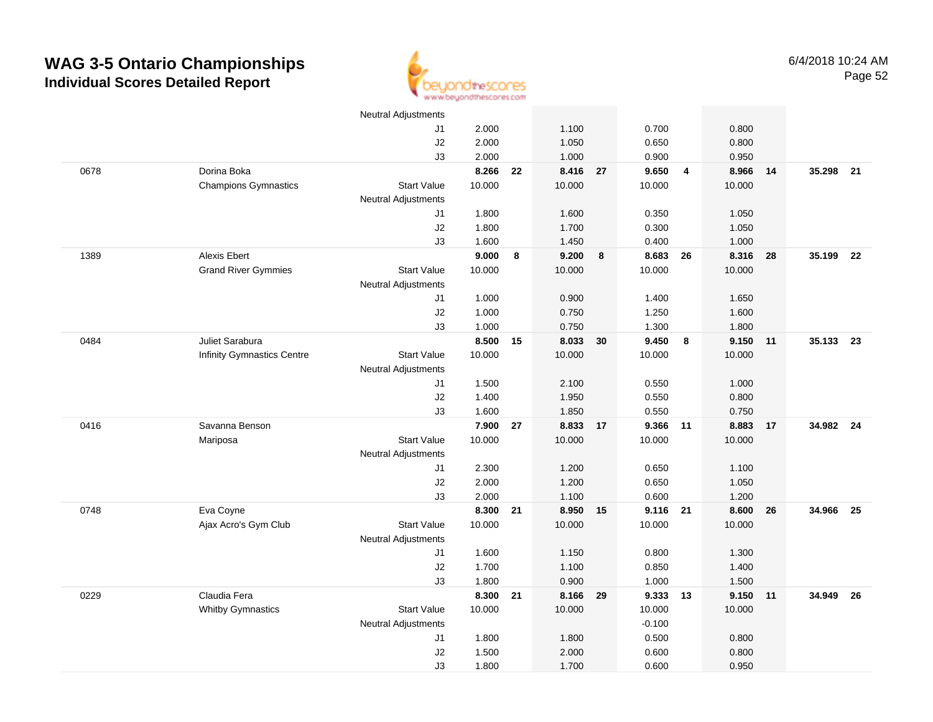

|      |                                   | <b>Neutral Adjustments</b> |        |    |          |    |          |                |        |    |           |    |
|------|-----------------------------------|----------------------------|--------|----|----------|----|----------|----------------|--------|----|-----------|----|
|      |                                   | J1                         | 2.000  |    | 1.100    |    | 0.700    |                | 0.800  |    |           |    |
|      |                                   | J2                         | 2.000  |    | 1.050    |    | 0.650    |                | 0.800  |    |           |    |
|      |                                   | J3                         | 2.000  |    | 1.000    |    | 0.900    |                | 0.950  |    |           |    |
| 0678 | Dorina Boka                       |                            | 8.266  | 22 | 8.416 27 |    | 9.650    | $\overline{4}$ | 8.966  | 14 | 35.298 21 |    |
|      | <b>Champions Gymnastics</b>       | <b>Start Value</b>         | 10.000 |    | 10.000   |    | 10.000   |                | 10.000 |    |           |    |
|      |                                   | Neutral Adjustments        |        |    |          |    |          |                |        |    |           |    |
|      |                                   | J1                         | 1.800  |    | 1.600    |    | 0.350    |                | 1.050  |    |           |    |
|      |                                   | J2                         | 1.800  |    | 1.700    |    | 0.300    |                | 1.050  |    |           |    |
|      |                                   | J3                         | 1.600  |    | 1.450    |    | 0.400    |                | 1.000  |    |           |    |
| 1389 | Alexis Ebert                      |                            | 9.000  | 8  | 9.200    | 8  | 8.683    | 26             | 8.316  | 28 | 35.199    | 22 |
|      | <b>Grand River Gymmies</b>        | <b>Start Value</b>         | 10.000 |    | 10.000   |    | 10.000   |                | 10.000 |    |           |    |
|      |                                   | <b>Neutral Adjustments</b> |        |    |          |    |          |                |        |    |           |    |
|      |                                   | J1                         | 1.000  |    | 0.900    |    | 1.400    |                | 1.650  |    |           |    |
|      |                                   | J2                         | 1.000  |    | 0.750    |    | 1.250    |                | 1.600  |    |           |    |
|      |                                   | J3                         | 1.000  |    | 0.750    |    | 1.300    |                | 1.800  |    |           |    |
| 0484 | Juliet Sarabura                   |                            | 8.500  | 15 | 8.033 30 |    | 9.450    | 8              | 9.150  | 11 | 35.133    | 23 |
|      | <b>Infinity Gymnastics Centre</b> | <b>Start Value</b>         | 10.000 |    | 10.000   |    | 10.000   |                | 10.000 |    |           |    |
|      |                                   | <b>Neutral Adjustments</b> |        |    |          |    |          |                |        |    |           |    |
|      |                                   | J1                         | 1.500  |    | 2.100    |    | 0.550    |                | 1.000  |    |           |    |
|      |                                   | J2                         | 1.400  |    | 1.950    |    | 0.550    |                | 0.800  |    |           |    |
|      |                                   | J3                         | 1.600  |    | 1.850    |    | 0.550    |                | 0.750  |    |           |    |
| 0416 | Savanna Benson                    |                            | 7.900  | 27 | 8.833    | 17 | 9.366    | $-11$          | 8.883  | 17 | 34.982 24 |    |
|      | Mariposa                          | <b>Start Value</b>         | 10.000 |    | 10.000   |    | 10.000   |                | 10.000 |    |           |    |
|      |                                   | <b>Neutral Adjustments</b> |        |    |          |    |          |                |        |    |           |    |
|      |                                   | J1                         | 2.300  |    | 1.200    |    | 0.650    |                | 1.100  |    |           |    |
|      |                                   | J2                         | 2.000  |    | 1.200    |    | 0.650    |                | 1.050  |    |           |    |
|      |                                   | J3                         | 2.000  |    | 1.100    |    | 0.600    |                | 1.200  |    |           |    |
| 0748 | Eva Coyne                         |                            | 8.300  | 21 | 8.950    | 15 | 9.116 21 |                | 8.600  | 26 | 34.966    | 25 |
|      | Ajax Acro's Gym Club              | <b>Start Value</b>         | 10.000 |    | 10.000   |    | 10.000   |                | 10.000 |    |           |    |
|      |                                   | <b>Neutral Adjustments</b> |        |    |          |    |          |                |        |    |           |    |
|      |                                   | J1                         | 1.600  |    | 1.150    |    | 0.800    |                | 1.300  |    |           |    |
|      |                                   | J2                         | 1.700  |    | 1.100    |    | 0.850    |                | 1.400  |    |           |    |
|      |                                   | J3                         | 1.800  |    | 0.900    |    | 1.000    |                | 1.500  |    |           |    |
| 0229 | Claudia Fera                      |                            | 8.300  | 21 | 8.166 29 |    | 9.333 13 |                | 9.150  | 11 | 34.949    | 26 |
|      | <b>Whitby Gymnastics</b>          | <b>Start Value</b>         | 10.000 |    | 10.000   |    | 10.000   |                | 10.000 |    |           |    |
|      |                                   | Neutral Adjustments        |        |    |          |    | $-0.100$ |                |        |    |           |    |
|      |                                   | J1                         | 1.800  |    | 1.800    |    | 0.500    |                | 0.800  |    |           |    |
|      |                                   | J2                         | 1.500  |    | 2.000    |    | 0.600    |                | 0.800  |    |           |    |
|      |                                   | J3                         | 1.800  |    | 1.700    |    | 0.600    |                | 0.950  |    |           |    |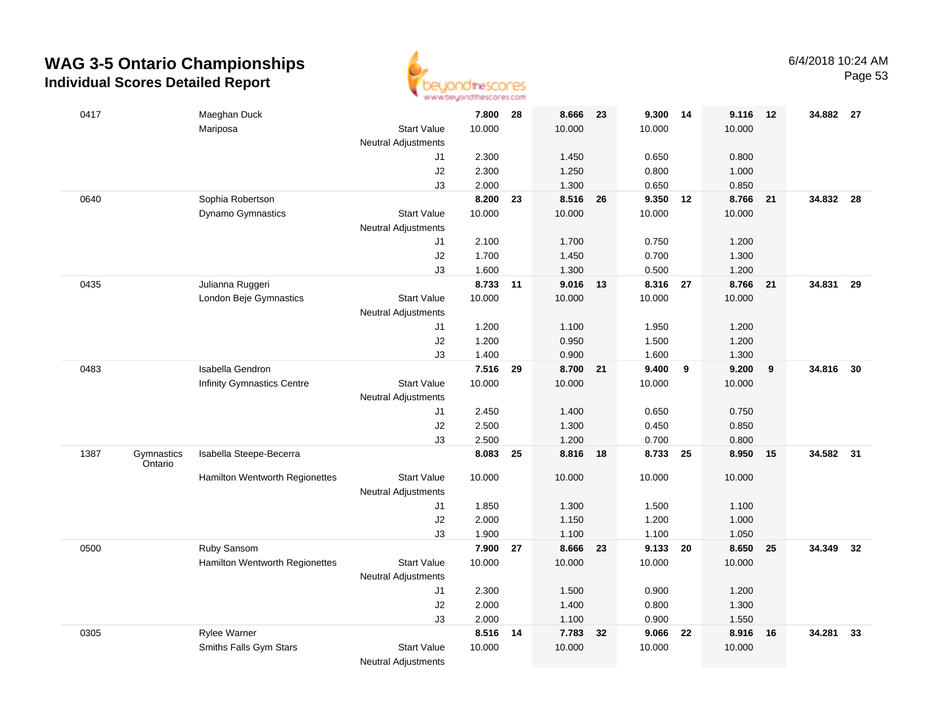

| 0417 |                       | Maeghan Duck                      |                                           | 7.800    | 28 | 8.666 23 |    | 9.300 14 |    | 9.116  | 12   | 34.882 27 |    |
|------|-----------------------|-----------------------------------|-------------------------------------------|----------|----|----------|----|----------|----|--------|------|-----------|----|
|      |                       | Mariposa                          | <b>Start Value</b>                        | 10.000   |    | 10.000   |    | 10.000   |    | 10.000 |      |           |    |
|      |                       |                                   | <b>Neutral Adjustments</b>                |          |    |          |    |          |    |        |      |           |    |
|      |                       |                                   | J1                                        | 2.300    |    | 1.450    |    | 0.650    |    | 0.800  |      |           |    |
|      |                       |                                   | $\sf J2$                                  | 2.300    |    | 1.250    |    | 0.800    |    | 1.000  |      |           |    |
|      |                       |                                   | J3                                        | 2.000    |    | 1.300    |    | 0.650    |    | 0.850  |      |           |    |
| 0640 |                       | Sophia Robertson                  |                                           | 8.200    | 23 | 8.516 26 |    | 9.350 12 |    | 8.766  | 21   | 34.832 28 |    |
|      |                       | Dynamo Gymnastics                 | <b>Start Value</b>                        | 10.000   |    | 10.000   |    | 10.000   |    | 10.000 |      |           |    |
|      |                       |                                   | <b>Neutral Adjustments</b>                |          |    |          |    |          |    |        |      |           |    |
|      |                       |                                   | J1                                        | 2.100    |    | 1.700    |    | 0.750    |    | 1.200  |      |           |    |
|      |                       |                                   | J2                                        | 1.700    |    | 1.450    |    | 0.700    |    | 1.300  |      |           |    |
|      |                       |                                   | J3                                        | 1.600    |    | 1.300    |    | 0.500    |    | 1.200  |      |           |    |
| 0435 |                       | Julianna Ruggeri                  |                                           | 8.733 11 |    | 9.016 13 |    | 8.316 27 |    | 8.766  | 21   | 34.831 29 |    |
|      |                       | London Beje Gymnastics            | <b>Start Value</b>                        | 10.000   |    | 10.000   |    | 10.000   |    | 10.000 |      |           |    |
|      |                       |                                   | Neutral Adjustments                       |          |    |          |    |          |    |        |      |           |    |
|      |                       |                                   | J1                                        | 1.200    |    | 1.100    |    | 1.950    |    | 1.200  |      |           |    |
|      |                       |                                   | J2                                        | 1.200    |    | 0.950    |    | 1.500    |    | 1.200  |      |           |    |
|      |                       |                                   | J3                                        | 1.400    |    | 0.900    |    | 1.600    |    | 1.300  |      |           |    |
| 0483 |                       | Isabella Gendron                  |                                           | 7.516    | 29 | 8.700 21 |    | 9.400    | 9  | 9.200  | 9    | 34.816 30 |    |
|      |                       | <b>Infinity Gymnastics Centre</b> | <b>Start Value</b>                        | 10.000   |    | 10.000   |    | 10.000   |    | 10.000 |      |           |    |
|      |                       |                                   | <b>Neutral Adjustments</b>                |          |    |          |    |          |    |        |      |           |    |
|      |                       |                                   | J1                                        | 2.450    |    | 1.400    |    | 0.650    |    | 0.750  |      |           |    |
|      |                       |                                   | J2                                        | 2.500    |    | 1.300    |    | 0.450    |    | 0.850  |      |           |    |
|      |                       |                                   | J3                                        | 2.500    |    | 1.200    |    | 0.700    |    | 0.800  |      |           |    |
| 1387 | Gymnastics<br>Ontario | Isabella Steepe-Becerra           |                                           | 8.083    | 25 | 8.816 18 |    | 8.733 25 |    | 8.950  | 15   | 34.582 31 |    |
|      |                       | Hamilton Wentworth Regionettes    | <b>Start Value</b>                        | 10.000   |    | 10.000   |    | 10.000   |    | 10.000 |      |           |    |
|      |                       |                                   | Neutral Adjustments                       |          |    |          |    |          |    |        |      |           |    |
|      |                       |                                   | J1                                        | 1.850    |    | 1.300    |    | 1.500    |    | 1.100  |      |           |    |
|      |                       |                                   | J2                                        | 2.000    |    | 1.150    |    | 1.200    |    | 1.000  |      |           |    |
|      |                       |                                   | J3                                        | 1.900    |    | 1.100    |    | 1.100    |    | 1.050  |      |           |    |
| 0500 |                       | Ruby Sansom                       |                                           | 7.900    | 27 | 8.666 23 |    | 9.133 20 |    | 8.650  | 25   | 34.349 32 |    |
|      |                       | Hamilton Wentworth Regionettes    | <b>Start Value</b><br>Neutral Adjustments | 10.000   |    | 10.000   |    | 10.000   |    | 10.000 |      |           |    |
|      |                       |                                   | J1                                        | 2.300    |    | 1.500    |    | 0.900    |    | 1.200  |      |           |    |
|      |                       |                                   | J2                                        | 2.000    |    | 1.400    |    | 0.800    |    | 1.300  |      |           |    |
|      |                       |                                   | J3                                        | 2.000    |    | 1.100    |    | 0.900    |    | 1.550  |      |           |    |
| 0305 |                       | Rylee Warner                      |                                           | 8.516 14 |    | 7.783    | 32 | 9.066    | 22 | 8.916  | - 16 | 34.281    | 33 |
|      |                       | Smiths Falls Gym Stars            | <b>Start Value</b>                        | 10.000   |    | 10.000   |    | 10.000   |    | 10.000 |      |           |    |
|      |                       |                                   | <b>Neutral Adjustments</b>                |          |    |          |    |          |    |        |      |           |    |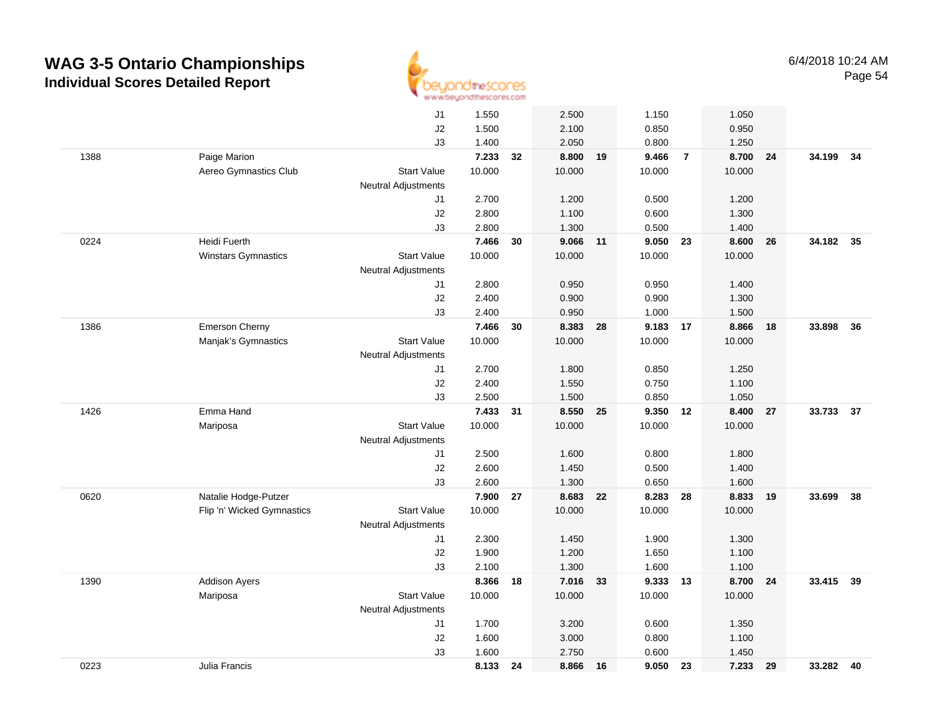

|      |                            | J1                         | 1.550  |    | 2.500    | 1.150       |                | 1.050  |    |           |    |
|------|----------------------------|----------------------------|--------|----|----------|-------------|----------------|--------|----|-----------|----|
|      |                            | J2                         | 1.500  |    | 2.100    | 0.850       |                | 0.950  |    |           |    |
|      |                            | J3                         | 1.400  |    | 2.050    | 0.800       |                | 1.250  |    |           |    |
| 1388 | Paige Marion               |                            | 7.233  | 32 | 8.800    | 9.466<br>19 | $\overline{7}$ | 8.700  | 24 | 34.199 34 |    |
|      | Aereo Gymnastics Club      | <b>Start Value</b>         | 10.000 |    | 10.000   | 10.000      |                | 10.000 |    |           |    |
|      |                            | <b>Neutral Adjustments</b> |        |    |          |             |                |        |    |           |    |
|      |                            | J1                         | 2.700  |    | 1.200    | 0.500       |                | 1.200  |    |           |    |
|      |                            | J2                         | 2.800  |    | 1.100    | 0.600       |                | 1.300  |    |           |    |
|      |                            | J3                         | 2.800  |    | 1.300    | 0.500       |                | 1.400  |    |           |    |
| 0224 | Heidi Fuerth               |                            | 7.466  | 30 | 9.066 11 | 9.050       | 23             | 8.600  | 26 | 34.182    | 35 |
|      | <b>Winstars Gymnastics</b> | <b>Start Value</b>         | 10.000 |    | 10.000   | 10.000      |                | 10.000 |    |           |    |
|      |                            | <b>Neutral Adjustments</b> |        |    |          |             |                |        |    |           |    |
|      |                            | J1                         | 2.800  |    | 0.950    | 0.950       |                | 1.400  |    |           |    |
|      |                            | J2                         | 2.400  |    | 0.900    | 0.900       |                | 1.300  |    |           |    |
|      |                            | J3                         | 2.400  |    | 0.950    | 1.000       |                | 1.500  |    |           |    |
| 1386 | <b>Emerson Cherny</b>      |                            | 7.466  | 30 | 8.383    | 28          | 9.183 17       | 8.866  | 18 | 33.898    | 36 |
|      | Manjak's Gymnastics        | <b>Start Value</b>         | 10.000 |    | 10.000   | 10.000      |                | 10.000 |    |           |    |
|      |                            | Neutral Adjustments        |        |    |          |             |                |        |    |           |    |
|      |                            | J1                         | 2.700  |    | 1.800    | 0.850       |                | 1.250  |    |           |    |
|      |                            | J2                         | 2.400  |    | 1.550    | 0.750       |                | 1.100  |    |           |    |
|      |                            | J3                         | 2.500  |    | 1.500    | 0.850       |                | 1.050  |    |           |    |
| 1426 | Emma Hand                  |                            | 7.433  | 31 | 8.550    | 9.350<br>25 | 12             | 8.400  | 27 | 33.733    | 37 |
|      | Mariposa                   | <b>Start Value</b>         | 10.000 |    | 10.000   | 10.000      |                | 10.000 |    |           |    |
|      |                            | <b>Neutral Adjustments</b> |        |    |          |             |                |        |    |           |    |
|      |                            | J1                         | 2.500  |    | 1.600    | 0.800       |                | 1.800  |    |           |    |
|      |                            | J2                         | 2.600  |    | 1.450    | 0.500       |                | 1.400  |    |           |    |
|      |                            | J3                         | 2.600  |    | 1.300    | 0.650       |                | 1.600  |    |           |    |
| 0620 | Natalie Hodge-Putzer       |                            | 7.900  | 27 | 8.683    | 8.283<br>22 | 28             | 8.833  | 19 | 33.699    | 38 |
|      | Flip 'n' Wicked Gymnastics | <b>Start Value</b>         | 10.000 |    | 10.000   | 10.000      |                | 10.000 |    |           |    |
|      |                            | Neutral Adjustments        |        |    |          |             |                |        |    |           |    |
|      |                            | J1                         | 2.300  |    | 1.450    | 1.900       |                | 1.300  |    |           |    |
|      |                            | J2                         | 1.900  |    | 1.200    | 1.650       |                | 1.100  |    |           |    |
|      |                            | J3                         | 2.100  |    | 1.300    | 1.600       |                | 1.100  |    |           |    |
| 1390 | <b>Addison Ayers</b>       |                            | 8.366  | 18 | 7.016    | 33          | 9.333 13       | 8.700  | 24 | 33.415 39 |    |
|      | Mariposa                   | <b>Start Value</b>         | 10.000 |    | 10.000   | 10.000      |                | 10.000 |    |           |    |
|      |                            | Neutral Adjustments        |        |    |          |             |                |        |    |           |    |
|      |                            | J1                         | 1.700  |    | 3.200    | 0.600       |                | 1.350  |    |           |    |
|      |                            | J2                         | 1.600  |    | 3.000    | 0.800       |                | 1.100  |    |           |    |
|      |                            | J3                         | 1.600  |    | 2.750    | 0.600       |                | 1.450  |    |           |    |
| 0223 | Julia Francis              |                            | 8.133  | 24 | 8.866    | 9.050<br>16 | 23             | 7.233  | 29 | 33.282 40 |    |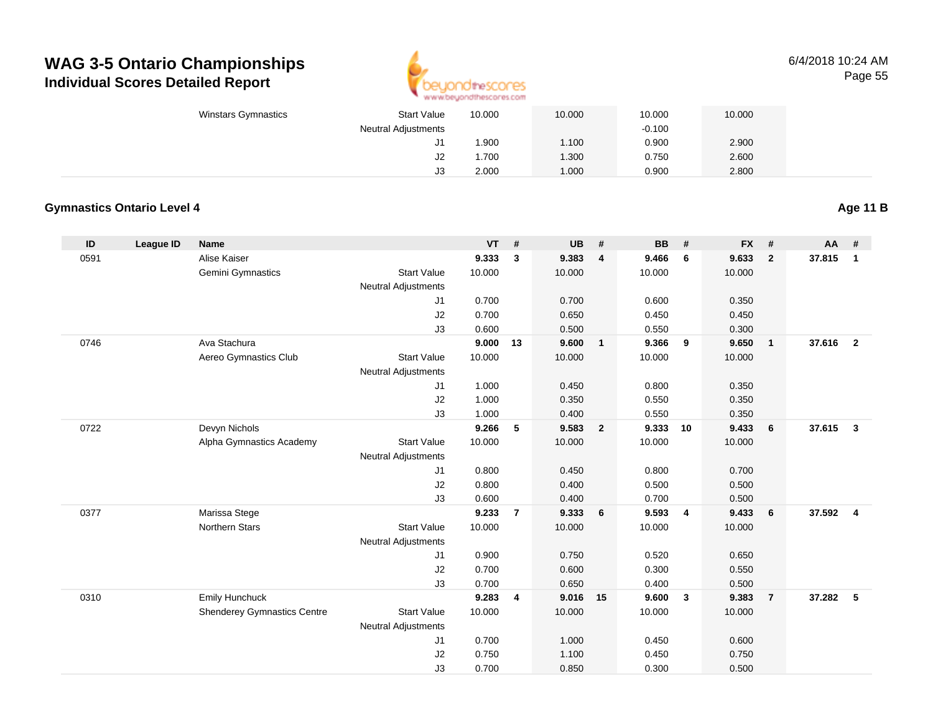

6/4/2018 10:24 AMPage 55

| Winstars Gymnastics | <b>Start Value</b>         | 10.000 | 10.000 | 10.000   | 10.000 |  |
|---------------------|----------------------------|--------|--------|----------|--------|--|
|                     | <b>Neutral Adjustments</b> |        |        | $-0.100$ |        |  |
|                     | J1                         | .900   | 1.100  | 0.900    | 2.900  |  |
|                     | J2                         | . 700  | 1.300  | 0.750    | 2.600  |  |
|                     | J3                         | 2.000  | 1.000  | 0.900    | 2.800  |  |

#### **Gymnastics Ontario Level 4**

**ID League ID Name VT # UB # BB # FX # AA #** 0591 Alise Kaiser **9.333 <sup>3</sup> 9.383 <sup>4</sup> 9.466 <sup>6</sup> 9.633 <sup>2</sup> 37.815 <sup>1</sup>** Gemini Gymnastics Start Valuee 10.000 10.000 10.000 10.000 Neutral Adjustments J1 0.700 0.700 0.600 0.350 J2 0.700 0.650 0.450 0.450 J3 0.600 0.500 0.550 0.300 0746 Ava Stachura **9.000 <sup>13</sup> 9.600 <sup>1</sup> 9.366 <sup>9</sup> 9.650 <sup>1</sup> 37.616 <sup>2</sup>** Aereo Gymnastics Clubb 3tart Value 10.000 10.000 10.000 10.000 10.000 Neutral Adjustments J1 1.000 0.450 0.800 0.350 J2 1.000 0.350 0.550 0.350 J3 1.000 0.400 0.550 0.350 0722 Devyn Nichols **9.266 <sup>5</sup> 9.583 <sup>2</sup> 9.333 <sup>10</sup> 9.433 <sup>6</sup> 37.615 <sup>3</sup>** Alpha Gymnastics Academy Start Valuee 10.000 10.000 10.000 10.000 Neutral Adjustments J1 0.800 0.450 0.800 0.700 J2 0.800 0.400 0.500 0.500 J3 0.600 0.400 0.700 0.500 0377 Marissa Stege **9.233 <sup>7</sup> 9.333 <sup>6</sup> 9.593 <sup>4</sup> 9.433 <sup>6</sup> 37.592 <sup>4</sup>** Northern Stars Start Valuee 10.000 10.000 10.000 10.000 Neutral Adjustments J1 0.900 0.750 0.520 0.650 J2 0.700 0.600 0.300 0.550 J3 0.700 0.650 0.400 0.500 0310 Emily Hunchuck **9.283 <sup>4</sup> 9.016 <sup>15</sup> 9.600 <sup>3</sup> 9.383 <sup>7</sup> 37.282 <sup>5</sup>** Shenderey Gymnastics Centre Start Value 10.000 10.000 10.000 10.000 Neutral Adjustments J1 0.700 1.000 0.450 0.600 J2 0.750 1.100 0.450 0.750 J30.700 0.850 0.300 0.500

#### **Age 11 B**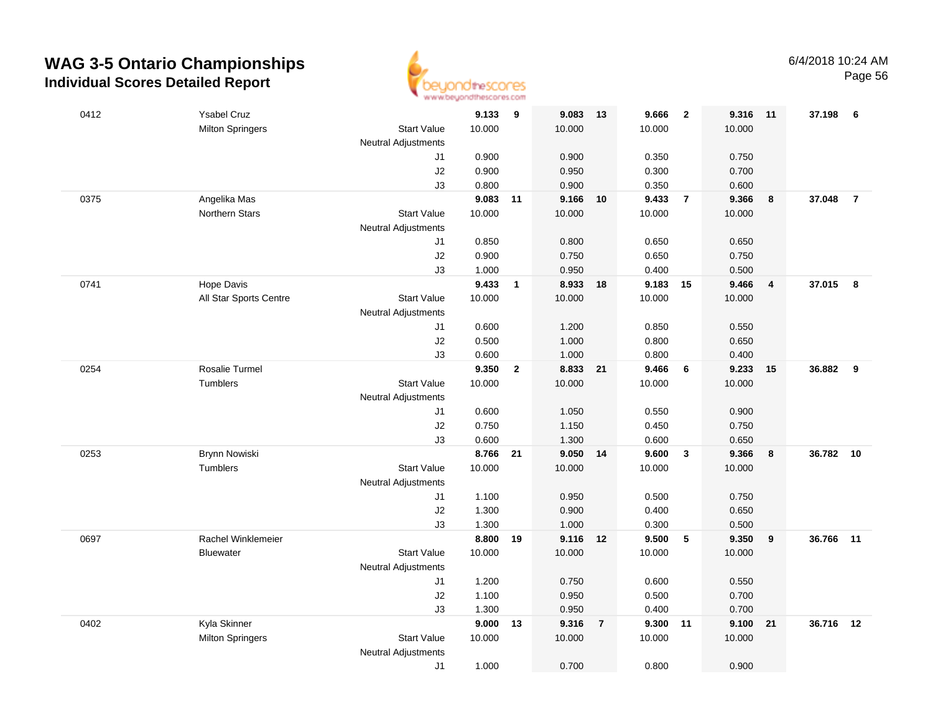

| 0412 | <b>Ysabel Cruz</b>      |                            | 9.133          | - 9            | 9.083          | $-13$          | 9.666          | $\overline{\mathbf{2}}$ | 9.316          | $-11$ | 37.198 6  |                |
|------|-------------------------|----------------------------|----------------|----------------|----------------|----------------|----------------|-------------------------|----------------|-------|-----------|----------------|
|      | <b>Milton Springers</b> | <b>Start Value</b>         | 10.000         |                | 10.000         |                | 10.000         |                         | 10.000         |       |           |                |
|      |                         | Neutral Adjustments        |                |                |                |                |                |                         |                |       |           |                |
|      |                         | J1                         | 0.900          |                | 0.900          |                | 0.350          |                         | 0.750          |       |           |                |
|      |                         | J2                         | 0.900          |                | 0.950          |                | 0.300          |                         | 0.700          |       |           |                |
|      |                         | J3                         | 0.800          |                | 0.900          |                | 0.350          |                         | 0.600          |       |           |                |
| 0375 | Angelika Mas            |                            | 9.083 11       |                | 9.166          | 10             | 9.433          | $\overline{7}$          | 9.366          | 8     | 37.048    | $\overline{7}$ |
|      | <b>Northern Stars</b>   | <b>Start Value</b>         | 10.000         |                | 10.000         |                | 10.000         |                         | 10.000         |       |           |                |
|      |                         | <b>Neutral Adjustments</b> |                |                |                |                |                |                         |                |       |           |                |
|      |                         | J1                         | 0.850          |                | 0.800          |                | 0.650          |                         | 0.650          |       |           |                |
|      |                         | J2                         | 0.900          |                | 0.750          |                | 0.650          |                         | 0.750          |       |           |                |
|      |                         | J3                         | 1.000          |                | 0.950          |                | 0.400          |                         | 0.500          |       |           |                |
| 0741 | Hope Davis              |                            | 9.433          | $\mathbf{1}$   | 8.933          | 18             | 9.183          | 15                      | 9.466          | 4     | 37.015    | 8              |
|      | All Star Sports Centre  | <b>Start Value</b>         | 10.000         |                | 10.000         |                | 10.000         |                         | 10.000         |       |           |                |
|      |                         | <b>Neutral Adjustments</b> |                |                |                |                |                |                         |                |       |           |                |
|      |                         | J1                         | 0.600          |                | 1.200          |                | 0.850          |                         | 0.550          |       |           |                |
|      |                         | J2                         | 0.500          |                | 1.000          |                | 0.800          |                         | 0.650          |       |           |                |
|      |                         | J3                         | 0.600          |                | 1.000          |                | 0.800          |                         | 0.400          |       |           |                |
| 0254 | Rosalie Turmel          |                            | 9.350          | $\overline{2}$ | 8.833 21       |                | 9.466          | 6                       | 9.233          | 15    | 36.882    | 9              |
|      | Tumblers                | <b>Start Value</b>         | 10.000         |                | 10.000         |                | 10.000         |                         | 10.000         |       |           |                |
|      |                         | <b>Neutral Adjustments</b> |                |                |                |                |                |                         |                |       |           |                |
|      |                         | J1                         | 0.600          |                | 1.050          |                | 0.550          |                         | 0.900          |       |           |                |
|      |                         | J2                         | 0.750          |                | 1.150          |                | 0.450          |                         | 0.750          |       |           |                |
|      |                         | J3                         | 0.600          |                | 1.300          |                | 0.600          |                         | 0.650          |       |           |                |
| 0253 | Brynn Nowiski           |                            | 8.766          | 21             | 9.050          | 14             | 9.600          | $\mathbf{3}$            | 9.366          | 8     | 36.782    | 10             |
|      | Tumblers                | <b>Start Value</b>         | 10.000         |                | 10.000         |                | 10.000         |                         | 10.000         |       |           |                |
|      |                         | <b>Neutral Adjustments</b> |                |                |                |                |                |                         |                |       |           |                |
|      |                         | J1                         | 1.100          |                | 0.950          |                | 0.500          |                         | 0.750          |       |           |                |
|      |                         | J2<br>J3                   | 1.300<br>1.300 |                | 0.900<br>1.000 |                | 0.400<br>0.300 |                         | 0.650          |       |           |                |
| 0697 | Rachel Winklemeier      |                            | 8.800          | 19             | 9.116 12       |                | 9.500          | 5                       | 0.500<br>9.350 | 9     | 36.766    | $-11$          |
|      | <b>Bluewater</b>        | <b>Start Value</b>         | 10.000         |                | 10.000         |                | 10.000         |                         | 10.000         |       |           |                |
|      |                         | <b>Neutral Adjustments</b> |                |                |                |                |                |                         |                |       |           |                |
|      |                         | J1                         | 1.200          |                | 0.750          |                | 0.600          |                         | 0.550          |       |           |                |
|      |                         | J2                         | 1.100          |                | 0.950          |                | 0.500          |                         | 0.700          |       |           |                |
|      |                         | J3                         | 1.300          |                | 0.950          |                | 0.400          |                         | 0.700          |       |           |                |
| 0402 | Kyla Skinner            |                            | 9.000          | 13             | 9.316          | $\overline{7}$ | 9.300          | 11                      | 9.100          | 21    | 36.716 12 |                |
|      | <b>Milton Springers</b> | <b>Start Value</b>         | 10.000         |                | 10.000         |                | 10.000         |                         | 10.000         |       |           |                |
|      |                         | <b>Neutral Adjustments</b> |                |                |                |                |                |                         |                |       |           |                |
|      |                         | J1                         | 1.000          |                | 0.700          |                | 0.800          |                         | 0.900          |       |           |                |
|      |                         |                            |                |                |                |                |                |                         |                |       |           |                |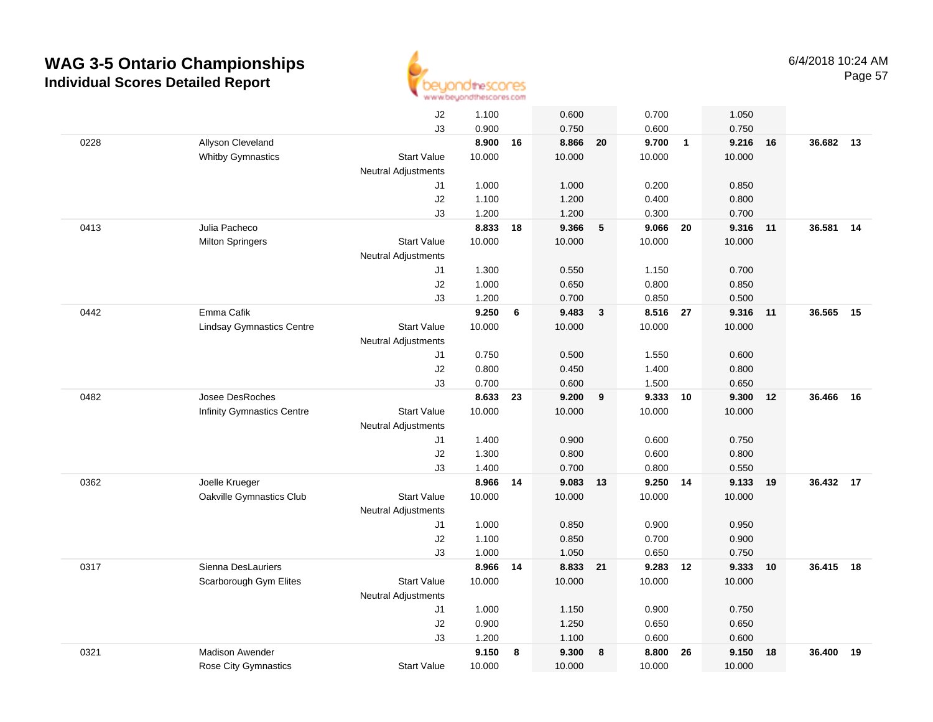

|      |                                   | J2                         | 1.100  |    | 0.600    |              | 0.700    |                | 1.050  |       |           |    |
|------|-----------------------------------|----------------------------|--------|----|----------|--------------|----------|----------------|--------|-------|-----------|----|
|      |                                   | J3                         | 0.900  |    | 0.750    |              | 0.600    |                | 0.750  |       |           |    |
| 0228 | Allyson Cleveland                 |                            | 8.900  | 16 | 8.866    | 20           | 9.700    | $\overline{1}$ | 9.216  | 16    | 36.682 13 |    |
|      | <b>Whitby Gymnastics</b>          | <b>Start Value</b>         | 10.000 |    | 10.000   |              | 10.000   |                | 10.000 |       |           |    |
|      |                                   | Neutral Adjustments        |        |    |          |              |          |                |        |       |           |    |
|      |                                   | J1                         | 1.000  |    | 1.000    |              | 0.200    |                | 0.850  |       |           |    |
|      |                                   | J2                         | 1.100  |    | 1.200    |              | 0.400    |                | 0.800  |       |           |    |
|      |                                   | J3                         | 1.200  |    | 1.200    |              | 0.300    |                | 0.700  |       |           |    |
| 0413 | Julia Pacheco                     |                            | 8.833  | 18 | 9.366    | 5            | 9.066    | 20             | 9.316  | 11    | 36.581    | 14 |
|      | <b>Milton Springers</b>           | <b>Start Value</b>         | 10.000 |    | 10.000   |              | 10.000   |                | 10.000 |       |           |    |
|      |                                   | Neutral Adjustments        |        |    |          |              |          |                |        |       |           |    |
|      |                                   | J1                         | 1.300  |    | 0.550    |              | 1.150    |                | 0.700  |       |           |    |
|      |                                   | J2                         | 1.000  |    | 0.650    |              | 0.800    |                | 0.850  |       |           |    |
|      |                                   | J3                         | 1.200  |    | 0.700    |              | 0.850    |                | 0.500  |       |           |    |
| 0442 | Emma Cafik                        |                            | 9.250  | 6  | 9.483    | $\mathbf{3}$ | 8.516 27 |                | 9.316  | $-11$ | 36.565    | 15 |
|      | <b>Lindsay Gymnastics Centre</b>  | <b>Start Value</b>         | 10.000 |    | 10.000   |              | 10.000   |                | 10.000 |       |           |    |
|      |                                   | Neutral Adjustments        |        |    |          |              |          |                |        |       |           |    |
|      |                                   | J1                         | 0.750  |    | 0.500    |              | 1.550    |                | 0.600  |       |           |    |
|      |                                   | J2                         | 0.800  |    | 0.450    |              | 1.400    |                | 0.800  |       |           |    |
|      |                                   | J3                         | 0.700  |    | 0.600    |              | 1.500    |                | 0.650  |       |           |    |
| 0482 | Josee DesRoches                   |                            | 8.633  | 23 | 9.200    | 9            | 9.333    | 10             | 9.300  | 12    | 36.466    | 16 |
|      | <b>Infinity Gymnastics Centre</b> | <b>Start Value</b>         | 10.000 |    | 10.000   |              | 10.000   |                | 10.000 |       |           |    |
|      |                                   | Neutral Adjustments        |        |    |          |              |          |                |        |       |           |    |
|      |                                   | J1                         | 1.400  |    | 0.900    |              | 0.600    |                | 0.750  |       |           |    |
|      |                                   | J <sub>2</sub>             | 1.300  |    | 0.800    |              | 0.600    |                | 0.800  |       |           |    |
|      |                                   | J3                         | 1.400  |    | 0.700    |              | 0.800    |                | 0.550  |       |           |    |
| 0362 | Joelle Krueger                    |                            | 8.966  | 14 | 9.083    | 13           | 9.250    | 14             | 9.133  | 19    | 36.432 17 |    |
|      | Oakville Gymnastics Club          | <b>Start Value</b>         | 10.000 |    | 10.000   |              | 10.000   |                | 10.000 |       |           |    |
|      |                                   | Neutral Adjustments        |        |    |          |              |          |                |        |       |           |    |
|      |                                   | J1                         | 1.000  |    | 0.850    |              | 0.900    |                | 0.950  |       |           |    |
|      |                                   | J2                         | 1.100  |    | 0.850    |              | 0.700    |                | 0.900  |       |           |    |
|      |                                   | J3                         | 1.000  |    | 1.050    |              | 0.650    |                | 0.750  |       |           |    |
| 0317 | Sienna DesLauriers                |                            | 8.966  | 14 | 8.833 21 |              | 9.283 12 |                | 9.333  | 10    | 36.415    | 18 |
|      | Scarborough Gym Elites            | <b>Start Value</b>         | 10.000 |    | 10.000   |              | 10.000   |                | 10.000 |       |           |    |
|      |                                   | <b>Neutral Adjustments</b> |        |    |          |              |          |                |        |       |           |    |
|      |                                   | J1                         | 1.000  |    | 1.150    |              | 0.900    |                | 0.750  |       |           |    |
|      |                                   | J2                         | 0.900  |    | 1.250    |              | 0.650    |                | 0.650  |       |           |    |
|      |                                   | J3                         | 1.200  |    | 1.100    |              | 0.600    |                | 0.600  |       |           |    |
| 0321 | <b>Madison Awender</b>            |                            | 9.150  | 8  | 9.300    | 8            | 8.800    | 26             | 9.150  | 18    | 36,400    | 19 |
|      | <b>Rose City Gymnastics</b>       | <b>Start Value</b>         | 10.000 |    | 10.000   |              | 10.000   |                | 10.000 |       |           |    |
|      |                                   |                            |        |    |          |              |          |                |        |       |           |    |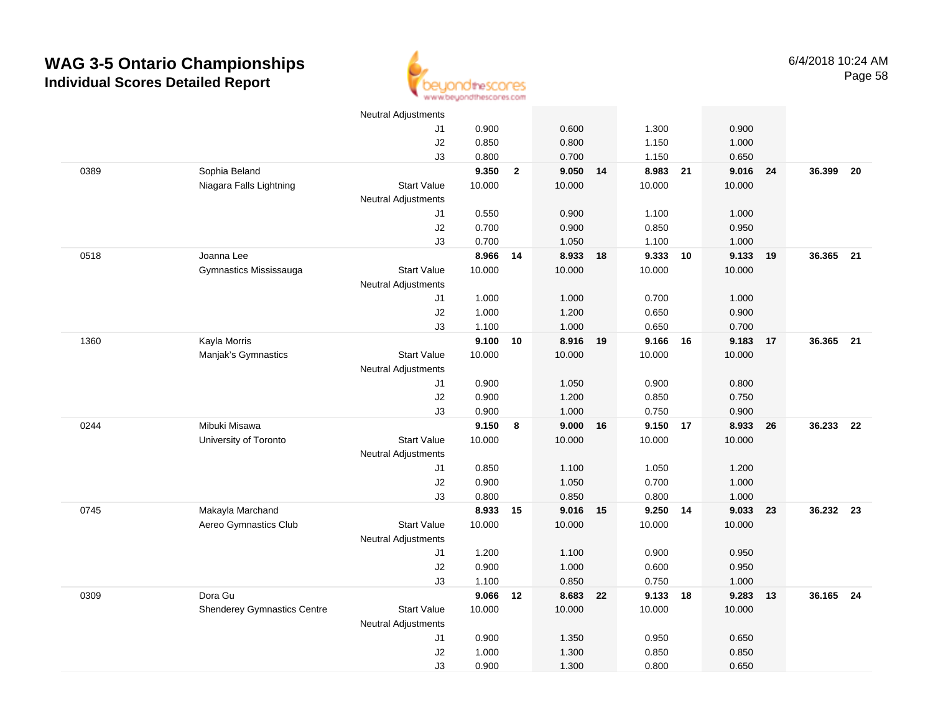

|      |                                    | <b>Neutral Adjustments</b> |          |              |          |    |          |    |        |    |           |      |
|------|------------------------------------|----------------------------|----------|--------------|----------|----|----------|----|--------|----|-----------|------|
|      |                                    | J1                         | 0.900    |              | 0.600    |    | 1.300    |    | 0.900  |    |           |      |
|      |                                    | J2                         | 0.850    |              | 0.800    |    | 1.150    |    | 1.000  |    |           |      |
|      |                                    | J3                         | 0.800    |              | 0.700    |    | 1.150    |    | 0.650  |    |           |      |
| 0389 | Sophia Beland                      |                            | 9.350    | $\mathbf{2}$ | 9.050    | 14 | 8.983    | 21 | 9.016  | 24 | 36.399    | 20   |
|      | Niagara Falls Lightning            | <b>Start Value</b>         | 10.000   |              | 10.000   |    | 10.000   |    | 10.000 |    |           |      |
|      |                                    | <b>Neutral Adjustments</b> |          |              |          |    |          |    |        |    |           |      |
|      |                                    | J1                         | 0.550    |              | 0.900    |    | 1.100    |    | 1.000  |    |           |      |
|      |                                    | J2                         | 0.700    |              | 0.900    |    | 0.850    |    | 0.950  |    |           |      |
|      |                                    | J3                         | 0.700    |              | 1.050    |    | 1.100    |    | 1.000  |    |           |      |
| 0518 | Joanna Lee                         |                            | 8.966    | 14           | 8.933 18 |    | 9.333 10 |    | 9.133  | 19 | 36.365 21 |      |
|      | Gymnastics Mississauga             | <b>Start Value</b>         | 10.000   |              | 10.000   |    | 10.000   |    | 10.000 |    |           |      |
|      |                                    | <b>Neutral Adjustments</b> |          |              |          |    |          |    |        |    |           |      |
|      |                                    | J1                         | 1.000    |              | 1.000    |    | 0.700    |    | 1.000  |    |           |      |
|      |                                    | J2                         | 1.000    |              | 1.200    |    | 0.650    |    | 0.900  |    |           |      |
|      |                                    | J3                         | 1.100    |              | 1.000    |    | 0.650    |    | 0.700  |    |           |      |
| 1360 | Kayla Morris                       |                            | 9.100    | 10           | 8.916 19 |    | 9.166    | 16 | 9.183  | 17 | 36.365 21 |      |
|      | Manjak's Gymnastics                | <b>Start Value</b>         | 10.000   |              | 10.000   |    | 10.000   |    | 10.000 |    |           |      |
|      |                                    | <b>Neutral Adjustments</b> |          |              |          |    |          |    |        |    |           |      |
|      |                                    | J1                         | 0.900    |              | 1.050    |    | 0.900    |    | 0.800  |    |           |      |
|      |                                    | J2                         | 0.900    |              | 1.200    |    | 0.850    |    | 0.750  |    |           |      |
|      |                                    | J3                         | 0.900    |              | 1.000    |    | 0.750    |    | 0.900  |    |           |      |
| 0244 | Mibuki Misawa                      |                            | 9.150    | 8            | 9.000    | 16 | 9.150 17 |    | 8.933  | 26 | 36.233    | - 22 |
|      | University of Toronto              | <b>Start Value</b>         | 10.000   |              | 10.000   |    | 10.000   |    | 10.000 |    |           |      |
|      |                                    | <b>Neutral Adjustments</b> |          |              |          |    |          |    |        |    |           |      |
|      |                                    | J1                         | 0.850    |              | 1.100    |    | 1.050    |    | 1.200  |    |           |      |
|      |                                    | J2                         | 0.900    |              | 1.050    |    | 0.700    |    | 1.000  |    |           |      |
|      |                                    | J3                         | 0.800    |              | 0.850    |    | 0.800    |    | 1.000  |    |           |      |
| 0745 | Makayla Marchand                   |                            | 8.933 15 |              | 9.016 15 |    | 9.250    | 14 | 9.033  | 23 | 36.232 23 |      |
|      | Aereo Gymnastics Club              | <b>Start Value</b>         | 10.000   |              | 10.000   |    | 10.000   |    | 10.000 |    |           |      |
|      |                                    | <b>Neutral Adjustments</b> |          |              |          |    |          |    |        |    |           |      |
|      |                                    | J1                         | 1.200    |              | 1.100    |    | 0.900    |    | 0.950  |    |           |      |
|      |                                    | J2                         | 0.900    |              | 1.000    |    | 0.600    |    | 0.950  |    |           |      |
|      |                                    | J3                         | 1.100    |              | 0.850    |    | 0.750    |    | 1.000  |    |           |      |
| 0309 | Dora Gu                            |                            | 9.066    | 12           | 8.683 22 |    | 9.133 18 |    | 9.283  | 13 | 36.165 24 |      |
|      | <b>Shenderey Gymnastics Centre</b> | <b>Start Value</b>         | 10.000   |              | 10.000   |    | 10.000   |    | 10.000 |    |           |      |
|      |                                    | <b>Neutral Adjustments</b> |          |              |          |    |          |    |        |    |           |      |
|      |                                    | J1                         | 0.900    |              | 1.350    |    | 0.950    |    | 0.650  |    |           |      |
|      |                                    | J2                         | 1.000    |              | 1.300    |    | 0.850    |    | 0.850  |    |           |      |
|      |                                    | J3                         | 0.900    |              | 1.300    |    | 0.800    |    | 0.650  |    |           |      |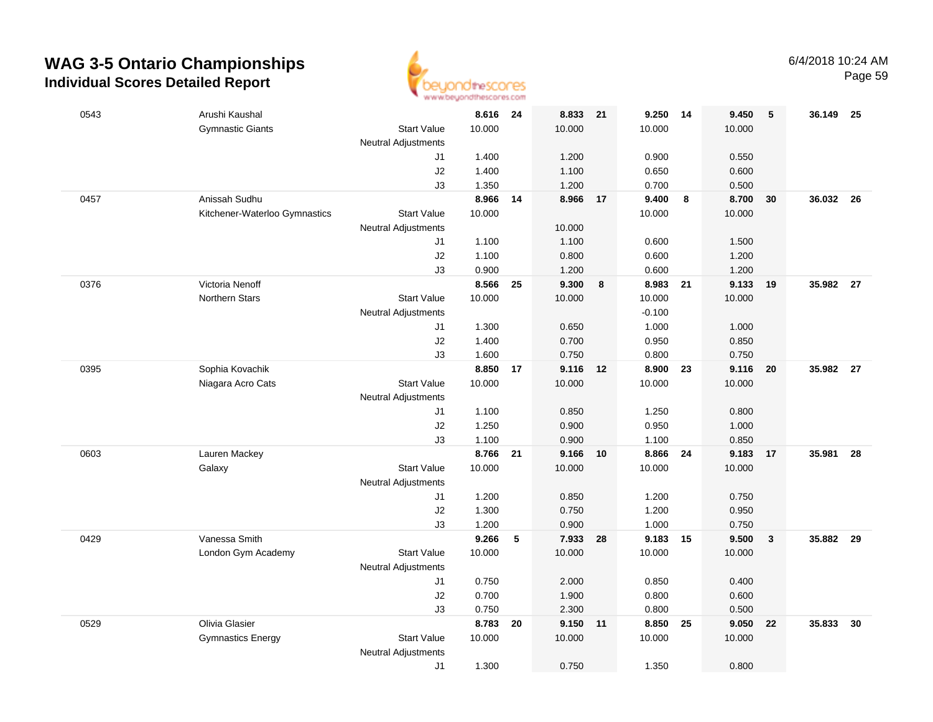

| 0543 | Arushi Kaushal                |                            | 8.616 24 |    | 8.833 21 |    | 9.250 14 |                         | 9.450  | 5            | 36.149 25 |      |
|------|-------------------------------|----------------------------|----------|----|----------|----|----------|-------------------------|--------|--------------|-----------|------|
|      | <b>Gymnastic Giants</b>       | <b>Start Value</b>         | 10.000   |    | 10.000   |    | 10.000   |                         | 10.000 |              |           |      |
|      |                               | Neutral Adjustments        |          |    |          |    |          |                         |        |              |           |      |
|      |                               | J1                         | 1.400    |    | 1.200    |    | 0.900    |                         | 0.550  |              |           |      |
|      |                               | J2                         | 1.400    |    | 1.100    |    | 0.650    |                         | 0.600  |              |           |      |
|      |                               | J3                         | 1.350    |    | 1.200    |    | 0.700    |                         | 0.500  |              |           |      |
| 0457 | Anissah Sudhu                 |                            | 8.966    | 14 | 8.966    | 17 | 9.400    | $\overline{\mathbf{8}}$ | 8.700  | 30           | 36.032 26 |      |
|      | Kitchener-Waterloo Gymnastics | <b>Start Value</b>         | 10.000   |    |          |    | 10.000   |                         | 10.000 |              |           |      |
|      |                               | <b>Neutral Adjustments</b> |          |    | 10.000   |    |          |                         |        |              |           |      |
|      |                               | J1                         | 1.100    |    | 1.100    |    | 0.600    |                         | 1.500  |              |           |      |
|      |                               | J2                         | 1.100    |    | 0.800    |    | 0.600    |                         | 1.200  |              |           |      |
|      |                               | J3                         | 0.900    |    | 1.200    |    | 0.600    |                         | 1.200  |              |           |      |
| 0376 | Victoria Nenoff               |                            | 8.566    | 25 | 9.300    | 8  | 8.983    | - 21                    | 9.133  | - 19         | 35.982 27 |      |
|      | <b>Northern Stars</b>         | <b>Start Value</b>         | 10.000   |    | 10.000   |    | 10.000   |                         | 10.000 |              |           |      |
|      |                               | <b>Neutral Adjustments</b> |          |    |          |    | $-0.100$ |                         |        |              |           |      |
|      |                               | J1                         | 1.300    |    | 0.650    |    | 1.000    |                         | 1.000  |              |           |      |
|      |                               | J2                         | 1.400    |    | 0.700    |    | 0.950    |                         | 0.850  |              |           |      |
|      |                               | J3                         | 1.600    |    | 0.750    |    | 0.800    |                         | 0.750  |              |           |      |
| 0395 | Sophia Kovachik               |                            | 8.850    | 17 | 9.116 12 |    | 8.900    | 23                      | 9.116  | 20           | 35.982 27 |      |
|      | Niagara Acro Cats             | <b>Start Value</b>         | 10.000   |    | 10.000   |    | 10.000   |                         | 10.000 |              |           |      |
|      |                               | <b>Neutral Adjustments</b> |          |    |          |    |          |                         |        |              |           |      |
|      |                               | J1                         | 1.100    |    | 0.850    |    | 1.250    |                         | 0.800  |              |           |      |
|      |                               | J2                         | 1.250    |    | 0.900    |    | 0.950    |                         | 1.000  |              |           |      |
|      |                               | J3                         | 1.100    |    | 0.900    |    | 1.100    |                         | 0.850  |              |           |      |
| 0603 | Lauren Mackey                 |                            | 8.766    | 21 | 9.166    | 10 | 8.866    | 24                      | 9.183  | 17           | 35.981    | 28   |
|      | Galaxy                        | <b>Start Value</b>         | 10.000   |    | 10.000   |    | 10.000   |                         | 10.000 |              |           |      |
|      |                               | <b>Neutral Adjustments</b> |          |    |          |    |          |                         |        |              |           |      |
|      |                               | J1                         | 1.200    |    | 0.850    |    | 1.200    |                         | 0.750  |              |           |      |
|      |                               | J2                         | 1.300    |    | 0.750    |    | 1.200    |                         | 0.950  |              |           |      |
|      |                               | J3                         | 1.200    |    | 0.900    |    | 1.000    |                         | 0.750  |              |           |      |
| 0429 | Vanessa Smith                 |                            | 9.266    | 5  | 7.933 28 |    | 9.183 15 |                         | 9.500  | $\mathbf{3}$ | 35.882 29 |      |
|      | London Gym Academy            | <b>Start Value</b>         | 10.000   |    | 10.000   |    | 10.000   |                         | 10.000 |              |           |      |
|      |                               | <b>Neutral Adjustments</b> |          |    |          |    |          |                         |        |              |           |      |
|      |                               | J1                         | 0.750    |    | 2.000    |    | 0.850    |                         | 0.400  |              |           |      |
|      |                               | J2                         | 0.700    |    | 1.900    |    | 0.800    |                         | 0.600  |              |           |      |
|      |                               | J3                         | 0.750    |    | 2.300    |    | 0.800    |                         | 0.500  |              |           |      |
| 0529 | Olivia Glasier                |                            | 8.783    | 20 | 9.150 11 |    | 8.850    | 25                      | 9.050  | 22           | 35.833    | - 30 |
|      | <b>Gymnastics Energy</b>      | <b>Start Value</b>         | 10.000   |    | 10.000   |    | 10.000   |                         | 10.000 |              |           |      |
|      |                               | <b>Neutral Adjustments</b> |          |    |          |    |          |                         |        |              |           |      |
|      |                               | J1                         | 1.300    |    | 0.750    |    | 1.350    |                         | 0.800  |              |           |      |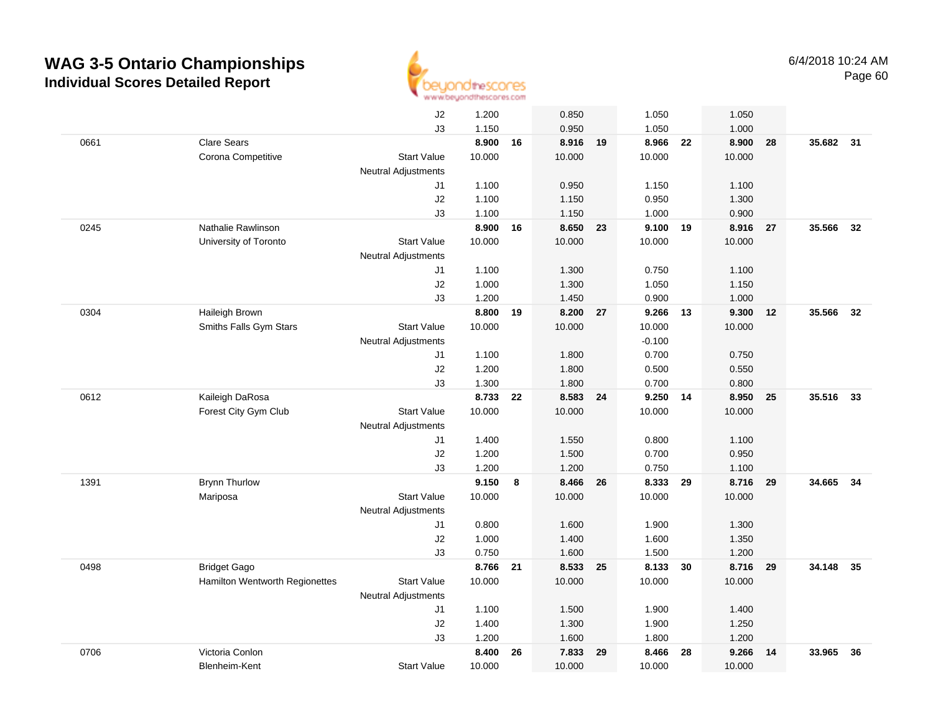

|      |                                | J2                         | 1.200    |    | 0.850    |    | 1.050    |    | 1.050  |    |           |      |
|------|--------------------------------|----------------------------|----------|----|----------|----|----------|----|--------|----|-----------|------|
|      |                                | J3                         | 1.150    |    | 0.950    |    | 1.050    |    | 1.000  |    |           |      |
| 0661 | <b>Clare Sears</b>             |                            | 8.900    | 16 | 8.916 19 |    | 8.966    | 22 | 8.900  | 28 | 35.682 31 |      |
|      | Corona Competitive             | <b>Start Value</b>         | 10.000   |    | 10.000   |    | 10.000   |    | 10.000 |    |           |      |
|      |                                | <b>Neutral Adjustments</b> |          |    |          |    |          |    |        |    |           |      |
|      |                                | J1                         | 1.100    |    | 0.950    |    | 1.150    |    | 1.100  |    |           |      |
|      |                                | J2                         | 1.100    |    | 1.150    |    | 0.950    |    | 1.300  |    |           |      |
|      |                                | J3                         | 1.100    |    | 1.150    |    | 1.000    |    | 0.900  |    |           |      |
| 0245 | Nathalie Rawlinson             |                            | 8.900    | 16 | 8.650    | 23 | 9.100    | 19 | 8.916  | 27 | 35.566    | 32   |
|      | University of Toronto          | <b>Start Value</b>         | 10.000   |    | 10.000   |    | 10.000   |    | 10.000 |    |           |      |
|      |                                | Neutral Adjustments        |          |    |          |    |          |    |        |    |           |      |
|      |                                | J1                         | 1.100    |    | 1.300    |    | 0.750    |    | 1.100  |    |           |      |
|      |                                | J2                         | 1.000    |    | 1.300    |    | 1.050    |    | 1.150  |    |           |      |
|      |                                | J3                         | 1.200    |    | 1.450    |    | 0.900    |    | 1.000  |    |           |      |
| 0304 | Haileigh Brown                 |                            | 8.800 19 |    | 8.200 27 |    | 9.266 13 |    | 9.300  | 12 | 35.566    | 32   |
|      | Smiths Falls Gym Stars         | <b>Start Value</b>         | 10.000   |    | 10.000   |    | 10.000   |    | 10.000 |    |           |      |
|      |                                | <b>Neutral Adjustments</b> |          |    |          |    | $-0.100$ |    |        |    |           |      |
|      |                                | J1                         | 1.100    |    | 1.800    |    | 0.700    |    | 0.750  |    |           |      |
|      |                                | J2                         | 1.200    |    | 1.800    |    | 0.500    |    | 0.550  |    |           |      |
|      |                                | J3                         | 1.300    |    | 1.800    |    | 0.700    |    | 0.800  |    |           |      |
| 0612 | Kaileigh DaRosa                |                            | 8.733    | 22 | 8.583    | 24 | 9.250    | 14 | 8.950  | 25 | 35.516    | - 33 |
|      | Forest City Gym Club           | <b>Start Value</b>         | 10.000   |    | 10.000   |    | 10.000   |    | 10.000 |    |           |      |
|      |                                | <b>Neutral Adjustments</b> |          |    |          |    |          |    |        |    |           |      |
|      |                                | J1                         | 1.400    |    | 1.550    |    | 0.800    |    | 1.100  |    |           |      |
|      |                                | J2                         | 1.200    |    | 1.500    |    | 0.700    |    | 0.950  |    |           |      |
|      |                                | J3                         | 1.200    |    | 1.200    |    | 0.750    |    | 1.100  |    |           |      |
| 1391 | <b>Brynn Thurlow</b>           |                            | 9.150    | 8  | 8.466    | 26 | 8.333    | 29 | 8.716  | 29 | 34.665    | 34   |
|      | Mariposa                       | <b>Start Value</b>         | 10.000   |    | 10.000   |    | 10.000   |    | 10.000 |    |           |      |
|      |                                | <b>Neutral Adjustments</b> |          |    |          |    |          |    |        |    |           |      |
|      |                                | J1                         | 0.800    |    | 1.600    |    | 1.900    |    | 1.300  |    |           |      |
|      |                                | J2                         | 1.000    |    | 1.400    |    | 1.600    |    | 1.350  |    |           |      |
|      |                                | J3                         | 0.750    |    | 1.600    |    | 1.500    |    | 1.200  |    |           |      |
| 0498 | <b>Bridget Gago</b>            |                            | 8.766    | 21 | 8.533    | 25 | 8.133    | 30 | 8.716  | 29 | 34.148    | 35   |
|      | Hamilton Wentworth Regionettes | <b>Start Value</b>         | 10.000   |    | 10.000   |    | 10.000   |    | 10.000 |    |           |      |
|      |                                | <b>Neutral Adjustments</b> |          |    |          |    |          |    |        |    |           |      |
|      |                                | J1                         | 1.100    |    | 1.500    |    | 1.900    |    | 1.400  |    |           |      |
|      |                                | J2                         | 1.400    |    | 1.300    |    | 1.900    |    | 1.250  |    |           |      |
|      |                                | J3                         | 1.200    |    | 1.600    |    | 1.800    |    | 1.200  |    |           |      |
| 0706 | Victoria Conlon                |                            | 8.400    | 26 | 7.833    | 29 | 8.466    | 28 | 9.266  | 14 | 33.965    | 36   |
|      | Blenheim-Kent                  | <b>Start Value</b>         | 10.000   |    | 10.000   |    | 10.000   |    | 10.000 |    |           |      |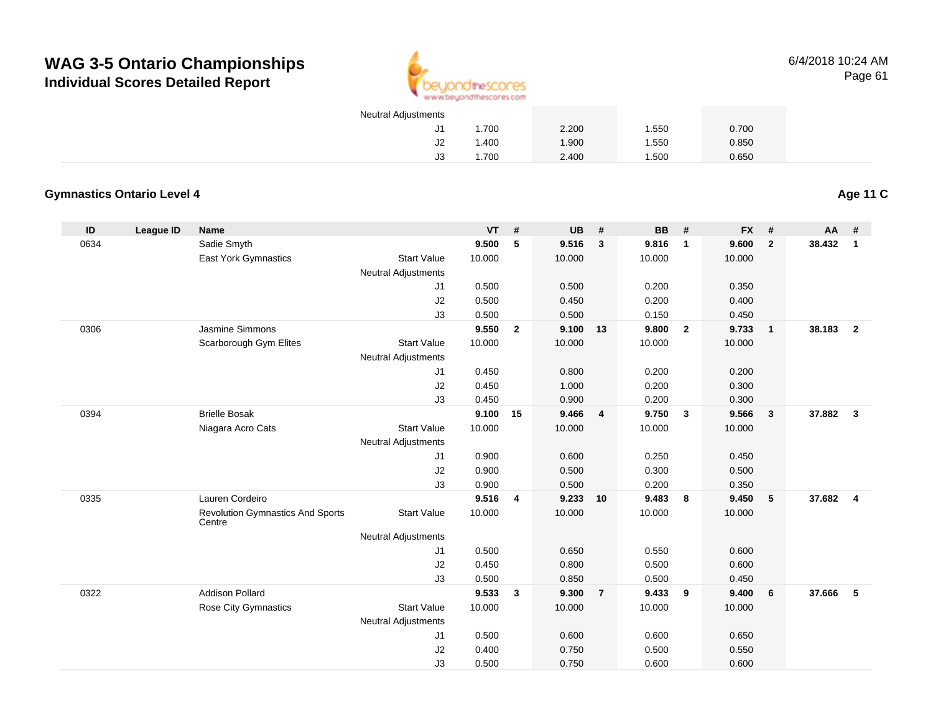

6/4/2018 10:24 AMPage 61

| <b>Neutral Adjustments</b> |       |       |       |       |
|----------------------------|-------|-------|-------|-------|
| J1.                        | 1.700 | 2.200 | 1.550 | 0.700 |
| J2                         | 1.400 | 1.900 | 1.550 | 0.850 |
| JЗ                         | 1.700 | 2.400 | 1.500 | 0.650 |

#### **Gymnastics Ontario Level 4**

**Age 11 C**

| ID   | League ID | <b>Name</b>                             |                            | VT              | #            | <b>UB</b>       | #                       | <b>BB</b>       | #              | <b>FX</b> | #                       | AA     | #                       |
|------|-----------|-----------------------------------------|----------------------------|-----------------|--------------|-----------------|-------------------------|-----------------|----------------|-----------|-------------------------|--------|-------------------------|
| 0634 |           | Sadie Smyth                             |                            | 9.500           | 5            | 9.516           | $\mathbf{3}$            | 9.816           | $\mathbf{1}$   | 9.600     | $\overline{2}$          | 38.432 | $\mathbf{1}$            |
|      |           | East York Gymnastics                    | <b>Start Value</b>         | 10.000          |              | 10.000          |                         | 10.000          |                | 10.000    |                         |        |                         |
|      |           |                                         | <b>Neutral Adjustments</b> |                 |              |                 |                         |                 |                |           |                         |        |                         |
|      |           |                                         | J1                         | 0.500           |              | 0.500           |                         | 0.200           |                | 0.350     |                         |        |                         |
|      |           |                                         | J2                         | 0.500           |              | 0.450           |                         | 0.200           |                | 0.400     |                         |        |                         |
|      |           |                                         | J3                         | 0.500           |              | 0.500           |                         | 0.150           |                | 0.450     |                         |        |                         |
| 0306 |           | Jasmine Simmons                         |                            | 9.550           | $\mathbf{2}$ | 9.100           | 13                      | 9.800           | $\overline{2}$ | 9.733     | $\overline{1}$          | 38.183 | $\overline{2}$          |
|      |           | Scarborough Gym Elites                  | <b>Start Value</b>         | 10.000          |              | 10.000          |                         | 10.000          |                | 10.000    |                         |        |                         |
|      |           |                                         | <b>Neutral Adjustments</b> |                 |              |                 |                         |                 |                |           |                         |        |                         |
|      |           |                                         | J1                         | 0.450           |              | 0.800           |                         | 0.200           |                | 0.200     |                         |        |                         |
|      |           |                                         | J2                         | 0.450           |              | 1.000           |                         | 0.200           |                | 0.300     |                         |        |                         |
|      |           |                                         | J3                         | 0.450           |              | 0.900           |                         | 0.200           |                | 0.300     |                         |        |                         |
| 0394 |           | <b>Brielle Bosak</b>                    | <b>Start Value</b>         | 9.100<br>10.000 | 15           | 9.466<br>10.000 | $\overline{\mathbf{4}}$ | 9.750<br>10.000 | $\mathbf{3}$   | 9.566     | $\overline{\mathbf{3}}$ | 37.882 | $\mathbf{3}$            |
|      |           | Niagara Acro Cats                       | <b>Neutral Adjustments</b> |                 |              |                 |                         |                 |                | 10.000    |                         |        |                         |
|      |           |                                         | J1                         | 0.900           |              | 0.600           |                         | 0.250           |                | 0.450     |                         |        |                         |
|      |           |                                         | J2                         | 0.900           |              | 0.500           |                         | 0.300           |                | 0.500     |                         |        |                         |
|      |           |                                         | J3                         | 0.900           |              | 0.500           |                         | 0.200           |                | 0.350     |                         |        |                         |
| 0335 |           | Lauren Cordeiro                         |                            | 9.516           | 4            | 9.233           | 10                      | 9.483           | 8              | 9.450     | $5\phantom{.0}$         | 37.682 | $\overline{\mathbf{4}}$ |
|      |           | <b>Revolution Gymnastics And Sports</b> | <b>Start Value</b>         | 10.000          |              | 10.000          |                         | 10.000          |                | 10.000    |                         |        |                         |
|      |           | Centre                                  |                            |                 |              |                 |                         |                 |                |           |                         |        |                         |
|      |           |                                         | <b>Neutral Adjustments</b> |                 |              |                 |                         |                 |                |           |                         |        |                         |
|      |           |                                         | J1                         | 0.500           |              | 0.650           |                         | 0.550           |                | 0.600     |                         |        |                         |
|      |           |                                         | J2                         | 0.450           |              | 0.800           |                         | 0.500           |                | 0.600     |                         |        |                         |
|      |           |                                         | J3                         | 0.500           |              | 0.850           |                         | 0.500           |                | 0.450     |                         |        |                         |
| 0322 |           | <b>Addison Pollard</b>                  |                            | 9.533           | $\mathbf{3}$ | 9.300           | $\overline{7}$          | 9.433           | 9              | 9.400     | 6                       | 37.666 | - 5                     |
|      |           | Rose City Gymnastics                    | <b>Start Value</b>         | 10.000          |              | 10.000          |                         | 10.000          |                | 10.000    |                         |        |                         |
|      |           |                                         | <b>Neutral Adjustments</b> |                 |              |                 |                         |                 |                |           |                         |        |                         |
|      |           |                                         | J1                         | 0.500           |              | 0.600           |                         | 0.600           |                | 0.650     |                         |        |                         |
|      |           |                                         | J <sub>2</sub>             | 0.400           |              | 0.750           |                         | 0.500           |                | 0.550     |                         |        |                         |
|      |           |                                         | J3                         | 0.500           |              | 0.750           |                         | 0.600           |                | 0.600     |                         |        |                         |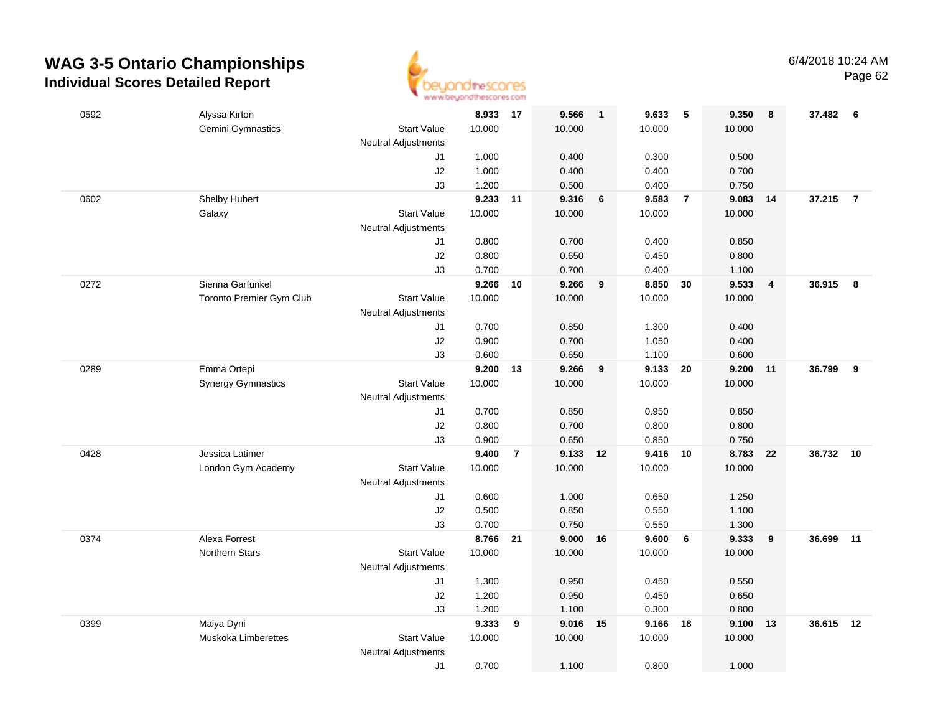

| 0592 | Alyssa Kirton             |                            | 8.933 17       |                | 9.566          | $\overline{1}$ | 9.633          | 5              | 9.350          | 8              | 37.482 6  |                |
|------|---------------------------|----------------------------|----------------|----------------|----------------|----------------|----------------|----------------|----------------|----------------|-----------|----------------|
|      | Gemini Gymnastics         | <b>Start Value</b>         | 10.000         |                | 10.000         |                | 10.000         |                | 10.000         |                |           |                |
|      |                           | <b>Neutral Adjustments</b> |                |                |                |                |                |                |                |                |           |                |
|      |                           | J1                         | 1.000          |                | 0.400          |                | 0.300          |                | 0.500          |                |           |                |
|      |                           | J2                         | 1.000          |                | 0.400          |                | 0.400          |                | 0.700          |                |           |                |
|      |                           | J3                         | 1.200          |                | 0.500          |                | 0.400          |                | 0.750          |                |           |                |
| 0602 | Shelby Hubert             |                            | 9.233 11       |                | 9.316          | 6              | 9.583          | $\overline{7}$ | 9.083          | 14             | 37.215    | $\overline{7}$ |
|      | Galaxy                    | <b>Start Value</b>         | 10.000         |                | 10.000         |                | 10.000         |                | 10.000         |                |           |                |
|      |                           | <b>Neutral Adjustments</b> |                |                |                |                |                |                |                |                |           |                |
|      |                           | J1                         | 0.800          |                | 0.700          |                | 0.400          |                | 0.850          |                |           |                |
|      |                           | J2                         | 0.800          |                | 0.650          |                | 0.450          |                | 0.800          |                |           |                |
|      |                           | J3                         | 0.700          |                | 0.700          |                | 0.400          |                | 1.100          |                |           |                |
| 0272 | Sienna Garfunkel          |                            | 9.266          | 10             | 9.266          | 9              | 8.850          | 30             | 9.533          | $\overline{4}$ | 36.915    | 8              |
|      | Toronto Premier Gym Club  | <b>Start Value</b>         | 10.000         |                | 10.000         |                | 10.000         |                | 10.000         |                |           |                |
|      |                           | <b>Neutral Adjustments</b> |                |                |                |                |                |                |                |                |           |                |
|      |                           | J1                         | 0.700          |                | 0.850          |                | 1.300          |                | 0.400          |                |           |                |
|      |                           | J2                         | 0.900          |                | 0.700          |                | 1.050          |                | 0.400          |                |           |                |
|      |                           | J3                         | 0.600          |                | 0.650          |                | 1.100          |                | 0.600          |                |           |                |
| 0289 | Emma Ortepi               |                            | 9.200          | 13             | 9.266          | 9              | 9.133          | 20             | 9.200          | 11             | 36.799    | 9              |
|      | <b>Synergy Gymnastics</b> | <b>Start Value</b>         | 10.000         |                | 10.000         |                | 10.000         |                | 10.000         |                |           |                |
|      |                           | <b>Neutral Adjustments</b> |                |                |                |                |                |                |                |                |           |                |
|      |                           | J1                         | 0.700          |                | 0.850          |                | 0.950          |                | 0.850          |                |           |                |
|      |                           | J2                         | 0.800          |                | 0.700          |                | 0.800          |                | 0.800          |                |           |                |
|      |                           | J3                         | 0.900          |                | 0.650          |                | 0.850          |                | 0.750          |                |           |                |
| 0428 | Jessica Latimer           |                            | 9.400          | $\overline{7}$ | 9.133          | 12             | 9.416          | 10             | 8.783          | 22             | 36.732    | 10             |
|      | London Gym Academy        | <b>Start Value</b>         | 10.000         |                | 10.000         |                | 10.000         |                | 10.000         |                |           |                |
|      |                           | <b>Neutral Adjustments</b> |                |                |                |                |                |                |                |                |           |                |
|      |                           | J1<br>J2                   | 0.600<br>0.500 |                | 1.000<br>0.850 |                | 0.650          |                | 1.250<br>1.100 |                |           |                |
|      |                           | J3                         | 0.700          |                | 0.750          |                | 0.550<br>0.550 |                | 1.300          |                |           |                |
| 0374 | Alexa Forrest             |                            | 8.766 21       |                | 9.000          | 16             | 9.600          | 6              | 9.333          | 9              | 36.699 11 |                |
|      | <b>Northern Stars</b>     | <b>Start Value</b>         | 10.000         |                | 10.000         |                | 10.000         |                | 10.000         |                |           |                |
|      |                           | <b>Neutral Adjustments</b> |                |                |                |                |                |                |                |                |           |                |
|      |                           | J1                         | 1.300          |                | 0.950          |                | 0.450          |                | 0.550          |                |           |                |
|      |                           | J2                         | 1.200          |                | 0.950          |                | 0.450          |                | 0.650          |                |           |                |
|      |                           | J3                         | 1.200          |                | 1.100          |                | 0.300          |                | 0.800          |                |           |                |
| 0399 | Maiya Dyni                |                            | 9.333          | 9              | 9.016          | 15             | 9.166          | 18             | 9.100          | 13             | 36.615 12 |                |
|      | Muskoka Limberettes       | <b>Start Value</b>         | 10.000         |                | 10.000         |                | 10.000         |                | 10.000         |                |           |                |
|      |                           | <b>Neutral Adjustments</b> |                |                |                |                |                |                |                |                |           |                |
|      |                           | J1                         | 0.700          |                | 1.100          |                | 0.800          |                | 1.000          |                |           |                |
|      |                           |                            |                |                |                |                |                |                |                |                |           |                |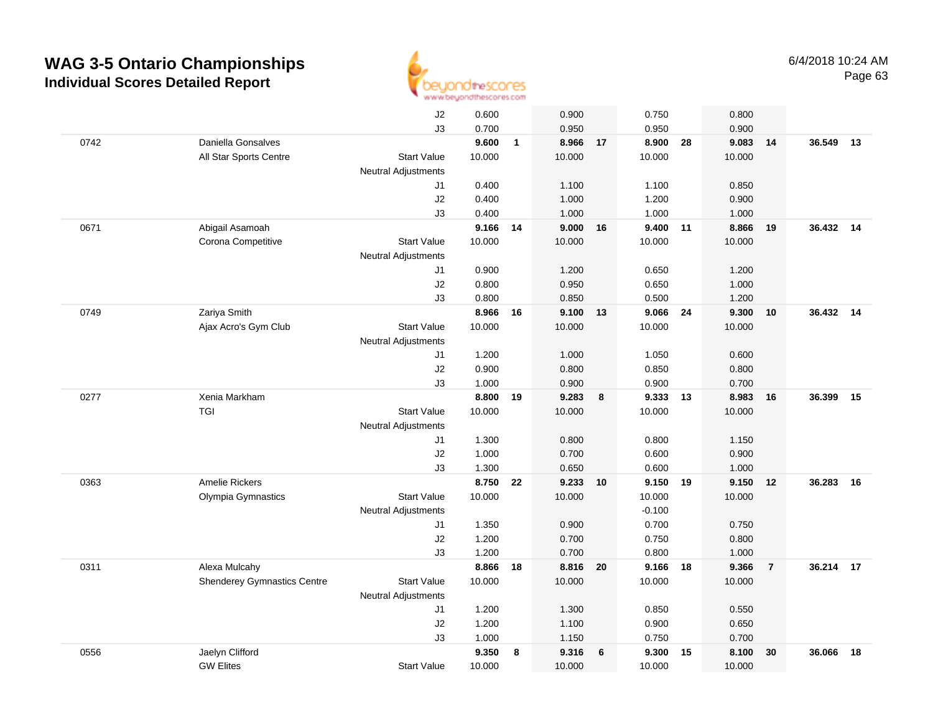

|      |                                    | J2                         | 0.600  |              | 0.900    |    | 0.750    |    | 0.800  |                |           |    |
|------|------------------------------------|----------------------------|--------|--------------|----------|----|----------|----|--------|----------------|-----------|----|
|      |                                    | J3                         | 0.700  |              | 0.950    |    | 0.950    |    | 0.900  |                |           |    |
| 0742 | Daniella Gonsalves                 |                            | 9.600  | $\mathbf{1}$ | 8.966    | 17 | 8.900    | 28 | 9.083  | 14             | 36.549    | 13 |
|      | All Star Sports Centre             | <b>Start Value</b>         | 10.000 |              | 10.000   |    | 10.000   |    | 10.000 |                |           |    |
|      |                                    | <b>Neutral Adjustments</b> |        |              |          |    |          |    |        |                |           |    |
|      |                                    | J1                         | 0.400  |              | 1.100    |    | 1.100    |    | 0.850  |                |           |    |
|      |                                    | J2                         | 0.400  |              | 1.000    |    | 1.200    |    | 0.900  |                |           |    |
|      |                                    | J3                         | 0.400  |              | 1.000    |    | 1.000    |    | 1.000  |                |           |    |
| 0671 | Abigail Asamoah                    |                            | 9.166  | 14           | 9.000    | 16 | 9.400    | 11 | 8.866  | 19             | 36.432 14 |    |
|      | Corona Competitive                 | <b>Start Value</b>         | 10.000 |              | 10.000   |    | 10.000   |    | 10.000 |                |           |    |
|      |                                    | <b>Neutral Adjustments</b> |        |              |          |    |          |    |        |                |           |    |
|      |                                    | J1                         | 0.900  |              | 1.200    |    | 0.650    |    | 1.200  |                |           |    |
|      |                                    | J2                         | 0.800  |              | 0.950    |    | 0.650    |    | 1.000  |                |           |    |
|      |                                    | JЗ                         | 0.800  |              | 0.850    |    | 0.500    |    | 1.200  |                |           |    |
| 0749 | Zariya Smith                       |                            | 8.966  | 16           | 9.100 13 |    | 9.066 24 |    | 9.300  | 10             | 36.432 14 |    |
|      | Ajax Acro's Gym Club               | <b>Start Value</b>         | 10.000 |              | 10.000   |    | 10.000   |    | 10.000 |                |           |    |
|      |                                    | <b>Neutral Adjustments</b> |        |              |          |    |          |    |        |                |           |    |
|      |                                    | J1                         | 1.200  |              | 1.000    |    | 1.050    |    | 0.600  |                |           |    |
|      |                                    | J2                         | 0.900  |              | 0.800    |    | 0.850    |    | 0.800  |                |           |    |
|      |                                    | J3                         | 1.000  |              | 0.900    |    | 0.900    |    | 0.700  |                |           |    |
| 0277 | Xenia Markham                      |                            | 8.800  | 19           | 9.283    | 8  | 9.333    | 13 | 8.983  | 16             | 36.399    | 15 |
|      | TGI                                | <b>Start Value</b>         | 10.000 |              | 10.000   |    | 10.000   |    | 10.000 |                |           |    |
|      |                                    | <b>Neutral Adjustments</b> |        |              |          |    |          |    |        |                |           |    |
|      |                                    | J1                         | 1.300  |              | 0.800    |    | 0.800    |    | 1.150  |                |           |    |
|      |                                    | J2                         | 1.000  |              | 0.700    |    | 0.600    |    | 0.900  |                |           |    |
|      |                                    | J3                         | 1.300  |              | 0.650    |    | 0.600    |    | 1.000  |                |           |    |
| 0363 | Amelie Rickers                     |                            | 8.750  | 22           | 9.233    | 10 | 9.150    | 19 | 9.150  | 12             | 36.283    | 16 |
|      | Olympia Gymnastics                 | <b>Start Value</b>         | 10.000 |              | 10.000   |    | 10.000   |    | 10.000 |                |           |    |
|      |                                    | <b>Neutral Adjustments</b> |        |              |          |    | $-0.100$ |    |        |                |           |    |
|      |                                    | J1                         | 1.350  |              | 0.900    |    | 0.700    |    | 0.750  |                |           |    |
|      |                                    | J2                         | 1.200  |              | 0.700    |    | 0.750    |    | 0.800  |                |           |    |
|      |                                    | J3                         | 1.200  |              | 0.700    |    | 0.800    |    | 1.000  |                |           |    |
| 0311 | Alexa Mulcahy                      |                            | 8.866  | 18           | 8.816 20 |    | 9.166 18 |    | 9.366  | $\overline{7}$ | 36.214 17 |    |
|      | <b>Shenderey Gymnastics Centre</b> | <b>Start Value</b>         | 10.000 |              | 10.000   |    | 10.000   |    | 10.000 |                |           |    |
|      |                                    | <b>Neutral Adjustments</b> |        |              |          |    |          |    |        |                |           |    |
|      |                                    | J1                         | 1.200  |              | 1.300    |    | 0.850    |    | 0.550  |                |           |    |
|      |                                    | J2                         | 1.200  |              | 1.100    |    | 0.900    |    | 0.650  |                |           |    |
|      |                                    | J3                         | 1.000  |              | 1.150    |    | 0.750    |    | 0.700  |                |           |    |
| 0556 | Jaelyn Clifford                    |                            | 9.350  | 8            | 9.316    | 6  | 9.300    | 15 | 8.100  | 30             | 36.066    | 18 |
|      | <b>GW Elites</b>                   | <b>Start Value</b>         | 10.000 |              | 10.000   |    | 10.000   |    | 10.000 |                |           |    |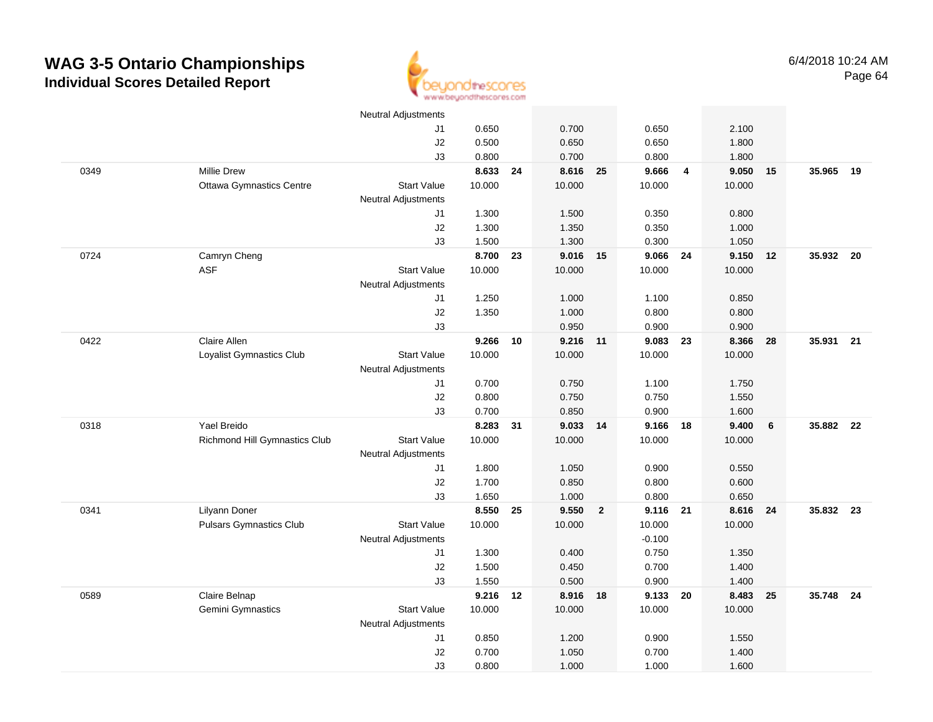

|      |                                 | <b>Neutral Adjustments</b> |          |    |          |                |          |                |          |    |           |  |
|------|---------------------------------|----------------------------|----------|----|----------|----------------|----------|----------------|----------|----|-----------|--|
|      |                                 | J1                         | 0.650    |    | 0.700    |                | 0.650    |                | 2.100    |    |           |  |
|      |                                 | J2                         | 0.500    |    | 0.650    |                | 0.650    |                | 1.800    |    |           |  |
|      |                                 | J3                         | 0.800    |    | 0.700    |                | 0.800    |                | 1.800    |    |           |  |
| 0349 | <b>Millie Drew</b>              |                            | 8.633    | 24 | 8.616 25 |                | 9.666    | $\overline{4}$ | 9.050    | 15 | 35.965 19 |  |
|      | <b>Ottawa Gymnastics Centre</b> | <b>Start Value</b>         | 10.000   |    | 10.000   |                | 10.000   |                | 10.000   |    |           |  |
|      |                                 | Neutral Adjustments        |          |    |          |                |          |                |          |    |           |  |
|      |                                 | J1                         | 1.300    |    | 1.500    |                | 0.350    |                | 0.800    |    |           |  |
|      |                                 | J2                         | 1.300    |    | 1.350    |                | 0.350    |                | 1.000    |    |           |  |
|      |                                 | J3                         | 1.500    |    | 1.300    |                | 0.300    |                | 1.050    |    |           |  |
| 0724 | Camryn Cheng                    |                            | 8.700    | 23 | 9.016 15 |                | 9.066 24 |                | 9.150 12 |    | 35.932 20 |  |
|      | <b>ASF</b>                      | <b>Start Value</b>         | 10.000   |    | 10.000   |                | 10.000   |                | 10.000   |    |           |  |
|      |                                 | <b>Neutral Adjustments</b> |          |    |          |                |          |                |          |    |           |  |
|      |                                 | J1                         | 1.250    |    | 1.000    |                | 1.100    |                | 0.850    |    |           |  |
|      |                                 | J2                         | 1.350    |    | 1.000    |                | 0.800    |                | 0.800    |    |           |  |
|      |                                 | J3                         |          |    | 0.950    |                | 0.900    |                | 0.900    |    |           |  |
| 0422 | Claire Allen                    |                            | 9.266    | 10 | 9.216 11 |                | 9.083 23 |                | 8.366    | 28 | 35.931 21 |  |
|      | Loyalist Gymnastics Club        | <b>Start Value</b>         | 10.000   |    | 10.000   |                | 10.000   |                | 10.000   |    |           |  |
|      |                                 | <b>Neutral Adjustments</b> |          |    |          |                |          |                |          |    |           |  |
|      |                                 | J1                         | 0.700    |    | 0.750    |                | 1.100    |                | 1.750    |    |           |  |
|      |                                 | J2                         | 0.800    |    | 0.750    |                | 0.750    |                | 1.550    |    |           |  |
|      |                                 | J3                         | 0.700    |    | 0.850    |                | 0.900    |                | 1.600    |    |           |  |
| 0318 | Yael Breido                     |                            | 8.283    | 31 | 9.033    | 14             | 9.166    | 18             | 9.400    | 6  | 35.882 22 |  |
|      | Richmond Hill Gymnastics Club   | <b>Start Value</b>         | 10.000   |    | 10.000   |                | 10.000   |                | 10.000   |    |           |  |
|      |                                 | <b>Neutral Adjustments</b> |          |    |          |                |          |                |          |    |           |  |
|      |                                 | J1                         | 1.800    |    | 1.050    |                | 0.900    |                | 0.550    |    |           |  |
|      |                                 | J2                         | 1.700    |    | 0.850    |                | 0.800    |                | 0.600    |    |           |  |
|      |                                 | J3                         | 1.650    |    | 1.000    |                | 0.800    |                | 0.650    |    |           |  |
| 0341 | Lilyann Doner                   |                            | 8.550    | 25 | 9.550    | $\overline{2}$ | 9.116 21 |                | 8.616 24 |    | 35.832 23 |  |
|      | <b>Pulsars Gymnastics Club</b>  | <b>Start Value</b>         | 10.000   |    | 10.000   |                | 10.000   |                | 10.000   |    |           |  |
|      |                                 | <b>Neutral Adjustments</b> |          |    |          |                | $-0.100$ |                |          |    |           |  |
|      |                                 | J1                         | 1.300    |    | 0.400    |                | 0.750    |                | 1.350    |    |           |  |
|      |                                 | J2                         | 1.500    |    | 0.450    |                | 0.700    |                | 1.400    |    |           |  |
|      |                                 | J3                         | 1.550    |    | 0.500    |                | 0.900    |                | 1.400    |    |           |  |
| 0589 | Claire Belnap                   |                            | 9.216 12 |    | 8.916 18 |                | 9.133    | 20             | 8.483    | 25 | 35.748 24 |  |
|      | <b>Gemini Gymnastics</b>        | <b>Start Value</b>         | 10.000   |    | 10.000   |                | 10.000   |                | 10.000   |    |           |  |
|      |                                 | Neutral Adjustments        |          |    |          |                |          |                |          |    |           |  |
|      |                                 | J1                         | 0.850    |    | 1.200    |                | 0.900    |                | 1.550    |    |           |  |
|      |                                 | J2                         | 0.700    |    | 1.050    |                | 0.700    |                | 1.400    |    |           |  |
|      |                                 | J3                         | 0.800    |    | 1.000    |                | 1.000    |                | 1.600    |    |           |  |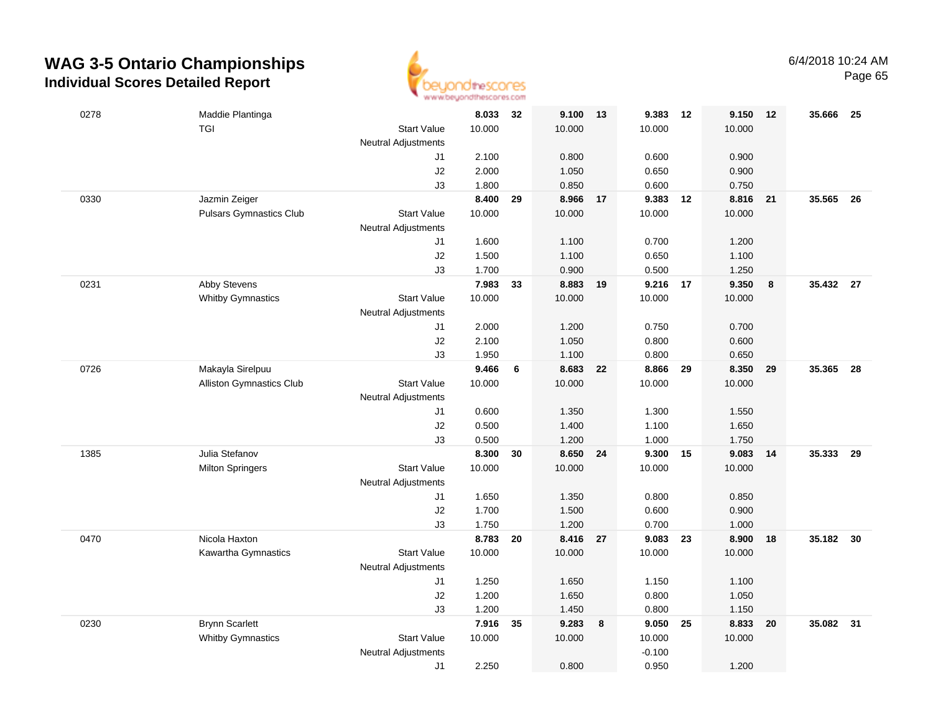

| 0278 | Maddie Plantinga               |                            | 8.033  | 32 | 9.100    | 13   | 9.383 12 |    | 9.150  | 12 | 35.666    | - 25 |
|------|--------------------------------|----------------------------|--------|----|----------|------|----------|----|--------|----|-----------|------|
|      | <b>TGI</b>                     | <b>Start Value</b>         | 10.000 |    | 10.000   |      | 10.000   |    | 10.000 |    |           |      |
|      |                                | <b>Neutral Adjustments</b> |        |    |          |      |          |    |        |    |           |      |
|      |                                | J1                         | 2.100  |    | 0.800    |      | 0.600    |    | 0.900  |    |           |      |
|      |                                | J2                         | 2.000  |    | 1.050    |      | 0.650    |    | 0.900  |    |           |      |
|      |                                | J3                         | 1.800  |    | 0.850    |      | 0.600    |    | 0.750  |    |           |      |
| 0330 | Jazmin Zeiger                  |                            | 8.400  | 29 | 8.966    | 17   | 9.383 12 |    | 8.816  | 21 | 35.565    | - 26 |
|      | <b>Pulsars Gymnastics Club</b> | <b>Start Value</b>         | 10.000 |    | 10.000   |      | 10.000   |    | 10.000 |    |           |      |
|      |                                | <b>Neutral Adjustments</b> |        |    |          |      |          |    |        |    |           |      |
|      |                                | J1                         | 1.600  |    | 1.100    |      | 0.700    |    | 1.200  |    |           |      |
|      |                                | J2                         | 1.500  |    | 1.100    |      | 0.650    |    | 1.100  |    |           |      |
|      |                                | J3                         | 1.700  |    | 0.900    |      | 0.500    |    | 1.250  |    |           |      |
| 0231 | Abby Stevens                   |                            | 7.983  | 33 | 8.883    | - 19 | 9.216    | 17 | 9.350  | 8  | 35.432 27 |      |
|      | <b>Whitby Gymnastics</b>       | <b>Start Value</b>         | 10.000 |    | 10.000   |      | 10.000   |    | 10.000 |    |           |      |
|      |                                | Neutral Adjustments        |        |    |          |      |          |    |        |    |           |      |
|      |                                | J1                         | 2.000  |    | 1.200    |      | 0.750    |    | 0.700  |    |           |      |
|      |                                | J2                         | 2.100  |    | 1.050    |      | 0.800    |    | 0.600  |    |           |      |
|      |                                | J3                         | 1.950  |    | 1.100    |      | 0.800    |    | 0.650  |    |           |      |
| 0726 | Makayla Sirelpuu               |                            | 9.466  | 6  | 8.683    | 22   | 8.866    | 29 | 8.350  | 29 | 35.365 28 |      |
|      | Alliston Gymnastics Club       | <b>Start Value</b>         | 10.000 |    | 10.000   |      | 10.000   |    | 10.000 |    |           |      |
|      |                                | <b>Neutral Adjustments</b> |        |    |          |      |          |    |        |    |           |      |
|      |                                | J1                         | 0.600  |    | 1.350    |      | 1.300    |    | 1.550  |    |           |      |
|      |                                | J2                         | 0.500  |    | 1.400    |      | 1.100    |    | 1.650  |    |           |      |
|      |                                | J3                         | 0.500  |    | 1.200    |      | 1.000    |    | 1.750  |    |           |      |
| 1385 | Julia Stefanov                 |                            | 8.300  | 30 | 8.650    | 24   | 9.300    | 15 | 9.083  | 14 | 35.333    | 29   |
|      | <b>Milton Springers</b>        | Start Value                | 10.000 |    | 10.000   |      | 10.000   |    | 10.000 |    |           |      |
|      |                                | <b>Neutral Adjustments</b> |        |    |          |      |          |    |        |    |           |      |
|      |                                | J1                         | 1.650  |    | 1.350    |      | 0.800    |    | 0.850  |    |           |      |
|      |                                | J2                         | 1.700  |    | 1.500    |      | 0.600    |    | 0.900  |    |           |      |
|      |                                | J3                         | 1.750  |    | 1.200    |      | 0.700    |    | 1.000  |    |           |      |
| 0470 | Nicola Haxton                  |                            | 8.783  | 20 | 8.416 27 |      | 9.083 23 |    | 8.900  | 18 | 35.182 30 |      |
|      | Kawartha Gymnastics            | <b>Start Value</b>         | 10.000 |    | 10.000   |      | 10.000   |    | 10.000 |    |           |      |
|      |                                | <b>Neutral Adjustments</b> |        |    |          |      |          |    |        |    |           |      |
|      |                                | J1                         | 1.250  |    | 1.650    |      | 1.150    |    | 1.100  |    |           |      |
|      |                                | J2                         | 1.200  |    | 1.650    |      | 0.800    |    | 1.050  |    |           |      |
|      |                                | J3                         | 1.200  |    | 1.450    |      | 0.800    |    | 1.150  |    |           |      |
| 0230 | <b>Brynn Scarlett</b>          |                            | 7.916  | 35 | 9.283    | 8    | 9.050    | 25 | 8.833  | 20 | 35.082 31 |      |
|      | <b>Whitby Gymnastics</b>       | Start Value                | 10.000 |    | 10.000   |      | 10.000   |    | 10.000 |    |           |      |
|      |                                | <b>Neutral Adjustments</b> |        |    |          |      | $-0.100$ |    |        |    |           |      |
|      |                                | J1                         | 2.250  |    | 0.800    |      | 0.950    |    | 1.200  |    |           |      |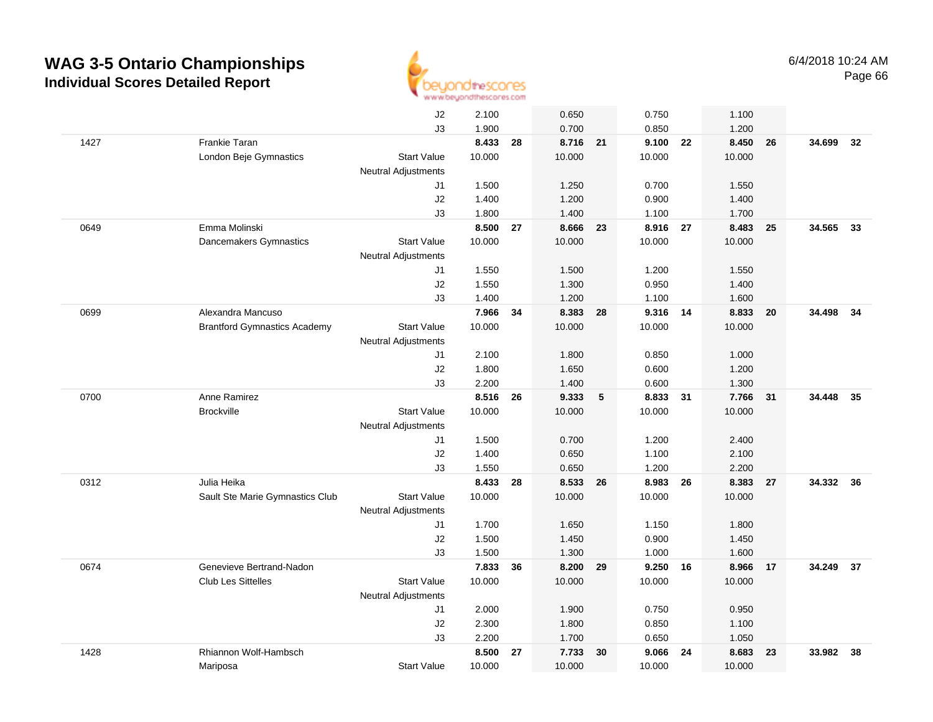

|      |                                     | J2                         | 2.100  |    | 0.650    |    | 0.750    |    | 1.100  |    |           |    |
|------|-------------------------------------|----------------------------|--------|----|----------|----|----------|----|--------|----|-----------|----|
|      |                                     | J3                         | 1.900  |    | 0.700    |    | 0.850    |    | 1.200  |    |           |    |
| 1427 | Frankie Taran                       |                            | 8.433  | 28 | 8.716 21 |    | 9.100 22 |    | 8.450  | 26 | 34.699    | 32 |
|      | London Beje Gymnastics              | <b>Start Value</b>         | 10.000 |    | 10.000   |    | 10.000   |    | 10.000 |    |           |    |
|      |                                     | <b>Neutral Adjustments</b> |        |    |          |    |          |    |        |    |           |    |
|      |                                     | J1                         | 1.500  |    | 1.250    |    | 0.700    |    | 1.550  |    |           |    |
|      |                                     | J2                         | 1.400  |    | 1.200    |    | 0.900    |    | 1.400  |    |           |    |
|      |                                     | JЗ                         | 1.800  |    | 1.400    |    | 1.100    |    | 1.700  |    |           |    |
| 0649 | Emma Molinski                       |                            | 8.500  | 27 | 8.666    | 23 | 8.916 27 |    | 8.483  | 25 | 34.565    | 33 |
|      | Dancemakers Gymnastics              | <b>Start Value</b>         | 10.000 |    | 10.000   |    | 10.000   |    | 10.000 |    |           |    |
|      |                                     | <b>Neutral Adjustments</b> |        |    |          |    |          |    |        |    |           |    |
|      |                                     | J1                         | 1.550  |    | 1.500    |    | 1.200    |    | 1.550  |    |           |    |
|      |                                     | J2                         | 1.550  |    | 1.300    |    | 0.950    |    | 1.400  |    |           |    |
|      |                                     | J3                         | 1.400  |    | 1.200    |    | 1.100    |    | 1.600  |    |           |    |
| 0699 | Alexandra Mancuso                   |                            | 7.966  | 34 | 8.383    | 28 | 9.316 14 |    | 8.833  | 20 | 34.498 34 |    |
|      | <b>Brantford Gymnastics Academy</b> | <b>Start Value</b>         | 10.000 |    | 10.000   |    | 10.000   |    | 10.000 |    |           |    |
|      |                                     | <b>Neutral Adjustments</b> |        |    |          |    |          |    |        |    |           |    |
|      |                                     | J1                         | 2.100  |    | 1.800    |    | 0.850    |    | 1.000  |    |           |    |
|      |                                     | J2                         | 1.800  |    | 1.650    |    | 0.600    |    | 1.200  |    |           |    |
|      |                                     | J3                         | 2.200  |    | 1.400    |    | 0.600    |    | 1.300  |    |           |    |
| 0700 | Anne Ramirez                        |                            | 8.516  | 26 | 9.333    | 5  | 8.833    | 31 | 7.766  | 31 | 34.448    | 35 |
|      | <b>Brockville</b>                   | <b>Start Value</b>         | 10.000 |    | 10.000   |    | 10.000   |    | 10.000 |    |           |    |
|      |                                     | <b>Neutral Adjustments</b> |        |    |          |    |          |    |        |    |           |    |
|      |                                     | J1                         | 1.500  |    | 0.700    |    | 1.200    |    | 2.400  |    |           |    |
|      |                                     | J2                         | 1.400  |    | 0.650    |    | 1.100    |    | 2.100  |    |           |    |
|      |                                     | JЗ                         | 1.550  |    | 0.650    |    | 1.200    |    | 2.200  |    |           |    |
| 0312 | Julia Heika                         |                            | 8.433  | 28 | 8.533    | 26 | 8.983    | 26 | 8.383  | 27 | 34.332 36 |    |
|      | Sault Ste Marie Gymnastics Club     | <b>Start Value</b>         | 10.000 |    | 10.000   |    | 10.000   |    | 10.000 |    |           |    |
|      |                                     | <b>Neutral Adjustments</b> |        |    |          |    |          |    |        |    |           |    |
|      |                                     | J1                         | 1.700  |    | 1.650    |    | 1.150    |    | 1.800  |    |           |    |
|      |                                     | J2                         | 1.500  |    | 1.450    |    | 0.900    |    | 1.450  |    |           |    |
|      |                                     | J3                         | 1.500  |    | 1.300    |    | 1.000    |    | 1.600  |    |           |    |
| 0674 | Genevieve Bertrand-Nadon            |                            | 7.833  | 36 | 8.200    | 29 | 9.250 16 |    | 8.966  | 17 | 34.249 37 |    |
|      | <b>Club Les Sittelles</b>           | <b>Start Value</b>         | 10.000 |    | 10.000   |    | 10.000   |    | 10.000 |    |           |    |
|      |                                     | <b>Neutral Adjustments</b> |        |    |          |    |          |    |        |    |           |    |
|      |                                     | J1                         | 2.000  |    | 1.900    |    | 0.750    |    | 0.950  |    |           |    |
|      |                                     | J2                         | 2.300  |    | 1.800    |    | 0.850    |    | 1.100  |    |           |    |
|      |                                     | J3                         | 2.200  |    | 1.700    |    | 0.650    |    | 1.050  |    |           |    |
| 1428 | Rhiannon Wolf-Hambsch               |                            | 8.500  | 27 | 7.733    | 30 | 9.066    | 24 | 8.683  | 23 | 33.982    | 38 |
|      | Mariposa                            | <b>Start Value</b>         | 10.000 |    | 10.000   |    | 10.000   |    | 10.000 |    |           |    |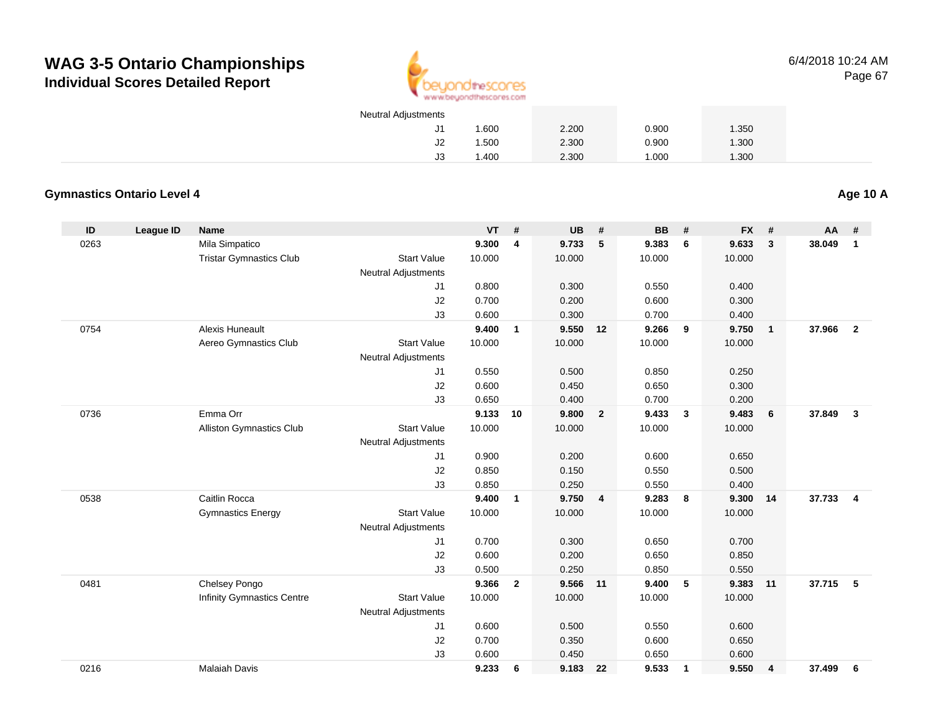

6/4/2018 10:24 AMPage 67

| <b>Neutral Adjustments</b> |       |       |       |       |
|----------------------------|-------|-------|-------|-------|
| J1.                        | 1.600 | 2.200 | 0.900 | 1.350 |
| J2                         | 1.500 | 2.300 | 0.900 | 1.300 |
| JЗ                         | 1.400 | 2.300 | 1.000 | 1.300 |

#### **Gymnastics Ontario Level 4**

**Age 10 A**

| ID   | League ID | <b>Name</b>                     |                            | <b>VT</b> | #              | <b>UB</b> | #              | <b>BB</b> | #                       | <b>FX</b> | #              | AA     | #                |
|------|-----------|---------------------------------|----------------------------|-----------|----------------|-----------|----------------|-----------|-------------------------|-----------|----------------|--------|------------------|
| 0263 |           | Mila Simpatico                  |                            | 9.300     | $\overline{4}$ | 9.733     | 5              | 9.383     | 6                       | 9.633     | $\mathbf{3}$   | 38.049 | $\mathbf{1}$     |
|      |           | <b>Tristar Gymnastics Club</b>  | <b>Start Value</b>         | 10.000    |                | 10.000    |                | 10.000    |                         | 10.000    |                |        |                  |
|      |           |                                 | <b>Neutral Adjustments</b> |           |                |           |                |           |                         |           |                |        |                  |
|      |           |                                 | J1                         | 0.800     |                | 0.300     |                | 0.550     |                         | 0.400     |                |        |                  |
|      |           |                                 | J2                         | 0.700     |                | 0.200     |                | 0.600     |                         | 0.300     |                |        |                  |
|      |           |                                 | J3                         | 0.600     |                | 0.300     |                | 0.700     |                         | 0.400     |                |        |                  |
| 0754 |           | <b>Alexis Huneault</b>          |                            | 9.400     | $\mathbf{1}$   | 9.550     | 12             | 9.266     | 9                       | 9.750     | $\overline{1}$ | 37,966 | $\overline{2}$   |
|      |           | Aereo Gymnastics Club           | <b>Start Value</b>         | 10.000    |                | 10.000    |                | 10.000    |                         | 10.000    |                |        |                  |
|      |           |                                 | <b>Neutral Adjustments</b> |           |                |           |                |           |                         |           |                |        |                  |
|      |           |                                 | J1                         | 0.550     |                | 0.500     |                | 0.850     |                         | 0.250     |                |        |                  |
|      |           |                                 | J2                         | 0.600     |                | 0.450     |                | 0.650     |                         | 0.300     |                |        |                  |
|      |           |                                 | J3                         | 0.650     |                | 0.400     |                | 0.700     |                         | 0.200     |                |        |                  |
| 0736 |           | Emma Orr                        |                            | 9.133     | 10             | 9.800     | $\overline{2}$ | 9.433     | $\overline{\mathbf{3}}$ | 9.483     | 6              | 37.849 | 3                |
|      |           | <b>Alliston Gymnastics Club</b> | <b>Start Value</b>         | 10.000    |                | 10.000    |                | 10.000    |                         | 10.000    |                |        |                  |
|      |           |                                 | <b>Neutral Adjustments</b> |           |                |           |                |           |                         |           |                |        |                  |
|      |           |                                 | J1                         | 0.900     |                | 0.200     |                | 0.600     |                         | 0.650     |                |        |                  |
|      |           |                                 | J2                         | 0.850     |                | 0.150     |                | 0.550     |                         | 0.500     |                |        |                  |
|      |           |                                 | J3                         | 0.850     |                | 0.250     |                | 0.550     |                         | 0.400     |                |        |                  |
| 0538 |           | Caitlin Rocca                   |                            | 9.400     | $\mathbf{1}$   | 9.750     | $\overline{4}$ | 9.283     | 8                       | 9.300     | 14             | 37.733 | $\boldsymbol{4}$ |
|      |           | <b>Gymnastics Energy</b>        | <b>Start Value</b>         | 10.000    |                | 10.000    |                | 10.000    |                         | 10.000    |                |        |                  |
|      |           |                                 | <b>Neutral Adjustments</b> |           |                |           |                |           |                         |           |                |        |                  |
|      |           |                                 | J <sub>1</sub>             | 0.700     |                | 0.300     |                | 0.650     |                         | 0.700     |                |        |                  |
|      |           |                                 | J2                         | 0.600     |                | 0.200     |                | 0.650     |                         | 0.850     |                |        |                  |
|      |           |                                 | J3                         | 0.500     |                | 0.250     |                | 0.850     |                         | 0.550     |                |        |                  |
| 0481 |           | Chelsey Pongo                   |                            | 9.366     | $\overline{2}$ | 9.566     | 11             | 9.400     | 5                       | 9.383     | 11             | 37.715 | 5                |
|      |           | Infinity Gymnastics Centre      | <b>Start Value</b>         | 10.000    |                | 10.000    |                | 10.000    |                         | 10.000    |                |        |                  |
|      |           |                                 | <b>Neutral Adjustments</b> |           |                |           |                |           |                         |           |                |        |                  |
|      |           |                                 | J1                         | 0.600     |                | 0.500     |                | 0.550     |                         | 0.600     |                |        |                  |
|      |           |                                 | J2                         | 0.700     |                | 0.350     |                | 0.600     |                         | 0.650     |                |        |                  |
|      |           |                                 | J3                         | 0.600     |                | 0.450     |                | 0.650     |                         | 0.600     |                |        |                  |
| 0216 |           | <b>Malaiah Davis</b>            |                            | 9.233     | 6              | 9.183 22  |                | 9.533     | $\mathbf{1}$            | 9.550     | 4              | 37.499 | 6                |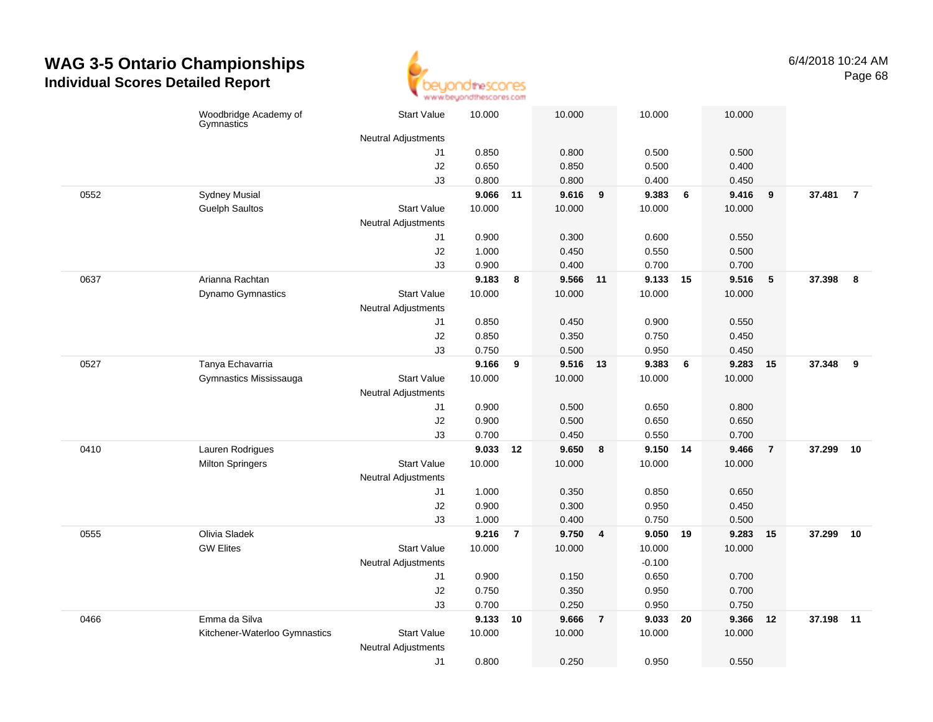

|      | Woodbridge Academy of<br>Gymnastics | <b>Start Value</b>         | 10.000 |                | 10.000   | 10.000                  |             | 10.000 |                 |        |                |
|------|-------------------------------------|----------------------------|--------|----------------|----------|-------------------------|-------------|--------|-----------------|--------|----------------|
|      |                                     | <b>Neutral Adjustments</b> |        |                |          |                         |             |        |                 |        |                |
|      |                                     | J1                         | 0.850  |                | 0.800    | 0.500                   |             | 0.500  |                 |        |                |
|      |                                     | J2                         | 0.650  |                | 0.850    |                         | 0.500       | 0.400  |                 |        |                |
|      |                                     | J3                         | 0.800  |                | 0.800    | 0.400                   |             | 0.450  |                 |        |                |
| 0552 | <b>Sydney Musial</b>                |                            | 9.066  | 11             | 9.616    | 9.383<br>9              | 6           | 9.416  | 9               | 37.481 | $\overline{7}$ |
|      | <b>Guelph Saultos</b>               | <b>Start Value</b>         | 10.000 |                | 10.000   | 10.000                  |             | 10.000 |                 |        |                |
|      |                                     | <b>Neutral Adjustments</b> |        |                |          |                         |             |        |                 |        |                |
|      |                                     | J1                         | 0.900  |                | 0.300    |                         | 0.600       | 0.550  |                 |        |                |
|      |                                     | J2                         | 1.000  |                | 0.450    | 0.550                   |             | 0.500  |                 |        |                |
|      |                                     | J3                         | 0.900  |                | 0.400    | 0.700                   |             | 0.700  |                 |        |                |
| 0637 | Arianna Rachtan                     |                            | 9.183  | 8              | 9.566 11 |                         | 9.133 15    | 9.516  | $5\phantom{.0}$ | 37.398 | 8              |
|      | Dynamo Gymnastics                   | <b>Start Value</b>         | 10.000 |                | 10.000   | 10.000                  |             | 10.000 |                 |        |                |
|      |                                     | <b>Neutral Adjustments</b> |        |                |          |                         |             |        |                 |        |                |
|      |                                     | J1                         | 0.850  |                | 0.450    | 0.900                   |             | 0.550  |                 |        |                |
|      |                                     | J2                         | 0.850  |                | 0.350    | 0.750                   |             | 0.450  |                 |        |                |
|      |                                     | J3                         | 0.750  |                | 0.500    | 0.950                   |             | 0.450  |                 |        |                |
| 0527 | Tanya Echavarria                    |                            | 9.166  | 9              | 9.516    | 13                      | 9.383<br>6  | 9.283  | 15              | 37.348 | 9              |
|      | Gymnastics Mississauga              | <b>Start Value</b>         | 10.000 |                | 10.000   | 10.000                  |             | 10.000 |                 |        |                |
|      |                                     | Neutral Adjustments        |        |                |          |                         |             |        |                 |        |                |
|      |                                     | J1                         | 0.900  |                | 0.500    | 0.650                   |             | 0.800  |                 |        |                |
|      |                                     | J2                         | 0.900  |                | 0.500    |                         | 0.650       | 0.650  |                 |        |                |
|      |                                     | J3                         | 0.700  |                | 0.450    | 0.550                   |             | 0.700  |                 |        |                |
| 0410 | Lauren Rodrigues                    |                            | 9.033  | 12             | 9.650    | 8                       | 9.150 14    | 9.466  | $\overline{7}$  | 37.299 | 10             |
|      | <b>Milton Springers</b>             | <b>Start Value</b>         | 10.000 |                | 10.000   | 10.000                  |             | 10.000 |                 |        |                |
|      |                                     | <b>Neutral Adjustments</b> |        |                |          |                         |             |        |                 |        |                |
|      |                                     | J1                         | 1.000  |                | 0.350    |                         | 0.850       | 0.650  |                 |        |                |
|      |                                     | J2                         | 0.900  |                | 0.300    | 0.950                   |             | 0.450  |                 |        |                |
|      |                                     | J3                         | 1.000  |                | 0.400    | 0.750                   |             | 0.500  |                 |        |                |
| 0555 | Olivia Sladek                       |                            | 9.216  | $\overline{7}$ | 9.750    | $\overline{4}$          | 9.050<br>19 | 9.283  | 15              | 37.299 | 10             |
|      | <b>GW Elites</b>                    | <b>Start Value</b>         | 10.000 |                | 10.000   | 10.000                  |             | 10.000 |                 |        |                |
|      |                                     | Neutral Adjustments        |        |                |          | $-0.100$                |             |        |                 |        |                |
|      |                                     | J1                         | 0.900  |                | 0.150    |                         | 0.650       | 0.700  |                 |        |                |
|      |                                     | J2                         | 0.750  |                | 0.350    |                         | 0.950       | 0.700  |                 |        |                |
|      |                                     | J3                         | 0.700  |                | 0.250    |                         | 0.950       | 0.750  |                 |        |                |
| 0466 | Emma da Silva                       |                            | 9.133  | 10             | 9.666    | 9.033<br>$\overline{7}$ | 20          | 9.366  | 12              | 37.198 | 11             |
|      | Kitchener-Waterloo Gymnastics       | <b>Start Value</b>         | 10.000 |                | 10.000   | 10.000                  |             | 10.000 |                 |        |                |
|      |                                     | Neutral Adjustments        |        |                |          |                         |             |        |                 |        |                |
|      |                                     | J1                         | 0.800  |                | 0.250    | 0.950                   |             | 0.550  |                 |        |                |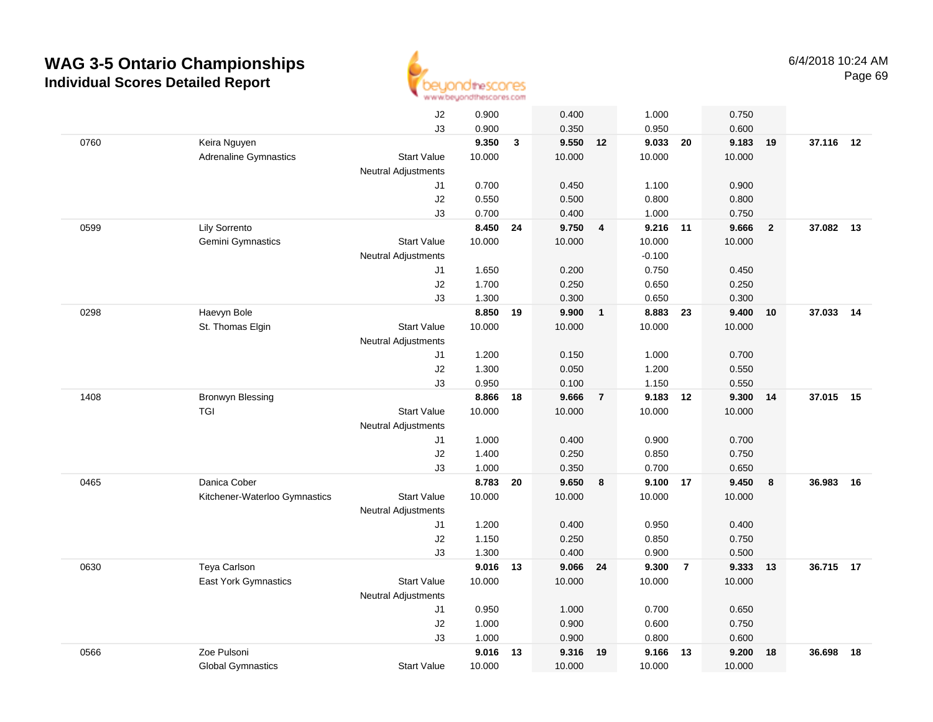

|      |                               | J2                         | 0.900    |    | 0.400    |                | 1.000    |                | 0.750  |                |           |    |
|------|-------------------------------|----------------------------|----------|----|----------|----------------|----------|----------------|--------|----------------|-----------|----|
|      |                               | J3                         | 0.900    |    | 0.350    |                | 0.950    |                | 0.600  |                |           |    |
| 0760 | Keira Nguyen                  |                            | 9.350    | 3  | 9.550    | 12             | 9.033    | 20             | 9.183  | 19             | 37.116 12 |    |
|      | <b>Adrenaline Gymnastics</b>  | <b>Start Value</b>         | 10.000   |    | 10.000   |                | 10.000   |                | 10.000 |                |           |    |
|      |                               | <b>Neutral Adjustments</b> |          |    |          |                |          |                |        |                |           |    |
|      |                               | J1                         | 0.700    |    | 0.450    |                | 1.100    |                | 0.900  |                |           |    |
|      |                               | J2                         | 0.550    |    | 0.500    |                | 0.800    |                | 0.800  |                |           |    |
|      |                               | J3                         | 0.700    |    | 0.400    |                | 1.000    |                | 0.750  |                |           |    |
| 0599 | Lily Sorrento                 |                            | 8.450    | 24 | 9.750    | $\overline{4}$ | 9.216 11 |                | 9.666  | $\overline{2}$ | 37.082 13 |    |
|      | Gemini Gymnastics             | <b>Start Value</b>         | 10.000   |    | 10.000   |                | 10.000   |                | 10.000 |                |           |    |
|      |                               | <b>Neutral Adjustments</b> |          |    |          |                | $-0.100$ |                |        |                |           |    |
|      |                               | J1                         | 1.650    |    | 0.200    |                | 0.750    |                | 0.450  |                |           |    |
|      |                               | J2                         | 1.700    |    | 0.250    |                | 0.650    |                | 0.250  |                |           |    |
|      |                               | J3                         | 1.300    |    | 0.300    |                | 0.650    |                | 0.300  |                |           |    |
| 0298 | Haevyn Bole                   |                            | 8.850    | 19 | 9.900    | $\mathbf{1}$   | 8.883    | 23             | 9.400  | 10             | 37.033    | 14 |
|      | St. Thomas Elgin              | <b>Start Value</b>         | 10.000   |    | 10.000   |                | 10.000   |                | 10.000 |                |           |    |
|      |                               | <b>Neutral Adjustments</b> |          |    |          |                |          |                |        |                |           |    |
|      |                               | J1                         | 1.200    |    | 0.150    |                | 1.000    |                | 0.700  |                |           |    |
|      |                               | J2                         | 1.300    |    | 0.050    |                | 1.200    |                | 0.550  |                |           |    |
|      |                               | J3                         | 0.950    |    | 0.100    |                | 1.150    |                | 0.550  |                |           |    |
| 1408 | <b>Bronwyn Blessing</b>       |                            | 8.866    | 18 | 9.666    | $\overline{7}$ | 9.183    | 12             | 9.300  | 14             | 37.015 15 |    |
|      | <b>TGI</b>                    | <b>Start Value</b>         | 10.000   |    | 10.000   |                | 10.000   |                | 10.000 |                |           |    |
|      |                               | <b>Neutral Adjustments</b> |          |    |          |                |          |                |        |                |           |    |
|      |                               | J1                         | 1.000    |    | 0.400    |                | 0.900    |                | 0.700  |                |           |    |
|      |                               | J2                         | 1.400    |    | 0.250    |                | 0.850    |                | 0.750  |                |           |    |
|      |                               | J3                         | 1.000    |    | 0.350    |                | 0.700    |                | 0.650  |                |           |    |
| 0465 | Danica Cober                  |                            | 8.783    | 20 | 9.650    | 8              | 9.100 17 |                | 9.450  | 8              | 36.983    | 16 |
|      | Kitchener-Waterloo Gymnastics | <b>Start Value</b>         | 10.000   |    | 10.000   |                | 10.000   |                | 10.000 |                |           |    |
|      |                               | <b>Neutral Adjustments</b> |          |    |          |                |          |                |        |                |           |    |
|      |                               | J1                         | 1.200    |    | 0.400    |                | 0.950    |                | 0.400  |                |           |    |
|      |                               | J2                         | 1.150    |    | 0.250    |                | 0.850    |                | 0.750  |                |           |    |
|      |                               | J3                         | 1.300    |    | 0.400    |                | 0.900    |                | 0.500  |                |           |    |
| 0630 | Teya Carlson                  |                            | 9.016 13 |    | 9.066 24 |                | 9.300    | $\overline{7}$ | 9.333  | 13             | 36.715 17 |    |
|      | East York Gymnastics          | <b>Start Value</b>         | 10.000   |    | 10.000   |                | 10.000   |                | 10.000 |                |           |    |
|      |                               | <b>Neutral Adjustments</b> |          |    |          |                |          |                |        |                |           |    |
|      |                               | J1                         | 0.950    |    | 1.000    |                | 0.700    |                | 0.650  |                |           |    |
|      |                               | J2                         | 1.000    |    | 0.900    |                | 0.600    |                | 0.750  |                |           |    |
|      |                               | J3                         | 1.000    |    | 0.900    |                | 0.800    |                | 0.600  |                |           |    |
| 0566 | Zoe Pulsoni                   |                            | 9.016    | 13 | 9.316    | 19             | 9.166    | 13             | 9.200  | 18             | 36.698    | 18 |
|      | <b>Global Gymnastics</b>      | <b>Start Value</b>         | 10.000   |    | 10.000   |                | 10.000   |                | 10.000 |                |           |    |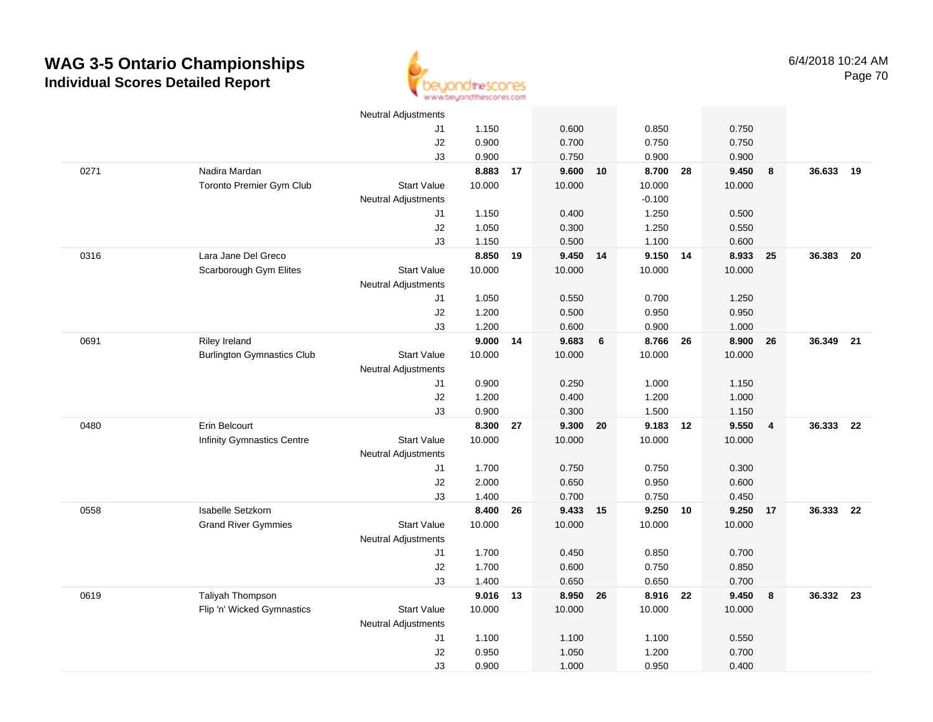

|      |                                   | <b>Neutral Adjustments</b> |          |    |            |      |          |      |        |                |           |      |
|------|-----------------------------------|----------------------------|----------|----|------------|------|----------|------|--------|----------------|-----------|------|
|      |                                   | J1                         | 1.150    |    | 0.600      |      | 0.850    |      | 0.750  |                |           |      |
|      |                                   | J2                         | 0.900    |    | 0.700      |      | 0.750    |      | 0.750  |                |           |      |
|      |                                   | J3                         | 0.900    |    | 0.750      |      | 0.900    |      | 0.900  |                |           |      |
| 0271 | Nadira Mardan                     |                            | 8.883 17 |    | $9.600$ 10 |      | 8.700 28 |      | 9.450  | 8              | 36.633    | 19   |
|      | Toronto Premier Gym Club          | <b>Start Value</b>         | 10.000   |    | 10.000     |      | 10.000   |      | 10.000 |                |           |      |
|      |                                   | <b>Neutral Adjustments</b> |          |    |            |      | $-0.100$ |      |        |                |           |      |
|      |                                   | J1                         | 1.150    |    | 0.400      |      | 1.250    |      | 0.500  |                |           |      |
|      |                                   | J2                         | 1.050    |    | 0.300      |      | 1.250    |      | 0.550  |                |           |      |
|      |                                   | J3                         | 1.150    |    | 0.500      |      | 1.100    |      | 0.600  |                |           |      |
| 0316 | Lara Jane Del Greco               |                            | 8.850    | 19 | 9.450 14   |      | 9.150 14 |      | 8.933  | 25             | 36.383    | - 20 |
|      | Scarborough Gym Elites            | <b>Start Value</b>         | 10.000   |    | 10.000     |      | 10.000   |      | 10.000 |                |           |      |
|      |                                   | <b>Neutral Adjustments</b> |          |    |            |      |          |      |        |                |           |      |
|      |                                   | J1                         | 1.050    |    | 0.550      |      | 0.700    |      | 1.250  |                |           |      |
|      |                                   | $\sf J2$                   | 1.200    |    | 0.500      |      | 0.950    |      | 0.950  |                |           |      |
|      |                                   | J3                         | 1.200    |    | 0.600      |      | 0.900    |      | 1.000  |                |           |      |
| 0691 | Riley Ireland                     |                            | 9.000 14 |    | 9.683      | 6    | 8.766    | - 26 | 8.900  | 26             | 36.349 21 |      |
|      | <b>Burlington Gymnastics Club</b> | <b>Start Value</b>         | 10.000   |    | 10.000     |      | 10.000   |      | 10.000 |                |           |      |
|      |                                   | <b>Neutral Adjustments</b> |          |    |            |      |          |      |        |                |           |      |
|      |                                   | J1                         | 0.900    |    | 0.250      |      | 1.000    |      | 1.150  |                |           |      |
|      |                                   | J2                         | 1.200    |    | 0.400      |      | 1.200    |      | 1.000  |                |           |      |
|      |                                   | J3                         | 0.900    |    | 0.300      |      | 1.500    |      | 1.150  |                |           |      |
| 0480 | Erin Belcourt                     |                            | 8.300    | 27 | 9.300      | - 20 | 9.183    | 12   | 9.550  | $\overline{4}$ | 36.333    | - 22 |
|      | Infinity Gymnastics Centre        | <b>Start Value</b>         | 10.000   |    | 10.000     |      | 10.000   |      | 10.000 |                |           |      |
|      |                                   | <b>Neutral Adjustments</b> |          |    |            |      |          |      |        |                |           |      |
|      |                                   | J1                         | 1.700    |    | 0.750      |      | 0.750    |      | 0.300  |                |           |      |
|      |                                   | J2                         | 2.000    |    | 0.650      |      | 0.950    |      | 0.600  |                |           |      |
|      |                                   | J3                         | 1.400    |    | 0.700      |      | 0.750    |      | 0.450  |                |           |      |
| 0558 | Isabelle Setzkorn                 |                            | 8.400    | 26 | 9.433 15   |      | 9.250 10 |      | 9.250  | 17             | 36.333 22 |      |
|      | <b>Grand River Gymmies</b>        | <b>Start Value</b>         | 10.000   |    | 10.000     |      | 10.000   |      | 10.000 |                |           |      |
|      |                                   | <b>Neutral Adjustments</b> |          |    |            |      |          |      |        |                |           |      |
|      |                                   | J1                         | 1.700    |    | 0.450      |      | 0.850    |      | 0.700  |                |           |      |
|      |                                   | J2                         | 1.700    |    | 0.600      |      | 0.750    |      | 0.850  |                |           |      |
|      |                                   | J3                         | 1.400    |    | 0.650      |      | 0.650    |      | 0.700  |                |           |      |
| 0619 | Taliyah Thompson                  |                            | 9.016    | 13 | 8.950 26   |      | 8.916 22 |      | 9.450  | 8              | 36.332 23 |      |
|      | Flip 'n' Wicked Gymnastics        | <b>Start Value</b>         | 10.000   |    | 10.000     |      | 10.000   |      | 10.000 |                |           |      |
|      |                                   | <b>Neutral Adjustments</b> |          |    |            |      |          |      |        |                |           |      |
|      |                                   | J1                         | 1.100    |    | 1.100      |      | 1.100    |      | 0.550  |                |           |      |
|      |                                   | J2                         | 0.950    |    | 1.050      |      | 1.200    |      | 0.700  |                |           |      |
|      |                                   | J3                         | 0.900    |    | 1.000      |      | 0.950    |      | 0.400  |                |           |      |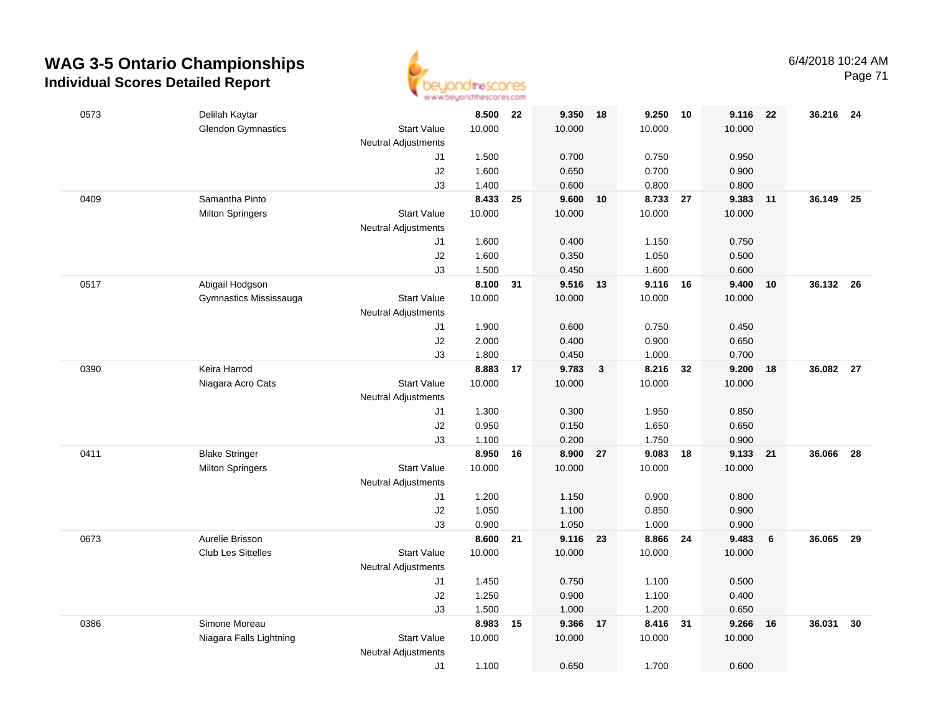

Page 71

| 0573 | Delilah Kaytar            |                                  | 8.500  | 22 | 9.350    | -18                     | 9.250    | 10 | 9.116  | 22 | 36.216 24 |      |
|------|---------------------------|----------------------------------|--------|----|----------|-------------------------|----------|----|--------|----|-----------|------|
|      | <b>Glendon Gymnastics</b> | <b>Start Value</b>               | 10.000 |    | 10.000   |                         | 10.000   |    | 10.000 |    |           |      |
|      |                           | <b>Neutral Adjustments</b>       |        |    |          |                         |          |    |        |    |           |      |
|      |                           | J1                               | 1.500  |    | 0.700    |                         | 0.750    |    | 0.950  |    |           |      |
|      |                           | J2                               | 1.600  |    | 0.650    |                         | 0.700    |    | 0.900  |    |           |      |
|      |                           | J3                               | 1.400  |    | 0.600    |                         | 0.800    |    | 0.800  |    |           |      |
| 0409 | Samantha Pinto            |                                  | 8.433  | 25 | 9.600    | 10                      | 8.733 27 |    | 9.383  | 11 | 36.149    | 25   |
|      | <b>Milton Springers</b>   | <b>Start Value</b>               | 10.000 |    | 10.000   |                         | 10.000   |    | 10.000 |    |           |      |
|      |                           | <b>Neutral Adjustments</b><br>J1 | 1.600  |    | 0.400    |                         | 1.150    |    | 0.750  |    |           |      |
|      |                           | J2                               | 1.600  |    | 0.350    |                         | 1.050    |    | 0.500  |    |           |      |
|      |                           | J3                               | 1.500  |    | 0.450    |                         | 1.600    |    | 0.600  |    |           |      |
| 0517 | Abigail Hodgson           |                                  | 8.100  | 31 | 9.516 13 |                         | 9.116 16 |    | 9.400  | 10 | 36.132    | - 26 |
|      | Gymnastics Mississauga    | <b>Start Value</b>               | 10.000 |    | 10.000   |                         | 10.000   |    | 10.000 |    |           |      |
|      |                           | <b>Neutral Adjustments</b>       |        |    |          |                         |          |    |        |    |           |      |
|      |                           | J1                               | 1.900  |    | 0.600    |                         | 0.750    |    | 0.450  |    |           |      |
|      |                           | J2                               | 2.000  |    | 0.400    |                         | 0.900    |    | 0.650  |    |           |      |
|      |                           | J3                               | 1.800  |    | 0.450    |                         | 1.000    |    | 0.700  |    |           |      |
| 0390 | Keira Harrod              |                                  | 8.883  | 17 | 9.783    | $\overline{\mathbf{3}}$ | 8.216    | 32 | 9.200  | 18 | 36.082 27 |      |
|      | Niagara Acro Cats         | <b>Start Value</b>               | 10.000 |    | 10.000   |                         | 10.000   |    | 10.000 |    |           |      |
|      |                           | <b>Neutral Adjustments</b>       |        |    |          |                         |          |    |        |    |           |      |
|      |                           | J1                               | 1.300  |    | 0.300    |                         | 1.950    |    | 0.850  |    |           |      |
|      |                           | J2                               | 0.950  |    | 0.150    |                         | 1.650    |    | 0.650  |    |           |      |
|      |                           | J3                               | 1.100  |    | 0.200    |                         | 1.750    |    | 0.900  |    |           |      |
| 0411 | <b>Blake Stringer</b>     |                                  | 8.950  | 16 | 8.900    | 27                      | 9.083    | 18 | 9.133  | 21 | 36.066    | 28   |
|      | <b>Milton Springers</b>   | <b>Start Value</b>               | 10.000 |    | 10.000   |                         | 10.000   |    | 10.000 |    |           |      |
|      |                           | <b>Neutral Adjustments</b><br>J1 | 1.200  |    | 1.150    |                         | 0.900    |    | 0.800  |    |           |      |
|      |                           | J2                               | 1.050  |    | 1.100    |                         | 0.850    |    | 0.900  |    |           |      |
|      |                           | J3                               | 0.900  |    | 1.050    |                         | 1.000    |    | 0.900  |    |           |      |
| 0673 | Aurelie Brisson           |                                  | 8.600  | 21 | 9.116 23 |                         | 8.866    | 24 | 9.483  | 6  | 36.065 29 |      |
|      | <b>Club Les Sittelles</b> | <b>Start Value</b>               | 10.000 |    | 10.000   |                         | 10.000   |    | 10.000 |    |           |      |
|      |                           | <b>Neutral Adjustments</b>       |        |    |          |                         |          |    |        |    |           |      |
|      |                           | J1                               | 1.450  |    | 0.750    |                         | 1.100    |    | 0.500  |    |           |      |
|      |                           | J2                               | 1.250  |    | 0.900    |                         | 1.100    |    | 0.400  |    |           |      |
|      |                           | J3                               | 1.500  |    | 1.000    |                         | 1.200    |    | 0.650  |    |           |      |
| 0386 | Simone Moreau             |                                  | 8.983  | 15 | 9.366    | 17                      | 8.416    | 31 | 9.266  | 16 | 36.031    | 30   |
|      | Niagara Falls Lightning   | <b>Start Value</b>               | 10.000 |    | 10.000   |                         | 10.000   |    | 10.000 |    |           |      |
|      |                           | <b>Neutral Adjustments</b>       |        |    |          |                         |          |    |        |    |           |      |
|      |                           | J1                               | 1.100  |    | 0.650    |                         | 1.700    |    | 0.600  |    |           |      |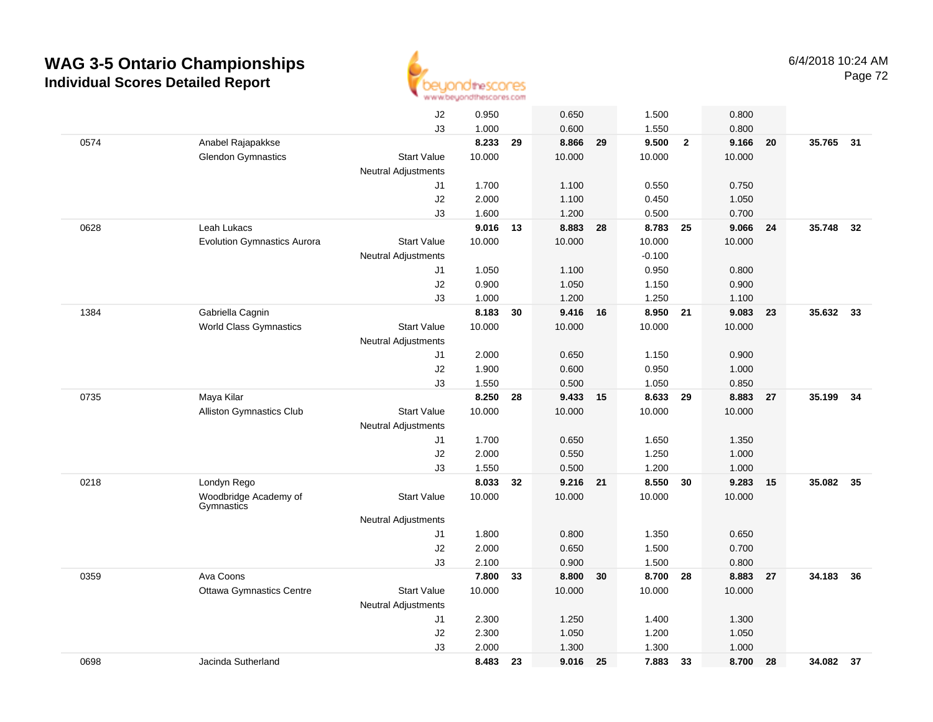

|      |                                     | J2                         | 0.950  |    | 0.650    |    | 1.500    |                | 0.800  |    |           |    |
|------|-------------------------------------|----------------------------|--------|----|----------|----|----------|----------------|--------|----|-----------|----|
|      |                                     | J3                         | 1.000  |    | 0.600    |    | 1.550    |                | 0.800  |    |           |    |
| 0574 | Anabel Rajapakkse                   |                            | 8.233  | 29 | 8.866    | 29 | 9.500    | $\overline{2}$ | 9.166  | 20 | 35.765 31 |    |
|      | <b>Glendon Gymnastics</b>           | <b>Start Value</b>         | 10.000 |    | 10.000   |    | 10.000   |                | 10.000 |    |           |    |
|      |                                     | <b>Neutral Adjustments</b> |        |    |          |    |          |                |        |    |           |    |
|      |                                     | J1                         | 1.700  |    | 1.100    |    | 0.550    |                | 0.750  |    |           |    |
|      |                                     | J2                         | 2.000  |    | 1.100    |    | 0.450    |                | 1.050  |    |           |    |
|      |                                     | J3                         | 1.600  |    | 1.200    |    | 0.500    |                | 0.700  |    |           |    |
| 0628 | Leah Lukacs                         |                            | 9.016  | 13 | 8.883    | 28 | 8.783    | 25             | 9.066  | 24 | 35.748    | 32 |
|      | <b>Evolution Gymnastics Aurora</b>  | <b>Start Value</b>         | 10.000 |    | 10.000   |    | 10.000   |                | 10.000 |    |           |    |
|      |                                     | <b>Neutral Adjustments</b> |        |    |          |    | $-0.100$ |                |        |    |           |    |
|      |                                     | J1                         | 1.050  |    | 1.100    |    | 0.950    |                | 0.800  |    |           |    |
|      |                                     | J2                         | 0.900  |    | 1.050    |    | 1.150    |                | 0.900  |    |           |    |
|      |                                     | J3                         | 1.000  |    | 1.200    |    | 1.250    |                | 1.100  |    |           |    |
| 1384 | Gabriella Cagnin                    |                            | 8.183  | 30 | 9.416    | 16 | 8.950 21 |                | 9.083  | 23 | 35.632    | 33 |
|      | <b>World Class Gymnastics</b>       | <b>Start Value</b>         | 10.000 |    | 10.000   |    | 10.000   |                | 10.000 |    |           |    |
|      |                                     | Neutral Adjustments        |        |    |          |    |          |                |        |    |           |    |
|      |                                     | J1                         | 2.000  |    | 0.650    |    | 1.150    |                | 0.900  |    |           |    |
|      |                                     | J2                         | 1.900  |    | 0.600    |    | 0.950    |                | 1.000  |    |           |    |
|      |                                     | J3                         | 1.550  |    | 0.500    |    | 1.050    |                | 0.850  |    |           |    |
| 0735 | Maya Kilar                          |                            | 8.250  | 28 | 9.433 15 |    | 8.633    | 29             | 8.883  | 27 | 35.199    | 34 |
|      | Alliston Gymnastics Club            | <b>Start Value</b>         | 10.000 |    | 10.000   |    | 10.000   |                | 10.000 |    |           |    |
|      |                                     | <b>Neutral Adjustments</b> |        |    |          |    |          |                |        |    |           |    |
|      |                                     | J1                         | 1.700  |    | 0.650    |    | 1.650    |                | 1.350  |    |           |    |
|      |                                     | J2                         | 2.000  |    | 0.550    |    | 1.250    |                | 1.000  |    |           |    |
|      |                                     | J3                         | 1.550  |    | 0.500    |    | 1.200    |                | 1.000  |    |           |    |
| 0218 | Londyn Rego                         |                            | 8.033  | 32 | 9.216    | 21 | 8.550    | 30             | 9.283  | 15 | 35.082    | 35 |
|      | Woodbridge Academy of<br>Gymnastics | <b>Start Value</b>         | 10.000 |    | 10.000   |    | 10.000   |                | 10.000 |    |           |    |
|      |                                     | <b>Neutral Adjustments</b> |        |    |          |    |          |                |        |    |           |    |
|      |                                     | J1                         | 1.800  |    | 0.800    |    | 1.350    |                | 0.650  |    |           |    |
|      |                                     | J2                         | 2.000  |    | 0.650    |    | 1.500    |                | 0.700  |    |           |    |
|      |                                     | J3                         | 2.100  |    | 0.900    |    | 1.500    |                | 0.800  |    |           |    |
| 0359 | Ava Coons                           |                            | 7.800  | 33 | 8.800    | 30 | 8.700    | 28             | 8.883  | 27 | 34.183    | 36 |
|      | <b>Ottawa Gymnastics Centre</b>     | <b>Start Value</b>         | 10.000 |    | 10.000   |    | 10.000   |                | 10.000 |    |           |    |
|      |                                     | <b>Neutral Adjustments</b> |        |    |          |    |          |                |        |    |           |    |
|      |                                     | J1                         | 2.300  |    | 1.250    |    | 1.400    |                | 1.300  |    |           |    |
|      |                                     | J2                         | 2.300  |    | 1.050    |    | 1.200    |                | 1.050  |    |           |    |
|      |                                     | J3                         | 2.000  |    | 1.300    |    | 1.300    |                | 1.000  |    |           |    |
| 0698 | Jacinda Sutherland                  |                            | 8.483  | 23 | 9.016    | 25 | 7.883    | 33             | 8.700  | 28 | 34.082 37 |    |
|      |                                     |                            |        |    |          |    |          |                |        |    |           |    |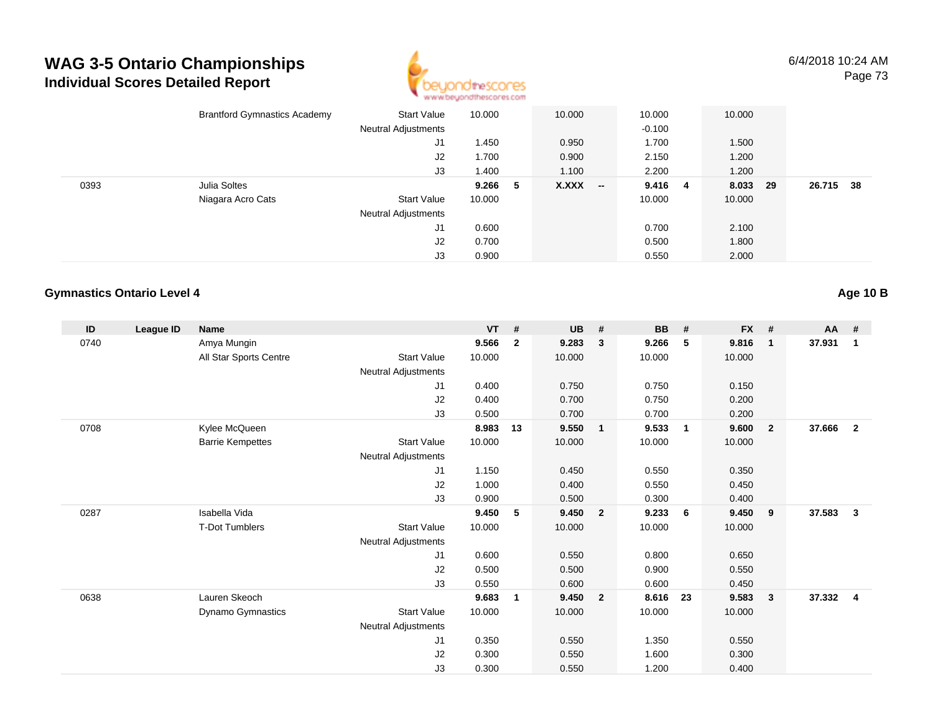

|      | <b>Brantford Gymnastics Academy</b> | Start Value                | 10.000 |    | 10.000    | 10.000   | 10.000   |           |  |
|------|-------------------------------------|----------------------------|--------|----|-----------|----------|----------|-----------|--|
|      |                                     | <b>Neutral Adjustments</b> |        |    |           | $-0.100$ |          |           |  |
|      |                                     | J1                         | 1.450  |    | 0.950     | 1.700    | 1.500    |           |  |
|      |                                     | J2                         | 1.700  |    | 0.900     | 2.150    | 1.200    |           |  |
|      |                                     | J3                         | 1.400  |    | 1.100     | 2.200    | 1.200    |           |  |
| 0393 | Julia Soltes                        |                            | 9.266  | -5 | $X.XXX$ - | 9.416 4  | 8.033 29 | 26.715 38 |  |
|      | Niagara Acro Cats                   | <b>Start Value</b>         | 10.000 |    |           | 10.000   | 10.000   |           |  |
|      |                                     | <b>Neutral Adjustments</b> |        |    |           |          |          |           |  |
|      |                                     | J1                         | 0.600  |    |           | 0.700    | 2.100    |           |  |
|      |                                     | J2                         | 0.700  |    |           | 0.500    | 1.800    |           |  |
|      |                                     | J3                         | 0.900  |    |           | 0.550    | 2.000    |           |  |

#### **Gymnastics Ontario Level 4**

**ID League ID Name VT # UB # BB # FX # AA #** 0740 Amya Mungin **9.566 <sup>2</sup> 9.283 <sup>3</sup> 9.266 <sup>5</sup> 9.816 <sup>1</sup> 37.931 <sup>1</sup>** All Star Sports Centre Start Value 10.000 10.000 10.000 10.000 Neutral Adjustments J1 0.400 0.750 0.750 0.150 J2 0.400 0.700 0.750 0.200 J3 0.500 0.700 0.700 0.200 0708 Kylee McQueen **8.983 <sup>13</sup> 9.550 <sup>1</sup> 9.533 <sup>1</sup> 9.600 <sup>2</sup> 37.666 <sup>2</sup>** Barrie Kempettes Start Valuee 10.000 10.000 10.000 10.000 Neutral Adjustments J1 1.150 0.450 0.550 0.350 J2 1.000 0.400 0.550 0.450 J3 0.900 0.500 0.300 0.400 0287 Isabella Vida **9.450 <sup>5</sup> 9.450 <sup>2</sup> 9.233 <sup>6</sup> 9.450 <sup>9</sup> 37.583 <sup>3</sup>** T-Dot Tumblers Start Valuee 10.000 10.000 10.000 10.000 Neutral Adjustments J1 0.600 0.550 0.800 0.650 J2 0.500 0.500 0.900 0.550 J3 0.550 0.600 0.600 0.450 0638 Lauren Skeoch **9.683 <sup>1</sup> 9.450 <sup>2</sup> 8.616 <sup>23</sup> 9.583 <sup>3</sup> 37.332 <sup>4</sup>** Dynamo Gymnastics Start Valuee 10.000 10.000 10.000 10.000 Neutral Adjustments J1 0.350 0.550 1.350 0.550 J2 0.300 0.550 1.600 0.300 J30.300 0.550 1.200 0.400

**Age 10 B**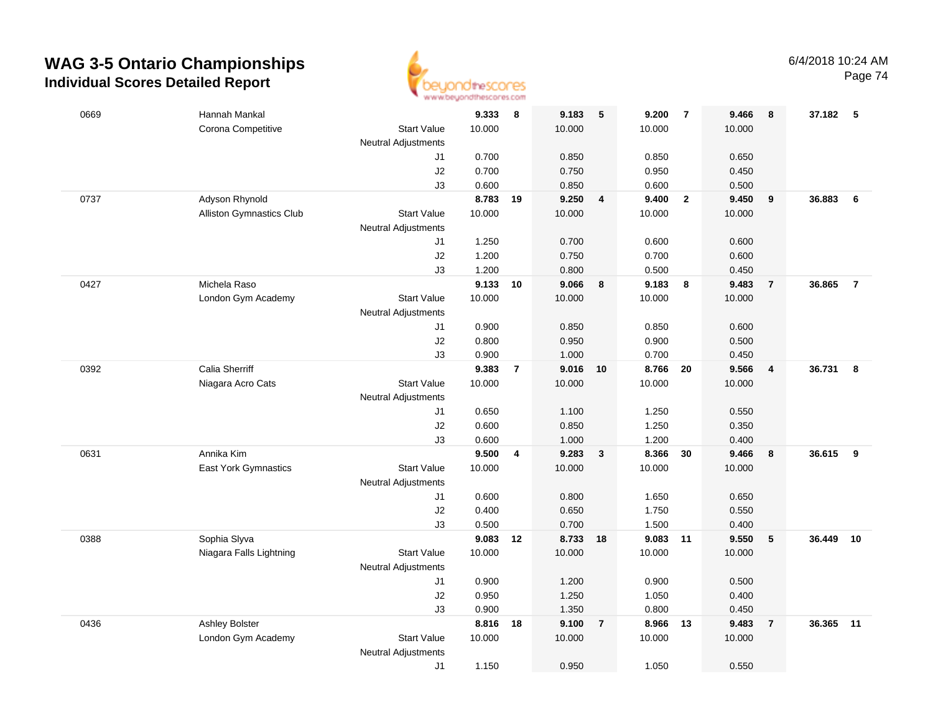

|      |                                         |                            | an an aaronadha wan urantu n |                |                |                |                |                |                |                         |        |                |
|------|-----------------------------------------|----------------------------|------------------------------|----------------|----------------|----------------|----------------|----------------|----------------|-------------------------|--------|----------------|
| 0669 | Hannah Mankal                           |                            | 9.333                        | 8              | 9.183          | 5              | 9.200          | $\overline{7}$ | 9.466          | 8                       | 37.182 | -5             |
|      | Corona Competitive                      | <b>Start Value</b>         | 10.000                       |                | 10.000         |                | 10.000         |                | 10.000         |                         |        |                |
|      |                                         | Neutral Adjustments        |                              |                |                |                |                |                |                |                         |        |                |
|      |                                         | J1                         | 0.700                        |                | 0.850          |                | 0.850          |                | 0.650          |                         |        |                |
|      |                                         | $\sf J2$                   | 0.700                        |                | 0.750          |                | 0.950          |                | 0.450          |                         |        |                |
|      |                                         | J3                         | 0.600                        |                | 0.850          |                | 0.600          |                | 0.500          |                         |        |                |
| 0737 | Adyson Rhynold                          |                            | 8.783                        | 19             | 9.250          | $\overline{4}$ | 9.400          | $\overline{2}$ | 9.450          | $\boldsymbol{9}$        | 36.883 | 6              |
|      | Alliston Gymnastics Club                | <b>Start Value</b>         | 10.000                       |                | 10.000         |                | 10.000         |                | 10.000         |                         |        |                |
|      |                                         | <b>Neutral Adjustments</b> |                              |                |                |                |                |                |                |                         |        |                |
|      |                                         | J1                         | 1.250                        |                | 0.700          |                | 0.600          |                | 0.600          |                         |        |                |
|      |                                         | J2                         | 1.200                        |                | 0.750          |                | 0.700          |                | 0.600          |                         |        |                |
|      |                                         | J3                         | 1.200                        |                | 0.800          |                | 0.500          |                | 0.450          |                         |        |                |
| 0427 | Michela Raso                            |                            | 9.133                        | 10             | 9.066          | 8              | 9.183          | - 8            | 9.483          | $\overline{7}$          | 36.865 | $\overline{7}$ |
|      | London Gym Academy                      | <b>Start Value</b>         | 10.000                       |                | 10.000         |                | 10.000         |                | 10.000         |                         |        |                |
|      |                                         | <b>Neutral Adjustments</b> |                              |                |                |                |                |                |                |                         |        |                |
|      |                                         | J1                         | 0.900                        |                | 0.850          |                | 0.850          |                | 0.600          |                         |        |                |
|      |                                         | J2                         | 0.800                        |                | 0.950          |                | 0.900          |                | 0.500          |                         |        |                |
|      |                                         | J3                         | 0.900                        |                | 1.000          |                | 0.700          |                | 0.450          |                         |        |                |
| 0392 | Calia Sherriff                          |                            | 9.383                        | $\overline{7}$ | 9.016 10       |                | 8.766          | 20             | 9.566          | $\overline{\mathbf{4}}$ | 36.731 | 8              |
|      | Niagara Acro Cats                       | <b>Start Value</b>         | 10.000                       |                | 10.000         |                | 10.000         |                | 10.000         |                         |        |                |
|      |                                         | <b>Neutral Adjustments</b> |                              |                |                |                |                |                |                |                         |        |                |
|      |                                         | J1                         | 0.650                        |                | 1.100          |                | 1.250          |                | 0.550          |                         |        |                |
|      |                                         | J2                         | 0.600                        |                | 0.850          |                | 1.250          |                | 0.350          |                         |        |                |
|      |                                         | J3                         | 0.600                        |                | 1.000          |                | 1.200          |                | 0.400          |                         |        |                |
| 0631 | Annika Kim                              |                            | 9.500                        | 4              | 9.283          | $\mathbf{3}$   | 8.366          | 30             | 9.466          | 8                       | 36.615 | 9              |
|      | East York Gymnastics                    | <b>Start Value</b>         | 10.000                       |                | 10.000         |                | 10.000         |                | 10.000         |                         |        |                |
|      |                                         | <b>Neutral Adjustments</b> |                              |                |                |                |                |                |                |                         |        |                |
|      |                                         | J1                         | 0.600                        |                | 0.800          |                | 1.650          |                | 0.650          |                         |        |                |
|      |                                         | J2                         | 0.400<br>0.500               |                | 0.650<br>0.700 |                | 1.750          |                | 0.550          |                         |        |                |
|      |                                         | J3                         | 9.083                        | 12             | 8.733 18       |                | 1.500<br>9.083 | 11             | 0.400<br>9.550 |                         | 36.449 | 10             |
| 0388 | Sophia Slyva<br>Niagara Falls Lightning | <b>Start Value</b>         | 10.000                       |                | 10.000         |                | 10.000         |                | 10.000         | ${\bf 5}$               |        |                |
|      |                                         | Neutral Adjustments        |                              |                |                |                |                |                |                |                         |        |                |
|      |                                         | J1                         | 0.900                        |                | 1.200          |                | 0.900          |                | 0.500          |                         |        |                |
|      |                                         | J2                         | 0.950                        |                | 1.250          |                | 1.050          |                | 0.400          |                         |        |                |
|      |                                         | J3                         | 0.900                        |                | 1.350          |                | 0.800          |                | 0.450          |                         |        |                |
| 0436 | <b>Ashley Bolster</b>                   |                            | 8.816                        | 18             | 9.100          | $\overline{7}$ | 8.966          | 13             | 9.483          | $\overline{7}$          | 36.365 | 11             |
|      | London Gym Academy                      | <b>Start Value</b>         | 10.000                       |                | 10.000         |                | 10.000         |                | 10.000         |                         |        |                |
|      |                                         | <b>Neutral Adjustments</b> |                              |                |                |                |                |                |                |                         |        |                |
|      |                                         | J1                         | 1.150                        |                | 0.950          |                | 1.050          |                | 0.550          |                         |        |                |
|      |                                         |                            |                              |                |                |                |                |                |                |                         |        |                |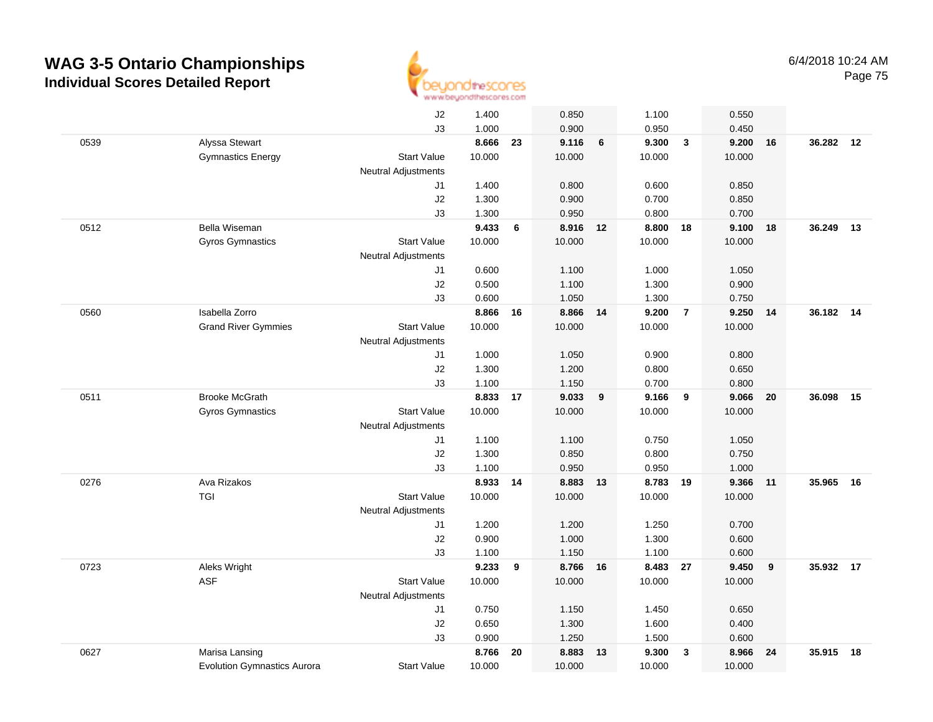

|      |                                    | J2                         | 1.400  |    | 0.850    |    | 1.100    |                         | 0.550  |    |           |    |
|------|------------------------------------|----------------------------|--------|----|----------|----|----------|-------------------------|--------|----|-----------|----|
|      |                                    | J3                         | 1.000  |    | 0.900    |    | 0.950    |                         | 0.450  |    |           |    |
| 0539 | Alyssa Stewart                     |                            | 8.666  | 23 | 9.116    | 6  | 9.300    | $\mathbf{3}$            | 9.200  | 16 | 36.282 12 |    |
|      | <b>Gymnastics Energy</b>           | <b>Start Value</b>         | 10.000 |    | 10.000   |    | 10.000   |                         | 10.000 |    |           |    |
|      |                                    | <b>Neutral Adjustments</b> |        |    |          |    |          |                         |        |    |           |    |
|      |                                    | J1                         | 1.400  |    | 0.800    |    | 0.600    |                         | 0.850  |    |           |    |
|      |                                    | J2                         | 1.300  |    | 0.900    |    | 0.700    |                         | 0.850  |    |           |    |
|      |                                    | J3                         | 1.300  |    | 0.950    |    | 0.800    |                         | 0.700  |    |           |    |
| 0512 | Bella Wiseman                      |                            | 9.433  | 6  | 8.916 12 |    | 8.800    | 18                      | 9.100  | 18 | 36.249    | 13 |
|      | Gyros Gymnastics                   | <b>Start Value</b>         | 10.000 |    | 10.000   |    | 10.000   |                         | 10.000 |    |           |    |
|      |                                    | <b>Neutral Adjustments</b> |        |    |          |    |          |                         |        |    |           |    |
|      |                                    | J1                         | 0.600  |    | 1.100    |    | 1.000    |                         | 1.050  |    |           |    |
|      |                                    | J2                         | 0.500  |    | 1.100    |    | 1.300    |                         | 0.900  |    |           |    |
|      |                                    | J3                         | 0.600  |    | 1.050    |    | 1.300    |                         | 0.750  |    |           |    |
| 0560 | Isabella Zorro                     |                            | 8.866  | 16 | 8.866 14 |    | 9.200    | $\overline{7}$          | 9.250  | 14 | 36.182 14 |    |
|      | <b>Grand River Gymmies</b>         | <b>Start Value</b>         | 10.000 |    | 10.000   |    | 10.000   |                         | 10.000 |    |           |    |
|      |                                    | <b>Neutral Adjustments</b> |        |    |          |    |          |                         |        |    |           |    |
|      |                                    | J1                         | 1.000  |    | 1.050    |    | 0.900    |                         | 0.800  |    |           |    |
|      |                                    | J2                         | 1.300  |    | 1.200    |    | 0.800    |                         | 0.650  |    |           |    |
|      |                                    | J3                         | 1.100  |    | 1.150    |    | 0.700    |                         | 0.800  |    |           |    |
| 0511 | <b>Brooke McGrath</b>              |                            | 8.833  | 17 | 9.033    | 9  | 9.166    | 9                       | 9.066  | 20 | 36.098    | 15 |
|      | <b>Gyros Gymnastics</b>            | <b>Start Value</b>         | 10.000 |    | 10.000   |    | 10.000   |                         | 10.000 |    |           |    |
|      |                                    | Neutral Adjustments        |        |    |          |    |          |                         |        |    |           |    |
|      |                                    | J1                         | 1.100  |    | 1.100    |    | 0.750    |                         | 1.050  |    |           |    |
|      |                                    | J2                         | 1.300  |    | 0.850    |    | 0.800    |                         | 0.750  |    |           |    |
|      |                                    | J3                         | 1.100  |    | 0.950    |    | 0.950    |                         | 1.000  |    |           |    |
| 0276 | Ava Rizakos                        |                            | 8.933  | 14 | 8.883    | 13 | 8.783 19 |                         | 9.366  | 11 | 35.965    | 16 |
|      | TGI                                | <b>Start Value</b>         | 10.000 |    | 10.000   |    | 10.000   |                         | 10.000 |    |           |    |
|      |                                    | <b>Neutral Adjustments</b> |        |    |          |    |          |                         |        |    |           |    |
|      |                                    | J1                         | 1.200  |    | 1.200    |    | 1.250    |                         | 0.700  |    |           |    |
|      |                                    | J2                         | 0.900  |    | 1.000    |    | 1.300    |                         | 0.600  |    |           |    |
|      |                                    | J3                         | 1.100  |    | 1.150    |    | 1.100    |                         | 0.600  |    |           |    |
| 0723 | Aleks Wright                       |                            | 9.233  | 9  | 8.766 16 |    | 8.483 27 |                         | 9.450  | 9  | 35.932 17 |    |
|      | ASF                                | <b>Start Value</b>         | 10.000 |    | 10.000   |    | 10.000   |                         | 10.000 |    |           |    |
|      |                                    | <b>Neutral Adjustments</b> |        |    |          |    |          |                         |        |    |           |    |
|      |                                    | J1                         | 0.750  |    | 1.150    |    | 1.450    |                         | 0.650  |    |           |    |
|      |                                    | J2                         | 0.650  |    | 1.300    |    | 1.600    |                         | 0.400  |    |           |    |
|      |                                    | J3                         | 0.900  |    | 1.250    |    | 1.500    |                         | 0.600  |    |           |    |
| 0627 | Marisa Lansing                     |                            | 8.766  | 20 | 8.883    | 13 | 9.300    | $\overline{\mathbf{3}}$ | 8.966  | 24 | 35.915    | 18 |
|      | <b>Evolution Gymnastics Aurora</b> | <b>Start Value</b>         | 10.000 |    | 10.000   |    | 10.000   |                         | 10.000 |    |           |    |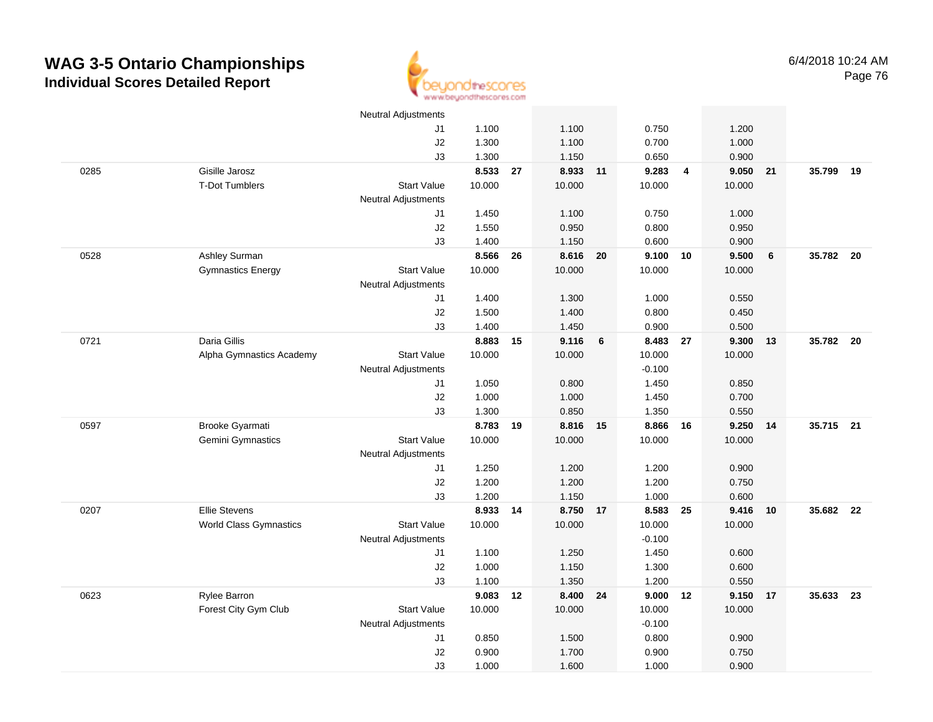

|      |                               | <b>Neutral Adjustments</b> |          |    |          |                 |                    |                |        |    |           |    |
|------|-------------------------------|----------------------------|----------|----|----------|-----------------|--------------------|----------------|--------|----|-----------|----|
|      |                               | J1                         | 1.100    |    | 1.100    |                 | 0.750              |                | 1.200  |    |           |    |
|      |                               | J2                         | 1.300    |    | 1.100    |                 | 0.700              |                | 1.000  |    |           |    |
|      |                               | J3                         | 1.300    |    | 1.150    |                 | 0.650              |                | 0.900  |    |           |    |
| 0285 | Gisille Jarosz                |                            | 8.533    | 27 | 8.933 11 |                 | 9.283              | $\overline{4}$ | 9.050  | 21 | 35.799    | 19 |
|      | <b>T-Dot Tumblers</b>         | <b>Start Value</b>         | 10.000   |    | 10.000   |                 | 10.000             |                | 10.000 |    |           |    |
|      |                               | <b>Neutral Adjustments</b> |          |    |          |                 |                    |                |        |    |           |    |
|      |                               | J1                         | 1.450    |    | 1.100    |                 | 0.750              |                | 1.000  |    |           |    |
|      |                               | $\sf J2$                   | 1.550    |    | 0.950    |                 | 0.800              |                | 0.950  |    |           |    |
|      |                               | J3                         | 1.400    |    | 1.150    |                 | 0.600              |                | 0.900  |    |           |    |
| 0528 | Ashley Surman                 |                            | 8.566    | 26 | 8.616 20 |                 | 9.100              | 10             | 9.500  | 6  | 35.782 20 |    |
|      | <b>Gymnastics Energy</b>      | <b>Start Value</b>         | 10.000   |    | 10.000   |                 | 10.000             |                | 10.000 |    |           |    |
|      |                               | <b>Neutral Adjustments</b> |          |    |          |                 |                    |                |        |    |           |    |
|      |                               | J1                         | 1.400    |    | 1.300    |                 | 1.000              |                | 0.550  |    |           |    |
|      |                               | J2                         | 1.500    |    | 1.400    |                 | 0.800              |                | 0.450  |    |           |    |
|      |                               | J3                         | 1.400    |    | 1.450    |                 | 0.900              |                | 0.500  |    |           |    |
| 0721 | Daria Gillis                  |                            | 8.883 15 |    | 9.116    | $6\overline{6}$ | 8.483 27           |                | 9.300  | 13 | 35.782 20 |    |
|      | Alpha Gymnastics Academy      | <b>Start Value</b>         | 10.000   |    | 10.000   |                 | 10.000             |                | 10.000 |    |           |    |
|      |                               | <b>Neutral Adjustments</b> |          |    |          |                 | $-0.100$           |                |        |    |           |    |
|      |                               | J1                         | 1.050    |    | 0.800    |                 | 1.450              |                | 0.850  |    |           |    |
|      |                               | J2                         | 1.000    |    | 1.000    |                 | 1.450              |                | 0.700  |    |           |    |
|      |                               | J3                         | 1.300    |    | 0.850    |                 | 1.350              |                | 0.550  |    |           |    |
| 0597 | Brooke Gyarmati               |                            | 8.783 19 |    | 8.816    | 15              | 8.866              | 16             | 9.250  | 14 | 35.715 21 |    |
|      | Gemini Gymnastics             | <b>Start Value</b>         | 10.000   |    | 10.000   |                 | 10.000             |                | 10.000 |    |           |    |
|      |                               | <b>Neutral Adjustments</b> |          |    |          |                 |                    |                |        |    |           |    |
|      |                               | J <sub>1</sub>             | 1.250    |    | 1.200    |                 | 1.200              |                | 0.900  |    |           |    |
|      |                               | J2                         | 1.200    |    | 1.200    |                 | 1.200              |                | 0.750  |    |           |    |
|      |                               | J3                         | 1.200    |    | 1.150    |                 | 1.000              |                | 0.600  |    |           |    |
| 0207 | <b>Ellie Stevens</b>          |                            | 8.933 14 |    | 8.750 17 |                 | 8.583 25           |                | 9.416  | 10 | 35.682 22 |    |
|      | <b>World Class Gymnastics</b> | <b>Start Value</b>         | 10.000   |    | 10.000   |                 | 10.000<br>$-0.100$ |                | 10.000 |    |           |    |
|      |                               | <b>Neutral Adjustments</b> | 1.100    |    | 1.250    |                 | 1.450              |                | 0.600  |    |           |    |
|      |                               | J1<br>J2                   | 1.000    |    | 1.150    |                 | 1.300              |                | 0.600  |    |           |    |
|      |                               | J3                         | 1.100    |    | 1.350    |                 | 1.200              |                | 0.550  |    |           |    |
| 0623 | Rylee Barron                  |                            | 9.083    | 12 | 8.400 24 |                 | 9.000              | 12             | 9.150  | 17 | 35.633    | 23 |
|      | Forest City Gym Club          | <b>Start Value</b>         | 10.000   |    | 10.000   |                 | 10.000             |                | 10.000 |    |           |    |
|      |                               | <b>Neutral Adjustments</b> |          |    |          |                 | $-0.100$           |                |        |    |           |    |
|      |                               | J1                         | 0.850    |    | 1.500    |                 | 0.800              |                | 0.900  |    |           |    |
|      |                               | J2                         | 0.900    |    | 1.700    |                 | 0.900              |                | 0.750  |    |           |    |
|      |                               | J3                         | 1.000    |    | 1.600    |                 | 1.000              |                | 0.900  |    |           |    |
|      |                               |                            |          |    |          |                 |                    |                |        |    |           |    |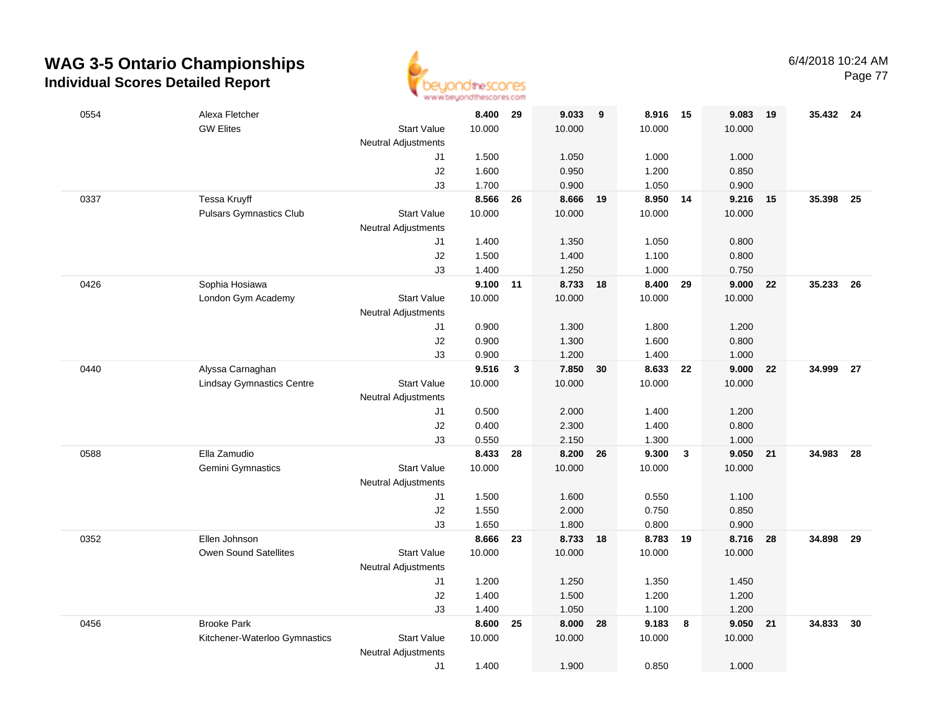

Page 77

| 0554 | Alexa Fletcher                                       |                                  | 8.400          | 29           | 9.033             | 9  | 8.916              | 15           | 9.083          | 19  | 35.432 24 |      |
|------|------------------------------------------------------|----------------------------------|----------------|--------------|-------------------|----|--------------------|--------------|----------------|-----|-----------|------|
|      | <b>GW Elites</b>                                     | <b>Start Value</b>               | 10.000         |              | 10.000            |    | 10.000             |              | 10.000         |     |           |      |
|      |                                                      | <b>Neutral Adjustments</b><br>J1 | 1.500          |              | 1.050             |    | 1.000              |              | 1.000          |     |           |      |
|      |                                                      | J2                               | 1.600          |              | 0.950             |    | 1.200              |              | 0.850          |     |           |      |
|      |                                                      | J3                               | 1.700          |              | 0.900             |    | 1.050              |              | 0.900          |     |           |      |
| 0337 | Tessa Kruyff                                         |                                  | 8.566          | 26           | 8.666             | 19 | 8.950              | 14           | 9.216          | 15  | 35.398    | - 25 |
|      | <b>Pulsars Gymnastics Club</b>                       | <b>Start Value</b>               | 10.000         |              | 10.000            |    | 10.000             |              | 10.000         |     |           |      |
|      |                                                      | <b>Neutral Adjustments</b>       |                |              |                   |    |                    |              |                |     |           |      |
|      |                                                      | J1                               | 1.400          |              | 1.350             |    | 1.050              |              | 0.800          |     |           |      |
|      |                                                      | J2                               | 1.500          |              | 1.400             |    | 1.100              |              | 0.800          |     |           |      |
|      |                                                      | J3                               | 1.400          |              | 1.250             |    | 1.000              |              | 0.750          |     |           |      |
| 0426 | Sophia Hosiawa                                       |                                  | 9.100          | 11           | 8.733             | 18 | 8.400              | 29           | 9.000          | 22  | 35.233    | - 26 |
|      | London Gym Academy                                   | <b>Start Value</b>               | 10.000         |              | 10.000            |    | 10.000             |              | 10.000         |     |           |      |
|      |                                                      | <b>Neutral Adjustments</b>       |                |              |                   |    |                    |              |                |     |           |      |
|      |                                                      | J1                               | 0.900          |              | 1.300             |    | 1.800              |              | 1.200          |     |           |      |
|      |                                                      | J2                               | 0.900          |              | 1.300             |    | 1.600              |              | 0.800          |     |           |      |
| 0440 |                                                      | J3                               | 0.900<br>9.516 |              | 1.200<br>7.850 30 |    | 1.400              |              | 1.000<br>9.000 | 22  | 34.999    |      |
|      | Alyssa Carnaghan<br><b>Lindsay Gymnastics Centre</b> | <b>Start Value</b>               | 10.000         | $\mathbf{3}$ | 10.000            |    | 8.633 22<br>10.000 |              | 10.000         |     |           | - 27 |
|      |                                                      | <b>Neutral Adjustments</b>       |                |              |                   |    |                    |              |                |     |           |      |
|      |                                                      | J1                               | 0.500          |              | 2.000             |    | 1.400              |              | 1.200          |     |           |      |
|      |                                                      | $\sf J2$                         | 0.400          |              | 2.300             |    | 1.400              |              | 0.800          |     |           |      |
|      |                                                      | J3                               | 0.550          |              | 2.150             |    | 1.300              |              | 1.000          |     |           |      |
| 0588 | Ella Zamudio                                         |                                  | 8.433          | 28           | 8.200             | 26 | 9.300              | $\mathbf{3}$ | 9.050          | 21  | 34.983    | 28   |
|      | Gemini Gymnastics                                    | <b>Start Value</b>               | 10.000         |              | 10.000            |    | 10.000             |              | 10.000         |     |           |      |
|      |                                                      | <b>Neutral Adjustments</b>       |                |              |                   |    |                    |              |                |     |           |      |
|      |                                                      | J1                               | 1.500          |              | 1.600             |    | 0.550              |              | 1.100          |     |           |      |
|      |                                                      | J2                               | 1.550          |              | 2.000             |    | 0.750              |              | 0.850          |     |           |      |
|      |                                                      | J3                               | 1.650          |              | 1.800             |    | 0.800              |              | 0.900          |     |           |      |
| 0352 | Ellen Johnson                                        |                                  | 8.666          | 23           | 8.733 18          |    | 8.783 19           |              | 8.716          | -28 | 34.898    | 29   |
|      | Owen Sound Satellites                                | <b>Start Value</b>               | 10.000         |              | 10.000            |    | 10.000             |              | 10.000         |     |           |      |
|      |                                                      | <b>Neutral Adjustments</b>       |                |              |                   |    |                    |              |                |     |           |      |
|      |                                                      | J1                               | 1.200          |              | 1.250             |    | 1.350              |              | 1.450          |     |           |      |
|      |                                                      | J2                               | 1.400          |              | 1.500             |    | 1.200              |              | 1.200          |     |           |      |
| 0456 | <b>Brooke Park</b>                                   | J3                               | 1.400<br>8.600 | 25           | 1.050<br>8.000    | 28 | 1.100<br>9.183     | 8            | 1.200<br>9.050 | 21  | 34.833    | 30   |
|      | Kitchener-Waterloo Gymnastics                        | <b>Start Value</b>               | 10.000         |              | 10.000            |    | 10.000             |              | 10.000         |     |           |      |
|      |                                                      | <b>Neutral Adjustments</b>       |                |              |                   |    |                    |              |                |     |           |      |
|      |                                                      | J1                               | 1.400          |              | 1.900             |    | 0.850              |              | 1.000          |     |           |      |
|      |                                                      |                                  |                |              |                   |    |                    |              |                |     |           |      |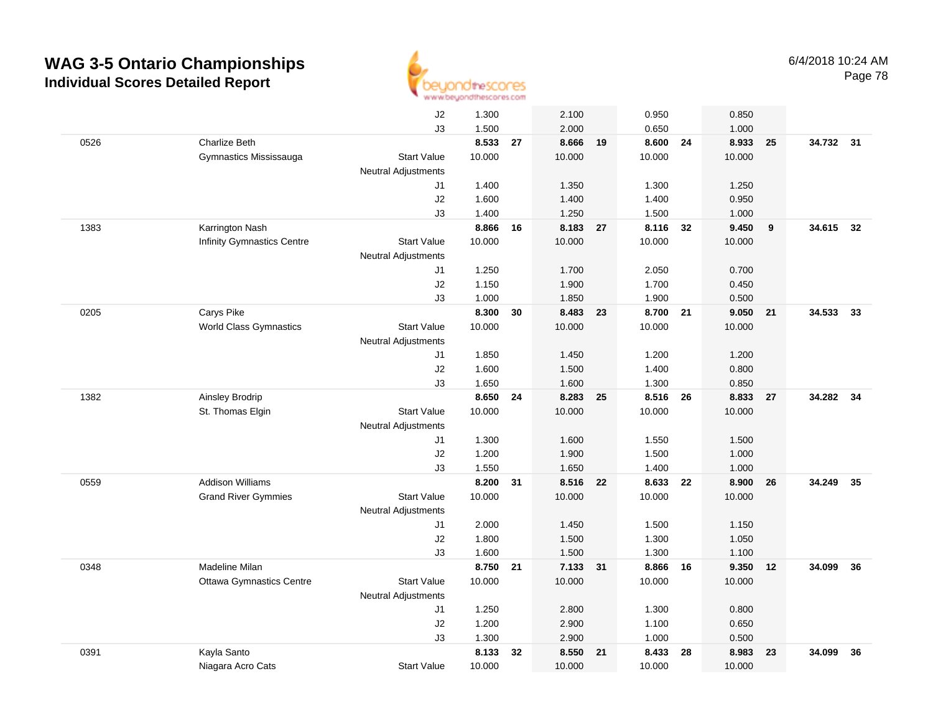

|      |                                   | J2                         | 1.300  |    | 2.100    |    | 0.950    |    | 0.850    |    |           |    |
|------|-----------------------------------|----------------------------|--------|----|----------|----|----------|----|----------|----|-----------|----|
|      |                                   | J3                         | 1.500  |    | 2.000    |    | 0.650    |    | 1.000    |    |           |    |
| 0526 | <b>Charlize Beth</b>              |                            | 8.533  | 27 | 8.666    | 19 | 8.600    | 24 | 8.933    | 25 | 34.732 31 |    |
|      | Gymnastics Mississauga            | <b>Start Value</b>         | 10.000 |    | 10.000   |    | 10.000   |    | 10.000   |    |           |    |
|      |                                   | <b>Neutral Adjustments</b> |        |    |          |    |          |    |          |    |           |    |
|      |                                   | J1                         | 1.400  |    | 1.350    |    | 1.300    |    | 1.250    |    |           |    |
|      |                                   | J2                         | 1.600  |    | 1.400    |    | 1.400    |    | 0.950    |    |           |    |
|      |                                   | J3                         | 1.400  |    | 1.250    |    | 1.500    |    | 1.000    |    |           |    |
| 1383 | Karrington Nash                   |                            | 8.866  | 16 | 8.183    | 27 | 8.116 32 |    | 9.450    | 9  | 34.615 32 |    |
|      | <b>Infinity Gymnastics Centre</b> | <b>Start Value</b>         | 10.000 |    | 10.000   |    | 10.000   |    | 10.000   |    |           |    |
|      |                                   | <b>Neutral Adjustments</b> |        |    |          |    |          |    |          |    |           |    |
|      |                                   | J1                         | 1.250  |    | 1.700    |    | 2.050    |    | 0.700    |    |           |    |
|      |                                   | J2                         | 1.150  |    | 1.900    |    | 1.700    |    | 0.450    |    |           |    |
|      |                                   | J3                         | 1.000  |    | 1.850    |    | 1.900    |    | 0.500    |    |           |    |
| 0205 | Carys Pike                        |                            | 8.300  | 30 | 8.483    | 23 | 8.700 21 |    | 9.050 21 |    | 34.533 33 |    |
|      | <b>World Class Gymnastics</b>     | <b>Start Value</b>         | 10.000 |    | 10.000   |    | 10.000   |    | 10.000   |    |           |    |
|      |                                   | <b>Neutral Adjustments</b> |        |    |          |    |          |    |          |    |           |    |
|      |                                   | J1                         | 1.850  |    | 1.450    |    | 1.200    |    | 1.200    |    |           |    |
|      |                                   | J2                         | 1.600  |    | 1.500    |    | 1.400    |    | 0.800    |    |           |    |
|      |                                   | J3                         | 1.650  |    | 1.600    |    | 1.300    |    | 0.850    |    |           |    |
| 1382 | Ainsley Brodrip                   |                            | 8.650  | 24 | 8.283    | 25 | 8.516    | 26 | 8.833    | 27 | 34.282    | 34 |
|      | St. Thomas Elgin                  | <b>Start Value</b>         | 10.000 |    | 10.000   |    | 10.000   |    | 10.000   |    |           |    |
|      |                                   | <b>Neutral Adjustments</b> |        |    |          |    |          |    |          |    |           |    |
|      |                                   | J1                         | 1.300  |    | 1.600    |    | 1.550    |    | 1.500    |    |           |    |
|      |                                   | J2                         | 1.200  |    | 1.900    |    | 1.500    |    | 1.000    |    |           |    |
|      |                                   | J3                         | 1.550  |    | 1.650    |    | 1.400    |    | 1.000    |    |           |    |
| 0559 | <b>Addison Williams</b>           |                            | 8.200  | 31 | 8.516    | 22 | 8.633    | 22 | 8.900    | 26 | 34.249    | 35 |
|      | <b>Grand River Gymmies</b>        | <b>Start Value</b>         | 10.000 |    | 10.000   |    | 10.000   |    | 10.000   |    |           |    |
|      |                                   | <b>Neutral Adjustments</b> |        |    |          |    |          |    |          |    |           |    |
|      |                                   | J1                         | 2.000  |    | 1.450    |    | 1.500    |    | 1.150    |    |           |    |
|      |                                   | J2                         | 1.800  |    | 1.500    |    | 1.300    |    | 1.050    |    |           |    |
|      |                                   | J3                         | 1.600  |    | 1.500    |    | 1.300    |    | 1.100    |    |           |    |
| 0348 | Madeline Milan                    |                            | 8.750  | 21 | 7.133 31 |    | 8.866 16 |    | 9.350 12 |    | 34.099    | 36 |
|      | <b>Ottawa Gymnastics Centre</b>   | <b>Start Value</b>         | 10.000 |    | 10.000   |    | 10.000   |    | 10.000   |    |           |    |
|      |                                   | <b>Neutral Adjustments</b> |        |    |          |    |          |    |          |    |           |    |
|      |                                   | J1                         | 1.250  |    | 2.800    |    | 1.300    |    | 0.800    |    |           |    |
|      |                                   | J2                         | 1.200  |    | 2.900    |    | 1.100    |    | 0.650    |    |           |    |
|      |                                   | J3                         | 1.300  |    | 2.900    |    | 1.000    |    | 0.500    |    |           |    |
| 0391 | Kayla Santo                       |                            | 8.133  | 32 | 8.550    | 21 | 8.433    | 28 | 8.983    | 23 | 34.099    | 36 |
|      | Niagara Acro Cats                 | <b>Start Value</b>         | 10.000 |    | 10.000   |    | 10.000   |    | 10.000   |    |           |    |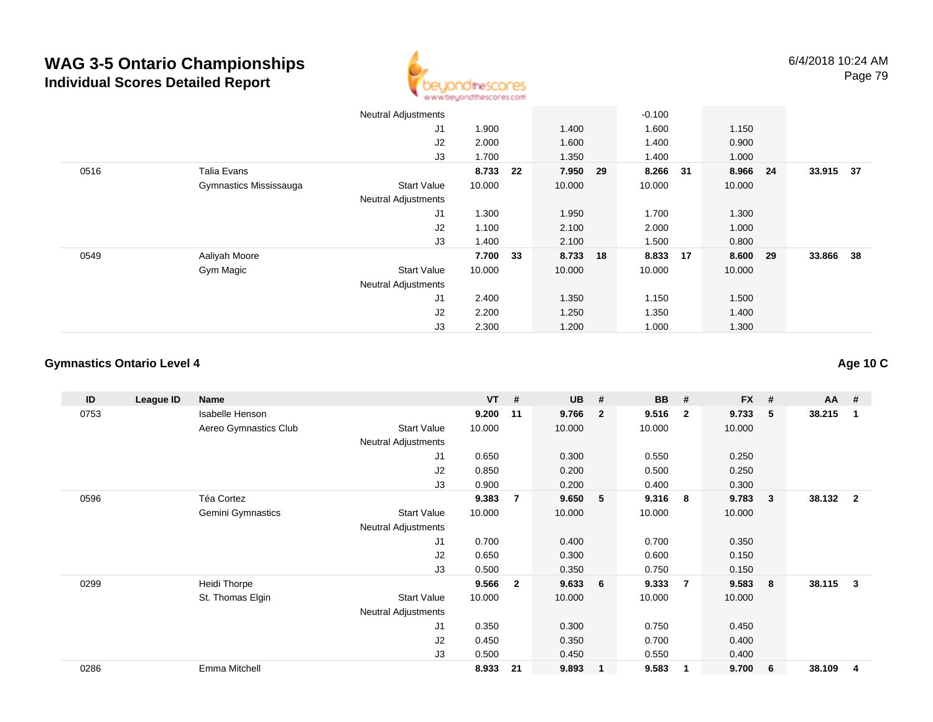

|      |                        | <b>Neutral Adjustments</b> |          |    |          | $-0.100$ |          |           |  |
|------|------------------------|----------------------------|----------|----|----------|----------|----------|-----------|--|
|      |                        | J1                         | 1.900    |    | 1.400    | 1.600    | 1.150    |           |  |
|      |                        | J2                         | 2.000    |    | 1.600    | 1.400    | 0.900    |           |  |
|      |                        | J3                         | 1.700    |    | 1.350    | 1.400    | 1.000    |           |  |
| 0516 | Talia Evans            |                            | 8.733 22 |    | 7.950 29 | 8.266 31 | 8.966 24 | 33.915 37 |  |
|      | Gymnastics Mississauga | Start Value                | 10.000   |    | 10.000   | 10.000   | 10.000   |           |  |
|      |                        | <b>Neutral Adjustments</b> |          |    |          |          |          |           |  |
|      |                        | J1                         | 1.300    |    | 1.950    | 1.700    | 1.300    |           |  |
|      |                        | J2                         | 1.100    |    | 2.100    | 2.000    | 1.000    |           |  |
|      |                        | J3                         | 1.400    |    | 2.100    | 1.500    | 0.800    |           |  |
| 0549 | Aaliyah Moore          |                            | 7.700    | 33 | 8.733 18 | 8.833 17 | 8.600 29 | 33.866 38 |  |
|      | Gym Magic              | Start Value                | 10.000   |    | 10.000   | 10.000   | 10.000   |           |  |
|      |                        | <b>Neutral Adjustments</b> |          |    |          |          |          |           |  |
|      |                        | J1                         | 2.400    |    | 1.350    | 1.150    | 1.500    |           |  |
|      |                        | J2                         | 2.200    |    | 1.250    | 1.350    | 1.400    |           |  |
|      |                        | J3                         | 2.300    |    | 1.200    | 1.000    | 1.300    |           |  |

#### **Gymnastics Ontario Level 4**

#### **ID League ID Name VT # UB # BB # FX # AA #** 0753 Isabelle Henson **9.200 <sup>11</sup> 9.766 <sup>2</sup> 9.516 <sup>2</sup> 9.733 <sup>5</sup> 38.215 <sup>1</sup>** Aereo Gymnastics Clubb 3tart Value 10.000 10.000 10.000 10.000 10.000 Neutral Adjustments J1 0.650 0.300 0.550 0.250 J2 0.850 0.200 0.500 0.250 J3 0.900 0.200 0.400 0.300 0596 Téa Cortez **9.383 <sup>7</sup> 9.650 <sup>5</sup> 9.316 <sup>8</sup> 9.783 <sup>3</sup> 38.132 <sup>2</sup>** Gemini Gymnastics Start Valuee 10.000 10.000 10.000 10.000 Neutral Adjustments J1 0.700 0.400 0.700 0.350 J2 0.650 0.300 0.600 0.150 J3 0.500 0.350 0.750 0.150 0299 Heidi Thorpe **9.566 <sup>2</sup> 9.633 <sup>6</sup> 9.333 <sup>7</sup> 9.583 <sup>8</sup> 38.115 <sup>3</sup>** St. Thomas Elgin Start Value 10.000 10.000 10.000 10.000 Neutral Adjustments J1 0.350 0.300 0.750 0.450 J2 0.450 0.350 0.700 0.400 J3 0.500 0.450 0.550 0.400 0286Emma Mitchell **8.933 <sup>21</sup> 9.893 <sup>1</sup> 9.583 <sup>1</sup> 9.700 <sup>6</sup> 38.109 <sup>4</sup>**

**Age 10 C**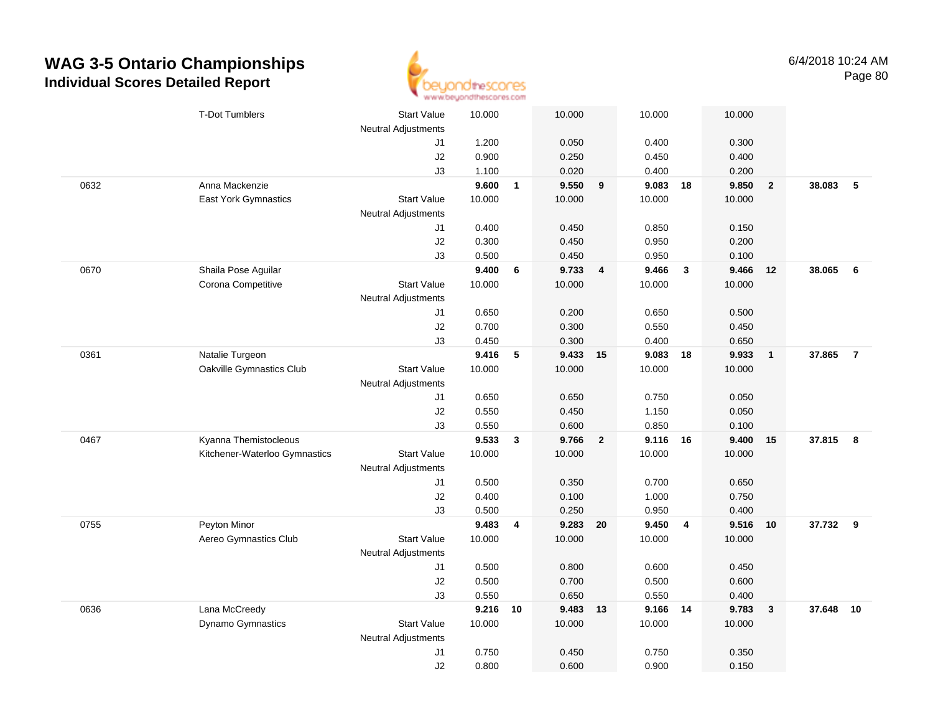

|      | <b>T-Dot Tumblers</b>         | <b>Start Value</b>         | 10.000 |                         | 10.000   |                | 10.000         |                         | 10.000 |                |          |                |
|------|-------------------------------|----------------------------|--------|-------------------------|----------|----------------|----------------|-------------------------|--------|----------------|----------|----------------|
|      |                               | <b>Neutral Adjustments</b> | 1.200  |                         | 0.050    |                |                |                         | 0.300  |                |          |                |
|      |                               | J1<br>J2                   | 0.900  |                         | 0.250    |                | 0.400<br>0.450 |                         | 0.400  |                |          |                |
|      |                               | J3                         | 1.100  |                         | 0.020    |                | 0.400          |                         | 0.200  |                |          |                |
| 0632 | Anna Mackenzie                |                            | 9.600  | $\overline{1}$          | 9.550    | 9              | 9.083          | 18                      | 9.850  | $\overline{2}$ | 38.083   | 5              |
|      | <b>East York Gymnastics</b>   | <b>Start Value</b>         | 10.000 |                         | 10.000   |                | 10.000         |                         | 10.000 |                |          |                |
|      |                               | <b>Neutral Adjustments</b> |        |                         |          |                |                |                         |        |                |          |                |
|      |                               | J1                         | 0.400  |                         | 0.450    |                | 0.850          |                         | 0.150  |                |          |                |
|      |                               | $\sf J2$                   | 0.300  |                         | 0.450    |                | 0.950          |                         | 0.200  |                |          |                |
|      |                               | J3                         | 0.500  |                         | 0.450    |                | 0.950          |                         | 0.100  |                |          |                |
| 0670 | Shaila Pose Aguilar           |                            | 9.400  | 6                       | 9.733    | $\overline{4}$ | 9.466          | $\overline{\mathbf{3}}$ | 9.466  | 12             | 38.065   | - 6            |
|      | Corona Competitive            | <b>Start Value</b>         | 10.000 |                         | 10.000   |                | 10.000         |                         | 10.000 |                |          |                |
|      |                               | <b>Neutral Adjustments</b> |        |                         |          |                |                |                         |        |                |          |                |
|      |                               | J1                         | 0.650  |                         | 0.200    |                | 0.650          |                         | 0.500  |                |          |                |
|      |                               | J2                         | 0.700  |                         | 0.300    |                | 0.550          |                         | 0.450  |                |          |                |
|      |                               | J3                         | 0.450  |                         | 0.300    |                | 0.400          |                         | 0.650  |                |          |                |
| 0361 | Natalie Turgeon               |                            | 9.416  | 5                       | 9.433 15 |                | 9.083          | 18                      | 9.933  | $\overline{1}$ | 37.865   | $\overline{7}$ |
|      | Oakville Gymnastics Club      | Start Value                | 10.000 |                         | 10.000   |                | 10.000         |                         | 10.000 |                |          |                |
|      |                               | Neutral Adjustments        |        |                         |          |                |                |                         |        |                |          |                |
|      |                               | J1                         | 0.650  |                         | 0.650    |                | 0.750          |                         | 0.050  |                |          |                |
|      |                               | J2                         | 0.550  |                         | 0.450    |                | 1.150          |                         | 0.050  |                |          |                |
|      |                               | J3                         | 0.550  |                         | 0.600    |                | 0.850          |                         | 0.100  |                |          |                |
| 0467 | Kyanna Themistocleous         |                            | 9.533  | $\mathbf{3}$            | 9.766    | $\overline{2}$ | 9.116          | 16                      | 9.400  | 15             | 37.815   | 8              |
|      | Kitchener-Waterloo Gymnastics | <b>Start Value</b>         | 10.000 |                         | 10.000   |                | 10.000         |                         | 10.000 |                |          |                |
|      |                               | <b>Neutral Adjustments</b> |        |                         |          |                |                |                         |        |                |          |                |
|      |                               | J1                         | 0.500  |                         | 0.350    |                | 0.700          |                         | 0.650  |                |          |                |
|      |                               | J2                         | 0.400  |                         | 0.100    |                | 1.000          |                         | 0.750  |                |          |                |
|      |                               | J3                         | 0.500  |                         | 0.250    |                | 0.950          |                         | 0.400  |                |          |                |
| 0755 | Peyton Minor                  |                            | 9.483  | $\overline{\mathbf{4}}$ | 9.283 20 |                | 9.450          | $\overline{4}$          | 9.516  | 10             | 37.732 9 |                |
|      | Aereo Gymnastics Club         | <b>Start Value</b>         | 10.000 |                         | 10.000   |                | 10.000         |                         | 10.000 |                |          |                |
|      |                               | Neutral Adjustments        |        |                         |          |                |                |                         |        |                |          |                |
|      |                               | J1                         | 0.500  |                         | 0.800    |                | 0.600          |                         | 0.450  |                |          |                |
|      |                               | J2                         | 0.500  |                         | 0.700    |                | 0.500          |                         | 0.600  |                |          |                |
|      |                               | J3                         | 0.550  |                         | 0.650    |                | 0.550          |                         | 0.400  |                |          |                |
| 0636 | Lana McCreedy                 |                            | 9.216  | 10                      | 9.483 13 |                | 9.166 14       |                         | 9.783  | $\mathbf{3}$   | 37.648   | 10             |
|      | Dynamo Gymnastics             | <b>Start Value</b>         | 10.000 |                         | 10.000   |                | 10.000         |                         | 10.000 |                |          |                |
|      |                               | <b>Neutral Adjustments</b> |        |                         |          |                |                |                         |        |                |          |                |
|      |                               | J <sub>1</sub>             | 0.750  |                         | 0.450    |                | 0.750          |                         | 0.350  |                |          |                |
|      |                               | J2                         | 0.800  |                         | 0.600    |                | 0.900          |                         | 0.150  |                |          |                |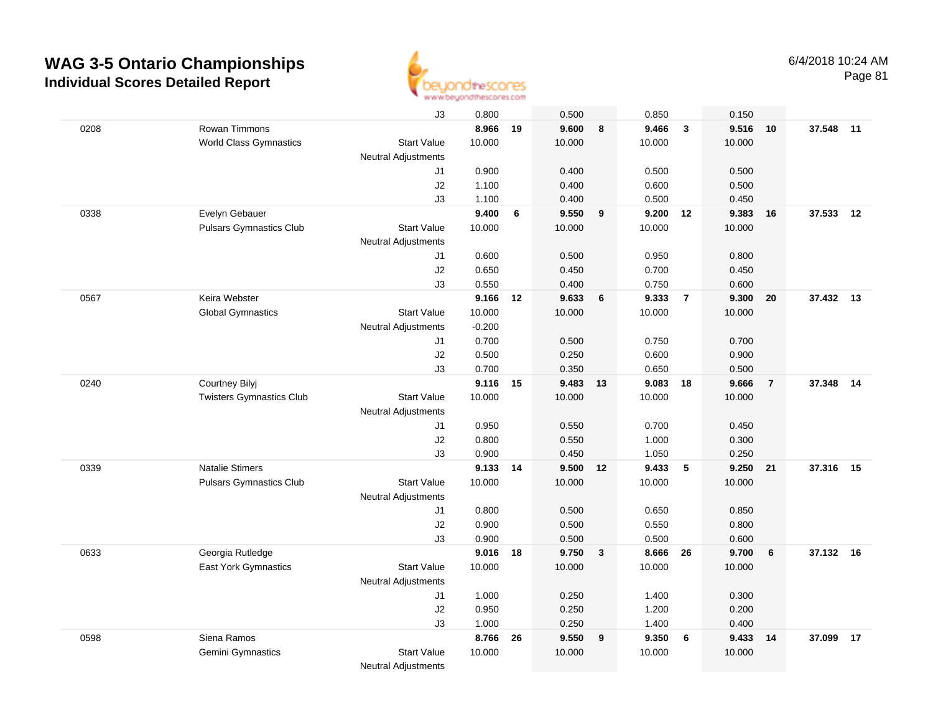

|      |                                 | J3                         | 0.800    |    | 0.500    |              | 0.850  |                | 0.150  |                |           |    |
|------|---------------------------------|----------------------------|----------|----|----------|--------------|--------|----------------|--------|----------------|-----------|----|
| 0208 | Rowan Timmons                   |                            | 8.966    | 19 | 9.600    | 8            | 9.466  | $\overline{3}$ | 9.516  | 10             | 37.548    | 11 |
|      | <b>World Class Gymnastics</b>   | <b>Start Value</b>         | 10.000   |    | 10.000   |              | 10.000 |                | 10.000 |                |           |    |
|      |                                 | <b>Neutral Adjustments</b> |          |    |          |              |        |                |        |                |           |    |
|      |                                 | J1                         | 0.900    |    | 0.400    |              | 0.500  |                | 0.500  |                |           |    |
|      |                                 | J2                         | 1.100    |    | 0.400    |              | 0.600  |                | 0.500  |                |           |    |
|      |                                 | J3                         | 1.100    |    | 0.400    |              | 0.500  |                | 0.450  |                |           |    |
| 0338 | Evelyn Gebauer                  |                            | 9.400    | 6  | 9.550    | 9            | 9.200  | 12             | 9.383  | 16             | 37.533    | 12 |
|      | <b>Pulsars Gymnastics Club</b>  | <b>Start Value</b>         | 10.000   |    | 10.000   |              | 10.000 |                | 10.000 |                |           |    |
|      |                                 | Neutral Adjustments        |          |    |          |              |        |                |        |                |           |    |
|      |                                 | J1                         | 0.600    |    | 0.500    |              | 0.950  |                | 0.800  |                |           |    |
|      |                                 | J2                         | 0.650    |    | 0.450    |              | 0.700  |                | 0.450  |                |           |    |
|      |                                 | J3                         | 0.550    |    | 0.400    |              | 0.750  |                | 0.600  |                |           |    |
| 0567 | Keira Webster                   |                            | 9.166    | 12 | 9.633    | 6            | 9.333  | $\overline{7}$ | 9.300  | 20             | 37.432 13 |    |
|      | <b>Global Gymnastics</b>        | <b>Start Value</b>         | 10.000   |    | 10.000   |              | 10.000 |                | 10.000 |                |           |    |
|      |                                 | <b>Neutral Adjustments</b> | $-0.200$ |    |          |              |        |                |        |                |           |    |
|      |                                 | J1                         | 0.700    |    | 0.500    |              | 0.750  |                | 0.700  |                |           |    |
|      |                                 | J2                         | 0.500    |    | 0.250    |              | 0.600  |                | 0.900  |                |           |    |
|      |                                 | J3                         | 0.700    |    | 0.350    |              | 0.650  |                | 0.500  |                |           |    |
| 0240 | Courtney Bilyj                  |                            | 9.116 15 |    | 9.483 13 |              | 9.083  | 18             | 9.666  | $\overline{7}$ | 37.348    | 14 |
|      | <b>Twisters Gymnastics Club</b> | <b>Start Value</b>         | 10.000   |    | 10.000   |              | 10.000 |                | 10.000 |                |           |    |
|      |                                 | <b>Neutral Adjustments</b> |          |    |          |              |        |                |        |                |           |    |
|      |                                 | J1                         | 0.950    |    | 0.550    |              | 0.700  |                | 0.450  |                |           |    |
|      |                                 | J2                         | 0.800    |    | 0.550    |              | 1.000  |                | 0.300  |                |           |    |
|      |                                 | J3                         | 0.900    |    | 0.450    |              | 1.050  |                | 0.250  |                |           |    |
| 0339 | <b>Natalie Stimers</b>          |                            | 9.133    | 14 | 9.500    | 12           | 9.433  | 5              | 9.250  | 21             | 37.316    | 15 |
|      | <b>Pulsars Gymnastics Club</b>  | <b>Start Value</b>         | 10.000   |    | 10.000   |              | 10.000 |                | 10.000 |                |           |    |
|      |                                 | <b>Neutral Adjustments</b> |          |    |          |              |        |                |        |                |           |    |
|      |                                 | J1                         | 0.800    |    | 0.500    |              | 0.650  |                | 0.850  |                |           |    |
|      |                                 | J2                         | 0.900    |    | 0.500    |              | 0.550  |                | 0.800  |                |           |    |
|      |                                 | J3                         | 0.900    |    | 0.500    |              | 0.500  |                | 0.600  |                |           |    |
| 0633 | Georgia Rutledge                |                            | 9.016 18 |    | 9.750    | $\mathbf{3}$ | 8.666  | 26             | 9.700  | 6              | 37.132 16 |    |
|      | East York Gymnastics            | <b>Start Value</b>         | 10.000   |    | 10.000   |              | 10.000 |                | 10.000 |                |           |    |
|      |                                 | <b>Neutral Adjustments</b> |          |    |          |              |        |                |        |                |           |    |
|      |                                 | J1                         | 1.000    |    | 0.250    |              | 1.400  |                | 0.300  |                |           |    |
|      |                                 | J2                         | 0.950    |    | 0.250    |              | 1.200  |                | 0.200  |                |           |    |
|      |                                 | J3                         | 1.000    |    | 0.250    |              | 1.400  |                | 0.400  |                |           |    |
| 0598 | Siena Ramos                     |                            | 8.766    | 26 | 9.550    | 9            | 9.350  | 6              | 9.433  | 14             | 37.099    | 17 |
|      | Gemini Gymnastics               | <b>Start Value</b>         | 10.000   |    | 10.000   |              | 10.000 |                | 10.000 |                |           |    |
|      |                                 | <b>Neutral Adjustments</b> |          |    |          |              |        |                |        |                |           |    |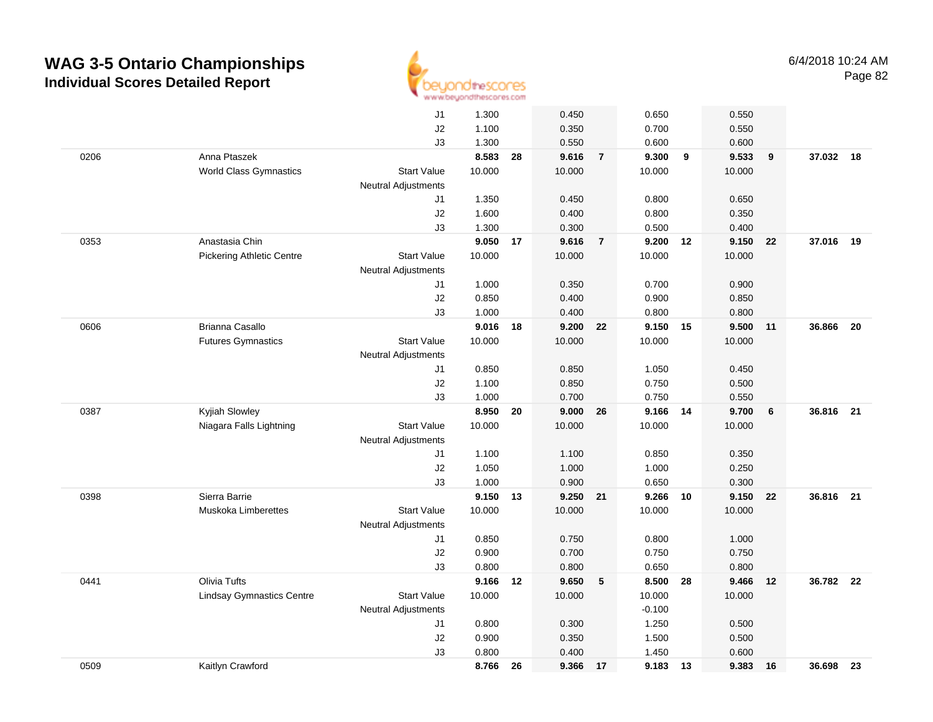

|      |                                  | J1                         | 1.300          |    | 0.450          |                | 0.650              |    | 0.550          |    |           |    |
|------|----------------------------------|----------------------------|----------------|----|----------------|----------------|--------------------|----|----------------|----|-----------|----|
|      |                                  | J2                         | 1.100          |    | 0.350          |                | 0.700              |    | 0.550          |    |           |    |
|      |                                  | J3                         | 1.300          |    | 0.550          |                | 0.600              |    | 0.600          |    |           |    |
| 0206 | Anna Ptaszek                     |                            | 8.583          | 28 | 9.616          | $\overline{7}$ | 9.300              | 9  | 9.533          | 9  | 37.032 18 |    |
|      | <b>World Class Gymnastics</b>    | <b>Start Value</b>         | 10.000         |    | 10.000         |                | 10.000             |    | 10.000         |    |           |    |
|      |                                  | <b>Neutral Adjustments</b> |                |    |                |                |                    |    |                |    |           |    |
|      |                                  | J1                         | 1.350          |    | 0.450          |                | 0.800              |    | 0.650          |    |           |    |
|      |                                  | J2                         | 1.600          |    | 0.400          |                | 0.800              |    | 0.350          |    |           |    |
|      |                                  | J3                         | 1.300          |    | 0.300          |                | 0.500              |    | 0.400          |    |           |    |
| 0353 | Anastasia Chin                   |                            | 9.050          | 17 | 9.616          | $\overline{7}$ | 9.200              | 12 | 9.150          | 22 | 37.016    | 19 |
|      | Pickering Athletic Centre        | <b>Start Value</b>         | 10.000         |    | 10.000         |                | 10.000             |    | 10.000         |    |           |    |
|      |                                  | <b>Neutral Adjustments</b> |                |    |                |                |                    |    |                |    |           |    |
|      |                                  | J1                         | 1.000          |    | 0.350          |                | 0.700              |    | 0.900          |    |           |    |
|      |                                  | J2                         | 0.850          |    | 0.400          |                | 0.900              |    | 0.850          |    |           |    |
|      |                                  | J3                         | 1.000          |    | 0.400          |                | 0.800              |    | 0.800          |    |           |    |
| 0606 | Brianna Casallo                  |                            | 9.016          | 18 | 9.200          | 22             | 9.150 15           |    | 9.500          | 11 | 36.866    | 20 |
|      | <b>Futures Gymnastics</b>        | <b>Start Value</b>         | 10.000         |    | 10.000         |                | 10.000             |    | 10.000         |    |           |    |
|      |                                  | Neutral Adjustments        |                |    |                |                |                    |    |                |    |           |    |
|      |                                  | J1                         | 0.850          |    | 0.850          |                | 1.050              |    | 0.450          |    |           |    |
|      |                                  | J2                         | 1.100          |    | 0.850          |                | 0.750              |    | 0.500          |    |           |    |
|      |                                  | J3                         | 1.000          |    | 0.700          |                | 0.750              |    | 0.550          |    |           |    |
| 0387 | Kyjiah Slowley                   |                            | 8.950          | 20 | 9.000          | 26             | 9.166              | 14 | 9.700          | 6  | 36.816 21 |    |
|      | Niagara Falls Lightning          | <b>Start Value</b>         | 10.000         |    | 10.000         |                | 10.000             |    | 10.000         |    |           |    |
|      |                                  | <b>Neutral Adjustments</b> |                |    |                |                |                    |    |                |    |           |    |
|      |                                  | J1                         | 1.100          |    | 1.100          |                | 0.850              |    | 0.350          |    |           |    |
|      |                                  | J2                         | 1.050          |    | 1.000          |                | 1.000              |    | 0.250          |    |           |    |
|      |                                  | J3                         | 1.000          |    | 0.900          |                | 0.650              |    | 0.300          |    |           |    |
| 0398 | Sierra Barrie                    |                            | 9.150          | 13 | 9.250 21       |                | 9.266              | 10 | 9.150          | 22 | 36.816 21 |    |
|      | <b>Muskoka Limberettes</b>       | <b>Start Value</b>         | 10.000         |    | 10.000         |                | 10.000             |    | 10.000         |    |           |    |
|      |                                  | Neutral Adjustments        |                |    |                |                |                    |    |                |    |           |    |
|      |                                  | J1                         | 0.850          |    | 0.750          |                | 0.800              |    | 1.000          |    |           |    |
|      |                                  | J2                         | 0.900          |    | 0.700          |                | 0.750              |    | 0.750          |    |           |    |
|      | Olivia Tufts                     | J3                         | 0.800<br>9.166 |    | 0.800          |                | 0.650              |    | 0.800          |    |           |    |
| 0441 |                                  |                            |                | 12 | 9.650          | 5              | 8.500              | 28 | 9.466          | 12 | 36.782 22 |    |
|      | <b>Lindsay Gymnastics Centre</b> | <b>Start Value</b>         | 10.000         |    | 10.000         |                | 10.000<br>$-0.100$ |    | 10.000         |    |           |    |
|      |                                  | Neutral Adjustments        |                |    |                |                |                    |    |                |    |           |    |
|      |                                  | J1<br>J2                   | 0.800<br>0.900 |    | 0.300<br>0.350 |                | 1.250<br>1.500     |    | 0.500<br>0.500 |    |           |    |
|      |                                  | J3                         |                |    | 0.400          |                |                    |    |                |    |           |    |
| 0509 | Kaitlyn Crawford                 |                            | 0.800<br>8.766 |    |                |                | 1.450<br>9.183     |    | 0.600          |    | 36.698 23 |    |
|      |                                  |                            |                | 26 | 9.366          | 17             |                    | 13 | 9.383          | 16 |           |    |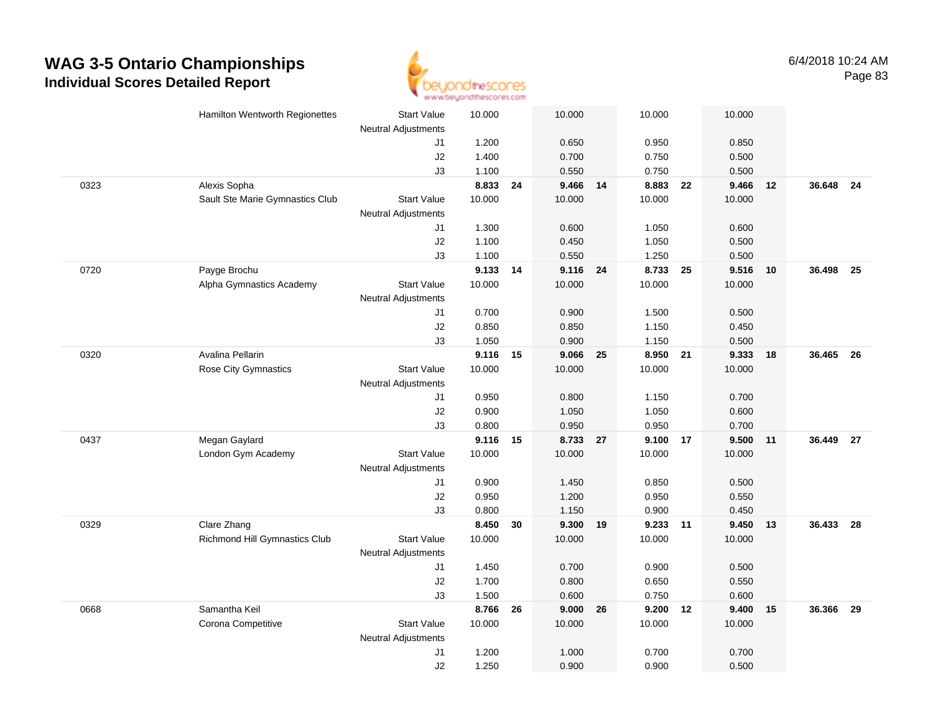

|      | Hamilton Wentworth Regionettes  | Start Value<br><b>Neutral Adjustments</b> | 10.000         |    | 10.000         |    | 10.000         | 10.000         |    |           |      |
|------|---------------------------------|-------------------------------------------|----------------|----|----------------|----|----------------|----------------|----|-----------|------|
|      |                                 | J1                                        | 1.200          |    | 0.650          |    | 0.950          | 0.850          |    |           |      |
|      |                                 | J2                                        | 1.400          |    | 0.700          |    | 0.750          | 0.500          |    |           |      |
|      |                                 | J3                                        | 1.100          |    | 0.550          |    | 0.750          | 0.500          |    |           |      |
| 0323 | Alexis Sopha                    |                                           | 8.833          | 24 | 9.466 14       |    | 8.883          | 9.466<br>22    | 12 | 36.648 24 |      |
|      | Sault Ste Marie Gymnastics Club | <b>Start Value</b>                        | 10.000         |    | 10.000         |    | 10.000         | 10.000         |    |           |      |
|      |                                 | <b>Neutral Adjustments</b>                |                |    |                |    |                |                |    |           |      |
|      |                                 | J1                                        | 1.300          |    | 0.600          |    | 1.050          | 0.600          |    |           |      |
|      |                                 | $\sf J2$                                  | 1.100          |    | 0.450          |    | 1.050          | 0.500          |    |           |      |
|      |                                 | J3                                        | 1.100          |    | 0.550          |    | 1.250          | 0.500          |    |           |      |
| 0720 | Payge Brochu                    |                                           | 9.133 14       |    | 9.116 24       |    | 8.733          | 9.516<br>- 25  | 10 | 36.498    | - 25 |
|      | Alpha Gymnastics Academy        | <b>Start Value</b>                        | 10.000         |    | 10.000         |    | 10.000         | 10.000         |    |           |      |
|      |                                 | <b>Neutral Adjustments</b>                |                |    |                |    |                |                |    |           |      |
|      |                                 | J1                                        | 0.700          |    | 0.900          |    | 1.500          | 0.500          |    |           |      |
|      |                                 | J2                                        | 0.850          |    | 0.850          |    | 1.150          | 0.450          |    |           |      |
|      |                                 | J3                                        | 1.050          |    | 0.900          |    | 1.150          | 0.500          |    |           |      |
| 0320 | Avalina Pellarin                |                                           | 9.116 15       |    | 9.066 25       |    | 8.950 21       | 9.333          | 18 | 36.465 26 |      |
|      | Rose City Gymnastics            | <b>Start Value</b>                        | 10.000         |    | 10.000         |    | 10.000         | 10.000         |    |           |      |
|      |                                 | Neutral Adjustments                       |                |    |                |    |                |                |    |           |      |
|      |                                 | J1                                        | 0.950          |    | 0.800          |    | 1.150          | 0.700          |    |           |      |
|      |                                 | J2                                        | 0.900          |    | 1.050          |    | 1.050          | 0.600          |    |           |      |
|      |                                 | J3                                        | 0.800          |    | 0.950          |    | 0.950          | 0.700          |    |           |      |
| 0437 | Megan Gaylard                   |                                           | 9.116          | 15 | 8.733 27       |    | 9.100          | 9.500<br>17    | 11 | 36.449 27 |      |
|      | London Gym Academy              | <b>Start Value</b>                        | 10.000         |    | 10.000         |    | 10.000         | 10.000         |    |           |      |
|      |                                 | <b>Neutral Adjustments</b>                |                |    |                |    |                |                |    |           |      |
|      |                                 | J1                                        | 0.900          |    | 1.450          |    | 0.850          | 0.500          |    |           |      |
|      |                                 | J2                                        | 0.950          |    | 1.200          |    | 0.950          | 0.550          |    |           |      |
|      |                                 | J3                                        | 0.800          |    | 1.150          |    | 0.900          | 0.450          |    |           |      |
| 0329 | Clare Zhang                     |                                           | 8.450          | 30 | 9.300 19       |    | 9.233 11       | 9.450          | 13 | 36.433 28 |      |
|      | Richmond Hill Gymnastics Club   | <b>Start Value</b>                        | 10.000         |    | 10.000         |    | 10.000         | 10.000         |    |           |      |
|      |                                 | <b>Neutral Adjustments</b>                |                |    |                |    |                |                |    |           |      |
|      |                                 | J1                                        | 1.450          |    | 0.700          |    | 0.900          | 0.500          |    |           |      |
|      |                                 | J2<br>J3                                  | 1.700<br>1.500 |    | 0.800<br>0.600 |    | 0.650<br>0.750 | 0.550<br>0.600 |    |           |      |
| 0668 | Samantha Keil                   |                                           | 8.766          |    | 9.000          |    | 9.200 12       | 9.400          |    | 36.366    |      |
|      | Corona Competitive              | <b>Start Value</b>                        | 10.000         | 26 | 10.000         | 26 | 10.000         | 10.000         | 15 |           | 29   |
|      |                                 | Neutral Adjustments                       |                |    |                |    |                |                |    |           |      |
|      |                                 | J <sub>1</sub>                            | 1.200          |    | 1.000          |    | 0.700          | 0.700          |    |           |      |
|      |                                 | J2                                        | 1.250          |    | 0.900          |    | 0.900          | 0.500          |    |           |      |
|      |                                 |                                           |                |    |                |    |                |                |    |           |      |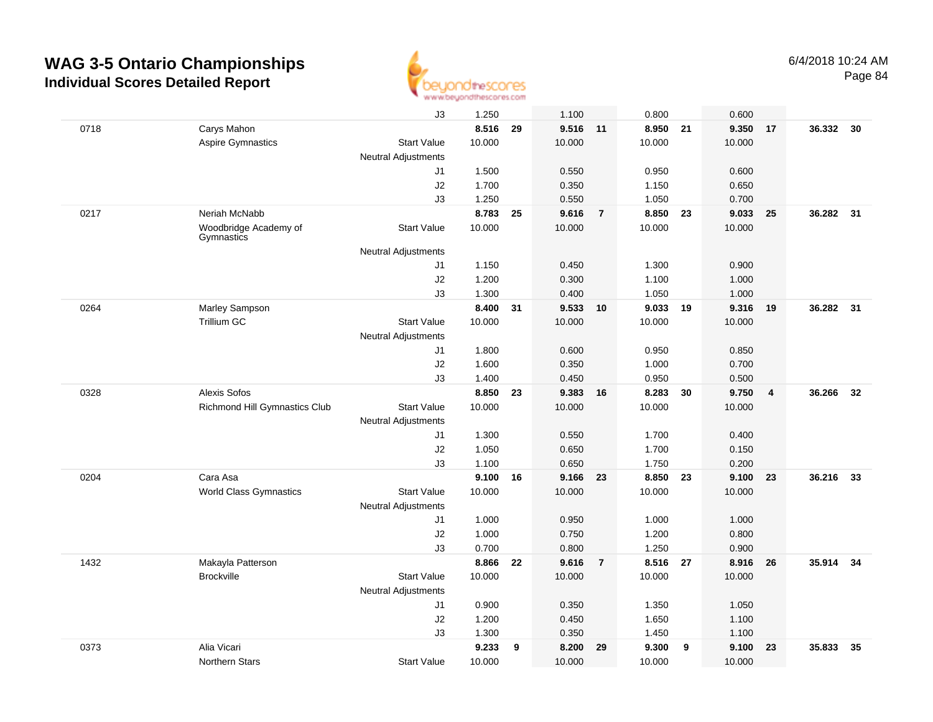

|      |                                     | J3                         | 1.250  |    | 1.100    |                | 0.800    |    | 0.600  |                |           |      |
|------|-------------------------------------|----------------------------|--------|----|----------|----------------|----------|----|--------|----------------|-----------|------|
| 0718 | Carys Mahon                         |                            | 8.516  | 29 | 9.516 11 |                | 8.950    | 21 | 9.350  | 17             | 36.332    | - 30 |
|      | Aspire Gymnastics                   | <b>Start Value</b>         | 10.000 |    | 10.000   |                | 10.000   |    | 10.000 |                |           |      |
|      |                                     | <b>Neutral Adjustments</b> |        |    |          |                |          |    |        |                |           |      |
|      |                                     | J1                         | 1.500  |    | 0.550    |                | 0.950    |    | 0.600  |                |           |      |
|      |                                     | J2                         | 1.700  |    | 0.350    |                | 1.150    |    | 0.650  |                |           |      |
|      |                                     | J3                         | 1.250  |    | 0.550    |                | 1.050    |    | 0.700  |                |           |      |
| 0217 | Neriah McNabb                       |                            | 8.783  | 25 | 9.616    | $\overline{7}$ | 8.850    | 23 | 9.033  | 25             | 36.282    | 31   |
|      | Woodbridge Academy of<br>Gymnastics | <b>Start Value</b>         | 10.000 |    | 10.000   |                | 10.000   |    | 10.000 |                |           |      |
|      |                                     | <b>Neutral Adjustments</b> |        |    |          |                |          |    |        |                |           |      |
|      |                                     | J1                         | 1.150  |    | 0.450    |                | 1.300    |    | 0.900  |                |           |      |
|      |                                     | J2                         | 1.200  |    | 0.300    |                | 1.100    |    | 1.000  |                |           |      |
|      |                                     | J3                         | 1.300  |    | 0.400    |                | 1.050    |    | 1.000  |                |           |      |
| 0264 | Marley Sampson                      |                            | 8.400  | 31 | 9.533 10 |                | 9.033    | 19 | 9.316  | 19             | 36.282 31 |      |
|      | <b>Trillium GC</b>                  | <b>Start Value</b>         | 10.000 |    | 10.000   |                | 10.000   |    | 10.000 |                |           |      |
|      |                                     | <b>Neutral Adjustments</b> |        |    |          |                |          |    |        |                |           |      |
|      |                                     | J1                         | 1.800  |    | 0.600    |                | 0.950    |    | 0.850  |                |           |      |
|      |                                     | J2                         | 1.600  |    | 0.350    |                | 1.000    |    | 0.700  |                |           |      |
|      |                                     | J3                         | 1.400  |    | 0.450    |                | 0.950    |    | 0.500  |                |           |      |
| 0328 | <b>Alexis Sofos</b>                 |                            | 8.850  | 23 | 9.383    | 16             | 8.283    | 30 | 9.750  | $\overline{4}$ | 36.266    | 32   |
|      | Richmond Hill Gymnastics Club       | <b>Start Value</b>         | 10.000 |    | 10.000   |                | 10.000   |    | 10.000 |                |           |      |
|      |                                     | <b>Neutral Adjustments</b> |        |    |          |                |          |    |        |                |           |      |
|      |                                     | J1                         | 1.300  |    | 0.550    |                | 1.700    |    | 0.400  |                |           |      |
|      |                                     | J2                         | 1.050  |    | 0.650    |                | 1.700    |    | 0.150  |                |           |      |
|      |                                     | J3                         | 1.100  |    | 0.650    |                | 1.750    |    | 0.200  |                |           |      |
| 0204 | Cara Asa                            |                            | 9.100  | 16 | 9.166 23 |                | 8.850 23 |    | 9.100  | 23             | 36.216    | - 33 |
|      | <b>World Class Gymnastics</b>       | <b>Start Value</b>         | 10.000 |    | 10.000   |                | 10.000   |    | 10.000 |                |           |      |
|      |                                     | <b>Neutral Adjustments</b> |        |    |          |                |          |    |        |                |           |      |
|      |                                     | J1                         | 1.000  |    | 0.950    |                | 1.000    |    | 1.000  |                |           |      |
|      |                                     | J2                         | 1.000  |    | 0.750    |                | 1.200    |    | 0.800  |                |           |      |
|      |                                     | J3                         | 0.700  |    | 0.800    |                | 1.250    |    | 0.900  |                |           |      |
| 1432 | Makayla Patterson                   |                            | 8.866  | 22 | 9.616    | $\overline{7}$ | 8.516 27 |    | 8.916  | 26             | 35.914    | 34   |
|      | <b>Brockville</b>                   | <b>Start Value</b>         | 10.000 |    | 10.000   |                | 10.000   |    | 10.000 |                |           |      |
|      |                                     | <b>Neutral Adjustments</b> |        |    |          |                |          |    |        |                |           |      |
|      |                                     | J1                         | 0.900  |    | 0.350    |                | 1.350    |    | 1.050  |                |           |      |
|      |                                     | J2                         | 1.200  |    | 0.450    |                | 1.650    |    | 1.100  |                |           |      |
|      |                                     | J3                         | 1.300  |    | 0.350    |                | 1.450    |    | 1.100  |                |           |      |
| 0373 | Alia Vicari                         |                            | 9.233  | 9  | 8.200    | 29             | 9.300    | 9  | 9.100  | 23             | 35.833    | 35   |
|      | Northern Stars                      | <b>Start Value</b>         | 10.000 |    | 10.000   |                | 10.000   |    | 10.000 |                |           |      |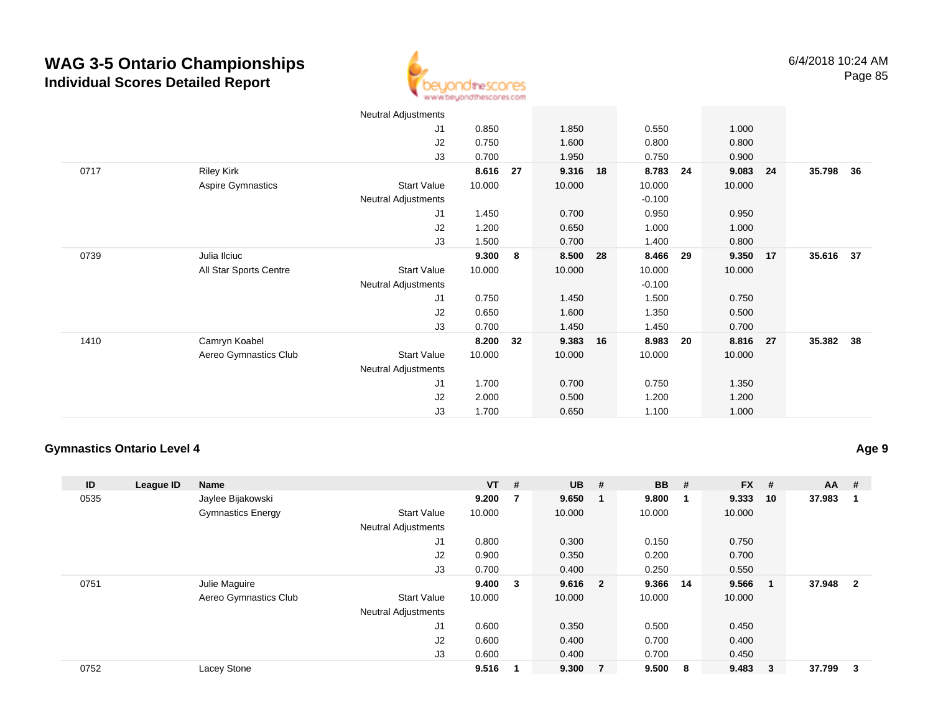

|      |                        | <b>Neutral Adjustments</b> |        |    |        |    |          |    |          |      |           |  |
|------|------------------------|----------------------------|--------|----|--------|----|----------|----|----------|------|-----------|--|
|      |                        | J1                         | 0.850  |    | 1.850  |    | 0.550    |    | 1.000    |      |           |  |
|      |                        | J2                         | 0.750  |    | 1.600  |    | 0.800    |    | 0.800    |      |           |  |
|      |                        | J3                         | 0.700  |    | 1.950  |    | 0.750    |    | 0.900    |      |           |  |
| 0717 | <b>Riley Kirk</b>      |                            | 8.616  | 27 | 9.316  | 18 | 8.783    | 24 | 9.083    | 24   | 35.798 36 |  |
|      | Aspire Gymnastics      | <b>Start Value</b>         | 10.000 |    | 10.000 |    | 10.000   |    | 10.000   |      |           |  |
|      |                        | <b>Neutral Adjustments</b> |        |    |        |    | $-0.100$ |    |          |      |           |  |
|      |                        | J1                         | 1.450  |    | 0.700  |    | 0.950    |    | 0.950    |      |           |  |
|      |                        | J2                         | 1.200  |    | 0.650  |    | 1.000    |    | 1.000    |      |           |  |
|      |                        | J3                         | 1.500  |    | 0.700  |    | 1.400    |    | 0.800    |      |           |  |
| 0739 | Julia Ilciuc           |                            | 9.300  | 8  | 8.500  | 28 | 8.466    | 29 | 9.350 17 |      | 35.616 37 |  |
|      | All Star Sports Centre | Start Value                | 10.000 |    | 10.000 |    | 10.000   |    | 10.000   |      |           |  |
|      |                        | <b>Neutral Adjustments</b> |        |    |        |    | $-0.100$ |    |          |      |           |  |
|      |                        | J1                         | 0.750  |    | 1.450  |    | 1.500    |    | 0.750    |      |           |  |
|      |                        | J2                         | 0.650  |    | 1.600  |    | 1.350    |    | 0.500    |      |           |  |
|      |                        | J3                         | 0.700  |    | 1.450  |    | 1.450    |    | 0.700    |      |           |  |
| 1410 | Camryn Koabel          |                            | 8.200  | 32 | 9.383  | 16 | 8.983    | 20 | 8.816    | - 27 | 35.382 38 |  |
|      | Aereo Gymnastics Club  | Start Value                | 10.000 |    | 10.000 |    | 10.000   |    | 10.000   |      |           |  |
|      |                        | Neutral Adjustments        |        |    |        |    |          |    |          |      |           |  |
|      |                        | J <sub>1</sub>             | 1.700  |    | 0.700  |    | 0.750    |    | 1.350    |      |           |  |
|      |                        | J2                         | 2.000  |    | 0.500  |    | 1.200    |    | 1.200    |      |           |  |
|      |                        | J3                         | 1.700  |    | 0.650  |    | 1.100    |    | 1.000    |      |           |  |

#### **Gymnastics Ontario Level 4**

**Age 9**

| ID   | League ID | <b>Name</b>              |                            | $VT$ # |   | $UB$ #  |   | <b>BB</b> | #    | $FX$ # |        | $AA$ # |                         |
|------|-----------|--------------------------|----------------------------|--------|---|---------|---|-----------|------|--------|--------|--------|-------------------------|
| 0535 |           | Jaylee Bijakowski        |                            | 9.200  | 7 | 9.650   | 1 | 9.800     |      | 9.333  | 10     | 37.983 | -1                      |
|      |           | <b>Gymnastics Energy</b> | <b>Start Value</b>         | 10.000 |   | 10.000  |   | 10.000    |      | 10.000 |        |        |                         |
|      |           |                          | <b>Neutral Adjustments</b> |        |   |         |   |           |      |        |        |        |                         |
|      |           |                          | J <sub>1</sub>             | 0.800  |   | 0.300   |   | 0.150     |      | 0.750  |        |        |                         |
|      |           |                          | J2                         | 0.900  |   | 0.350   |   | 0.200     |      | 0.700  |        |        |                         |
|      |           |                          | J3                         | 0.700  |   | 0.400   |   | 0.250     |      | 0.550  |        |        |                         |
| 0751 |           | Julie Maguire            |                            | 9.400  | 3 | 9.616 2 |   | 9.366     | - 14 | 9.566  | - 1    | 37.948 | $\overline{\mathbf{2}}$ |
|      |           | Aereo Gymnastics Club    | <b>Start Value</b>         | 10.000 |   | 10.000  |   | 10.000    |      | 10.000 |        |        |                         |
|      |           |                          | <b>Neutral Adjustments</b> |        |   |         |   |           |      |        |        |        |                         |
|      |           |                          | J1                         | 0.600  |   | 0.350   |   | 0.500     |      | 0.450  |        |        |                         |
|      |           |                          | J2                         | 0.600  |   | 0.400   |   | 0.700     |      | 0.400  |        |        |                         |
|      |           |                          | J3                         | 0.600  |   | 0.400   |   | 0.700     |      | 0.450  |        |        |                         |
| 0752 |           | Lacey Stone              |                            | 9.516  |   | 9.300   | 7 | 9.500     | - 8  | 9.483  | $_{3}$ | 37.799 | - 3                     |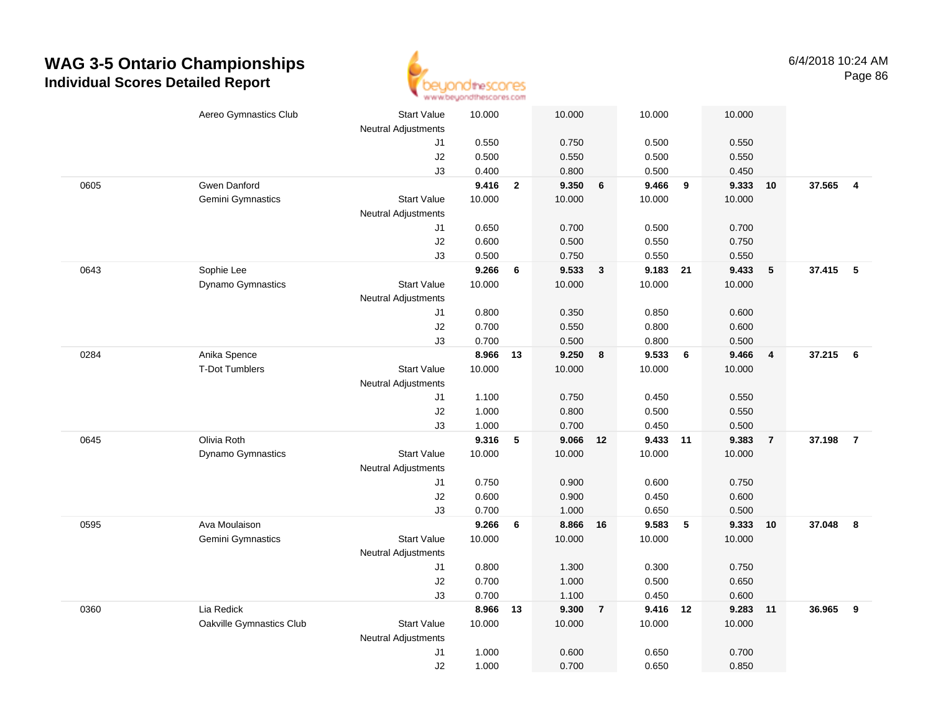

|      | Aereo Gymnastics Club    | <b>Start Value</b>         | 10.000 |                | 10.000   |                         | 10.000   |            | 10.000 |                         |          |                |
|------|--------------------------|----------------------------|--------|----------------|----------|-------------------------|----------|------------|--------|-------------------------|----------|----------------|
|      |                          | Neutral Adjustments        |        |                |          |                         |          |            |        |                         |          |                |
|      |                          | J1                         | 0.550  |                | 0.750    |                         | 0.500    |            | 0.550  |                         |          |                |
|      |                          | J2                         | 0.500  |                | 0.550    |                         | 0.500    |            | 0.550  |                         |          |                |
|      |                          | J3                         | 0.400  |                | 0.800    |                         | 0.500    |            | 0.450  |                         |          |                |
| 0605 | Gwen Danford             |                            | 9.416  | $\overline{2}$ | 9.350    | 6                       | 9.466    | 9          | 9.333  | 10                      | 37.565 4 |                |
|      | Gemini Gymnastics        | <b>Start Value</b>         | 10.000 |                | 10.000   |                         | 10.000   |            | 10.000 |                         |          |                |
|      |                          | <b>Neutral Adjustments</b> |        |                |          |                         |          |            |        |                         |          |                |
|      |                          | J1                         | 0.650  |                | 0.700    |                         | 0.500    |            | 0.700  |                         |          |                |
|      |                          | J2                         | 0.600  |                | 0.500    |                         | 0.550    |            | 0.750  |                         |          |                |
|      |                          | J3                         | 0.500  |                | 0.750    |                         | 0.550    |            | 0.550  |                         |          |                |
| 0643 | Sophie Lee               |                            | 9.266  | 6              | 9.533    | $\overline{\mathbf{3}}$ | 9.183 21 |            | 9.433  | 5                       | 37.415   | $-5$           |
|      | Dynamo Gymnastics        | <b>Start Value</b>         | 10.000 |                | 10.000   |                         | 10.000   |            | 10.000 |                         |          |                |
|      |                          | <b>Neutral Adjustments</b> |        |                |          |                         |          |            |        |                         |          |                |
|      |                          | J1                         | 0.800  |                | 0.350    |                         | 0.850    |            | 0.600  |                         |          |                |
|      |                          | J2                         | 0.700  |                | 0.550    |                         | 0.800    |            | 0.600  |                         |          |                |
|      |                          | J3                         | 0.700  |                | 0.500    |                         | 0.800    |            | 0.500  |                         |          |                |
| 0284 | Anika Spence             |                            | 8.966  | 13             | 9.250    | 8                       | 9.533    | 6          | 9.466  | $\overline{\mathbf{4}}$ | 37.215   | - 6            |
|      | <b>T-Dot Tumblers</b>    | <b>Start Value</b>         | 10.000 |                | 10.000   |                         | 10.000   |            | 10.000 |                         |          |                |
|      |                          | <b>Neutral Adjustments</b> |        |                |          |                         |          |            |        |                         |          |                |
|      |                          | J1                         | 1.100  |                | 0.750    |                         | 0.450    |            | 0.550  |                         |          |                |
|      |                          | J2                         | 1.000  |                | 0.800    |                         | 0.500    |            | 0.550  |                         |          |                |
|      |                          | J3                         | 1.000  |                | 0.700    |                         | 0.450    |            | 0.500  |                         |          |                |
| 0645 | Olivia Roth              |                            | 9.316  | 5              | 9.066    | 12                      | 9.433    | 11         | 9.383  | $\overline{7}$          | 37.198   | $\overline{7}$ |
|      | Dynamo Gymnastics        | <b>Start Value</b>         | 10.000 |                | 10.000   |                         | 10.000   |            | 10.000 |                         |          |                |
|      |                          | <b>Neutral Adjustments</b> |        |                |          |                         |          |            |        |                         |          |                |
|      |                          | J1                         | 0.750  |                | 0.900    |                         | 0.600    |            | 0.750  |                         |          |                |
|      |                          | J2                         | 0.600  |                | 0.900    |                         | 0.450    |            | 0.600  |                         |          |                |
|      |                          | J3                         | 0.700  |                | 1.000    |                         | 0.650    |            | 0.500  |                         |          |                |
| 0595 | Ava Moulaison            |                            | 9.266  | 6              | 8.866 16 |                         | 9.583    | $\sqrt{5}$ | 9.333  | 10                      | 37.048   | 8              |
|      | Gemini Gymnastics        | <b>Start Value</b>         | 10.000 |                | 10.000   |                         | 10.000   |            | 10.000 |                         |          |                |
|      |                          | <b>Neutral Adjustments</b> |        |                |          |                         |          |            |        |                         |          |                |
|      |                          | J1                         | 0.800  |                | 1.300    |                         | 0.300    |            | 0.750  |                         |          |                |
|      |                          | J2                         | 0.700  |                | 1.000    |                         | 0.500    |            | 0.650  |                         |          |                |
|      |                          | J3                         | 0.700  |                | 1.100    |                         | 0.450    |            | 0.600  |                         |          |                |
| 0360 | Lia Redick               |                            | 8.966  | 13             | 9.300    | $\overline{7}$          | 9.416 12 |            | 9.283  | 11                      | 36.965   | 9              |
|      | Oakville Gymnastics Club | Start Value                | 10.000 |                | 10.000   |                         | 10.000   |            | 10.000 |                         |          |                |
|      |                          | <b>Neutral Adjustments</b> |        |                |          |                         |          |            |        |                         |          |                |
|      |                          | J1                         | 1.000  |                | 0.600    |                         | 0.650    |            | 0.700  |                         |          |                |
|      |                          | J2                         | 1.000  |                | 0.700    |                         | 0.650    |            | 0.850  |                         |          |                |
|      |                          |                            |        |                |          |                         |          |            |        |                         |          |                |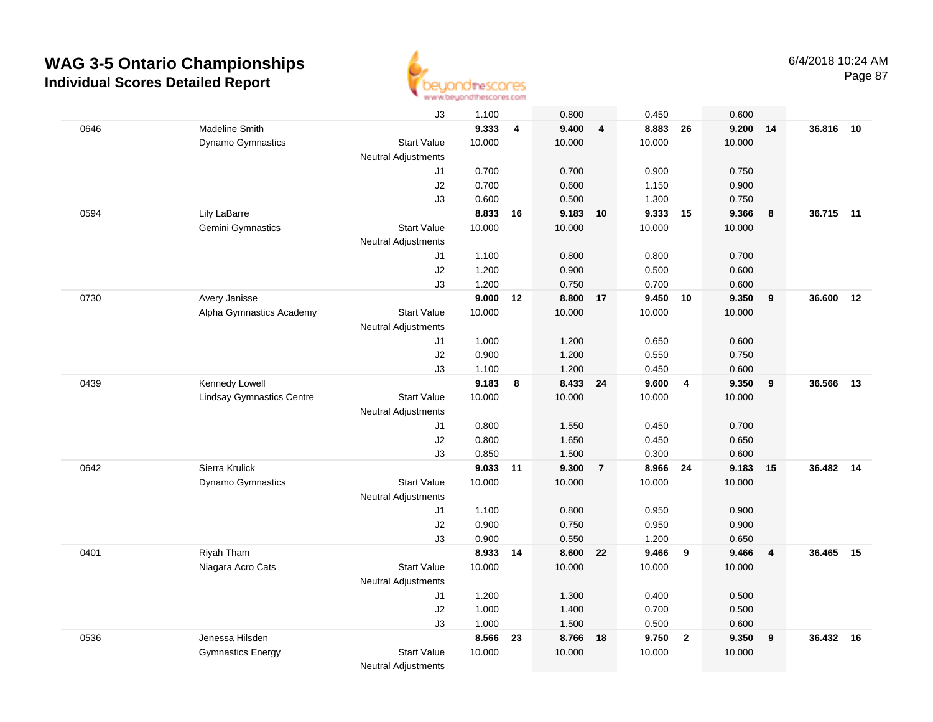

|      |                                  | J3                         | 1.100  |    | 0.800    |                         | 0.450    |                | 0.600  |                |           |    |
|------|----------------------------------|----------------------------|--------|----|----------|-------------------------|----------|----------------|--------|----------------|-----------|----|
| 0646 | Madeline Smith                   |                            | 9.333  | 4  | 9.400    | $\overline{\mathbf{4}}$ | 8.883    | 26             | 9.200  | 14             | 36.816    | 10 |
|      | Dynamo Gymnastics                | <b>Start Value</b>         | 10.000 |    | 10.000   |                         | 10.000   |                | 10.000 |                |           |    |
|      |                                  | <b>Neutral Adjustments</b> |        |    |          |                         |          |                |        |                |           |    |
|      |                                  | J1                         | 0.700  |    | 0.700    |                         | 0.900    |                | 0.750  |                |           |    |
|      |                                  | J2                         | 0.700  |    | 0.600    |                         | 1.150    |                | 0.900  |                |           |    |
|      |                                  | J3                         | 0.600  |    | 0.500    |                         | 1.300    |                | 0.750  |                |           |    |
| 0594 | Lily LaBarre                     |                            | 8.833  | 16 | 9.183    | 10                      | 9.333    | 15             | 9.366  | 8              | 36.715 11 |    |
|      | Gemini Gymnastics                | <b>Start Value</b>         | 10.000 |    | 10.000   |                         | 10.000   |                | 10.000 |                |           |    |
|      |                                  | Neutral Adjustments        |        |    |          |                         |          |                |        |                |           |    |
|      |                                  | J1                         | 1.100  |    | 0.800    |                         | 0.800    |                | 0.700  |                |           |    |
|      |                                  | J2                         | 1.200  |    | 0.900    |                         | 0.500    |                | 0.600  |                |           |    |
|      |                                  | J3                         | 1.200  |    | 0.750    |                         | 0.700    |                | 0.600  |                |           |    |
| 0730 | Avery Janisse                    |                            | 9.000  | 12 | 8.800 17 |                         | 9.450 10 |                | 9.350  | 9              | 36.600    | 12 |
|      | Alpha Gymnastics Academy         | <b>Start Value</b>         | 10.000 |    | 10.000   |                         | 10.000   |                | 10.000 |                |           |    |
|      |                                  | Neutral Adjustments        |        |    |          |                         |          |                |        |                |           |    |
|      |                                  | J1                         | 1.000  |    | 1.200    |                         | 0.650    |                | 0.600  |                |           |    |
|      |                                  | J2                         | 0.900  |    | 1.200    |                         | 0.550    |                | 0.750  |                |           |    |
|      |                                  | J3                         | 1.100  |    | 1.200    |                         | 0.450    |                | 0.600  |                |           |    |
| 0439 | Kennedy Lowell                   |                            | 9.183  | 8  | 8.433 24 |                         | 9.600    | $\overline{4}$ | 9.350  | 9              | 36.566    | 13 |
|      | <b>Lindsay Gymnastics Centre</b> | <b>Start Value</b>         | 10.000 |    | 10.000   |                         | 10.000   |                | 10.000 |                |           |    |
|      |                                  | <b>Neutral Adjustments</b> |        |    |          |                         |          |                |        |                |           |    |
|      |                                  | J1                         | 0.800  |    | 1.550    |                         | 0.450    |                | 0.700  |                |           |    |
|      |                                  | J2                         | 0.800  |    | 1.650    |                         | 0.450    |                | 0.650  |                |           |    |
|      |                                  | J3                         | 0.850  |    | 1.500    |                         | 0.300    |                | 0.600  |                |           |    |
| 0642 | Sierra Krulick                   |                            | 9.033  | 11 | 9.300    | $\overline{7}$          | 8.966    | 24             | 9.183  | 15             | 36.482    | 14 |
|      | <b>Dynamo Gymnastics</b>         | <b>Start Value</b>         | 10.000 |    | 10.000   |                         | 10.000   |                | 10.000 |                |           |    |
|      |                                  | <b>Neutral Adjustments</b> |        |    |          |                         |          |                |        |                |           |    |
|      |                                  | J1                         | 1.100  |    | 0.800    |                         | 0.950    |                | 0.900  |                |           |    |
|      |                                  | J2                         | 0.900  |    | 0.750    |                         | 0.950    |                | 0.900  |                |           |    |
|      |                                  | J3                         | 0.900  |    | 0.550    |                         | 1.200    |                | 0.650  |                |           |    |
| 0401 | Riyah Tham                       |                            | 8.933  | 14 | 8.600 22 |                         | 9.466    | 9              | 9.466  | $\overline{4}$ | 36.465    | 15 |
|      | Niagara Acro Cats                | <b>Start Value</b>         | 10.000 |    | 10.000   |                         | 10.000   |                | 10.000 |                |           |    |
|      |                                  | <b>Neutral Adjustments</b> |        |    |          |                         |          |                |        |                |           |    |
|      |                                  | J1                         | 1.200  |    | 1.300    |                         | 0.400    |                | 0.500  |                |           |    |
|      |                                  | J2                         | 1.000  |    | 1.400    |                         | 0.700    |                | 0.500  |                |           |    |
|      |                                  | J3                         | 1.000  |    | 1.500    |                         | 0.500    |                | 0.600  |                |           |    |
| 0536 | Jenessa Hilsden                  |                            | 8.566  | 23 | 8.766    | 18                      | 9.750    | $\overline{2}$ | 9.350  | 9              | 36.432    | 16 |
|      | <b>Gymnastics Energy</b>         | <b>Start Value</b>         | 10.000 |    | 10.000   |                         | 10.000   |                | 10.000 |                |           |    |
|      |                                  | <b>Neutral Adjustments</b> |        |    |          |                         |          |                |        |                |           |    |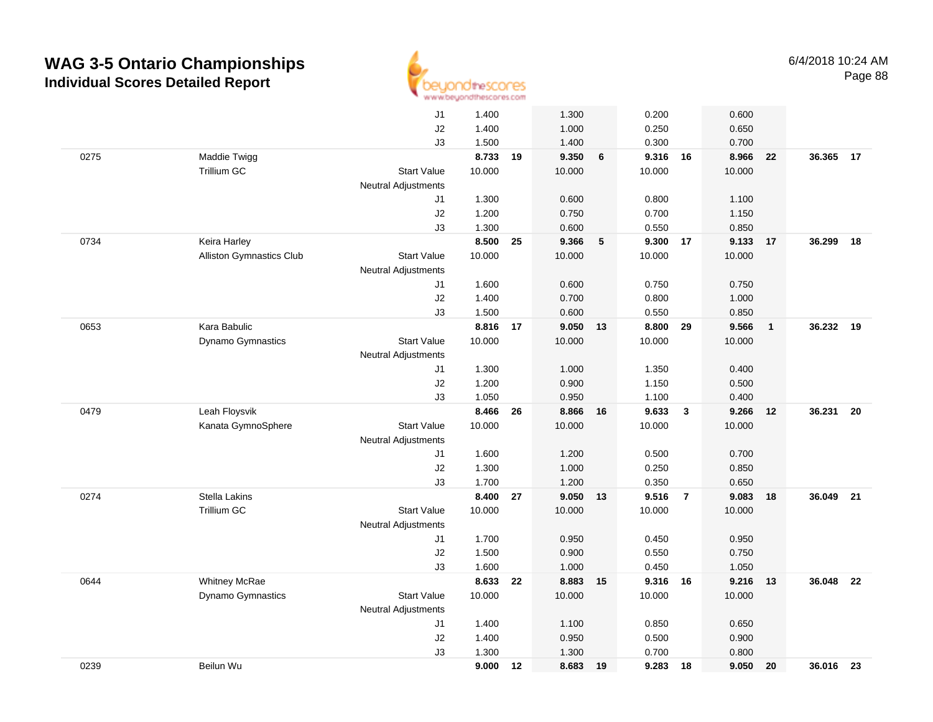

|      |                                 | J1                         | 1.400  |    | 1.300  |    | 0.200    |                | 0.600  |                |           |    |
|------|---------------------------------|----------------------------|--------|----|--------|----|----------|----------------|--------|----------------|-----------|----|
|      |                                 | J2                         | 1.400  |    | 1.000  |    | 0.250    |                | 0.650  |                |           |    |
|      |                                 | J3                         | 1.500  |    | 1.400  |    | 0.300    |                | 0.700  |                |           |    |
| 0275 | Maddie Twigg                    |                            | 8.733  | 19 | 9.350  | 6  | 9.316 16 |                | 8.966  | 22             | 36.365    | 17 |
|      | Trillium GC                     | <b>Start Value</b>         | 10.000 |    | 10.000 |    | 10.000   |                | 10.000 |                |           |    |
|      |                                 | Neutral Adjustments        |        |    |        |    |          |                |        |                |           |    |
|      |                                 | J1                         | 1.300  |    | 0.600  |    | 0.800    |                | 1.100  |                |           |    |
|      |                                 | J2                         | 1.200  |    | 0.750  |    | 0.700    |                | 1.150  |                |           |    |
|      |                                 | J3                         | 1.300  |    | 0.600  |    | 0.550    |                | 0.850  |                |           |    |
| 0734 | Keira Harley                    |                            | 8.500  | 25 | 9.366  | 5  | 9.300    | 17             | 9.133  | 17             | 36.299    | 18 |
|      | <b>Alliston Gymnastics Club</b> | <b>Start Value</b>         | 10.000 |    | 10.000 |    | 10.000   |                | 10.000 |                |           |    |
|      |                                 | Neutral Adjustments        |        |    |        |    |          |                |        |                |           |    |
|      |                                 | J1                         | 1.600  |    | 0.600  |    | 0.750    |                | 0.750  |                |           |    |
|      |                                 | J2                         | 1.400  |    | 0.700  |    | 0.800    |                | 1.000  |                |           |    |
|      |                                 | J3                         | 1.500  |    | 0.600  |    | 0.550    |                | 0.850  |                |           |    |
| 0653 | Kara Babulic                    |                            | 8.816  | 17 | 9.050  | 13 | 8.800 29 |                | 9.566  | $\overline{1}$ | 36.232    | 19 |
|      | Dynamo Gymnastics               | <b>Start Value</b>         | 10.000 |    | 10.000 |    | 10.000   |                | 10.000 |                |           |    |
|      |                                 | Neutral Adjustments        |        |    |        |    |          |                |        |                |           |    |
|      |                                 | J1                         | 1.300  |    | 1.000  |    | 1.350    |                | 0.400  |                |           |    |
|      |                                 | J2                         | 1.200  |    | 0.900  |    | 1.150    |                | 0.500  |                |           |    |
|      |                                 | J3                         | 1.050  |    | 0.950  |    | 1.100    |                | 0.400  |                |           |    |
| 0479 | Leah Floysvik                   |                            | 8.466  | 26 | 8.866  | 16 | 9.633    | $\mathbf{3}$   | 9.266  | 12             | 36.231    | 20 |
|      | Kanata GymnoSphere              | <b>Start Value</b>         | 10.000 |    | 10.000 |    | 10.000   |                | 10.000 |                |           |    |
|      |                                 | <b>Neutral Adjustments</b> |        |    |        |    |          |                |        |                |           |    |
|      |                                 | J1                         | 1.600  |    | 1.200  |    | 0.500    |                | 0.700  |                |           |    |
|      |                                 | J2                         | 1.300  |    | 1.000  |    | 0.250    |                | 0.850  |                |           |    |
|      |                                 | J3                         | 1.700  |    | 1.200  |    | 0.350    |                | 0.650  |                |           |    |
| 0274 | Stella Lakins                   |                            | 8.400  | 27 | 9.050  | 13 | 9.516    | $\overline{7}$ | 9.083  | 18             | 36.049    | 21 |
|      | Trillium GC                     | <b>Start Value</b>         | 10.000 |    | 10.000 |    | 10.000   |                | 10.000 |                |           |    |
|      |                                 | <b>Neutral Adjustments</b> |        |    |        |    |          |                |        |                |           |    |
|      |                                 | J1                         | 1.700  |    | 0.950  |    | 0.450    |                | 0.950  |                |           |    |
|      |                                 | J2                         | 1.500  |    | 0.900  |    | 0.550    |                | 0.750  |                |           |    |
|      |                                 | J3                         | 1.600  |    | 1.000  |    | 0.450    |                | 1.050  |                |           |    |
| 0644 | Whitney McRae                   |                            | 8.633  | 22 | 8.883  | 15 | 9.316 16 |                | 9.216  | 13             | 36.048    | 22 |
|      | Dynamo Gymnastics               | <b>Start Value</b>         | 10.000 |    | 10.000 |    | 10.000   |                | 10.000 |                |           |    |
|      |                                 | Neutral Adjustments        |        |    |        |    |          |                |        |                |           |    |
|      |                                 | J1                         | 1.400  |    | 1.100  |    | 0.850    |                | 0.650  |                |           |    |
|      |                                 | J2                         | 1.400  |    | 0.950  |    | 0.500    |                | 0.900  |                |           |    |
|      |                                 | J3                         | 1.300  |    | 1.300  |    | 0.700    |                | 0.800  |                |           |    |
| 0239 | Beilun Wu                       |                            | 9.000  | 12 | 8.683  | 19 | 9.283    | 18             | 9.050  | 20             | 36.016 23 |    |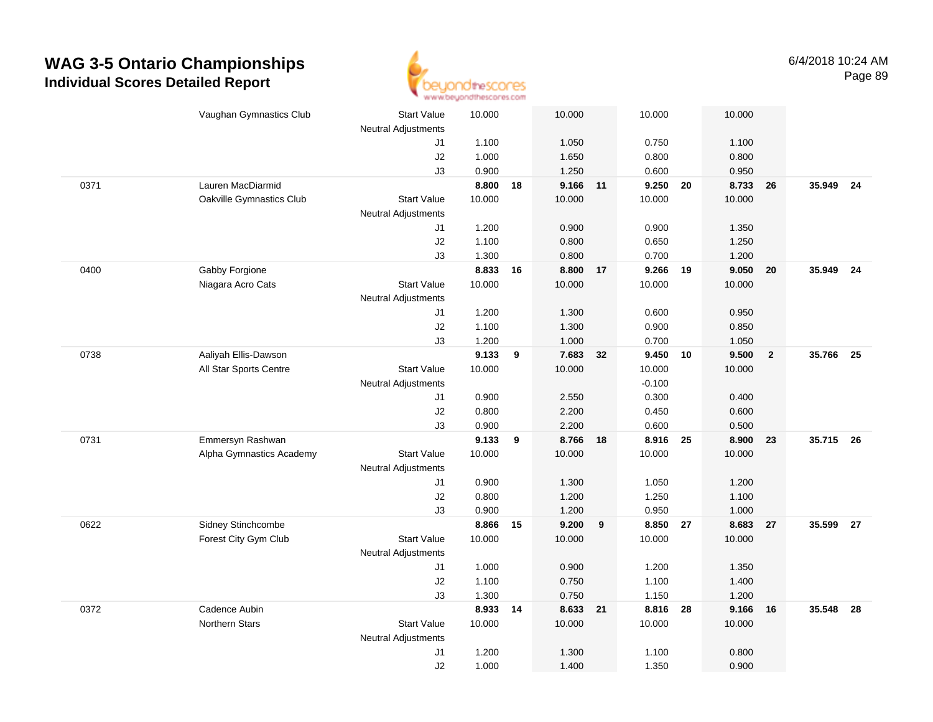

|      | Vaughan Gymnastics Club  | <b>Start Value</b>         | 10.000         |    | 10.000         |    | 10.000         | 10.000         |                         |        |      |
|------|--------------------------|----------------------------|----------------|----|----------------|----|----------------|----------------|-------------------------|--------|------|
|      |                          | Neutral Adjustments        |                |    |                |    |                |                |                         |        |      |
|      |                          | J1                         | 1.100          |    | 1.050          |    | 0.750          | 1.100          |                         |        |      |
|      |                          | $\sf J2$                   | 1.000          |    | 1.650          |    | 0.800          | 0.800          |                         |        |      |
|      |                          | J3                         | 0.900          |    | 1.250          |    | 0.600          | 0.950          |                         |        |      |
| 0371 | Lauren MacDiarmid        |                            | 8.800          | 18 | 9.166 11       |    | 9.250 20       | 8.733          | 26                      | 35.949 | - 24 |
|      | Oakville Gymnastics Club | <b>Start Value</b>         | 10.000         |    | 10.000         |    | 10.000         | 10.000         |                         |        |      |
|      |                          | <b>Neutral Adjustments</b> |                |    |                |    |                |                |                         |        |      |
|      |                          | J1                         | 1.200          |    | 0.900          |    | 0.900          | 1.350          |                         |        |      |
|      |                          | J2                         | 1.100          |    | 0.800          |    | 0.650          | 1.250          |                         |        |      |
|      |                          | J3                         | 1.300          |    | 0.800          |    | 0.700          | 1.200          |                         |        |      |
| 0400 | Gabby Forgione           |                            | 8.833          | 16 | 8.800          | 17 | 9.266          | 9.050<br>19    | 20                      | 35.949 | 24   |
|      | Niagara Acro Cats        | <b>Start Value</b>         | 10.000         |    | 10.000         |    | 10.000         | 10.000         |                         |        |      |
|      |                          | <b>Neutral Adjustments</b> |                |    |                |    |                |                |                         |        |      |
|      |                          | J1                         | 1.200<br>1.100 |    | 1.300<br>1.300 |    | 0.600<br>0.900 | 0.950<br>0.850 |                         |        |      |
|      |                          | $\sf J2$                   | 1.200          |    | 1.000          |    | 0.700          | 1.050          |                         |        |      |
| 0738 | Aaliyah Ellis-Dawson     | J3                         | 9.133          | 9  | 7.683          | 32 | 9.450 10       | 9.500          | $\overline{\mathbf{2}}$ | 35.766 | - 25 |
|      | All Star Sports Centre   | <b>Start Value</b>         | 10.000         |    | 10.000         |    | 10.000         | 10.000         |                         |        |      |
|      |                          | <b>Neutral Adjustments</b> |                |    |                |    | $-0.100$       |                |                         |        |      |
|      |                          | J1                         | 0.900          |    | 2.550          |    | 0.300          | 0.400          |                         |        |      |
|      |                          | J2                         | 0.800          |    | 2.200          |    | 0.450          | 0.600          |                         |        |      |
|      |                          | JЗ                         | 0.900          |    | 2.200          |    | 0.600          | 0.500          |                         |        |      |
| 0731 | Emmersyn Rashwan         |                            | 9.133          | 9  | 8.766          | 18 | 8.916          | 8.900<br>25    | 23                      | 35.715 | 26   |
|      | Alpha Gymnastics Academy | <b>Start Value</b>         | 10.000         |    | 10.000         |    | 10.000         | 10.000         |                         |        |      |
|      |                          | Neutral Adjustments        |                |    |                |    |                |                |                         |        |      |
|      |                          | J1                         | 0.900          |    | 1.300          |    | 1.050          | 1.200          |                         |        |      |
|      |                          | J2                         | 0.800          |    | 1.200          |    | 1.250          | 1.100          |                         |        |      |
|      |                          | J3                         | 0.900          |    | 1.200          |    | 0.950          | 1.000          |                         |        |      |
| 0622 | Sidney Stinchcombe       |                            | 8.866          | 15 | 9.200          | 9  | 8.850 27       | 8.683          | 27                      | 35.599 | - 27 |
|      | Forest City Gym Club     | <b>Start Value</b>         | 10.000         |    | 10.000         |    | 10.000         | 10.000         |                         |        |      |
|      |                          | Neutral Adjustments        |                |    |                |    |                |                |                         |        |      |
|      |                          | J1                         | 1.000          |    | 0.900          |    | 1.200          | 1.350          |                         |        |      |
|      |                          | J2                         | 1.100          |    | 0.750          |    | 1.100          | 1.400          |                         |        |      |
|      |                          | J3                         | 1.300          |    | 0.750          |    | 1.150          | 1.200          |                         |        |      |
| 0372 | Cadence Aubin            |                            | 8.933          | 14 | 8.633 21       |    | 8.816          | 28<br>9.166    | 16                      | 35.548 | - 28 |
|      | Northern Stars           | <b>Start Value</b>         | 10.000         |    | 10.000         |    | 10.000         | 10.000         |                         |        |      |
|      |                          | <b>Neutral Adjustments</b> |                |    |                |    |                |                |                         |        |      |
|      |                          | J1                         | 1.200          |    | 1.300          |    | 1.100          | 0.800          |                         |        |      |
|      |                          | J2                         | 1.000          |    | 1.400          |    | 1.350          | 0.900          |                         |        |      |
|      |                          |                            |                |    |                |    |                |                |                         |        |      |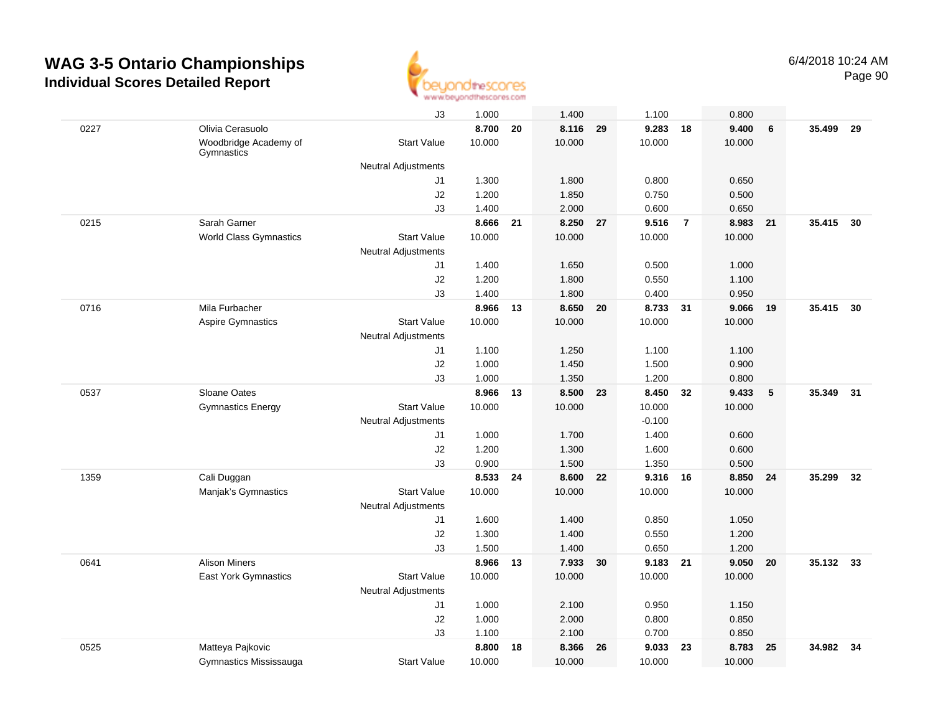

|      |                                     | J3                         | 1.000  |    | 1.400    |    | 1.100    |                | 0.800  |    |           |      |
|------|-------------------------------------|----------------------------|--------|----|----------|----|----------|----------------|--------|----|-----------|------|
| 0227 | Olivia Cerasuolo                    |                            | 8.700  | 20 | 8.116    | 29 | 9.283    | 18             | 9.400  | 6  | 35.499    | 29   |
|      | Woodbridge Academy of<br>Gymnastics | <b>Start Value</b>         | 10.000 |    | 10.000   |    | 10.000   |                | 10.000 |    |           |      |
|      |                                     | <b>Neutral Adjustments</b> |        |    |          |    |          |                |        |    |           |      |
|      |                                     | J1                         | 1.300  |    | 1.800    |    | 0.800    |                | 0.650  |    |           |      |
|      |                                     | J2                         | 1.200  |    | 1.850    |    | 0.750    |                | 0.500  |    |           |      |
|      |                                     | J3                         | 1.400  |    | 2.000    |    | 0.600    |                | 0.650  |    |           |      |
| 0215 | Sarah Garner                        |                            | 8.666  | 21 | 8.250 27 |    | 9.516    | $\overline{7}$ | 8.983  | 21 | 35.415    | 30   |
|      | <b>World Class Gymnastics</b>       | <b>Start Value</b>         | 10.000 |    | 10.000   |    | 10.000   |                | 10.000 |    |           |      |
|      |                                     | <b>Neutral Adjustments</b> |        |    |          |    |          |                |        |    |           |      |
|      |                                     | J1                         | 1.400  |    | 1.650    |    | 0.500    |                | 1.000  |    |           |      |
|      |                                     | J2                         | 1.200  |    | 1.800    |    | 0.550    |                | 1.100  |    |           |      |
|      |                                     | J3                         | 1.400  |    | 1.800    |    | 0.400    |                | 0.950  |    |           |      |
| 0716 | Mila Furbacher                      |                            | 8.966  | 13 | 8.650    | 20 | 8.733    | 31             | 9.066  | 19 | 35.415 30 |      |
|      | <b>Aspire Gymnastics</b>            | <b>Start Value</b>         | 10.000 |    | 10.000   |    | 10.000   |                | 10.000 |    |           |      |
|      |                                     | <b>Neutral Adjustments</b> |        |    |          |    |          |                |        |    |           |      |
|      |                                     | J1                         | 1.100  |    | 1.250    |    | 1.100    |                | 1.100  |    |           |      |
|      |                                     | J2                         | 1.000  |    | 1.450    |    | 1.500    |                | 0.900  |    |           |      |
|      |                                     | J3                         | 1.000  |    | 1.350    |    | 1.200    |                | 0.800  |    |           |      |
| 0537 | Sloane Oates                        |                            | 8.966  | 13 | 8.500    | 23 | 8.450    | 32             | 9.433  | 5  | 35.349    | 31   |
|      | <b>Gymnastics Energy</b>            | <b>Start Value</b>         | 10.000 |    | 10.000   |    | 10.000   |                | 10.000 |    |           |      |
|      |                                     | <b>Neutral Adjustments</b> |        |    |          |    | $-0.100$ |                |        |    |           |      |
|      |                                     | J1                         | 1.000  |    | 1.700    |    | 1.400    |                | 0.600  |    |           |      |
|      |                                     | J2                         | 1.200  |    | 1.300    |    | 1.600    |                | 0.600  |    |           |      |
|      |                                     | J3                         | 0.900  |    | 1.500    |    | 1.350    |                | 0.500  |    |           |      |
| 1359 | Cali Duggan                         |                            | 8.533  | 24 | 8.600    | 22 | 9.316    | 16             | 8.850  | 24 | 35.299    | 32   |
|      | Manjak's Gymnastics                 | <b>Start Value</b>         | 10.000 |    | 10.000   |    | 10.000   |                | 10.000 |    |           |      |
|      |                                     | <b>Neutral Adjustments</b> |        |    |          |    |          |                |        |    |           |      |
|      |                                     | J1                         | 1.600  |    | 1.400    |    | 0.850    |                | 1.050  |    |           |      |
|      |                                     | J2                         | 1.300  |    | 1.400    |    | 0.550    |                | 1.200  |    |           |      |
|      |                                     | J3                         | 1.500  |    | 1.400    |    | 0.650    |                | 1.200  |    |           |      |
| 0641 | <b>Alison Miners</b>                |                            | 8.966  | 13 | 7.933    | 30 | 9.183 21 |                | 9.050  | 20 | 35.132    | - 33 |
|      | East York Gymnastics                | <b>Start Value</b>         | 10.000 |    | 10.000   |    | 10.000   |                | 10.000 |    |           |      |
|      |                                     | <b>Neutral Adjustments</b> |        |    |          |    |          |                |        |    |           |      |
|      |                                     | J1                         | 1.000  |    | 2.100    |    | 0.950    |                | 1.150  |    |           |      |
|      |                                     | J2                         | 1.000  |    | 2.000    |    | 0.800    |                | 0.850  |    |           |      |
|      |                                     | J3                         | 1.100  |    | 2.100    |    | 0.700    |                | 0.850  |    |           |      |
| 0525 | Matteya Pajkovic                    |                            | 8.800  | 18 | 8.366    | 26 | 9.033    | 23             | 8.783  | 25 | 34.982    | 34   |
|      | Gymnastics Mississauga              | <b>Start Value</b>         | 10.000 |    | 10.000   |    | 10.000   |                | 10.000 |    |           |      |